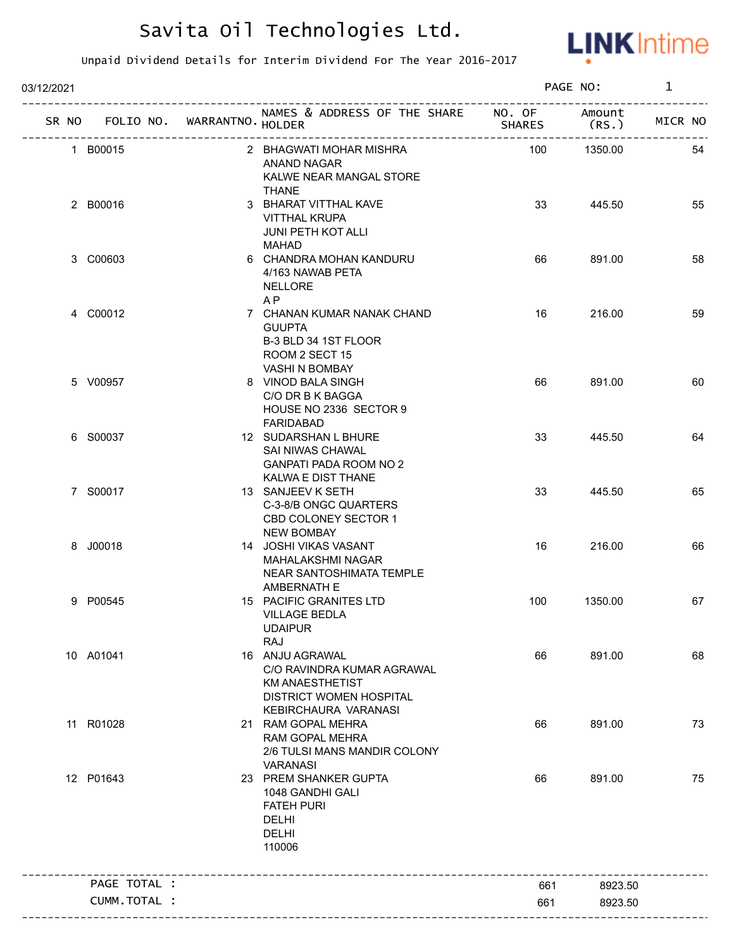

| 03/12/2021 |                                   |                                                                                                                                   |                                         | PAGE NO:        | $\mathbf{1}$ |
|------------|-----------------------------------|-----------------------------------------------------------------------------------------------------------------------------------|-----------------------------------------|-----------------|--------------|
|            | SR NO FOLIO NO. WARRANTNO. HOLDER | NAMES & ADDRESS OF THE SHARE NO. OF                                                                                               | <b>SHARES</b><br>---------------------- | Amount<br>(RS.) | MICR NO      |
|            | 1 B00015                          | 2 BHAGWATI MOHAR MISHRA<br>ANAND NAGAR<br>KALWE NEAR MANGAL STORE<br><b>THANE</b>                                                 | 100                                     | 1350.00         | 54           |
|            | 2 B00016                          | 3 BHARAT VITTHAL KAVE<br><b>VITTHAL KRUPA</b><br>JUNI PETH KOT ALLI<br><b>MAHAD</b>                                               | 33                                      | 445.50          | 55           |
|            | 3 C00603                          | 6 CHANDRA MOHAN KANDURU<br>4/163 NAWAB PETA<br><b>NELLORE</b><br>A <sub>P</sub>                                                   | 66                                      | 891.00          | 58           |
|            | 4 C00012                          | 7 CHANAN KUMAR NANAK CHAND<br><b>GUUPTA</b><br>B-3 BLD 34 1ST FLOOR<br>ROOM 2 SECT 15<br>VASHI N BOMBAY                           | 16                                      | 216.00          | 59           |
|            | 5 V00957                          | 8 VINOD BALA SINGH<br>C/O DR B K BAGGA<br>HOUSE NO 2336 SECTOR 9<br><b>FARIDABAD</b>                                              | 66                                      | 891.00          | 60           |
|            | 6 S00037                          | 12 SUDARSHAN L BHURE<br>SAI NIWAS CHAWAL<br><b>GANPATI PADA ROOM NO 2</b><br>KALWA E DIST THANE                                   | 33                                      | 445.50          | 64           |
|            | 7 S00017                          | 13 SANJEEV K SETH<br>C-3-8/B ONGC QUARTERS<br>CBD COLONEY SECTOR 1<br><b>NEW BOMBAY</b>                                           | 33                                      | 445.50          | 65           |
|            | 8 J00018                          | 14 JOSHI VIKAS VASANT<br><b>MAHALAKSHMI NAGAR</b><br>NEAR SANTOSHIMATA TEMPLE<br>AMBERNATH E                                      | 16                                      | 216.00          | 66           |
|            | 9 P00545                          | 15 PACIFIC GRANITES LTD<br><b>VILLAGE BEDLA</b><br><b>UDAIPUR</b><br>RAJ                                                          | 100                                     | 1350.00         | 67           |
|            | 10 A01041                         | 16 ANJU AGRAWAL<br>C/O RAVINDRA KUMAR AGRAWAL<br><b>KM ANAESTHETIST</b><br><b>DISTRICT WOMEN HOSPITAL</b><br>KEBIRCHAURA VARANASI | 66                                      | 891.00          | 68           |
|            | 11 R01028                         | 21 RAM GOPAL MEHRA<br>RAM GOPAL MEHRA<br>2/6 TULSI MANS MANDIR COLONY<br><b>VARANASI</b>                                          | 66                                      | 891.00          | 73           |
|            | 12 P01643                         | 23 PREM SHANKER GUPTA<br>1048 GANDHI GALI<br><b>FATEH PURI</b><br>DELHI<br><b>DELHI</b><br>110006                                 | 66                                      | 891.00          | 75           |
|            | PAGE TOTAL :                      |                                                                                                                                   | 661                                     | 8923.50         |              |
|            | CUMM.TOTAL :                      |                                                                                                                                   | 661                                     | 8923.50         |              |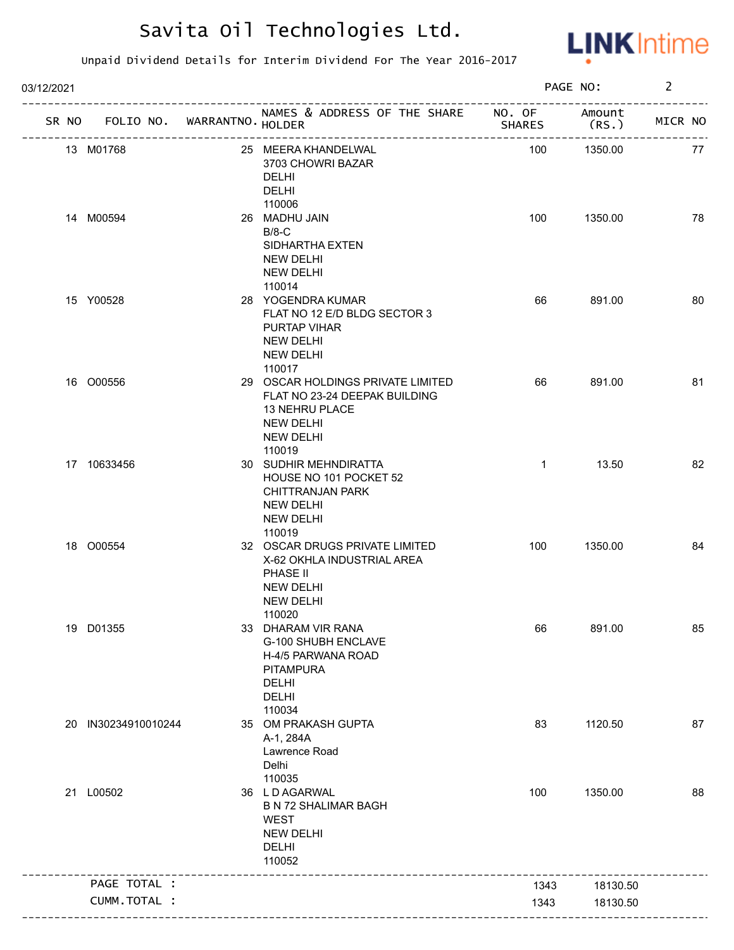

| 03/12/2021 |                                   |                                                                                                                                        |               | PAGE NO:        | $\overline{2}$ |    |
|------------|-----------------------------------|----------------------------------------------------------------------------------------------------------------------------------------|---------------|-----------------|----------------|----|
|            | SR NO FOLIO NO. WARRANTNO. HOLDER | NAMES & ADDRESS OF THE SHARE NO. OF<br>___________________________                                                                     | <b>SHARES</b> | Amount<br>(RS.) | MICR NO        |    |
|            | 13 M01768                         | 25 MEERA KHANDELWAL<br>3703 CHOWRI BAZAR<br>DELHI<br>DELHI<br>110006                                                                   | 100           | 1350.00         |                | 77 |
|            | 14 M00594                         | 26 MADHU JAIN<br>$B/8-C$<br>SIDHARTHA EXTEN<br><b>NEW DELHI</b><br><b>NEW DELHI</b>                                                    | 100           | 1350.00         |                | 78 |
|            | 15 Y00528                         | 110014<br>28 YOGENDRA KUMAR<br>FLAT NO 12 E/D BLDG SECTOR 3<br>PURTAP VIHAR<br><b>NEW DELHI</b><br><b>NEW DELHI</b><br>110017          | 66            | 891.00          |                | 80 |
|            | 16 O00556                         | 29 OSCAR HOLDINGS PRIVATE LIMITED<br>FLAT NO 23-24 DEEPAK BUILDING<br>13 NEHRU PLACE<br><b>NEW DELHI</b><br><b>NEW DELHI</b><br>110019 | 66            | 891.00          |                | 81 |
|            | 17 10633456                       | 30 SUDHIR MEHNDIRATTA<br>HOUSE NO 101 POCKET 52<br>CHITTRANJAN PARK<br><b>NEW DELHI</b><br><b>NEW DELHI</b><br>110019                  | $\mathbf{1}$  | 13.50           |                | 82 |
|            | 18 O00554                         | 32 OSCAR DRUGS PRIVATE LIMITED<br>X-62 OKHLA INDUSTRIAL AREA<br>PHASE II<br><b>NEW DELHI</b><br><b>NEW DELHI</b><br>110020             | 100           | 1350.00         |                | 84 |
|            | 19 D01355                         | 33 DHARAM VIR RANA<br>G-100 SHUBH ENCLAVE<br>H-4/5 PARWANA ROAD<br><b>PITAMPURA</b><br><b>DELHI</b><br><b>DELHI</b><br>110034          | 66            | 891.00          |                | 85 |
|            | 20 IN30234910010244               | 35 OM PRAKASH GUPTA<br>A-1, 284A<br>Lawrence Road<br>Delhi<br>110035                                                                   | 83            | 1120.50         |                | 87 |
|            | 21 L00502                         | 36 LD AGARWAL<br><b>B N 72 SHALIMAR BAGH</b><br><b>WEST</b><br><b>NEW DELHI</b><br><b>DELHI</b><br>110052                              | 100           | 1350.00         |                | 88 |
|            | PAGE TOTAL :                      |                                                                                                                                        | 1343          | 18130.50        |                |    |
|            | CUMM.TOTAL :                      |                                                                                                                                        | 1343          | 18130.50        |                |    |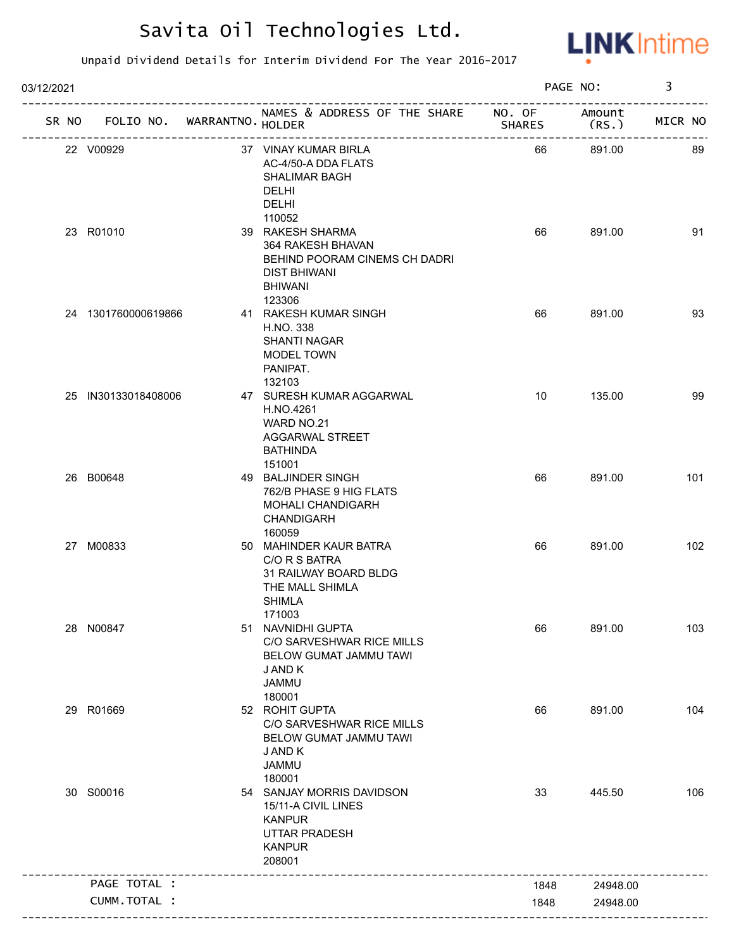

| 03/12/2021 |                                   |                                                                                                                                     |               | PAGE NO:         | 3       |
|------------|-----------------------------------|-------------------------------------------------------------------------------------------------------------------------------------|---------------|------------------|---------|
|            | SR NO FOLIO NO. WARRANTNO. HOLDER | NAMES & ADDRESS OF THE SHARE NO. OF                                                                                                 | <b>SHARES</b> | Amount<br>(RS. ) | MICR NO |
|            | 22 V00929                         | 37 VINAY KUMAR BIRLA<br>AC-4/50-A DDA FLATS<br><b>SHALIMAR BAGH</b><br><b>DELHI</b><br><b>DELHI</b>                                 | 66            | 891.00           | 89      |
|            | 23 R01010                         | 110052<br>39 RAKESH SHARMA<br>364 RAKESH BHAVAN<br>BEHIND POORAM CINEMS CH DADRI<br><b>DIST BHIWANI</b><br><b>BHIWANI</b><br>123306 | 66            | 891.00           | 91      |
|            | 24 1301760000619866               | 41 RAKESH KUMAR SINGH<br>H.NO. 338<br><b>SHANTI NAGAR</b><br>MODEL TOWN<br>PANIPAT.<br>132103                                       | 66            | 891.00           | 93      |
|            | 25 IN30133018408006               | 47 SURESH KUMAR AGGARWAL<br>H.NO.4261<br>WARD NO.21<br><b>AGGARWAL STREET</b><br><b>BATHINDA</b><br>151001                          | 10            | 135.00           | 99      |
|            | 26 B00648                         | 49 BALJINDER SINGH<br>762/B PHASE 9 HIG FLATS<br>MOHALI CHANDIGARH<br>CHANDIGARH<br>160059                                          | 66            | 891.00           | 101     |
|            | 27 M00833                         | 50 MAHINDER KAUR BATRA<br>C/O R S BATRA<br>31 RAILWAY BOARD BLDG<br>THE MALL SHIMLA<br><b>SHIMLA</b><br>171003                      | 66            | 891.00           | 102     |
|            | 28 N00847                         | 51 NAVNIDHI GUPTA<br>C/O SARVESHWAR RICE MILLS<br>BELOW GUMAT JAMMU TAWI<br>J AND K<br><b>JAMMU</b><br>180001                       | 66            | 891.00           | 103     |
|            | 29 R01669                         | 52 ROHIT GUPTA<br>C/O SARVESHWAR RICE MILLS<br>BELOW GUMAT JAMMU TAWI<br>J AND K<br><b>JAMMU</b><br>180001                          | 66            | 891.00           | 104     |
|            | 30 S00016                         | 54 SANJAY MORRIS DAVIDSON<br>15/11-A CIVIL LINES<br><b>KANPUR</b><br><b>UTTAR PRADESH</b><br><b>KANPUR</b><br>208001                | 33            | 445.50           | 106     |
|            | PAGE TOTAL :                      |                                                                                                                                     | 1848          | 24948.00         |         |
|            | CUMM.TOTAL :                      |                                                                                                                                     | 1848          | 24948.00         |         |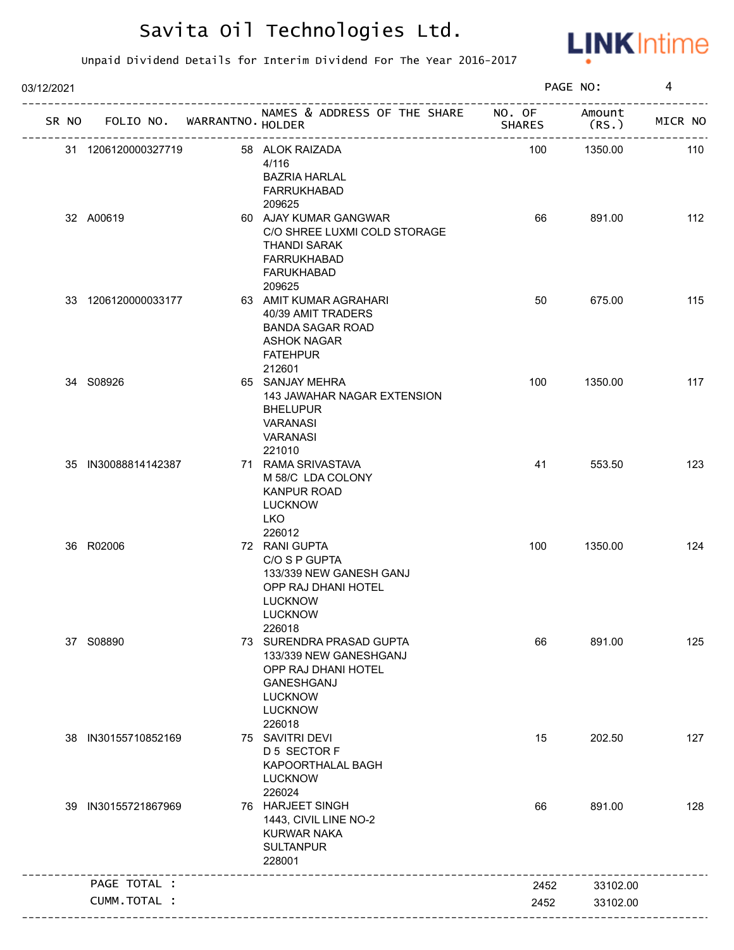

| 03/12/2021 |                     |              |                                   |                                                                                                                                              |               | PAGE NO:       | 4       |
|------------|---------------------|--------------|-----------------------------------|----------------------------------------------------------------------------------------------------------------------------------------------|---------------|----------------|---------|
|            |                     |              | SR NO FOLIO NO. WARRANTNO. HOLDER | NAMES & ADDRESS OF THE SHARE NO. OF                                                                                                          | <b>SHARES</b> | Amount<br>(RS. | MICR NO |
|            | 31 1206120000327719 |              |                                   | 58 ALOK RAIZADA<br>4/116<br><b>BAZRIA HARLAL</b><br><b>FARRUKHABAD</b><br>209625                                                             | 100           | 1350.00        | 110     |
|            | 32 A00619           |              |                                   | 60 AJAY KUMAR GANGWAR<br>C/O SHREE LUXMI COLD STORAGE<br><b>THANDI SARAK</b><br><b>FARRUKHABAD</b><br><b>FARUKHABAD</b><br>209625            | 66            | 891.00         | 112     |
|            | 33 1206120000033177 |              |                                   | 63 AMIT KUMAR AGRAHARI<br>40/39 AMIT TRADERS<br><b>BANDA SAGAR ROAD</b><br><b>ASHOK NAGAR</b><br><b>FATEHPUR</b><br>212601                   | 50            | 675.00         | 115     |
|            | 34 S08926           |              |                                   | 65 SANJAY MEHRA<br>143 JAWAHAR NAGAR EXTENSION<br><b>BHELUPUR</b><br><b>VARANASI</b><br><b>VARANASI</b><br>221010                            | 100           | 1350.00        | 117     |
|            | 35 IN30088814142387 |              |                                   | 71 RAMA SRIVASTAVA<br>M 58/C LDA COLONY<br><b>KANPUR ROAD</b><br><b>LUCKNOW</b><br><b>LKO</b><br>226012                                      | 41            | 553.50         | 123     |
|            | 36 R02006           |              |                                   | 72 RANI GUPTA<br>C/O S P GUPTA<br>133/339 NEW GANESH GANJ<br>OPP RAJ DHANI HOTEL<br><b>LUCKNOW</b><br><b>LUCKNOW</b><br>226018               | 100           | 1350.00        | 124     |
|            | 37 S08890           |              |                                   | 73 SURENDRA PRASAD GUPTA<br>133/339 NEW GANESHGANJ<br>OPP RAJ DHANI HOTEL<br><b>GANESHGANJ</b><br><b>LUCKNOW</b><br><b>LUCKNOW</b><br>226018 | 66            | 891.00         | 125     |
| 38         | IN30155710852169    |              |                                   | 75 SAVITRI DEVI<br>D 5 SECTOR F<br>KAPOORTHALAL BAGH<br><b>LUCKNOW</b><br>226024                                                             | 15            | 202.50         | 127     |
|            | 39 IN30155721867969 |              |                                   | 76 HARJEET SINGH<br>1443, CIVIL LINE NO-2<br><b>KURWAR NAKA</b><br><b>SULTANPUR</b><br>228001                                                | 66            | 891.00         | 128     |
|            | PAGE TOTAL :        |              |                                   |                                                                                                                                              | 2452          | 33102.00       |         |
|            |                     | CUMM.TOTAL : |                                   |                                                                                                                                              | 2452          | 33102.00       |         |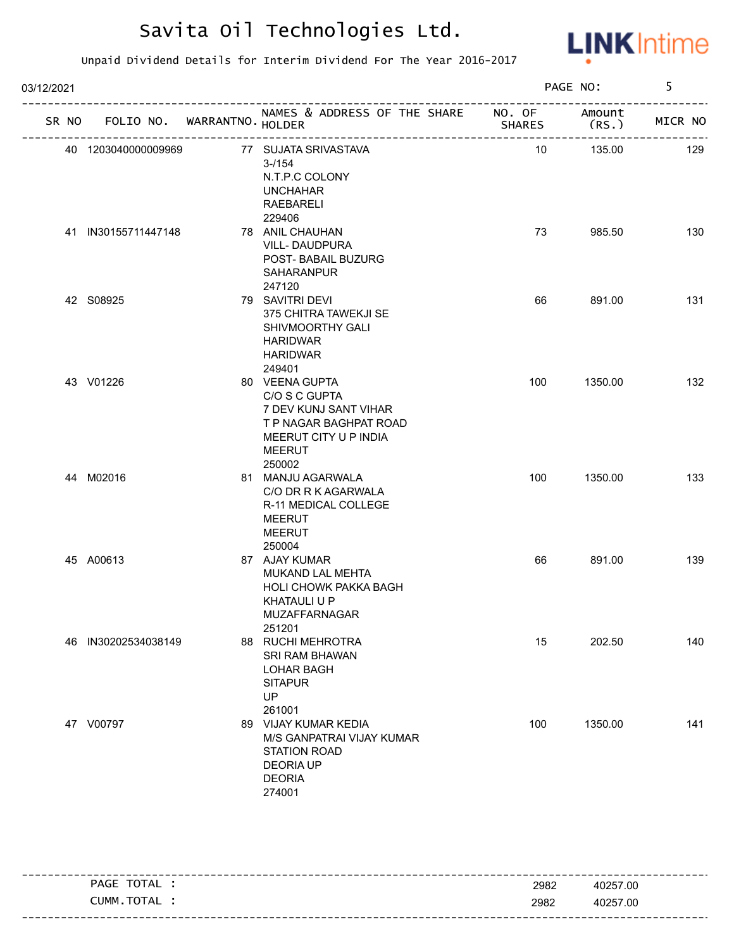

| 03/12/2021 |       |                     |                             |                                                                                                                                 |               | PAGE NO:        | 5       |
|------------|-------|---------------------|-----------------------------|---------------------------------------------------------------------------------------------------------------------------------|---------------|-----------------|---------|
|            | SR NO |                     | FOLIO NO. WARRANTNO. HOLDER | NAMES & ADDRESS OF THE SHARE NO. OF                                                                                             | <b>SHARES</b> | Amount<br>(RS.) | MICR NO |
|            |       | 40 1203040000009969 |                             | 77 SUJATA SRIVASTAVA<br>$3 - 1154$<br>N.T.P.C COLONY<br><b>UNCHAHAR</b><br>RAEBARELI<br>229406                                  | 10            | 135.00          | 129     |
|            |       | 41 IN30155711447148 |                             | 78 ANIL CHAUHAN<br><b>VILL-DAUDPURA</b><br>POST- BABAIL BUZURG<br><b>SAHARANPUR</b><br>247120                                   | 73            | 985.50          | 130     |
|            |       | 42 S08925           |                             | 79 SAVITRI DEVI<br>375 CHITRA TAWEKJI SE<br>SHIVMOORTHY GALI<br><b>HARIDWAR</b><br><b>HARIDWAR</b><br>249401                    | 66            | 891.00          | 131     |
|            |       | 43 V01226           |                             | 80 VEENA GUPTA<br>C/O S C GUPTA<br>7 DEV KUNJ SANT VIHAR<br>T P NAGAR BAGHPAT ROAD<br>MEERUT CITY U P INDIA<br>MEERUT<br>250002 | 100           | 1350.00         | 132     |
|            |       | 44 M02016           |                             | 81 MANJU AGARWALA<br>C/O DR R K AGARWALA<br>R-11 MEDICAL COLLEGE<br><b>MEERUT</b><br><b>MEERUT</b><br>250004                    | 100           | 1350.00         | 133     |
|            |       | 45 A00613           |                             | 87 AJAY KUMAR<br>MUKAND LAL MEHTA<br><b>HOLI CHOWK PAKKA BAGH</b><br><b>KHATAULI U P</b><br><b>MUZAFFARNAGAR</b><br>251201      | 66            | 891.00          | 139     |
|            | 46    | IN30202534038149    |                             | 88 RUCHI MEHROTRA<br>SRI RAM BHAWAN<br><b>LOHAR BAGH</b><br><b>SITAPUR</b><br>UP<br>261001                                      | 15            | 202.50          | 140     |
|            |       | 47 V00797           |                             | 89 VIJAY KUMAR KEDIA<br>M/S GANPATRAI VIJAY KUMAR<br>STATION ROAD<br><b>DEORIA UP</b><br><b>DEORIA</b><br>274001                | 100           | 1350.00         | 141     |

|                |      | -----------------------           |
|----------------|------|-----------------------------------|
| TOTAL<br>PAGE  | 2982 | 40257.00                          |
| TOTAL<br>CUMM. | 2982 | 40257.00                          |
|                |      | --------------------------------- |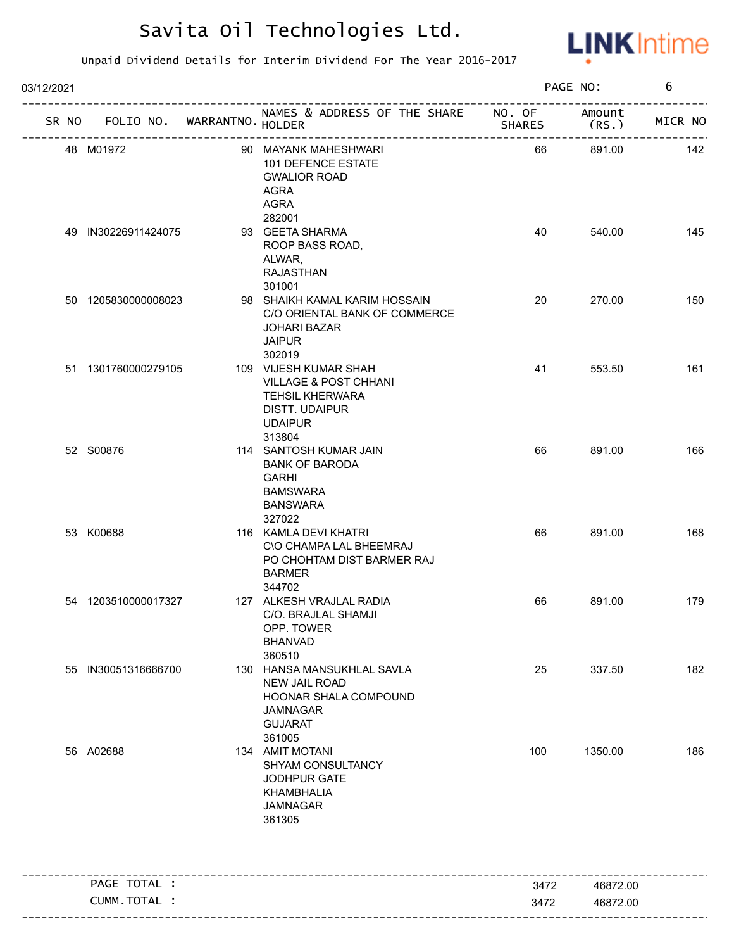

| 03/12/2021 |                                   |                                                                                                                                   |               | PAGE NO:       | 6       |
|------------|-----------------------------------|-----------------------------------------------------------------------------------------------------------------------------------|---------------|----------------|---------|
|            | SR NO FOLIO NO. WARRANTNO. HOLDER | NAMES & ADDRESS OF THE SHARE NO. OF<br>אחכ<br>-----------------------                                                             | <b>SHARES</b> | Amount<br>(RS. | MICR NO |
|            | 48 M01972                         | 90 MAYANK MAHESHWARI<br>101 DEFENCE ESTATE<br><b>GWALIOR ROAD</b><br>AGRA<br>AGRA                                                 | 66            | 891.00         | 142     |
|            | 49 IN30226911424075               | 282001<br>93 GEETA SHARMA<br>ROOP BASS ROAD,<br>ALWAR,<br>RAJASTHAN                                                               | 40            | 540.00         | 145     |
|            | 50 1205830000008023               | 301001<br>98 SHAIKH KAMAL KARIM HOSSAIN<br>C/O ORIENTAL BANK OF COMMERCE<br><b>JOHARI BAZAR</b><br><b>JAIPUR</b><br>302019        | 20            | 270.00         | 150     |
|            | 51 1301760000279105               | 109 VIJESH KUMAR SHAH<br><b>VILLAGE &amp; POST CHHANI</b><br><b>TEHSIL KHERWARA</b><br>DISTT. UDAIPUR<br><b>UDAIPUR</b><br>313804 | 41            | 553.50         | 161     |
|            | 52 S00876                         | 114 SANTOSH KUMAR JAIN<br><b>BANK OF BARODA</b><br><b>GARHI</b><br><b>BAMSWARA</b><br><b>BANSWARA</b><br>327022                   | 66            | 891.00         | 166     |
|            | 53 K00688                         | 116 KAMLA DEVI KHATRI<br>C\O CHAMPA LAL BHEEMRAJ<br>PO CHOHTAM DIST BARMER RAJ<br><b>BARMER</b><br>344702                         | 66            | 891.00         | 168     |
|            | 54 1203510000017327               | 127 ALKESH VRAJLAL RADIA<br>C/O. BRAJLAL SHAMJI<br>OPP. TOWER<br><b>BHANVAD</b><br>360510                                         | 66            | 891.00         | 179     |
|            | 55 IN30051316666700               | 130 HANSA MANSUKHLAL SAVLA<br>NEW JAIL ROAD<br>HOONAR SHALA COMPOUND<br><b>JAMNAGAR</b><br><b>GUJARAT</b><br>361005               | 25            | 337.50         | 182     |
|            | 56 A02688                         | 134 AMIT MOTANI<br>SHYAM CONSULTANCY<br>JODHPUR GATE<br>KHAMBHALIA<br><b>JAMNAGAR</b><br>361305                                   | 100           | 1350.00        | 186     |
|            | PAGE TOTAL :                      |                                                                                                                                   | 3472          | 46872.00       |         |
|            | CUMM.TOTAL :                      |                                                                                                                                   | 3472          | 46872.00       |         |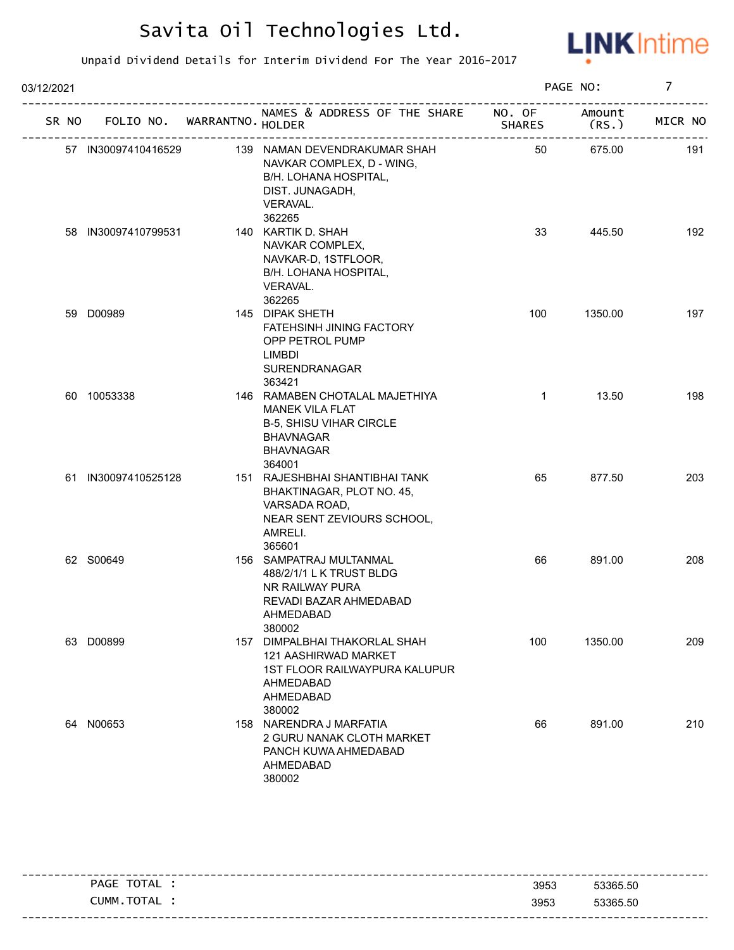

| 03/12/2021 |                     |                             |                                                                                                                                              |               | PAGE NO:        | $\overline{7}$ |
|------------|---------------------|-----------------------------|----------------------------------------------------------------------------------------------------------------------------------------------|---------------|-----------------|----------------|
| SR NO      |                     | FOLIO NO. WARRANTNO. HOLDER | NAMES & ADDRESS OF THE SHARE NO. OF                                                                                                          | <b>SHARES</b> | Amount<br>(RS.) | MICR NO        |
|            | 57 IN30097410416529 |                             | 139 NAMAN DEVENDRAKUMAR SHAH<br>NAVKAR COMPLEX, D - WING,<br>B/H. LOHANA HOSPITAL,<br>DIST. JUNAGADH,<br>VERAVAL.<br>362265                  | 50            | 675.00          | 191            |
|            | 58 IN30097410799531 |                             | 140 KARTIK D. SHAH<br>NAVKAR COMPLEX,<br>NAVKAR-D, 1STFLOOR,<br>B/H. LOHANA HOSPITAL,<br>VERAVAL.<br>362265                                  | 33            | 445.50          | 192            |
|            | 59 D00989           |                             | 145 DIPAK SHETH<br><b>FATEHSINH JINING FACTORY</b><br>OPP PETROL PUMP<br>LIMBDI<br>SURENDRANAGAR<br>363421                                   | 100           | 1350.00         | 197            |
|            | 60 10053338         |                             | 146 RAMABEN CHOTALAL MAJETHIYA<br><b>MANEK VILA FLAT</b><br><b>B-5, SHISU VIHAR CIRCLE</b><br><b>BHAVNAGAR</b><br><b>BHAVNAGAR</b><br>364001 | $\mathbf{1}$  | 13.50           | 198            |
|            | 61 IN30097410525128 |                             | 151 RAJESHBHAI SHANTIBHAI TANK<br>BHAKTINAGAR, PLOT NO. 45,<br>VARSADA ROAD,<br>NEAR SENT ZEVIOURS SCHOOL,<br>AMRELI.<br>365601              | 65            | 877.50          | 203            |
|            | 62 S00649           |                             | 156 SAMPATRAJ MULTANMAL<br>488/2/1/1 L K TRUST BLDG<br>NR RAILWAY PURA<br>REVADI BAZAR AHMEDABAD<br>AHMEDABAD<br>380002                      | 66            | 891.00          | 208            |
|            | 63 D00899           |                             | 157 DIMPALBHAI THAKORLAL SHAH<br>121 AASHIRWAD MARKET<br>1ST FLOOR RAILWAYPURA KALUPUR<br>AHMEDABAD<br>AHMEDABAD<br>380002                   | 100           | 1350.00         | 209            |
|            | 64 N00653           |                             | 158 NARENDRA J MARFATIA<br>2 GURU NANAK CLOTH MARKET<br>PANCH KUWA AHMEDABAD<br>AHMEDABAD<br>380002                                          | 66            | 891.00          | 210            |

|                |      | ----------------------- |
|----------------|------|-------------------------|
| TOTAL<br>PAGE  | 3953 | 53365.50                |
| TOTAL<br>CUMM. | 3953 | 53365.50                |
|                |      |                         |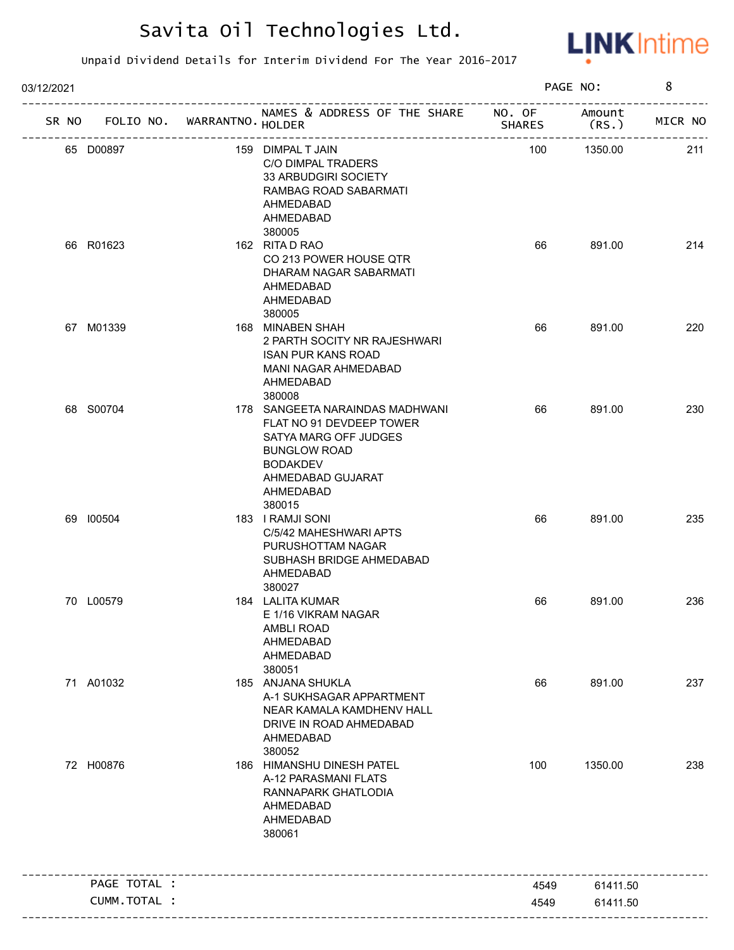

| 03/12/2021 |              |                             |                                                                                                                                                                            |               | PAGE NO:        | 8       |
|------------|--------------|-----------------------------|----------------------------------------------------------------------------------------------------------------------------------------------------------------------------|---------------|-----------------|---------|
| SR NO      |              | FOLIO NO. WARRANTNO. HOLDER | NAMES & ADDRESS OF THE SHARE NO. OF<br>_______________________                                                                                                             | <b>SHARES</b> | Amount<br>(RS.) | MICR NO |
|            | 65 D00897    |                             | 159 DIMPAL T JAIN<br>C/O DIMPAL TRADERS<br>33 ARBUDGIRI SOCIETY<br>RAMBAG ROAD SABARMATI<br>AHMEDABAD<br>AHMEDABAD<br>380005                                               | 100           | 1350.00         | 211     |
|            | 66 R01623    |                             | 162 RITA D RAO<br>CO 213 POWER HOUSE QTR<br>DHARAM NAGAR SABARMATI<br>AHMEDABAD<br>AHMEDABAD<br>380005                                                                     | 66            | 891.00          | 214     |
|            | 67 M01339    |                             | 168 MINABEN SHAH<br>2 PARTH SOCITY NR RAJESHWARI<br><b>ISAN PUR KANS ROAD</b><br>MANI NAGAR AHMEDABAD<br>AHMEDABAD<br>380008                                               | 66            | 891.00          | 220     |
|            | 68 S00704    |                             | 178 SANGEETA NARAINDAS MADHWANI<br>FLAT NO 91 DEVDEEP TOWER<br>SATYA MARG OFF JUDGES<br><b>BUNGLOW ROAD</b><br><b>BODAKDEV</b><br>AHMEDABAD GUJARAT<br>AHMEDABAD<br>380015 | 66            | 891.00          | 230     |
|            | 69 100504    |                             | 183 I RAMJI SONI<br>C/5/42 MAHESHWARI APTS<br>PURUSHOTTAM NAGAR<br>SUBHASH BRIDGE AHMEDABAD<br>AHMEDABAD<br>380027                                                         | 66            | 891.00          | 235     |
|            | 70 L00579    |                             | 184 LALITA KUMAR<br>E 1/16 VIKRAM NAGAR<br><b>AMBLI ROAD</b><br>AHMEDABAD<br>AHMEDABAD<br>380051                                                                           | 66            | 891.00          | 236     |
|            | 71 A01032    |                             | 185 ANJANA SHUKLA<br>A-1 SUKHSAGAR APPARTMENT<br>NEAR KAMALA KAMDHENV HALL<br>DRIVE IN ROAD AHMEDABAD<br>AHMEDABAD<br>380052                                               | 66            | 891.00          | 237     |
|            | 72 H00876    |                             | 186 HIMANSHU DINESH PATEL<br>A-12 PARASMANI FLATS<br>RANNAPARK GHATLODIA<br>AHMEDABAD<br>AHMEDABAD<br>380061                                                               | 100           | 1350.00         | 238     |
|            | PAGE TOTAL : |                             |                                                                                                                                                                            | 4549          | 61411.50        |         |
|            | CUMM.TOTAL : |                             |                                                                                                                                                                            | 4549          | 61411.50        |         |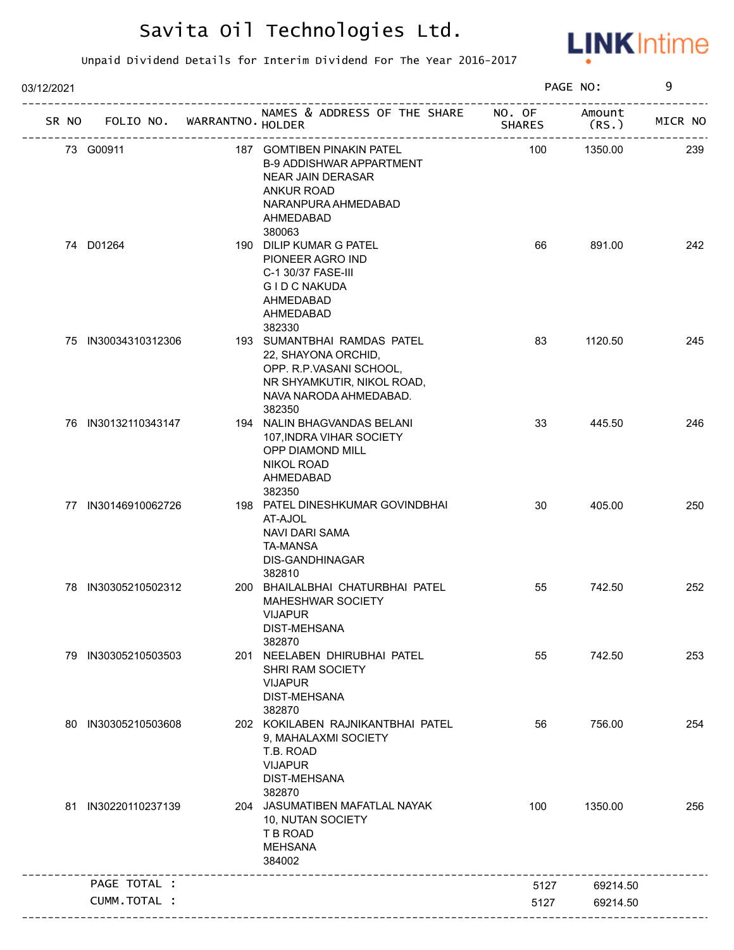

| 03/12/2021 |                             |                                                                                                                                                              |               | PAGE NO:        | 9       |
|------------|-----------------------------|--------------------------------------------------------------------------------------------------------------------------------------------------------------|---------------|-----------------|---------|
| SR NO      | FOLIO NO. WARRANTNO. HOLDER | NAMES & ADDRESS OF THE SHARE NO. OF<br>------------------------------                                                                                        | <b>SHARES</b> | Amount<br>(RS.) | MICR NO |
|            | 73 G00911                   | 187 GOMTIBEN PINAKIN PATEL<br><b>B-9 ADDISHWAR APPARTMENT</b><br><b>NEAR JAIN DERASAR</b><br><b>ANKUR ROAD</b><br>NARANPURA AHMEDABAD<br>AHMEDABAD<br>380063 | 100           | 1350.00         | 239     |
|            | 74 D01264                   | 190 DILIP KUMAR G PATEL<br>PIONEER AGRO IND<br>C-1 30/37 FASE-III<br><b>GID C NAKUDA</b><br>AHMEDABAD<br>AHMEDABAD<br>382330                                 | 66            | 891.00          | 242     |
|            | 75 IN30034310312306         | 193 SUMANTBHAI RAMDAS PATEL<br>22, SHAYONA ORCHID,<br>OPP. R.P.VASANI SCHOOL,<br>NR SHYAMKUTIR, NIKOL ROAD,<br>NAVA NARODA AHMEDABAD.<br>382350              | 83            | 1120.50         | 245     |
|            | 76 IN30132110343147         | 194 NALIN BHAGVANDAS BELANI<br>107, INDRA VIHAR SOCIETY<br>OPP DIAMOND MILL<br><b>NIKOL ROAD</b><br>AHMEDABAD<br>382350                                      | 33            | 445.50          | 246     |
|            | 77 IN30146910062726         | 198 PATEL DINESHKUMAR GOVINDBHAI<br>AT-AJOL<br><b>NAVI DARI SAMA</b><br><b>TA-MANSA</b><br><b>DIS-GANDHINAGAR</b><br>382810                                  | 30            | 405.00          | 250     |
|            | 78 IN30305210502312         | 200 BHAILALBHAI CHATURBHAI PATEL<br><b>MAHESHWAR SOCIETY</b><br><b>VIJAPUR</b><br><b>DIST-MEHSANA</b><br>382870                                              | 55            | 742.50          | 252     |
|            | 79 IN30305210503503         | 201 NEELABEN DHIRUBHAI PATEL<br>SHRI RAM SOCIETY<br><b>VIJAPUR</b><br>DIST-MEHSANA<br>382870                                                                 | 55            | 742.50          | 253     |
|            | 80 IN30305210503608         | 202 KOKILABEN RAJNIKANTBHAI PATEL<br>9, MAHALAXMI SOCIETY<br>T.B. ROAD<br><b>VIJAPUR</b><br><b>DIST-MEHSANA</b><br>382870                                    | 56            | 756.00          | 254     |
|            | 81 IN30220110237139         | 204 JASUMATIBEN MAFATLAL NAYAK<br>10, NUTAN SOCIETY<br>T B ROAD<br><b>MEHSANA</b><br>384002                                                                  | 100           | 1350.00         | 256     |
|            | PAGE TOTAL :                |                                                                                                                                                              | 5127          | 69214.50        |         |
|            | CUMM.TOTAL :                |                                                                                                                                                              | 5127          | 69214.50        |         |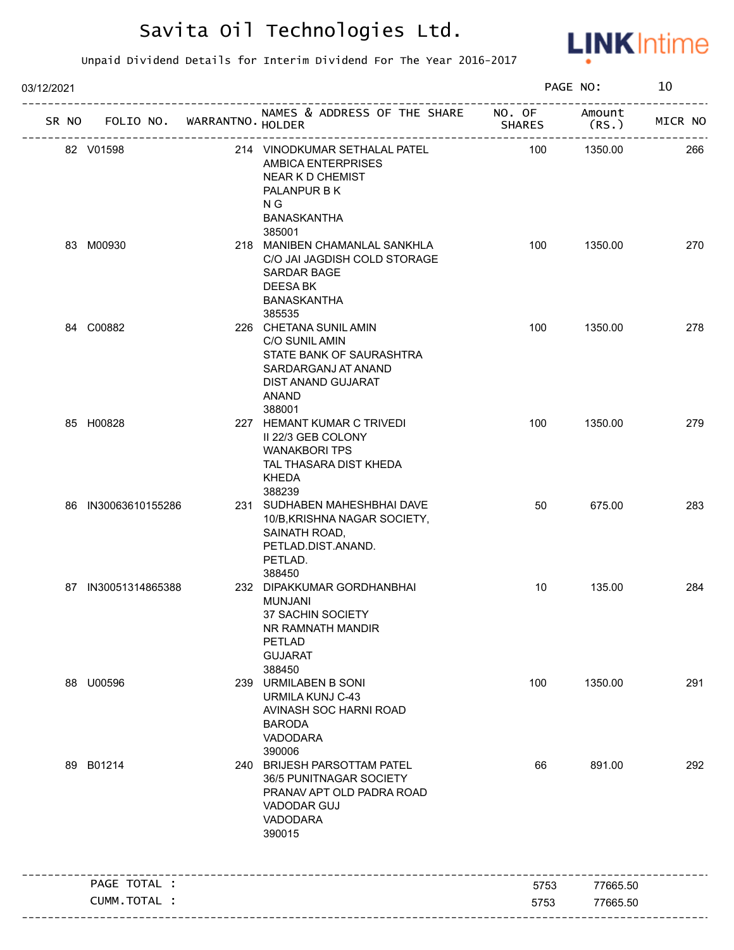

| 03/12/2021 |                     |                            |                                                                                                                                       |               | PAGE NO:        | 10      |
|------------|---------------------|----------------------------|---------------------------------------------------------------------------------------------------------------------------------------|---------------|-----------------|---------|
| SR NO      |                     | FOLIO NO. WARRANTNO HOLDER | NAMES & ADDRESS OF THE SHARE NO. OF                                                                                                   | <b>SHARES</b> | Amount<br>(RS.) | MICR NO |
|            | 82 V01598           |                            | 214 VINODKUMAR SETHALAL PATEL<br>AMBICA ENTERPRISES<br><b>NEAR K D CHEMIST</b><br>PALANPUR B K<br>N G<br><b>BANASKANTHA</b><br>385001 | 100           | 1350.00         | 266     |
|            | 83 M00930           |                            | 218 MANIBEN CHAMANLAL SANKHLA<br>C/O JAI JAGDISH COLD STORAGE<br><b>SARDAR BAGE</b><br>DEESA BK<br><b>BANASKANTHA</b><br>385535       | 100           | 1350.00         | 270     |
|            | 84 C00882           |                            | 226 CHETANA SUNIL AMIN<br>C/O SUNIL AMIN<br>STATE BANK OF SAURASHTRA<br>SARDARGANJ AT ANAND<br>DIST ANAND GUJARAT<br>ANAND<br>388001  | 100           | 1350.00         | 278     |
|            | 85 H00828           |                            | 227 HEMANT KUMAR C TRIVEDI<br>II 22/3 GEB COLONY<br><b>WANAKBORI TPS</b><br>TAL THASARA DIST KHEDA<br><b>KHEDA</b><br>388239          | 100           | 1350.00         | 279     |
|            | 86 IN30063610155286 |                            | 231 SUDHABEN MAHESHBHAI DAVE<br>10/B, KRISHNA NAGAR SOCIETY,<br>SAINATH ROAD,<br>PETLAD.DIST.ANAND.<br>PETLAD.<br>388450              | 50            | 675.00          | 283     |
|            | 87 IN30051314865388 |                            | 232 DIPAKKUMAR GORDHANBHAI<br><b>MUNJANI</b><br>37 SACHIN SOCIETY<br>NR RAMNATH MANDIR<br>PETLAD<br><b>GUJARAT</b><br>388450          | 10            | 135.00          | 284     |
|            | 88 U00596           |                            | 239 URMILABEN B SONI<br>URMILA KUNJ C-43<br>AVINASH SOC HARNI ROAD<br><b>BARODA</b><br>VADODARA<br>390006                             | 100           | 1350.00         | 291     |
|            | 89 B01214           |                            | 240 BRIJESH PARSOTTAM PATEL<br>36/5 PUNITNAGAR SOCIETY<br>PRANAV APT OLD PADRA ROAD<br><b>VADODAR GUJ</b><br>VADODARA<br>390015       | 66            | 891.00          | 292     |
|            | PAGE TOTAL :        |                            |                                                                                                                                       | 5753          | 77665.50        |         |
|            |                     | CUMM.TOTAL :               |                                                                                                                                       |               |                 |         |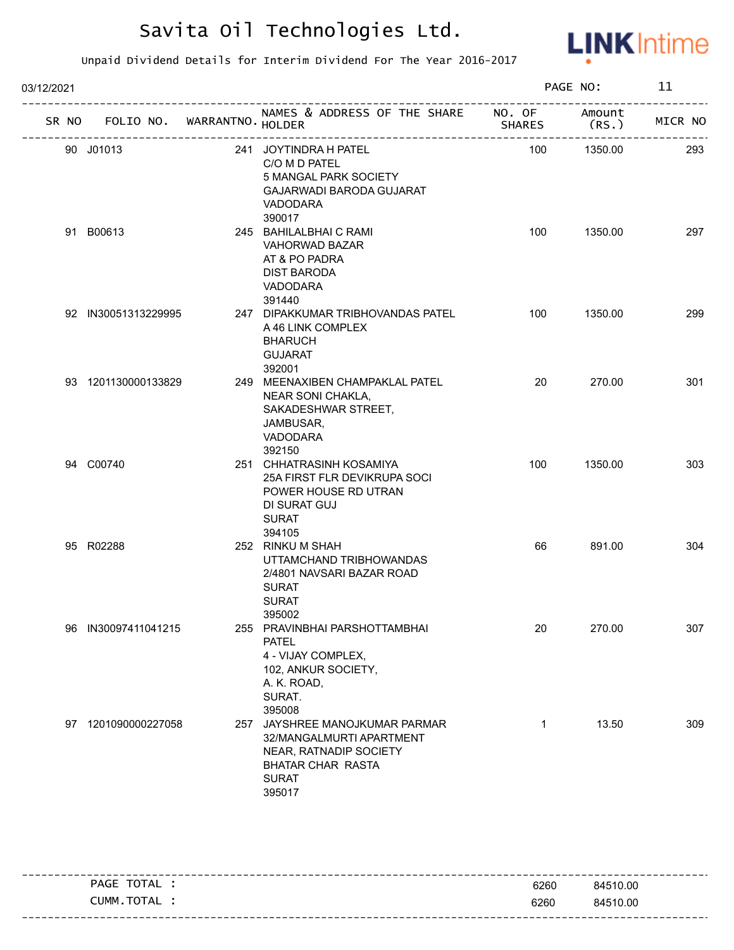

| 03/12/2021 |                                   |  | PAGE NO:                                                                                                                                   |               | 11              |         |
|------------|-----------------------------------|--|--------------------------------------------------------------------------------------------------------------------------------------------|---------------|-----------------|---------|
|            | SR NO FOLIO NO. WARRANTNO. HOLDER |  | NAMES & ADDRESS OF THE SHARE NO. OF                                                                                                        | <b>SHARES</b> | Amount<br>(RS.) | MICR NO |
|            | 90 J01013                         |  | 241 JOYTINDRA H PATEL<br>C/O M D PATEL<br>5 MANGAL PARK SOCIETY<br><b>GAJARWADI BARODA GUJARAT</b><br><b>VADODARA</b><br>390017            | 100           | 1350.00         | 293     |
|            | 91 B00613                         |  | 245 BAHILALBHAI C RAMI<br>VAHORWAD BAZAR<br>AT & PO PADRA<br><b>DIST BARODA</b><br>VADODARA<br>391440                                      | 100           | 1350.00         | 297     |
|            | 92 IN30051313229995               |  | 247 DIPAKKUMAR TRIBHOVANDAS PATEL<br>A 46 LINK COMPLEX<br><b>BHARUCH</b><br><b>GUJARAT</b><br>392001                                       | 100           | 1350.00         | 299     |
|            | 93 1201130000133829               |  | 249 MEENAXIBEN CHAMPAKLAL PATEL<br>NEAR SONI CHAKLA,<br>SAKADESHWAR STREET,<br>JAMBUSAR,<br>VADODARA<br>392150                             | 20            | 270.00          | 301     |
|            | 94 C00740                         |  | 251 CHHATRASINH KOSAMIYA<br>25A FIRST FLR DEVIKRUPA SOCI<br>POWER HOUSE RD UTRAN<br>DI SURAT GUJ<br><b>SURAT</b><br>394105                 | 100           | 1350.00         | 303     |
|            | 95 R02288                         |  | 252 RINKU M SHAH<br>UTTAMCHAND TRIBHOWANDAS<br>2/4801 NAVSARI BAZAR ROAD<br><b>SURAT</b><br><b>SURAT</b><br>395002                         | 66            | 891.00          | 304     |
|            | 96 IN30097411041215               |  | 255 PRAVINBHAI PARSHOTTAMBHAI<br><b>PATEL</b><br>4 - VIJAY COMPLEX,<br>102, ANKUR SOCIETY,<br>A. K. ROAD,<br>SURAT.<br>395008              | 20            | 270.00          | 307     |
|            | 97 1201090000227058               |  | 257 JAYSHREE MANOJKUMAR PARMAR<br>32/MANGALMURTI APARTMENT<br>NEAR, RATNADIP SOCIETY<br><b>BHATAR CHAR RASTA</b><br><b>SURAT</b><br>395017 | 1             | 13.50           | 309     |

| PAGE TOTAL | 6260 | 84510.00 |
|------------|------|----------|
| CUMM.TOTAL | 6260 | 84510.00 |
|            |      |          |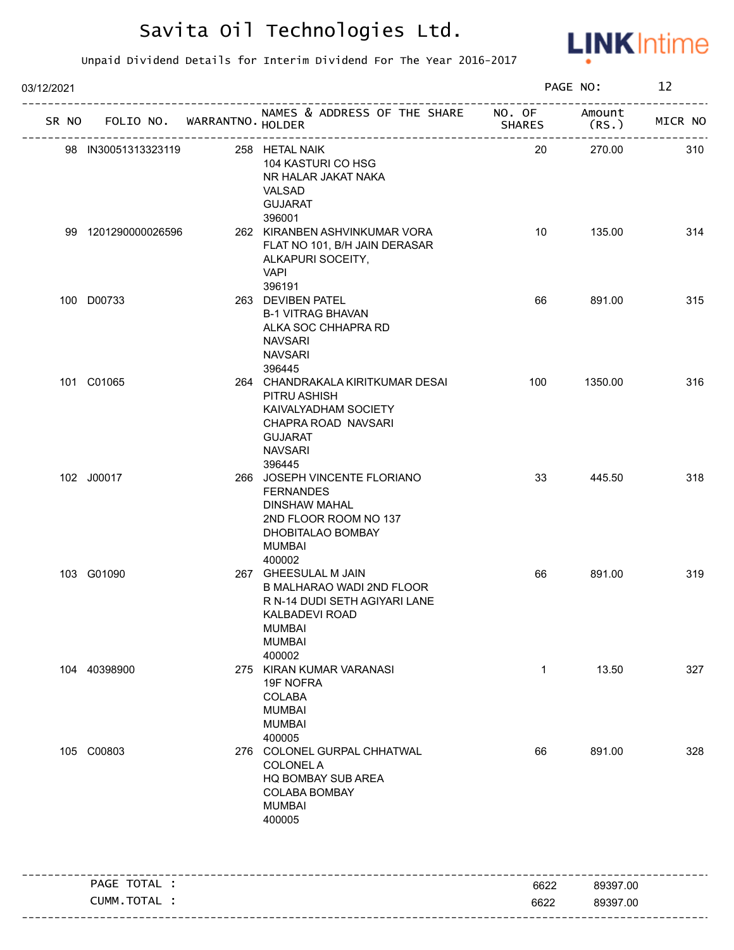

| 03/12/2021                          |              |                                                                                                                                                   |               | PAGE NO:             | 12      |
|-------------------------------------|--------------|---------------------------------------------------------------------------------------------------------------------------------------------------|---------------|----------------------|---------|
| FOLIO NO. WARRANTNO HOLDER<br>SR NO |              | NAMES & ADDRESS OF THE SHARE NO. OF                                                                                                               | <b>SHARES</b> | Amount<br>(RS.)      | MICR NO |
| 98 IN30051313323119                 |              | 258 HETAL NAIK<br>104 KASTURI CO HSG<br>NR HALAR JAKAT NAKA<br>VALSAD<br><b>GUJARAT</b>                                                           | 20            | 270.00               | 310     |
| 99 1201290000026596                 |              | 396001<br>262 KIRANBEN ASHVINKUMAR VORA<br>FLAT NO 101, B/H JAIN DERASAR<br>ALKAPURI SOCEITY,<br><b>VAPI</b>                                      | 10            | 135.00               | 314     |
| 100 D00733                          |              | 396191<br>263 DEVIBEN PATEL<br><b>B-1 VITRAG BHAVAN</b><br>ALKA SOC CHHAPRA RD<br><b>NAVSARI</b><br><b>NAVSARI</b><br>396445                      | 66            | 891.00               | 315     |
| 101 C01065                          |              | 264 CHANDRAKALA KIRITKUMAR DESAI<br>PITRU ASHISH<br>KAIVALYADHAM SOCIETY<br>CHAPRA ROAD NAVSARI<br><b>GUJARAT</b><br><b>NAVSARI</b><br>396445     | 100           | 1350.00              | 316     |
| 102 J00017                          |              | 266 JOSEPH VINCENTE FLORIANO<br><b>FERNANDES</b><br><b>DINSHAW MAHAL</b><br>2ND FLOOR ROOM NO 137<br>DHOBITALAO BOMBAY<br><b>MUMBAI</b><br>400002 | 33            | 445.50               | 318     |
| 103 G01090                          |              | 267 GHEESULAL M JAIN<br>B MALHARAO WADI 2ND FLOOR<br>R N-14 DUDI SETH AGIYARI LANE<br>KALBADEVI ROAD<br><b>MUMBAI</b><br><b>MUMBAI</b><br>400002  | 66            | 891.00               | 319     |
| 104 40398900                        |              | 275 KIRAN KUMAR VARANASI<br>19F NOFRA<br>COLABA<br><b>MUMBAI</b><br><b>MUMBAI</b><br>400005                                                       | $\mathbf{1}$  | 13.50                | 327     |
| 105 C00803                          |              | 276 COLONEL GURPAL CHHATWAL<br><b>COLONEL A</b><br>HQ BOMBAY SUB AREA<br><b>COLABA BOMBAY</b><br><b>MUMBAI</b><br>400005                          | 66            | 891.00               | 328     |
| PAGE TOTAL :                        |              |                                                                                                                                                   |               |                      |         |
|                                     | CUMM.TOTAL : |                                                                                                                                                   | 6622<br>6622  | 89397.00<br>89397.00 |         |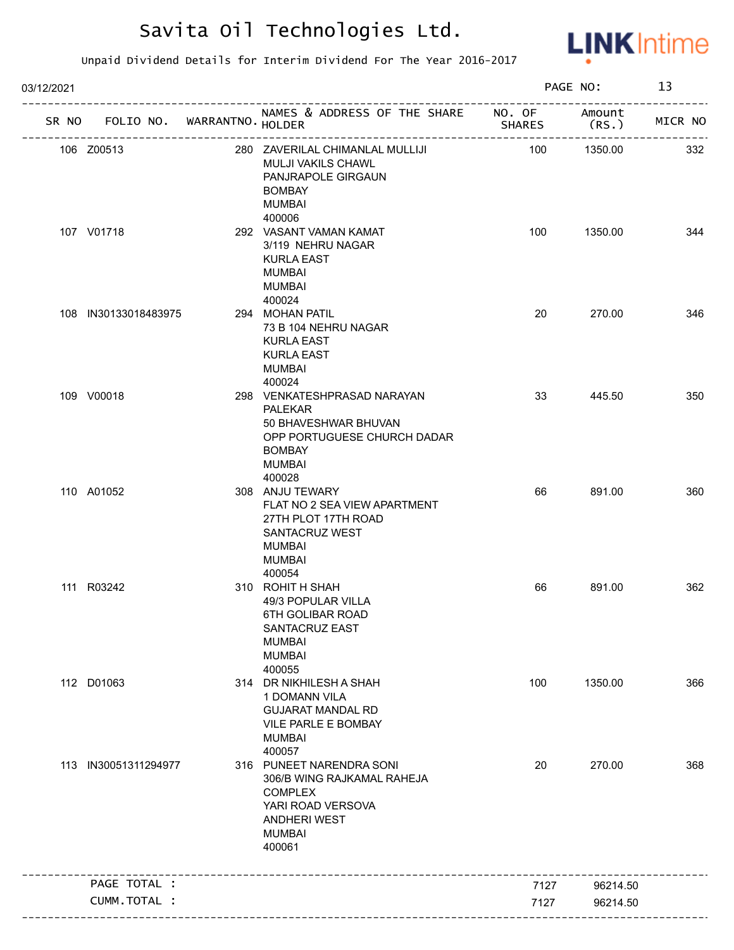

| 03/12/2021 |                                   |                                                                                                                                                 |                                | PAGE NO:        | 13      |
|------------|-----------------------------------|-------------------------------------------------------------------------------------------------------------------------------------------------|--------------------------------|-----------------|---------|
|            | SR NO FOLIO NO. WARRANTNO. HOLDER | NAMES & ADDRESS OF THE SHARE NO. OF                                                                                                             | SHARES<br>-------------------- | Amount<br>(RS.) | MICR NO |
|            | 106 Z00513                        | 280 ZAVERILAL CHIMANLAL MULLIJI<br><b>MULJI VAKILS CHAWL</b><br>PANJRAPOLE GIRGAUN<br><b>BOMBAY</b><br><b>MUMBAI</b>                            | 100                            | 1350.00         | 332     |
|            | 107 V01718                        | 400006<br>292 VASANT VAMAN KAMAT<br>3/119 NEHRU NAGAR<br><b>KURLA EAST</b><br><b>MUMBAI</b><br><b>MUMBAI</b><br>400024                          | 100                            | 1350.00         | 344     |
|            | 108 IN30133018483975              | 294 MOHAN PATIL<br>73 B 104 NEHRU NAGAR<br><b>KURLA EAST</b><br><b>KURLA EAST</b><br><b>MUMBAI</b><br>400024                                    | 20                             | 270.00          | 346     |
|            | 109 V00018                        | 298 VENKATESHPRASAD NARAYAN<br>PALEKAR<br>50 BHAVESHWAR BHUVAN<br>OPP PORTUGUESE CHURCH DADAR<br><b>BOMBAY</b><br><b>MUMBAI</b><br>400028       | 33                             | 445.50          | 350     |
|            | 110 A01052                        | 308 ANJU TEWARY<br>FLAT NO 2 SEA VIEW APARTMENT<br>27TH PLOT 17TH ROAD<br>SANTACRUZ WEST<br><b>MUMBAI</b><br><b>MUMBAI</b><br>400054            | 66                             | 891.00          | 360     |
|            | 111 R03242                        | 310 ROHIT H SHAH<br>49/3 POPULAR VILLA<br><b>6TH GOLIBAR ROAD</b><br>SANTACRUZ EAST<br><b>MUMBAI</b><br><b>MUMBAI</b><br>400055                 | 66                             | 891.00          | 362     |
|            | 112 D01063                        | 314 DR NIKHILESH A SHAH<br>1 DOMANN VILA<br><b>GUJARAT MANDAL RD</b><br>VILE PARLE E BOMBAY<br><b>MUMBAI</b><br>400057                          | 100                            | 1350.00         | 366     |
|            | 113 IN30051311294977              | 316 PUNEET NARENDRA SONI<br>306/B WING RAJKAMAL RAHEJA<br><b>COMPLEX</b><br>YARI ROAD VERSOVA<br><b>ANDHERI WEST</b><br><b>MUMBAI</b><br>400061 | 20                             | 270.00          | 368     |
|            | PAGE TOTAL :                      |                                                                                                                                                 | 7127                           | 96214.50        |         |
|            | CUMM.TOTAL :                      |                                                                                                                                                 | 7127                           | 96214.50        |         |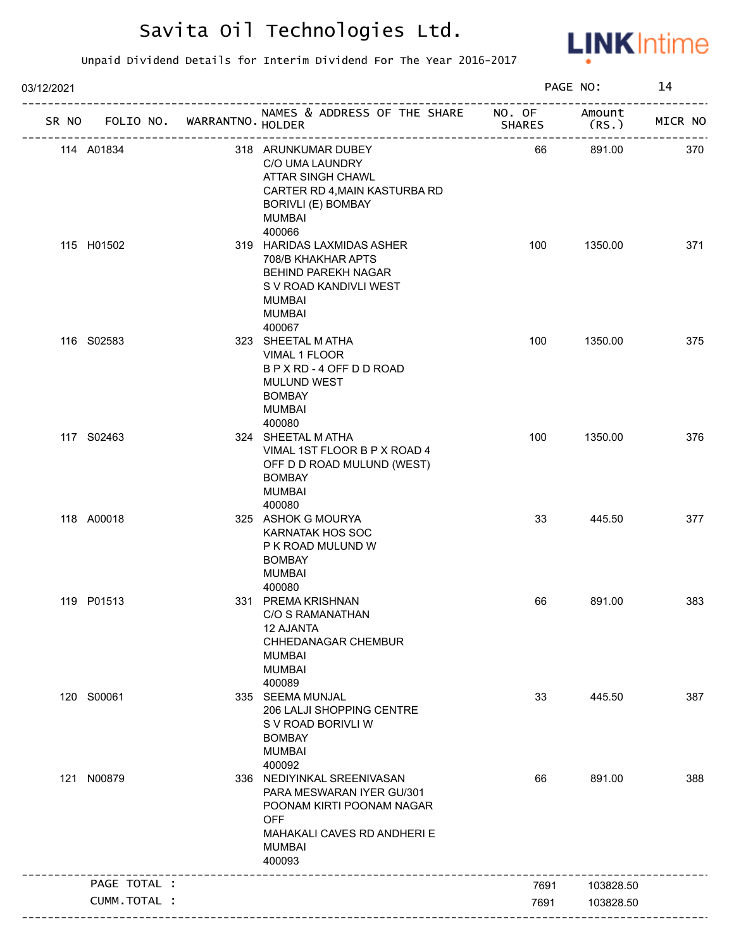

| 03/12/2021   |                             |                                                                                                                                                              |               | PAGE NO:        | 14      |
|--------------|-----------------------------|--------------------------------------------------------------------------------------------------------------------------------------------------------------|---------------|-----------------|---------|
| SR NO        | FOLIO NO. WARRANTNO. HOLDER | NAMES & ADDRESS OF THE SHARE NO. OF<br>-----------------------                                                                                               | <b>SHARES</b> | Amount<br>(RS.) | MICR NO |
| 114 A01834   |                             | 318 ARUNKUMAR DUBEY<br>C/O UMA LAUNDRY<br>ATTAR SINGH CHAWL<br>CARTER RD 4, MAIN KASTURBA RD<br><b>BORIVLI (E) BOMBAY</b><br><b>MUMBAI</b><br>400066         | 66            | 891.00          | 370     |
| 115 H01502   |                             | 319 HARIDAS LAXMIDAS ASHER<br>708/B KHAKHAR APTS<br>BEHIND PAREKH NAGAR<br>S V ROAD KANDIVLI WEST<br><b>MUMBAI</b><br><b>MUMBAI</b><br>400067                | 100           | 1350.00         | 371     |
| 116 S02583   |                             | 323 SHEETAL MATHA<br>VIMAL 1 FLOOR<br>B P X RD - 4 OFF D D ROAD<br>MULUND WEST<br><b>BOMBAY</b><br><b>MUMBAI</b><br>400080                                   | 100           | 1350.00         | 375     |
| 117 S02463   |                             | 324 SHEETAL MATHA<br>VIMAL 1ST FLOOR B P X ROAD 4<br>OFF D D ROAD MULUND (WEST)<br><b>BOMBAY</b><br><b>MUMBAI</b><br>400080                                  | 100           | 1350.00         | 376     |
| 118 A00018   |                             | 325 ASHOK G MOURYA<br><b>KARNATAK HOS SOC</b><br>P K ROAD MULUND W<br><b>BOMBAY</b><br><b>MUMBAI</b><br>400080                                               | 33            | 445.50          | 377     |
| 119 P01513   |                             | 331 PREMA KRISHNAN<br>C/O S RAMANATHAN<br><b>12 AJANTA</b><br>CHHEDANAGAR CHEMBUR<br>MUMBAI<br><b>MUMBAI</b><br>400089                                       | 66            | 891.00          | 383     |
| 120 S00061   |                             | 335 SEEMA MUNJAL<br>206 LALJI SHOPPING CENTRE<br>S V ROAD BORIVLI W<br><b>BOMBAY</b><br><b>MUMBAI</b><br>400092                                              | 33            | 445.50          | 387     |
| 121 N00879   |                             | 336 NEDIYINKAL SREENIVASAN<br>PARA MESWARAN IYER GU/301<br>POONAM KIRTI POONAM NAGAR<br><b>OFF</b><br>MAHAKALI CAVES RD ANDHERI E<br><b>MUMBAI</b><br>400093 | 66            | 891.00          | 388     |
| PAGE TOTAL : |                             |                                                                                                                                                              | 7691          | 103828.50       |         |
| CUMM.TOTAL : |                             |                                                                                                                                                              | 7691          | 103828.50       |         |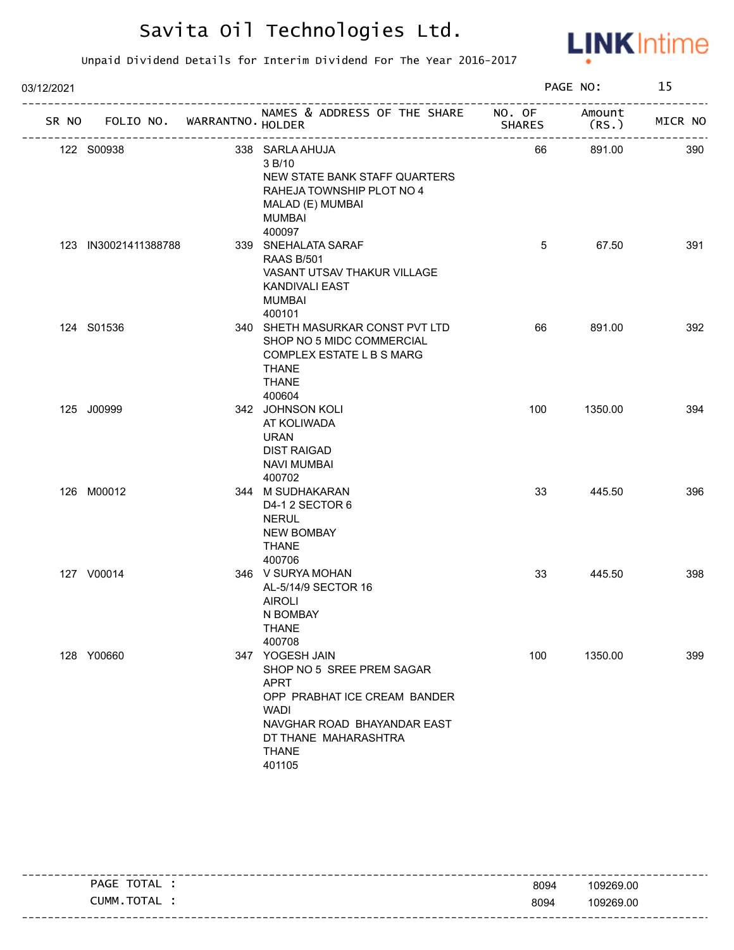

| 03/12/2021 |                                   |                                                                                                                                                                                             |               | PAGE NO:                    | 15      |
|------------|-----------------------------------|---------------------------------------------------------------------------------------------------------------------------------------------------------------------------------------------|---------------|-----------------------------|---------|
|            | SR NO FOLIO NO. WARRANTNO. HOLDER | NAMES & ADDRESS OF THE SHARE NO. OF                                                                                                                                                         | <b>SHARES</b> | Amount<br>(RS.              | MICR NO |
|            | 122 S00938                        | 338 SARLA AHUJA<br>3 B/10<br>NEW STATE BANK STAFF QUARTERS<br>RAHEJA TOWNSHIP PLOT NO 4<br>MALAD (E) MUMBAI<br>MUMBAI<br>400097                                                             | 66            | -----------------<br>891.00 | 390     |
|            | 123 IN30021411388788              | 339 SNEHALATA SARAF<br><b>RAAS B/501</b><br>VASANT UTSAV THAKUR VILLAGE<br>KANDIVALI EAST<br><b>MUMBAI</b><br>400101                                                                        | 5             | 67.50                       | 391     |
|            | 124 S01536                        | 340 SHETH MASURKAR CONST PVT LTD<br>SHOP NO 5 MIDC COMMERCIAL<br>COMPLEX ESTATE L B S MARG<br><b>THANE</b><br><b>THANE</b><br>400604                                                        | 66            | 891.00                      | 392     |
|            | 125 J00999                        | 342 JOHNSON KOLI<br>AT KOLIWADA<br><b>URAN</b><br><b>DIST RAIGAD</b><br><b>NAVI MUMBAI</b><br>400702                                                                                        | 100           | 1350.00                     | 394     |
|            | 126 M00012                        | 344 M SUDHAKARAN<br>D4-1 2 SECTOR 6<br><b>NERUL</b><br><b>NEW BOMBAY</b><br><b>THANE</b><br>400706                                                                                          | 33            | 445.50                      | 396     |
|            | 127 V00014                        | 346 V SURYA MOHAN<br>AL-5/14/9 SECTOR 16<br><b>AIROLI</b><br>N BOMBAY<br><b>THANE</b><br>400708                                                                                             | 33            | 445.50                      | 398     |
|            | 128 Y00660                        | 347 YOGESH JAIN<br>SHOP NO 5 SREE PREM SAGAR<br><b>APRT</b><br>OPP PRABHAT ICE CREAM BANDER<br><b>WADI</b><br>NAVGHAR ROAD BHAYANDAR EAST<br>DT THANE MAHARASHTRA<br><b>THANE</b><br>401105 | 100           | 1350.00                     | 399     |

|                |      | -----------------------           |
|----------------|------|-----------------------------------|
| TOTAL<br>PAGE  | 8094 | 109269.00                         |
| TOTAL<br>CUMM. | 8094 | 109269.00                         |
|                |      | --------------------------------- |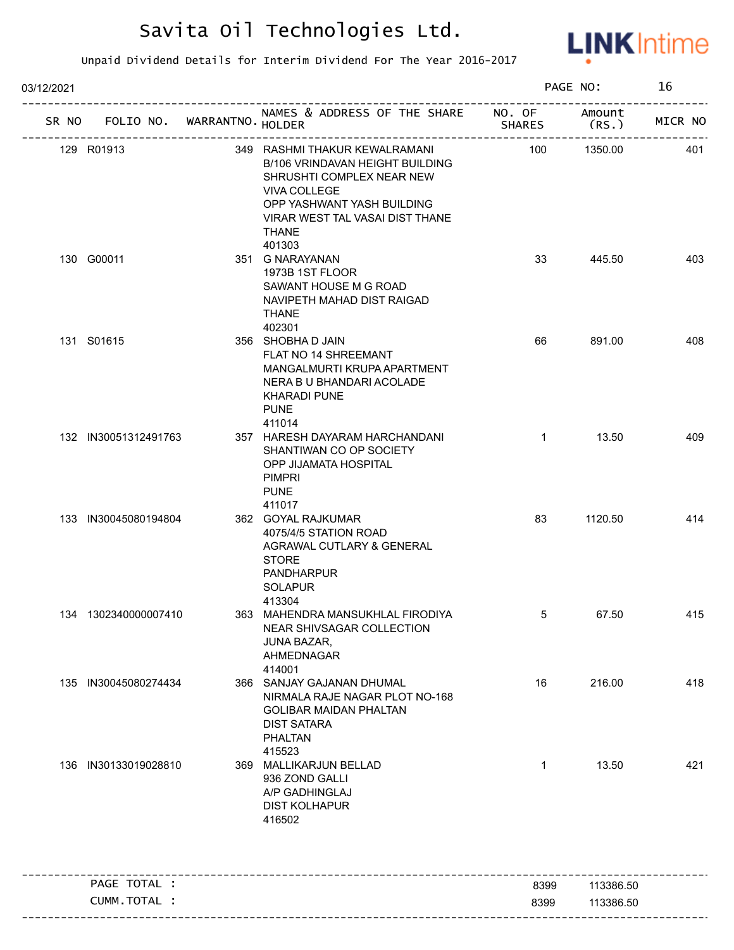

| 03/12/2021 |                                   |                                                                                                                                                                                                                 |               | PAGE NO:        | 16      |
|------------|-----------------------------------|-----------------------------------------------------------------------------------------------------------------------------------------------------------------------------------------------------------------|---------------|-----------------|---------|
|            | SR NO FOLIO NO. WARRANTNO. HOLDER | NAMES & ADDRESS OF THE SHARE NO. OF                                                                                                                                                                             | <b>SHARES</b> | Amount<br>(RS.) | MICR NO |
|            | 129 R01913                        | 349 RASHMI THAKUR KEWALRAMANI<br>B/106 VRINDAVAN HEIGHT BUILDING<br>SHRUSHTI COMPLEX NEAR NEW<br><b>VIVA COLLEGE</b><br>OPP YASHWANT YASH BUILDING<br>VIRAR WEST TAL VASAI DIST THANE<br><b>THANE</b><br>401303 | 100           | 1350.00         | 401     |
|            | 130 G00011                        | 351 G NARAYANAN<br>1973B 1ST FLOOR<br>SAWANT HOUSE M G ROAD<br>NAVIPETH MAHAD DIST RAIGAD<br><b>THANE</b><br>402301                                                                                             | 33            | 445.50          | 403     |
|            | 131 S01615                        | 356 SHOBHA D JAIN<br>FLAT NO 14 SHREEMANT<br>MANGALMURTI KRUPA APARTMENT<br>NERA B U BHANDARI ACOLADE<br><b>KHARADI PUNE</b><br><b>PUNE</b><br>411014                                                           | 66            | 891.00          | 408     |
|            | 132 IN30051312491763              | 357 HARESH DAYARAM HARCHANDANI<br>SHANTIWAN CO OP SOCIETY<br>OPP JIJAMATA HOSPITAL<br><b>PIMPRI</b><br><b>PUNE</b><br>411017                                                                                    | $\mathbf{1}$  | 13.50           | 409     |
|            | 133 IN30045080194804              | 362 GOYAL RAJKUMAR<br>4075/4/5 STATION ROAD<br>AGRAWAL CUTLARY & GENERAL<br><b>STORE</b><br><b>PANDHARPUR</b><br><b>SOLAPUR</b><br>413304                                                                       | 83            | 1120.50         | 414     |
|            | 134 1302340000007410              | 363 MAHENDRA MANSUKHLAL FIRODIYA<br>NEAR SHIVSAGAR COLLECTION<br>JUNA BAZAR,<br>AHMEDNAGAR<br>414001                                                                                                            | 5             | 67.50           | 415     |
|            | 135 IN30045080274434              | 366 SANJAY GAJANAN DHUMAL<br>NIRMALA RAJE NAGAR PLOT NO-168<br><b>GOLIBAR MAIDAN PHALTAN</b><br><b>DIST SATARA</b><br><b>PHALTAN</b><br>415523                                                                  | 16            | 216.00          | 418     |
|            | 136 IN30133019028810              | 369 MALLIKARJUN BELLAD<br>936 ZOND GALLI<br>A/P GADHINGLAJ<br><b>DIST KOLHAPUR</b><br>416502                                                                                                                    | $\mathbf{1}$  | 13.50           | 421     |
|            | PAGE TOTAL :                      |                                                                                                                                                                                                                 | 8399          | 113386.50       |         |
|            | CUMM.TOTAL :                      |                                                                                                                                                                                                                 | 8399          | 113386.50       |         |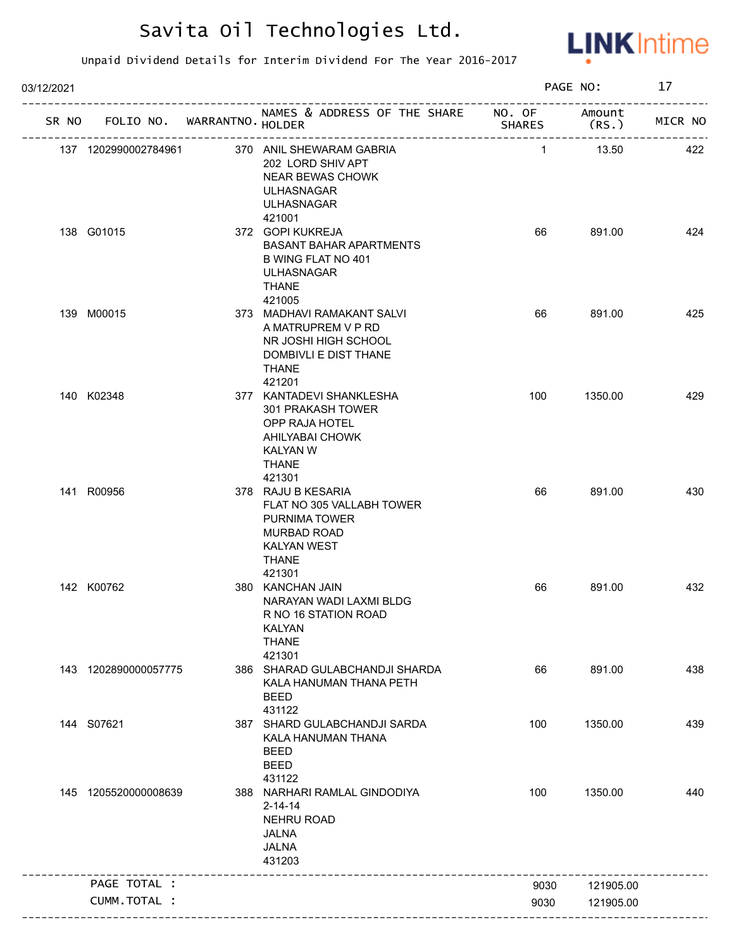

| 03/12/2021 |                                   |                                                                                                                                           |               | PAGE NO:        | 17      |
|------------|-----------------------------------|-------------------------------------------------------------------------------------------------------------------------------------------|---------------|-----------------|---------|
|            | SR NO FOLIO NO. WARRANTNO. HOLDER | NAMES & ADDRESS OF THE SHARE NO. OF                                                                                                       | <b>SHARES</b> | Amount<br>(RS.) | MICR NO |
|            | 137 1202990002784961              | 370 ANIL SHEWARAM GABRIA<br>202 LORD SHIV APT<br><b>NEAR BEWAS CHOWK</b><br><b>ULHASNAGAR</b><br><b>ULHASNAGAR</b>                        | $\mathbf{1}$  | 13.50           | 422     |
|            | 138 G01015                        | 421001<br>372 GOPI KUKREJA<br><b>BASANT BAHAR APARTMENTS</b><br>B WING FLAT NO 401<br><b>ULHASNAGAR</b><br><b>THANE</b><br>421005         | 66            | 891.00          | 424     |
|            | 139 M00015                        | 373 MADHAVI RAMAKANT SALVI<br>A MATRUPREM V P RD<br>NR JOSHI HIGH SCHOOL<br>DOMBIVLI E DIST THANE<br><b>THANE</b>                         | 66            | 891.00          | 425     |
|            | 140 K02348                        | 421201<br>377 KANTADEVI SHANKLESHA<br>301 PRAKASH TOWER<br>OPP RAJA HOTEL<br>AHILYABAI CHOWK<br><b>KALYAN W</b><br><b>THANE</b><br>421301 | 100           | 1350.00         | 429     |
|            | 141 R00956                        | 378 RAJU B KESARIA<br>FLAT NO 305 VALLABH TOWER<br>PURNIMA TOWER<br><b>MURBAD ROAD</b><br>KALYAN WEST<br><b>THANE</b><br>421301           | 66            | 891.00          | 430     |
|            | 142 K00762                        | 380 KANCHAN JAIN<br>NARAYAN WADI LAXMI BLDG<br>R NO 16 STATION ROAD<br><b>KALYAN</b><br><b>THANE</b><br>421301                            | 66            | 891.00          | 432     |
|            | 143 1202890000057775              | 386 SHARAD GULABCHANDJI SHARDA<br>KALA HANUMAN THANA PETH<br><b>BEED</b><br>431122                                                        | 66            | 891.00          | 438     |
|            | 144 S07621                        | 387 SHARD GULABCHANDJI SARDA<br>KALA HANUMAN THANA<br><b>BEED</b><br><b>BEED</b><br>431122                                                | 100           | 1350.00         | 439     |
|            | 145 1205520000008639              | 388 NARHARI RAMLAL GINDODIYA<br>$2 - 14 - 14$<br><b>NEHRU ROAD</b><br><b>JALNA</b><br><b>JALNA</b><br>431203                              | 100           | 1350.00         | 440     |
|            | PAGE TOTAL :                      |                                                                                                                                           | 9030          | 121905.00       |         |
|            | CUMM.TOTAL :                      |                                                                                                                                           | 9030          | 121905.00       |         |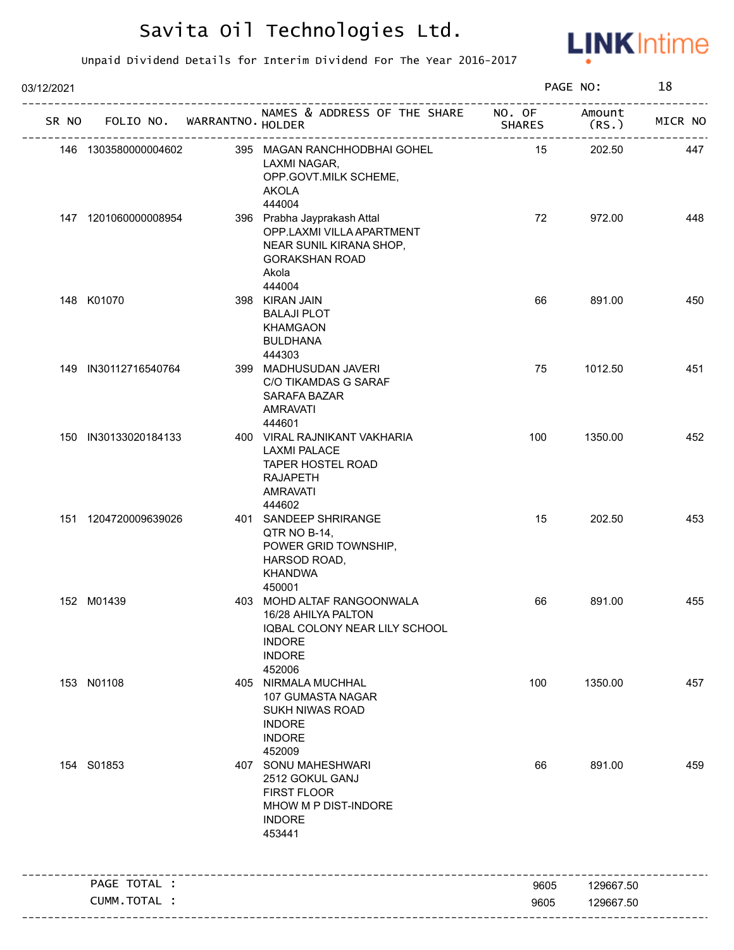

| 03/12/2021 |                             |                                                                                                                                 |                         | PAGE NO:        | 18      |
|------------|-----------------------------|---------------------------------------------------------------------------------------------------------------------------------|-------------------------|-----------------|---------|
| SR NO      | FOLIO NO. WARRANTNO. HOLDER | NAMES & ADDRESS OF THE SHARE                                                                                                    | NO. OF<br><b>SHARES</b> | Amount<br>(RS.) | MICR NO |
|            | 146 1303580000004602        | 395 MAGAN RANCHHODBHAI GOHEL<br>LAXMI NAGAR,<br>OPP.GOVT.MILK SCHEME,<br><b>AKOLA</b><br>444004                                 | 15                      | 202.50          | 447     |
|            | 147 1201060000008954        | 396 Prabha Jayprakash Attal<br>OPP.LAXMI VILLA APARTMENT<br>NEAR SUNIL KIRANA SHOP,<br><b>GORAKSHAN ROAD</b><br>Akola           | 72                      | 972.00          | 448     |
|            | 148 K01070                  | 444004<br>398 KIRAN JAIN<br><b>BALAJI PLOT</b><br><b>KHAMGAON</b><br><b>BULDHANA</b><br>444303                                  | 66                      | 891.00          | 450     |
|            | 149 IN30112716540764        | 399 MADHUSUDAN JAVERI<br>C/O TIKAMDAS G SARAF<br>SARAFA BAZAR<br><b>AMRAVATI</b><br>444601                                      | 75                      | 1012.50         | 451     |
|            | 150 IN30133020184133        | 400 VIRAL RAJNIKANT VAKHARIA<br><b>LAXMI PALACE</b><br><b>TAPER HOSTEL ROAD</b><br><b>RAJAPETH</b><br><b>AMRAVATI</b><br>444602 | 100                     | 1350.00         | 452     |
|            | 151 1204720009639026        | 401 SANDEEP SHRIRANGE<br>QTR NO B-14,<br>POWER GRID TOWNSHIP,<br>HARSOD ROAD,<br><b>KHANDWA</b><br>450001                       | 15                      | 202.50          | 453     |
|            | 152 M01439                  | 403 MOHD ALTAF RANGOONWALA<br>16/28 AHILYA PALTON<br>IQBAL COLONY NEAR LILY SCHOOL<br><b>INDORE</b><br><b>INDORE</b><br>452006  | 66                      | 891.00          | 455     |
|            | 153 N01108                  | 405 NIRMALA MUCHHAL<br>107 GUMASTA NAGAR<br><b>SUKH NIWAS ROAD</b><br><b>INDORE</b><br><b>INDORE</b><br>452009                  | 100                     | 1350.00         | 457     |
|            | 154 S01853                  | 407 SONU MAHESHWARI<br>2512 GOKUL GANJ<br>FIRST FLOOR<br>MHOW M P DIST-INDORE<br><b>INDORE</b><br>453441                        | 66                      | 891.00          | 459     |
|            | PAGE TOTAL :                |                                                                                                                                 | 9605                    | 129667.50       |         |
|            | CUMM.TOTAL :                |                                                                                                                                 |                         |                 |         |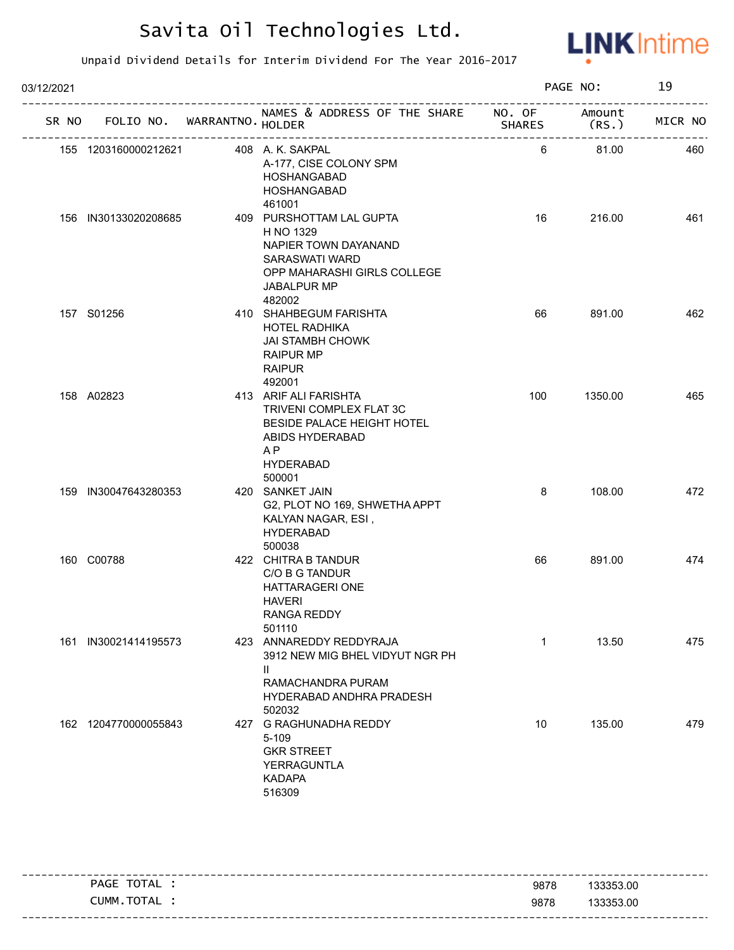

Unpaid Dividend Details for Interim Dividend For The Year 2016-2017

| 03/12/2021 |                                   |                                                                                                                                                   |               | PAGE NO:        | 19      |
|------------|-----------------------------------|---------------------------------------------------------------------------------------------------------------------------------------------------|---------------|-----------------|---------|
|            | SR NO FOLIO NO. WARRANTNO. HOLDER | NAMES & ADDRESS OF THE SHARE NO. OF                                                                                                               | <b>SHARES</b> | Amount<br>(RS.) | MICR NO |
|            | 155 1203160000212621              | 408 A. K. SAKPAL<br>A-177, CISE COLONY SPM<br>HOSHANGABAD<br>HOSHANGABAD<br>461001                                                                | 6             | 81.00           | 460     |
|            | 156 IN30133020208685              | 409 PURSHOTTAM LAL GUPTA<br>H NO 1329<br>NAPIER TOWN DAYANAND<br>SARASWATI WARD<br>OPP MAHARASHI GIRLS COLLEGE<br>JABALPUR MP<br>482002           | 16            | 216.00          | 461     |
|            | 157 S01256                        | 410 SHAHBEGUM FARISHTA<br><b>HOTEL RADHIKA</b><br><b>JAI STAMBH CHOWK</b><br><b>RAIPUR MP</b><br><b>RAIPUR</b><br>492001                          | 66            | 891.00          | 462     |
|            | 158 A02823                        | 413 ARIF ALI FARISHTA<br>TRIVENI COMPLEX FLAT 3C<br>BESIDE PALACE HEIGHT HOTEL<br>ABIDS HYDERABAD<br>A <sub>P</sub><br><b>HYDERABAD</b><br>500001 | 100           | 1350.00         | 465     |
|            | 159 IN30047643280353              | 420 SANKET JAIN<br>G2, PLOT NO 169, SHWETHA APPT<br>KALYAN NAGAR, ESI,<br><b>HYDERABAD</b><br>500038                                              | 8             | 108.00          | 472     |
|            | 160 C00788                        | 422 CHITRA B TANDUR<br>C/O B G TANDUR<br>HATTARAGERI ONE<br><b>HAVERI</b><br>RANGA REDDY<br>501110                                                | 66            | 891.00          | 474     |
|            | 161 IN30021414195573              | 423 ANNAREDDY REDDYRAJA<br>3912 NEW MIG BHEL VIDYUT NGR PH<br>Ш<br>RAMACHANDRA PURAM<br>HYDERABAD ANDHRA PRADESH<br>502032                        | $\mathbf{1}$  | 13.50           | 475     |
|            | 162 1204770000055843              | 427 G RAGHUNADHA REDDY<br>5-109<br><b>GKR STREET</b><br><b>YERRAGUNTLA</b><br><b>KADAPA</b><br>516309                                             | 10            | 135.00          | 479     |

---------------------------------------------------------------------------------------------------------- ---------------------------------------------------------------------------------------------------------- PAGE TOTAL : CUMM.TOTAL : 9878 9878 133353.00 133353.00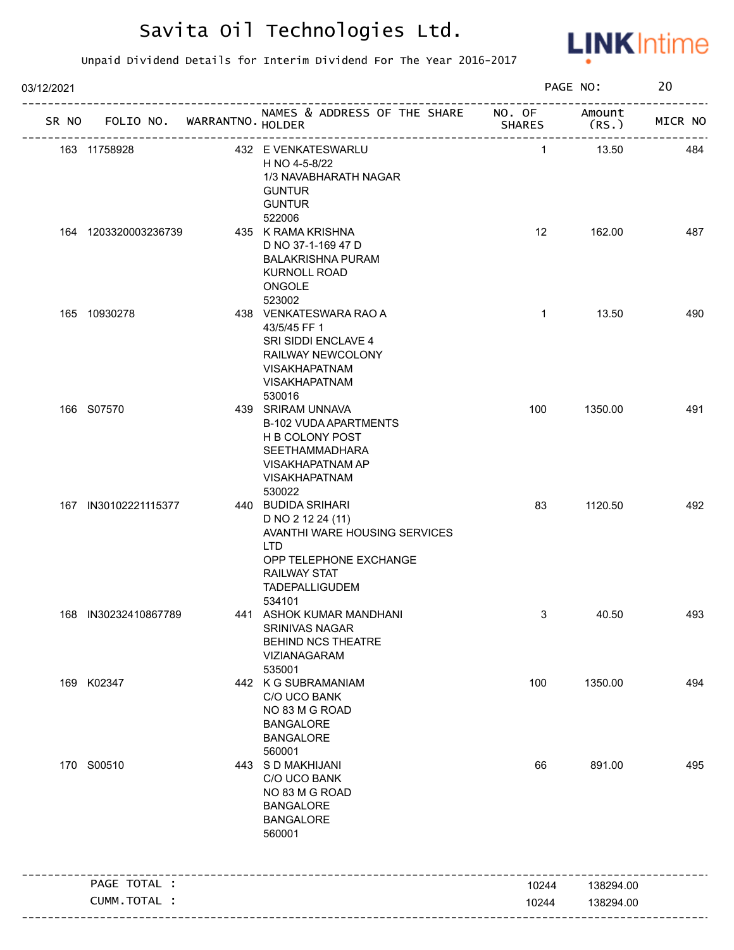

| 03/12/2021 |                             |                                                                                                                                                                     |               | PAGE NO:        | 20      |
|------------|-----------------------------|---------------------------------------------------------------------------------------------------------------------------------------------------------------------|---------------|-----------------|---------|
| SR NO      | FOLIO NO. WARRANTNO. HOLDER | NAMES & ADDRESS OF THE SHARE NO. OF                                                                                                                                 | <b>SHARES</b> | Amount<br>(RS.) | MICR NO |
|            | 163 11758928                | 432 E VENKATESWARLU<br>H NO 4-5-8/22<br>1/3 NAVABHARATH NAGAR<br><b>GUNTUR</b><br><b>GUNTUR</b>                                                                     | $\mathbf{1}$  | 13.50           | 484     |
|            | 164 1203320003236739        | 522006<br>435 K RAMA KRISHNA<br>D NO 37-1-169 47 D<br><b>BALAKRISHNA PURAM</b><br><b>KURNOLL ROAD</b><br>ONGOLE<br>523002                                           | 12            | 162.00          | 487     |
|            | 165 10930278                | 438 VENKATESWARA RAO A<br>43/5/45 FF 1<br>SRI SIDDI ENCLAVE 4<br>RAILWAY NEWCOLONY<br><b>VISAKHAPATNAM</b><br><b>VISAKHAPATNAM</b><br>530016                        | $\mathbf{1}$  | 13.50           | 490     |
|            | 166 S07570                  | 439 SRIRAM UNNAVA<br><b>B-102 VUDA APARTMENTS</b><br>H B COLONY POST<br><b>SEETHAMMADHARA</b><br>VISAKHAPATNAM AP<br><b>VISAKHAPATNAM</b><br>530022                 | 100           | 1350.00         | 491     |
|            | 167 IN30102221115377        | 440 BUDIDA SRIHARI<br>D NO 2 12 24 (11)<br>AVANTHI WARE HOUSING SERVICES<br><b>LTD</b><br>OPP TELEPHONE EXCHANGE<br><b>RAILWAY STAT</b><br>TADEPALLIGUDEM<br>534101 | 83            | 1120.50         | 492     |
|            | 168 IN30232410867789        | 441 ASHOK KUMAR MANDHANI<br><b>SRINIVAS NAGAR</b><br>BEHIND NCS THEATRE<br>VIZIANAGARAM<br>535001                                                                   | 3             | 40.50           | 493     |
|            | 169 K02347                  | 442 K G SUBRAMANIAM<br>C/O UCO BANK<br>NO 83 M G ROAD<br><b>BANGALORE</b><br><b>BANGALORE</b><br>560001                                                             | 100           | 1350.00         | 494     |
|            | 170 S00510                  | 443 S D MAKHIJANI<br>C/O UCO BANK<br>NO 83 M G ROAD<br><b>BANGALORE</b><br><b>BANGALORE</b><br>560001                                                               | 66            | 891.00          | 495     |
|            | PAGE TOTAL :                |                                                                                                                                                                     | 10244         | 138294.00       |         |
|            | CUMM.TOTAL :                |                                                                                                                                                                     | 10244         |                 |         |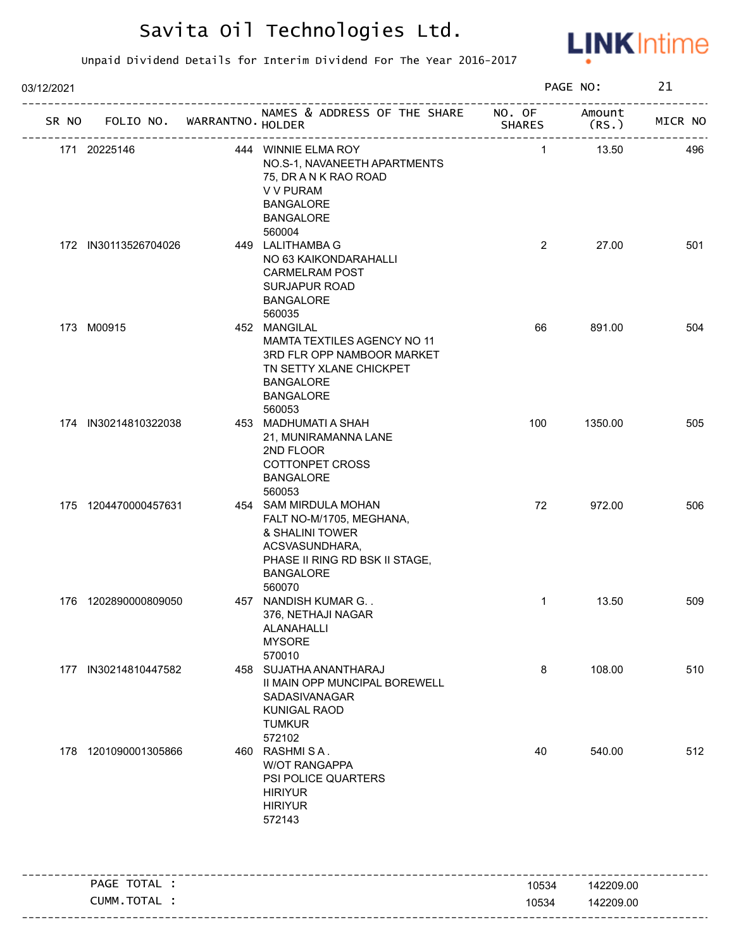

| 03/12/2021 |                                   |                                                                                                                                                        |                | PAGE NO:        | 21      |
|------------|-----------------------------------|--------------------------------------------------------------------------------------------------------------------------------------------------------|----------------|-----------------|---------|
|            | SR NO FOLIO NO. WARRANTNO. HOLDER | NAMES & ADDRESS OF THE SHARE NO. OF<br>יור <i>ו</i> ווט<br>----------------------------                                                                | <b>SHARES</b>  | Amount<br>(RS.) | MICR NO |
|            | 171 20225146                      | 444 WINNIE ELMA ROY<br>NO.S-1, NAVANEETH APARTMENTS<br>75, DR A N K RAO ROAD<br>V V PURAM<br><b>BANGALORE</b><br><b>BANGALORE</b><br>560004            | $\mathbf{1}$   | 13.50           | 496     |
|            | 172 IN30113526704026              | 449 LALITHAMBA G<br>NO 63 KAIKONDARAHALLI<br><b>CARMELRAM POST</b><br><b>SURJAPUR ROAD</b><br><b>BANGALORE</b><br>560035                               | $\overline{2}$ | 27.00           | 501     |
|            | 173 M00915                        | 452 MANGILAL<br>MAMTA TEXTILES AGENCY NO 11<br>3RD FLR OPP NAMBOOR MARKET<br>TN SETTY XLANE CHICKPET<br><b>BANGALORE</b><br><b>BANGALORE</b><br>560053 | 66             | 891.00          | 504     |
|            | 174 IN30214810322038              | 453 MADHUMATI A SHAH<br>21, MUNIRAMANNA LANE<br>2ND FLOOR<br>COTTONPET CROSS<br><b>BANGALORE</b><br>560053                                             | 100            | 1350.00         | 505     |
|            | 175 1204470000457631              | 454 SAM MIRDULA MOHAN<br>FALT NO-M/1705, MEGHANA,<br>& SHALINI TOWER<br>ACSVASUNDHARA,<br>PHASE II RING RD BSK II STAGE,<br><b>BANGALORE</b><br>560070 | 72             | 972.00          | 506     |
|            | 176 1202890000809050              | 457 NANDISH KUMAR G. .<br>376, NETHAJI NAGAR<br>ALANAHALLI<br><b>MYSORE</b><br>570010                                                                  | $\mathbf{1}$   | 13.50           | 509     |
|            | 177 IN30214810447582              | 458 SUJATHA ANANTHARAJ<br>II MAIN OPP MUNCIPAL BOREWELL<br>SADASIVANAGAR<br><b>KUNIGAL RAOD</b><br><b>TUMKUR</b><br>572102                             | 8              | 108.00          | 510     |
|            | 178 1201090001305866              | 460 RASHMISA.<br><b>W/OT RANGAPPA</b><br>PSI POLICE QUARTERS<br><b>HIRIYUR</b><br><b>HIRIYUR</b><br>572143                                             | 40             | 540.00          | 512     |
|            | PAGE TOTAL :                      |                                                                                                                                                        | 10534          | 142209.00       |         |
|            | CUMM.TOTAL :                      |                                                                                                                                                        | 10534          | 142209.00       |         |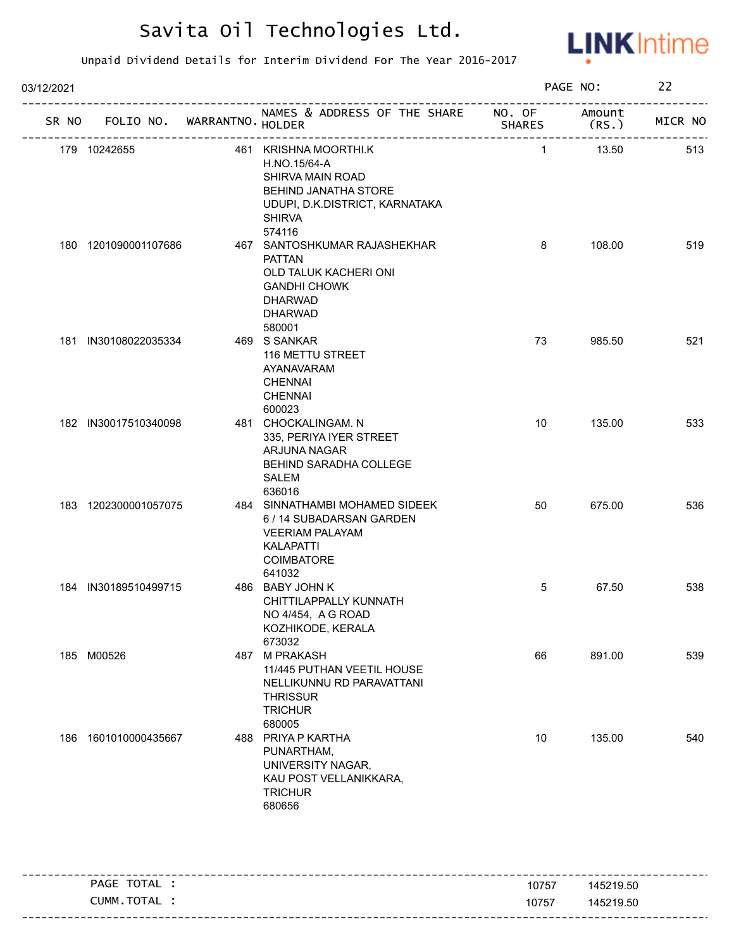

| 03/12/2021 |                      |                                   |                                                                                                                                                |                | PAGE NO:        | 22      |
|------------|----------------------|-----------------------------------|------------------------------------------------------------------------------------------------------------------------------------------------|----------------|-----------------|---------|
|            |                      | SR NO FOLIO NO. WARRANTNO. HOLDER | NAMES & ADDRESS OF THE SHARE NO. OF<br>---------------------------                                                                             | <b>SHARES</b>  | Amount<br>(RS.) | MICR NO |
|            | 179 10242655         |                                   | 461 KRISHNA MOORTHI.K<br>H.NO.15/64-A<br>SHIRVA MAIN ROAD<br>BEHIND JANATHA STORE<br>UDUPI, D.K.DISTRICT, KARNATAKA<br><b>SHIRVA</b><br>574116 | $\overline{1}$ | 13.50           | 513     |
|            | 180 1201090001107686 |                                   | 467 SANTOSHKUMAR RAJASHEKHAR<br><b>PATTAN</b><br>OLD TALUK KACHERI ONI<br><b>GANDHI CHOWK</b><br><b>DHARWAD</b><br><b>DHARWAD</b><br>580001    | 8              | 108.00          | 519     |
|            | 181 IN30108022035334 |                                   | 469 S SANKAR<br>116 METTU STREET<br>AYANAVARAM<br><b>CHENNAI</b><br><b>CHENNAI</b><br>600023                                                   | 73             | 985.50          | 521     |
|            | 182 IN30017510340098 |                                   | 481 CHOCKALINGAM. N<br>335, PERIYA IYER STREET<br>ARJUNA NAGAR<br>BEHIND SARADHA COLLEGE<br>SALEM<br>636016                                    | 10             | 135.00          | 533     |
|            | 183 1202300001057075 |                                   | 484 SINNATHAMBI MOHAMED SIDEEK<br>6 / 14 SUBADARSAN GARDEN<br><b>VEERIAM PALAYAM</b><br><b>KALAPATTI</b><br><b>COIMBATORE</b><br>641032        | 50             | 675.00          | 536     |
|            | 184 IN30189510499715 |                                   | 486 BABY JOHN K<br>CHITTILAPPALLY KUNNATH<br>NO 4/454, A G ROAD<br>KOZHIKODE, KERALA<br>673032                                                 | 5              | 67.50           | 538     |
|            | 185 M00526           |                                   | 487 M PRAKASH<br>11/445 PUTHAN VEETIL HOUSE<br>NELLIKUNNU RD PARAVATTANI<br><b>THRISSUR</b><br><b>TRICHUR</b><br>680005                        | 66             | 891.00          | 539     |
|            | 186 1601010000435667 |                                   | 488 PRIYA P KARTHA<br>PUNARTHAM,<br>UNIVERSITY NAGAR,<br>KAU POST VELLANIKKARA,<br><b>TRICHUR</b><br>680656                                    | 10             | 135.00          | 540     |

| TOTAL<br>PAGE   | 10757 | 145219.50 |
|-----------------|-------|-----------|
| . TOTAL<br>CUMM | 10757 | 145219.50 |
|                 |       |           |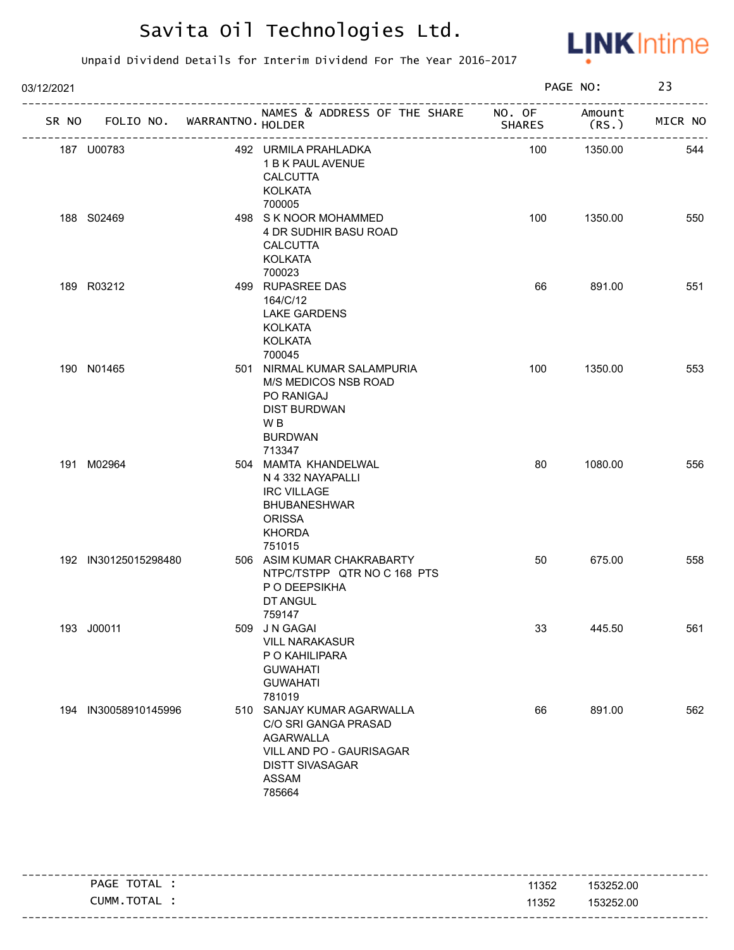

| 03/12/2021 |                                   |  |                                                                                                                                                 |               | PAGE NO:       |         |
|------------|-----------------------------------|--|-------------------------------------------------------------------------------------------------------------------------------------------------|---------------|----------------|---------|
|            | SR NO FOLIO NO. WARRANTNO. HOLDER |  | NAMES & ADDRESS OF THE SHARE NO. OF                                                                                                             | <b>SHARES</b> | Amount<br>(RS. | MICR NO |
|            | 187 U00783                        |  | 492 URMILA PRAHLADKA<br>1 B K PAUL AVENUE<br><b>CALCUTTA</b><br><b>KOLKATA</b><br>700005                                                        | 100           | 1350.00        | 544     |
|            | 188 S02469                        |  | 498 S K NOOR MOHAMMED<br>4 DR SUDHIR BASU ROAD<br><b>CALCUTTA</b><br><b>KOLKATA</b><br>700023                                                   | 100           | 1350.00        | 550     |
|            | 189 R03212                        |  | 499 RUPASREE DAS<br>164/C/12<br><b>LAKE GARDENS</b><br><b>KOLKATA</b><br>KOLKATA<br>700045                                                      | 66            | 891.00         | 551     |
|            | 190 N01465                        |  | 501 NIRMAL KUMAR SALAMPURIA<br>M/S MEDICOS NSB ROAD<br>PO RANIGAJ<br><b>DIST BURDWAN</b><br>W <sub>B</sub><br><b>BURDWAN</b><br>713347          | 100           | 1350.00        | 553     |
|            | 191 M02964                        |  | 504 MAMTA KHANDELWAL<br>N 4 332 NAYAPALLI<br><b>IRC VILLAGE</b><br><b>BHUBANESHWAR</b><br><b>ORISSA</b><br><b>KHORDA</b><br>751015              | 80            | 1080.00        | 556     |
|            | 192 IN30125015298480              |  | 506 ASIM KUMAR CHAKRABARTY<br>NTPC/TSTPP QTR NO C 168 PTS<br>P O DEEPSIKHA<br>DT ANGUL<br>759147                                                | 50            | 675.00         | 558     |
|            | 193 J00011                        |  | 509 J N GAGAI<br><b>VILL NARAKASUR</b><br>P O KAHILIPARA<br><b>GUWAHATI</b><br><b>GUWAHATI</b><br>781019                                        | 33            | 445.50         | 561     |
|            | 194 IN30058910145996              |  | 510 SANJAY KUMAR AGARWALLA<br>C/O SRI GANGA PRASAD<br><b>AGARWALLA</b><br>VILL AND PO - GAURISAGAR<br><b>DISTT SIVASAGAR</b><br>ASSAM<br>785664 | 66            | 891.00         | 562     |

| TOTAL<br>PAGE | 11352 | 153252.00 |
|---------------|-------|-----------|
| CUMM.TOTAL    | 11352 | 153252.00 |
|               |       |           |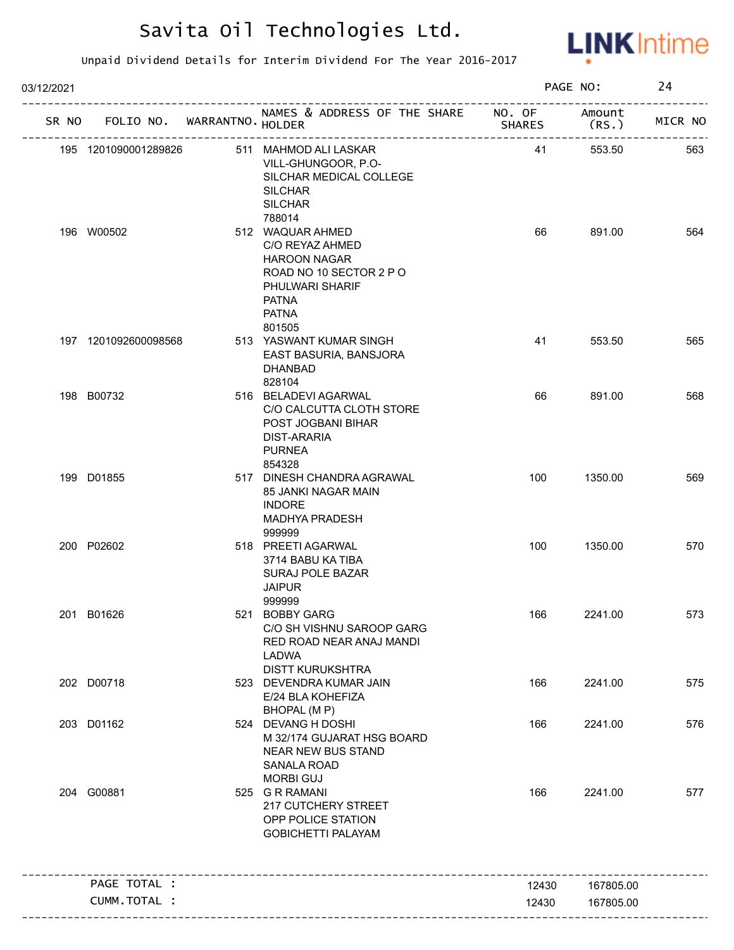

| 03/12/2021 |                             |                                                                                                                                                              |                         | PAGE NO:        | 24      |
|------------|-----------------------------|--------------------------------------------------------------------------------------------------------------------------------------------------------------|-------------------------|-----------------|---------|
| SR NO      | FOLIO NO. WARRANTNO. HOLDER | NAMES & ADDRESS OF THE SHARE                                                                                                                                 | NO. OF<br><b>SHARES</b> | Amount<br>(RS.) | MICR NO |
|            | 195 1201090001289826        | 511 MAHMOD ALI LASKAR<br>VILL-GHUNGOOR, P.O-<br>SILCHAR MEDICAL COLLEGE<br><b>SILCHAR</b><br><b>SILCHAR</b>                                                  | 41                      | 553.50          | 563     |
|            | 196 W00502                  | 788014<br>512 WAQUAR AHMED<br>C/O REYAZ AHMED<br><b>HAROON NAGAR</b><br>ROAD NO 10 SECTOR 2 P O<br>PHULWARI SHARIF<br><b>PATNA</b><br><b>PATNA</b><br>801505 | 66                      | 891.00          | 564     |
|            | 197 1201092600098568        | 513 YASWANT KUMAR SINGH<br>EAST BASURIA, BANSJORA<br><b>DHANBAD</b><br>828104                                                                                | 41                      | 553.50          | 565     |
|            | 198 B00732                  | 516 BELADEVI AGARWAL<br>C/O CALCUTTA CLOTH STORE<br>POST JOGBANI BIHAR<br><b>DIST-ARARIA</b><br><b>PURNEA</b><br>854328                                      | 66                      | 891.00          | 568     |
|            | 199 D01855                  | 517 DINESH CHANDRA AGRAWAL<br>85 JANKI NAGAR MAIN<br><b>INDORE</b><br><b>MADHYA PRADESH</b><br>999999                                                        | 100                     | 1350.00         | 569     |
|            | 200 P02602                  | 518 PREETI AGARWAL<br>3714 BABU KA TIBA<br>SURAJ POLE BAZAR<br><b>JAIPUR</b>                                                                                 | 100                     | 1350.00         | 570     |
|            | 201 B01626                  | 999999<br>521 BOBBY GARG<br>C/O SH VISHNU SAROOP GARG<br>RED ROAD NEAR ANAJ MANDI<br><b>LADWA</b><br><b>DISTT KURUKSHTRA</b>                                 | 166                     | 2241.00         | 573     |
|            | 202 D00718                  | 523 DEVENDRA KUMAR JAIN<br>E/24 BLA KOHEFIZA<br>BHOPAL (MP)                                                                                                  | 166                     | 2241.00         | 575     |
|            | 203 D01162                  | 524 DEVANG H DOSHI<br>M 32/174 GUJARAT HSG BOARD<br><b>NEAR NEW BUS STAND</b><br><b>SANALA ROAD</b><br><b>MORBI GUJ</b>                                      | 166                     | 2241.00         | 576     |
|            | 204 G00881                  | 525 G R RAMANI<br>217 CUTCHERY STREET<br>OPP POLICE STATION<br><b>GOBICHETTI PALAYAM</b>                                                                     | 166                     | 2241.00         | 577     |
|            | PAGE TOTAL :                |                                                                                                                                                              | 12430                   | 167805.00       |         |
|            | <b>CUMM. TOTAL :</b>        |                                                                                                                                                              | 12430                   | 167805.00       |         |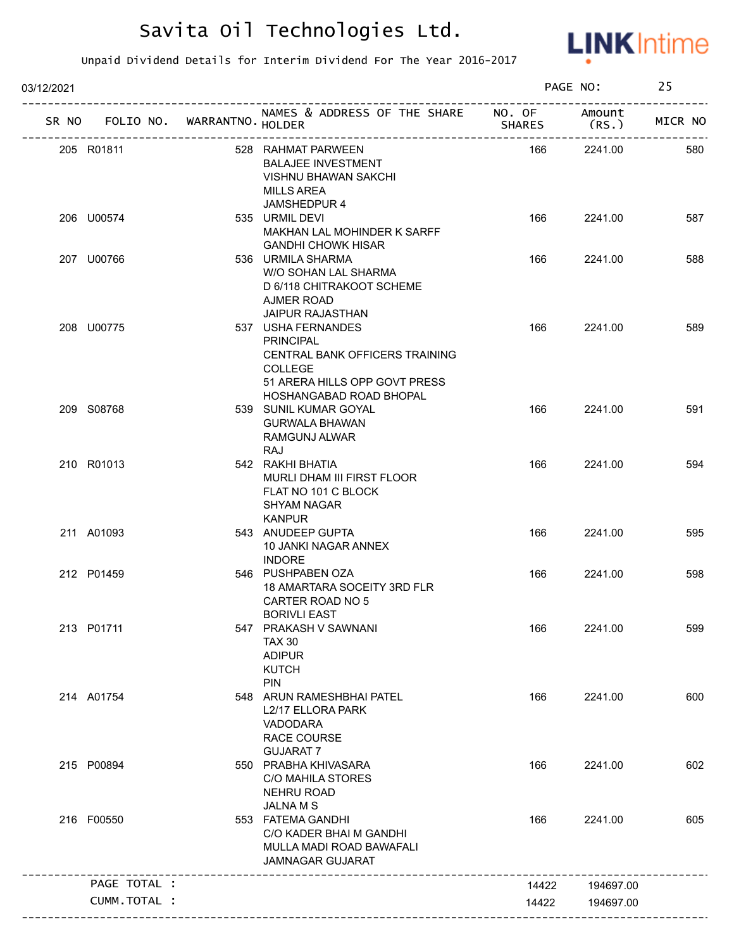

| 03/12/2021 |                                   |                                                                                                                             |               | PAGE NO:        | 25      |
|------------|-----------------------------------|-----------------------------------------------------------------------------------------------------------------------------|---------------|-----------------|---------|
|            | SR NO FOLIO NO. WARRANTNO. HOLDER | NAMES & ADDRESS OF THE SHARE NO. OF                                                                                         | <b>SHARES</b> | Amount<br>(RS.) | MICR NO |
|            | 205 R01811                        | 528 RAHMAT PARWEEN<br><b>BALAJEE INVESTMENT</b><br><b>VISHNU BHAWAN SAKCHI</b><br><b>MILLS AREA</b><br>JAMSHEDPUR 4         | 166           | 2241.00         | 580     |
|            | 206 U00574                        | 535 URMIL DEVI<br>MAKHAN LAL MOHINDER K SARFF<br><b>GANDHI CHOWK HISAR</b>                                                  | 166           | 2241.00         | 587     |
|            | 207 U00766                        | 536 URMILA SHARMA<br>W/O SOHAN LAL SHARMA<br>D 6/118 CHITRAKOOT SCHEME<br><b>AJMER ROAD</b><br><b>JAIPUR RAJASTHAN</b>      | 166           | 2241.00         | 588     |
|            | 208 U00775                        | 537 USHA FERNANDES<br><b>PRINCIPAL</b><br>CENTRAL BANK OFFICERS TRAINING<br><b>COLLEGE</b><br>51 ARERA HILLS OPP GOVT PRESS | 166           | 2241.00         | 589     |
|            | 209 S08768                        | HOSHANGABAD ROAD BHOPAL<br>539 SUNIL KUMAR GOYAL<br><b>GURWALA BHAWAN</b><br>RAMGUNJ ALWAR<br>RAJ                           | 166           | 2241.00         | 591     |
|            | 210 R01013                        | 542 RAKHI BHATIA<br>MURLI DHAM III FIRST FLOOR<br>FLAT NO 101 C BLOCK<br><b>SHYAM NAGAR</b><br><b>KANPUR</b>                | 166           | 2241.00         | 594     |
|            | 211 A01093                        | 543 ANUDEEP GUPTA<br>10 JANKI NAGAR ANNEX<br><b>INDORE</b>                                                                  | 166           | 2241.00         | 595     |
|            | 212 P01459                        | 546 PUSHPABEN OZA<br>18 AMARTARA SOCEITY 3RD FLR<br>CARTER ROAD NO 5<br><b>BORIVLI EAST</b>                                 | 166           | 2241.00         | 598     |
|            | 213 P01711                        | 547 PRAKASH V SAWNANI<br><b>TAX 30</b><br><b>ADIPUR</b><br><b>KUTCH</b><br><b>PIN</b>                                       | 166           | 2241.00         | 599     |
|            | 214 A01754                        | 548 ARUN RAMESHBHAI PATEL<br>L2/17 ELLORA PARK<br>VADODARA<br><b>RACE COURSE</b><br><b>GUJARAT 7</b>                        | 166           | 2241.00         | 600     |
|            | 215 P00894                        | 550 PRABHA KHIVASARA<br><b>C/O MAHILA STORES</b><br><b>NEHRU ROAD</b><br><b>JALNAMS</b>                                     | 166           | 2241.00         | 602     |
|            | 216 F00550                        | 553 FATEMA GANDHI<br>C/O KADER BHAI M GANDHI<br>MULLA MADI ROAD BAWAFALI<br><b>JAMNAGAR GUJARAT</b>                         | 166           | 2241.00         | 605     |
|            | PAGE TOTAL :                      |                                                                                                                             | 14422         | 194697.00       |         |
|            | CUMM.TOTAL :                      |                                                                                                                             | 14422         | 194697.00       |         |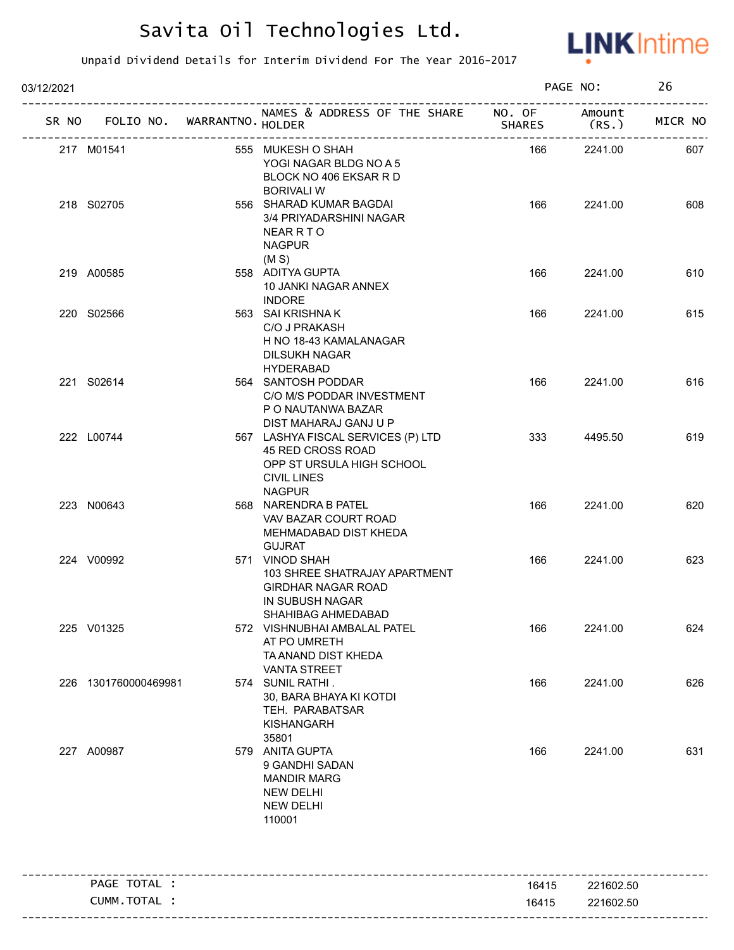

| 03/12/2021 |                                   |                                                                                                                             | PAGE NO:      |                  | 26      |
|------------|-----------------------------------|-----------------------------------------------------------------------------------------------------------------------------|---------------|------------------|---------|
|            | SR NO FOLIO NO. WARRANTNO. HOLDER | NAMES & ADDRESS OF THE SHARE NO. OF                                                                                         | <b>SHARES</b> | Amount<br>(RS. ) | MICR NO |
|            | 217 M01541                        | 555 MUKESH O SHAH<br>YOGI NAGAR BLDG NO A 5<br>BLOCK NO 406 EKSAR R D<br><b>BORIVALI W</b>                                  | 166           | 2241.00          | 607     |
|            | 218 S02705                        | 556 SHARAD KUMAR BAGDAI<br>3/4 PRIYADARSHINI NAGAR<br><b>NEAR R T O</b><br><b>NAGPUR</b><br>(M S)                           | 166           | 2241.00          | 608     |
|            | 219 A00585                        | 558 ADITYA GUPTA<br>10 JANKI NAGAR ANNEX<br><b>INDORE</b>                                                                   | 166           | 2241.00          | 610     |
|            | 220 S02566                        | 563 SAI KRISHNA K<br>C/O J PRAKASH<br>H NO 18-43 KAMALANAGAR<br><b>DILSUKH NAGAR</b><br><b>HYDERABAD</b>                    | 166           | 2241.00          | 615     |
|            | 221 S02614                        | 564 SANTOSH PODDAR<br>C/O M/S PODDAR INVESTMENT<br>P O NAUTANWA BAZAR<br>DIST MAHARAJ GANJ U P                              | 166           | 2241.00          | 616     |
|            | 222 L00744                        | 567 LASHYA FISCAL SERVICES (P) LTD<br>45 RED CROSS ROAD<br>OPP ST URSULA HIGH SCHOOL<br><b>CIVIL LINES</b><br><b>NAGPUR</b> | 333           | 4495.50          | 619     |
|            | 223 N00643                        | 568 NARENDRA B PATEL<br>VAV BAZAR COURT ROAD<br>MEHMADABAD DIST KHEDA<br><b>GUJRAT</b>                                      | 166           | 2241.00          | 620     |
|            | 224 V00992                        | 571 VINOD SHAH<br>103 SHREE SHATRAJAY APARTMENT<br><b>GIRDHAR NAGAR ROAD</b><br>IN SUBUSH NAGAR<br>SHAHIBAG AHMEDABAD       | 166           | 2241.00          | 623     |
|            | 225 V01325                        | 572 VISHNUBHAI AMBALAL PATEL<br>AT PO UMRETH<br>TA ANAND DIST KHEDA<br><b>VANTA STREET</b>                                  | 166           | 2241.00          | 624     |
|            | 226 1301760000469981              | 574 SUNIL RATHI.<br>30, BARA BHAYA KI KOTDI<br>TEH. PARABATSAR<br>KISHANGARH<br>35801                                       | 166           | 2241.00          | 626     |
|            | 227 A00987                        | 579 ANITA GUPTA<br>9 GANDHI SADAN<br><b>MANDIR MARG</b><br><b>NEW DELHI</b><br><b>NEW DELHI</b><br>110001                   | 166           | 2241.00          | 631     |
|            | PAGE TOTAL :                      | -----------------------------------                                                                                         | 16415         | 221602.50        |         |
|            | CUMM.TOTAL :                      |                                                                                                                             | 16415         | 221602.50        |         |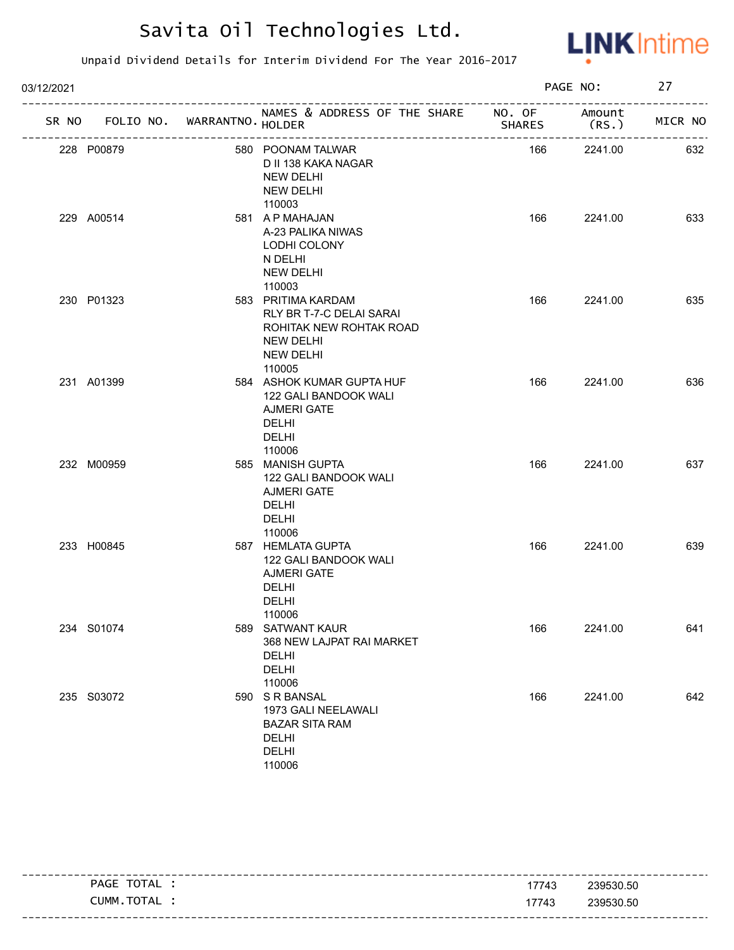

| 03/12/2021 |                                   |  |                                                                                                                    |               | PAGE NO:       |         |
|------------|-----------------------------------|--|--------------------------------------------------------------------------------------------------------------------|---------------|----------------|---------|
|            | SR NO FOLIO NO. WARRANTNO. HOLDER |  | NAMES & ADDRESS OF THE SHARE NO. OF<br>_____________________                                                       | <b>SHARES</b> | Amount<br>(RS. | MICR NO |
|            | 228 P00879                        |  | 580 POONAM TALWAR<br>D II 138 KAKA NAGAR<br>NEW DELHI<br>NEW DELHI<br>110003                                       | 166           | 2241.00        | 632     |
|            | 229 A00514                        |  | 581 A P MAHAJAN<br>A-23 PALIKA NIWAS<br>LODHI COLONY<br>N DELHI<br><b>NEW DELHI</b><br>110003                      | 166           | 2241.00        | 633     |
|            | 230 P01323                        |  | 583 PRITIMA KARDAM<br>RLY BR T-7-C DELAI SARAI<br>ROHITAK NEW ROHTAK ROAD<br>NEW DELHI<br>NEW DELHI<br>110005      | 166           | 2241.00        | 635     |
|            | 231 A01399                        |  | 584 ASHOK KUMAR GUPTA HUF<br>122 GALI BANDOOK WALI<br><b>AJMERI GATE</b><br><b>DELHI</b><br><b>DELHI</b><br>110006 | 166           | 2241.00        | 636     |
|            | 232 M00959                        |  | 585 MANISH GUPTA<br>122 GALI BANDOOK WALI<br><b>AJMERI GATE</b><br>DELHI<br><b>DELHI</b><br>110006                 | 166           | 2241.00        | 637     |
|            | 233 H00845                        |  | 587 HEMLATA GUPTA<br>122 GALI BANDOOK WALI<br><b>AJMERI GATE</b><br><b>DELHI</b><br><b>DELHI</b><br>110006         | 166           | 2241.00        | 639     |
|            | 234 S01074                        |  | 589 SATWANT KAUR<br>368 NEW LAJPAT RAI MARKET<br>DELHI<br>DELHI<br>110006                                          | 166           | 2241.00        | 641     |
|            | 235 S03072                        |  | 590 S R BANSAL<br>1973 GALI NEELAWALI<br><b>BAZAR SITA RAM</b><br>DELHI<br><b>DELHI</b><br>110006                  | 166           | 2241.00        | 642     |

| PAGE TOTAL : | 17743 | 239530.50 |
|--------------|-------|-----------|
| CUMM.TOTAL   | 17743 | 239530.50 |
|              |       |           |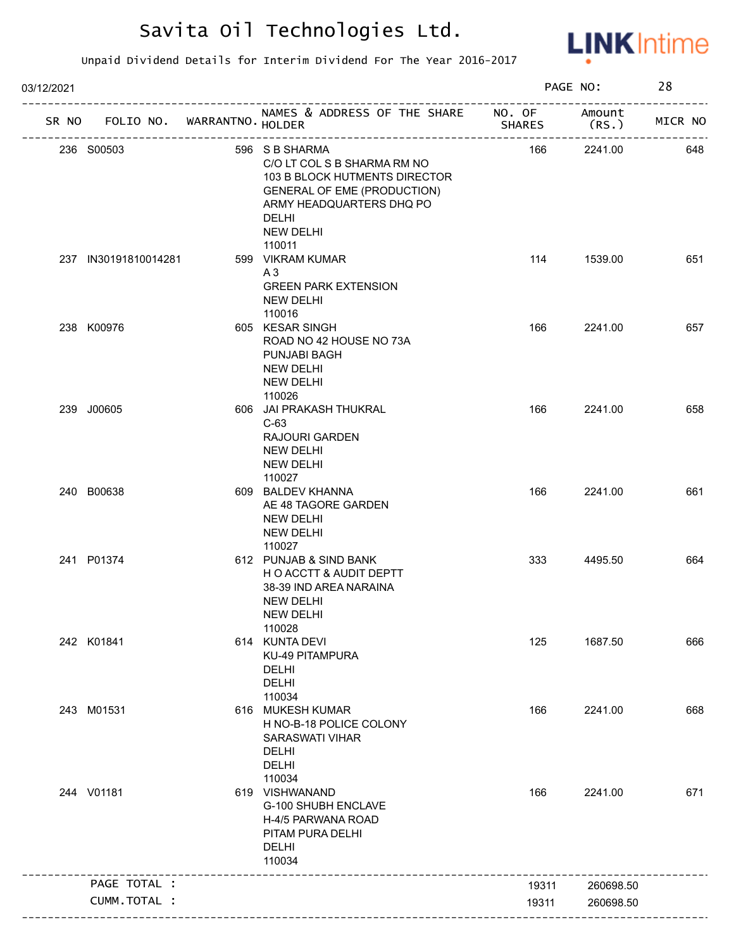

| 03/12/2021 |                                   |  |                                                                                                                                                                                                |               | PAGE NO:         |         |
|------------|-----------------------------------|--|------------------------------------------------------------------------------------------------------------------------------------------------------------------------------------------------|---------------|------------------|---------|
|            | SR NO FOLIO NO. WARRANTNO. HOLDER |  | NAMES & ADDRESS OF THE SHARE NO. OF                                                                                                                                                            | <b>SHARES</b> | Amount<br>(RS. ) | MICR NO |
|            | 236 S00503                        |  | 596 S B SHARMA<br>C/O LT COL S B SHARMA RM NO<br>103 B BLOCK HUTMENTS DIRECTOR<br><b>GENERAL OF EME (PRODUCTION)</b><br>ARMY HEADQUARTERS DHQ PO<br><b>DELHI</b><br><b>NEW DELHI</b><br>110011 | 166           | 2241.00          | 648     |
|            | 237 IN30191810014281              |  | 599 VIKRAM KUMAR<br>A3<br><b>GREEN PARK EXTENSION</b><br>NEW DELHI<br>110016                                                                                                                   | 114           | 1539.00          | 651     |
|            | 238 K00976                        |  | 605 KESAR SINGH<br>ROAD NO 42 HOUSE NO 73A<br><b>PUNJABI BAGH</b><br><b>NEW DELHI</b><br><b>NEW DELHI</b><br>110026                                                                            | 166           | 2241.00          | 657     |
| 239 J00605 |                                   |  | 606 JAI PRAKASH THUKRAL<br>$C-63$<br><b>RAJOURI GARDEN</b><br><b>NEW DELHI</b><br><b>NEW DELHI</b><br>110027                                                                                   | 166           | 2241.00          | 658     |
|            | 240 B00638                        |  | 609 BALDEV KHANNA<br>AE 48 TAGORE GARDEN<br><b>NEW DELHI</b><br><b>NEW DELHI</b><br>110027                                                                                                     | 166           | 2241.00          | 661     |
|            | 241 P01374                        |  | 612 PUNJAB & SIND BANK<br>H O ACCTT & AUDIT DEPTT<br>38-39 IND AREA NARAINA<br><b>NEW DELHI</b><br>NEW DELHI<br>110028                                                                         | 333           | 4495.50          | 664     |
|            | 242 K01841                        |  | 614 KUNTA DEVI<br>KU-49 PITAMPURA<br><b>DELHI</b><br>DELHI<br>110034                                                                                                                           | 125           | 1687.50          | 666     |
|            | 243 M01531                        |  | 616 MUKESH KUMAR<br>H NO-B-18 POLICE COLONY<br>SARASWATI VIHAR<br><b>DELHI</b><br><b>DELHI</b><br>110034                                                                                       | 166           | 2241.00          | 668     |
|            | 244 V01181                        |  | 619 VISHWANAND<br>G-100 SHUBH ENCLAVE<br>H-4/5 PARWANA ROAD<br>PITAM PURA DELHI<br><b>DELHI</b><br>110034                                                                                      | 166           | 2241.00          | 671     |
|            | PAGE TOTAL :                      |  |                                                                                                                                                                                                | 19311         | 260698.50        |         |
|            | CUMM.TOTAL :                      |  |                                                                                                                                                                                                | 19311         | 260698.50        |         |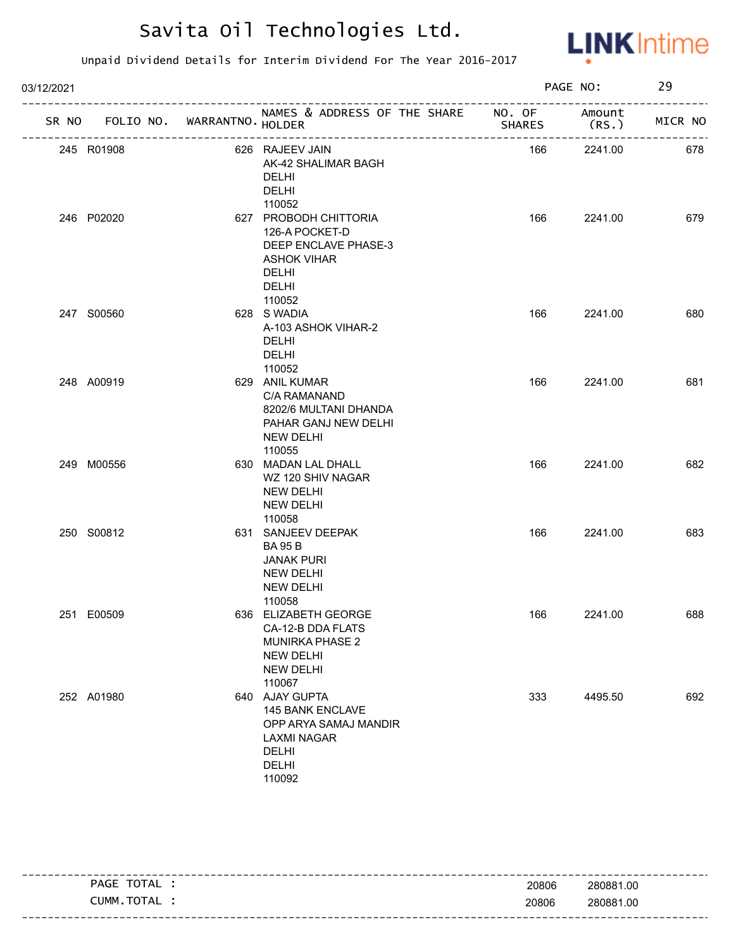

| 03/12/2021 |                                   |                                                                                                                                 |        | PAGE NO:       | 29      |
|------------|-----------------------------------|---------------------------------------------------------------------------------------------------------------------------------|--------|----------------|---------|
|            | SR NO FOLIO NO. WARRANTNO. HOLDER | NAMES & ADDRESS OF THE SHARE NO. OF                                                                                             | SHARES | Amount<br>(RS. | MICR NO |
|            | 245 R01908                        | 626 RAJEEV JAIN<br>AK-42 SHALIMAR BAGH<br><b>DELHI</b><br><b>DELHI</b><br>110052                                                | 166    | 2241.00        | 678     |
|            | 246 P02020                        | 627 PROBODH CHITTORIA<br>126-A POCKET-D<br>DEEP ENCLAVE PHASE-3<br><b>ASHOK VIHAR</b><br><b>DELHI</b><br><b>DELHI</b><br>110052 | 166    | 2241.00        | 679     |
|            | 247 S00560                        | 628 S WADIA<br>A-103 ASHOK VIHAR-2<br>DELHI<br>DELHI<br>110052                                                                  | 166    | 2241.00        | 680     |
|            | 248 A00919                        | 629 ANIL KUMAR<br>C/A RAMANAND<br>8202/6 MULTANI DHANDA<br>PAHAR GANJ NEW DELHI<br>NEW DELHI<br>110055                          | 166    | 2241.00        | 681     |
|            | 249 M00556                        | 630 MADAN LAL DHALL<br>WZ 120 SHIV NAGAR<br>NEW DELHI<br>NEW DELHI<br>110058                                                    | 166    | 2241.00        | 682     |
|            | 250 S00812                        | 631 SANJEEV DEEPAK<br><b>BA 95 B</b><br><b>JANAK PURI</b><br><b>NEW DELHI</b><br><b>NEW DELHI</b><br>110058                     | 166    | 2241.00        | 683     |
|            | 251 E00509                        | 636 ELIZABETH GEORGE<br>CA-12-B DDA FLATS<br><b>MUNIRKA PHASE 2</b><br><b>NEW DELHI</b><br><b>NEW DELHI</b><br>110067           | 166    | 2241.00        | 688     |
|            | 252 A01980                        | 640 AJAY GUPTA<br>145 BANK ENCLAVE<br>OPP ARYA SAMAJ MANDIR<br><b>LAXMI NAGAR</b><br>DELHI<br><b>DELHI</b><br>110092            | 333    | 4495.50        | 692     |

| TOTAL<br>PAGE | 20806 | 280881.00 |
|---------------|-------|-----------|
| CUMM.TOTAL    | 20806 | 280881.00 |
|               |       |           |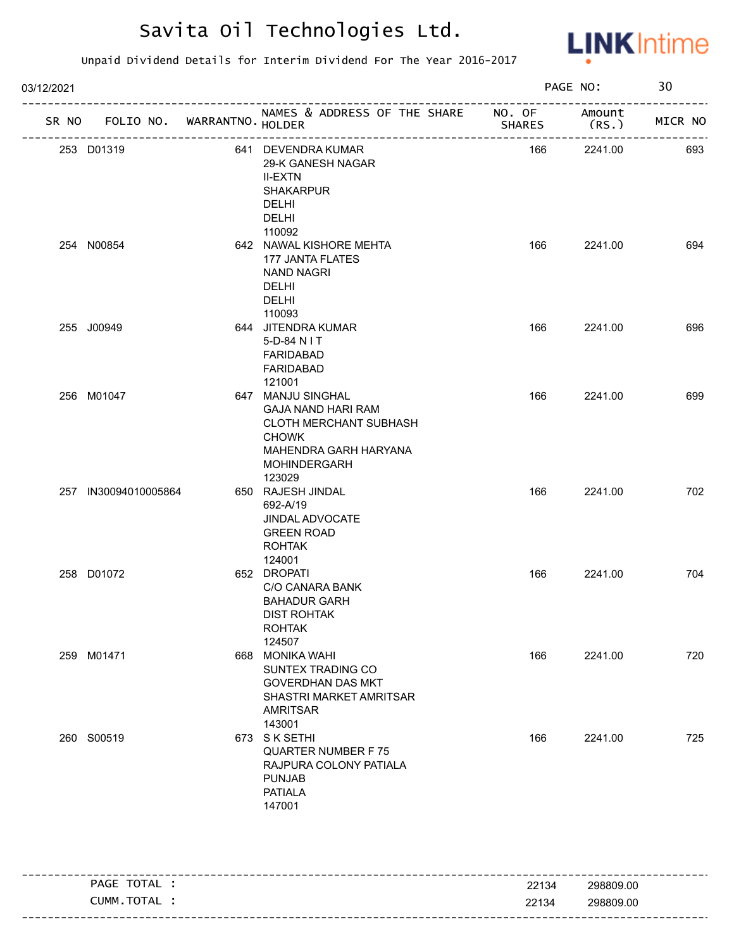

| 03/12/2021 |                      |                             |                                                                                                                                                           |               | PAGE NO:       | 30      |
|------------|----------------------|-----------------------------|-----------------------------------------------------------------------------------------------------------------------------------------------------------|---------------|----------------|---------|
| SR NO      |                      | FOLIO NO. WARRANTNO. HOLDER | NAMES & ADDRESS OF THE SHARE NO. OF                                                                                                                       | <b>SHARES</b> | Amount<br>(RS. | MICR NO |
|            | 253 D01319           |                             | 641 DEVENDRA KUMAR<br>29-K GANESH NAGAR<br><b>II-EXTN</b><br><b>SHAKARPUR</b><br>DELHI<br><b>DELHI</b><br>110092                                          | 166           | 2241.00        | 693     |
|            | 254 N00854           |                             | 642 NAWAL KISHORE MEHTA<br>177 JANTA FLATES<br><b>NAND NAGRI</b><br><b>DELHI</b><br><b>DELHI</b><br>110093                                                | 166           | 2241.00        | 694     |
|            | 255 J00949           |                             | 644 JITENDRA KUMAR<br>5-D-84 N I T<br>FARIDABAD<br>FARIDABAD<br>121001                                                                                    | 166           | 2241.00        | 696     |
|            | 256 M01047           |                             | 647 MANJU SINGHAL<br><b>GAJA NAND HARI RAM</b><br><b>CLOTH MERCHANT SUBHASH</b><br><b>CHOWK</b><br>MAHENDRA GARH HARYANA<br><b>MOHINDERGARH</b><br>123029 | 166           | 2241.00        | 699     |
|            | 257 IN30094010005864 |                             | 650 RAJESH JINDAL<br>692-A/19<br><b>JINDAL ADVOCATE</b><br><b>GREEN ROAD</b><br><b>ROHTAK</b><br>124001                                                   | 166           | 2241.00        | 702     |
|            | 258 D01072           |                             | 652 DROPATI<br>C/O CANARA BANK<br><b>BAHADUR GARH</b><br><b>DIST ROHTAK</b><br><b>ROHTAK</b><br>124507                                                    | 166           | 2241.00        | 704     |
|            | 259 M01471           |                             | 668 MONIKA WAHI<br>SUNTEX TRADING CO<br><b>GOVERDHAN DAS MKT</b><br>SHASTRI MARKET AMRITSAR<br><b>AMRITSAR</b><br>143001                                  | 166           | 2241.00        | 720     |
|            | 260 S00519           |                             | 673 SK SETHI<br><b>QUARTER NUMBER F75</b><br>RAJPURA COLONY PATIALA<br><b>PUNJAB</b><br><b>PATIALA</b><br>147001                                          | 166           | 2241.00        | 725     |

|                                                    |       | ---------------------        |
|----------------------------------------------------|-------|------------------------------|
| <b>TOTA</b><br><b>PAGE</b><br>I AL.                | 22134 | 298809.00                    |
| <b>TOTA</b><br>-UMM<br>$\mathbf{A}$<br>$H_{\rm L}$ | 22134 | 298809.00                    |
|                                                    |       | ---------------------------- |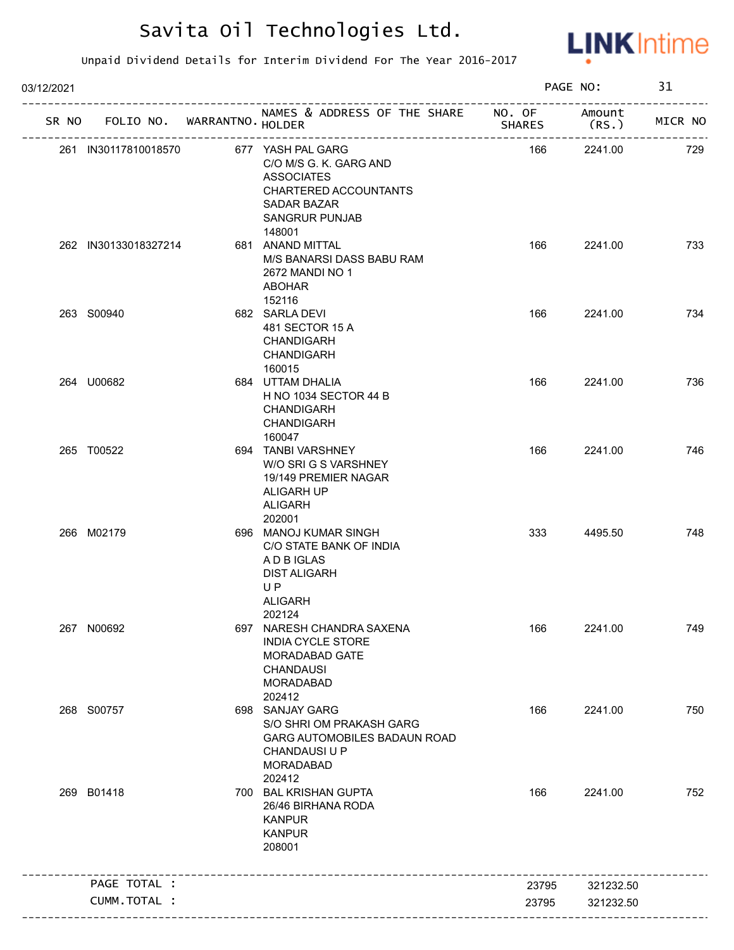

| 03/12/2021 |                                   |                                                                                                                                                    | PAGE NO:      |                  | 31      |
|------------|-----------------------------------|----------------------------------------------------------------------------------------------------------------------------------------------------|---------------|------------------|---------|
|            | SR NO FOLIO NO. WARRANTNO. HOLDER | NAMES & ADDRESS OF THE SHARE NO. OF                                                                                                                | <b>SHARES</b> | Amount<br>(RS. ) | MICR NO |
|            | 261 IN30117810018570              | 677 YASH PAL GARG<br>C/O M/S G. K. GARG AND<br><b>ASSOCIATES</b><br>CHARTERED ACCOUNTANTS<br><b>SADAR BAZAR</b><br><b>SANGRUR PUNJAB</b><br>148001 | 166           | 2241.00          | 729     |
|            | 262 IN30133018327214              | 681 ANAND MITTAL<br>M/S BANARSI DASS BABU RAM<br>2672 MANDI NO 1<br><b>ABOHAR</b><br>152116                                                        | 166           | 2241.00          | 733     |
|            | 263 S00940                        | 682 SARLA DEVI<br>481 SECTOR 15 A<br><b>CHANDIGARH</b><br><b>CHANDIGARH</b><br>160015                                                              | 166           | 2241.00          | 734     |
|            | 264 U00682                        | 684 UTTAM DHALIA<br>H NO 1034 SECTOR 44 B<br><b>CHANDIGARH</b><br><b>CHANDIGARH</b><br>160047                                                      | 166           | 2241.00          | 736     |
|            | 265 T00522                        | 694 TANBI VARSHNEY<br>W/O SRI G S VARSHNEY<br>19/149 PREMIER NAGAR<br>ALIGARH UP<br><b>ALIGARH</b><br>202001                                       | 166           | 2241.00          | 746     |
|            | 266 M02179                        | 696 MANOJ KUMAR SINGH<br>C/O STATE BANK OF INDIA<br>A D B IGLAS<br><b>DIST ALIGARH</b><br><b>UP</b><br><b>ALIGARH</b><br>202124                    | 333           | 4495.50          | 748     |
|            | 267 N00692                        | 697 NARESH CHANDRA SAXENA<br><b>INDIA CYCLE STORE</b><br>MORADABAD GATE<br><b>CHANDAUSI</b><br><b>MORADABAD</b><br>202412                          | 166           | 2241.00          | 749     |
|            | 268 S00757                        | 698 SANJAY GARG<br>S/O SHRI OM PRAKASH GARG<br><b>GARG AUTOMOBILES BADAUN ROAD</b><br>CHANDAUSI U P<br><b>MORADABAD</b><br>202412                  | 166           | 2241.00          | 750     |
|            | 269 B01418                        | 700 BAL KRISHAN GUPTA<br>26/46 BIRHANA RODA<br><b>KANPUR</b><br><b>KANPUR</b><br>208001                                                            | 166           | 2241.00          | 752     |
|            | PAGE TOTAL :                      |                                                                                                                                                    | 23795         | 321232.50        |         |
|            | CUMM.TOTAL :                      |                                                                                                                                                    | 23795         | 321232.50        |         |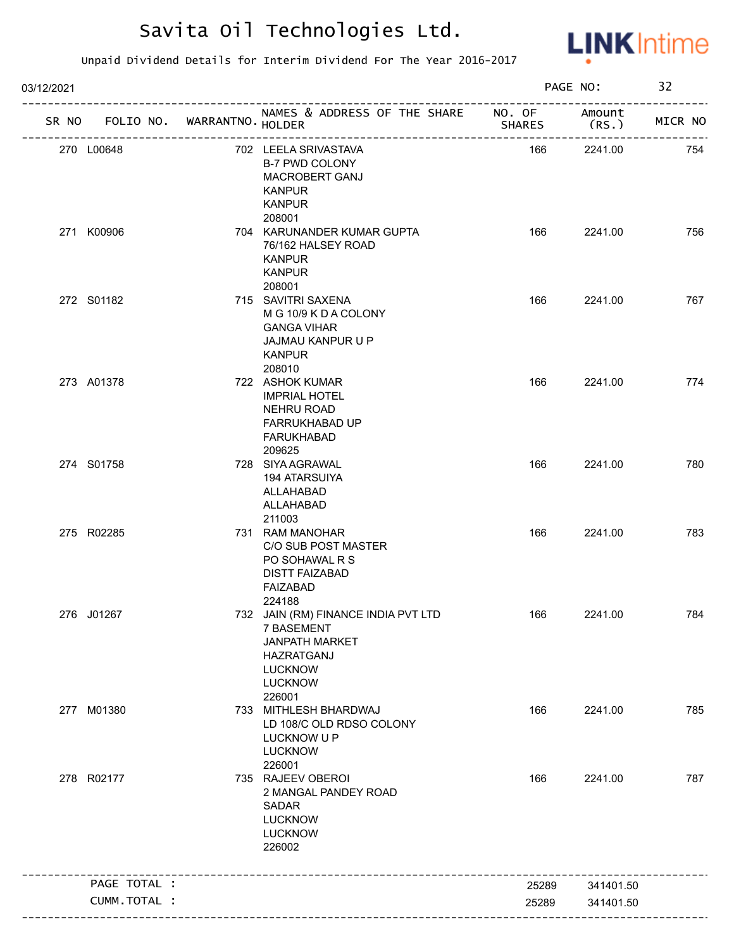

| 03/12/2021 |              |                             |                                                                                                                                        |               | PAGE NO:       | 32      |
|------------|--------------|-----------------------------|----------------------------------------------------------------------------------------------------------------------------------------|---------------|----------------|---------|
| SR NO      |              | FOLIO NO. WARRANTNO. HOLDER | NAMES & ADDRESS OF THE SHARE NO. OF                                                                                                    | <b>SHARES</b> | Amount<br>(RS. | MICR NO |
| 270 L00648 |              |                             | 702 LEELA SRIVASTAVA<br><b>B-7 PWD COLONY</b><br>MACROBERT GANJ<br><b>KANPUR</b><br><b>KANPUR</b><br>208001                            | 166           | 2241.00        | 754     |
| 271 K00906 |              |                             | 704 KARUNANDER KUMAR GUPTA<br>76/162 HALSEY ROAD<br><b>KANPUR</b><br><b>KANPUR</b><br>208001                                           | 166           | 2241.00        | 756     |
| 272 S01182 |              |                             | 715 SAVITRI SAXENA<br>M G 10/9 K D A COLONY<br><b>GANGA VIHAR</b><br>JAJMAU KANPUR U P<br><b>KANPUR</b><br>208010                      | 166           | 2241.00        | 767     |
| 273 A01378 |              |                             | 722 ASHOK KUMAR<br><b>IMPRIAL HOTEL</b><br><b>NEHRU ROAD</b><br>FARRUKHABAD UP<br><b>FARUKHABAD</b><br>209625                          | 166           | 2241.00        | 774     |
| 274 S01758 |              |                             | 728 SIYA AGRAWAL<br>194 ATARSUIYA<br>ALLAHABAD<br>ALLAHABAD<br>211003                                                                  | 166           | 2241.00        | 780     |
| 275 R02285 |              |                             | 731 RAM MANOHAR<br>C/O SUB POST MASTER<br>PO SOHAWAL R S<br><b>DISTT FAIZABAD</b><br><b>FAIZABAD</b><br>224188                         | 166           | 2241.00        | 783     |
| 276 J01267 |              |                             | 732 JAIN (RM) FINANCE INDIA PVT LTD<br>7 BASEMENT<br><b>JANPATH MARKET</b><br>HAZRATGANJ<br><b>LUCKNOW</b><br><b>LUCKNOW</b><br>226001 | 166           | 2241.00        | 784     |
| 277 M01380 |              |                             | 733 MITHLESH BHARDWAJ<br>LD 108/C OLD RDSO COLONY<br>LUCKNOW U P<br><b>LUCKNOW</b><br>226001                                           | 166           | 2241.00        | 785     |
| 278 R02177 |              |                             | 735 RAJEEV OBEROI<br>2 MANGAL PANDEY ROAD<br>SADAR<br><b>LUCKNOW</b><br><b>LUCKNOW</b><br>226002                                       | 166           | 2241.00        | 787     |
|            | PAGE TOTAL : |                             |                                                                                                                                        | 25289         | 341401.50      |         |
|            | CUMM.TOTAL : |                             |                                                                                                                                        | 25289         | 341401.50      |         |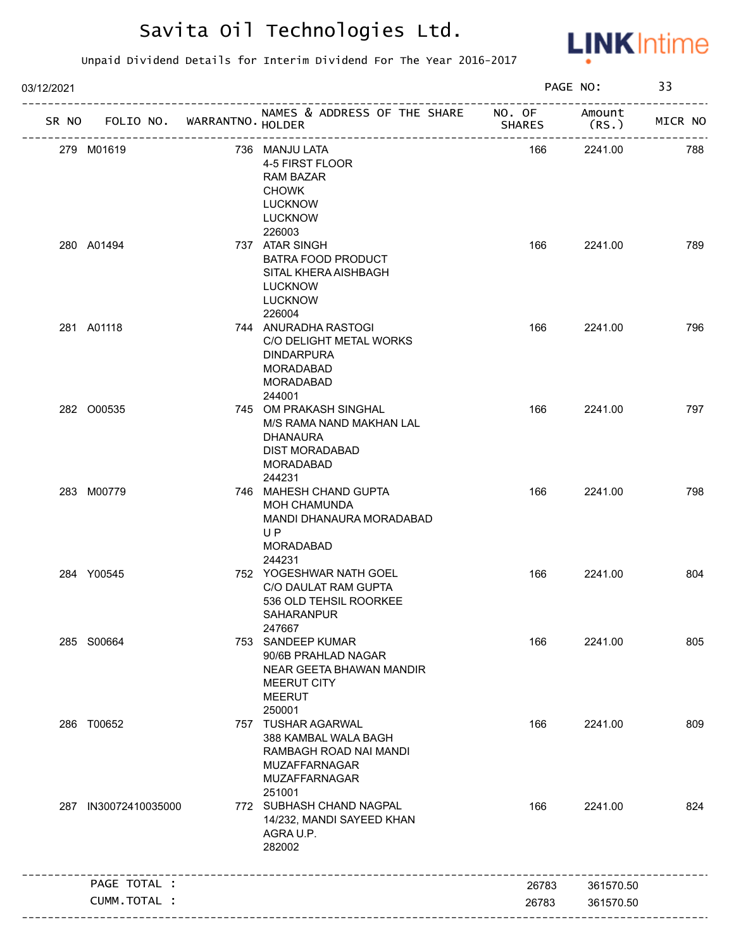

| 03/12/2021 |                      |                   |                                                                                                                       |               | PAGE NO:        | 33      |
|------------|----------------------|-------------------|-----------------------------------------------------------------------------------------------------------------------|---------------|-----------------|---------|
| SR NO      | FOLIO NO.            | WARRANTNO. HOLDER | NAMES & ADDRESS OF THE SHARE NO. OF<br>_________________                                                              | <b>SHARES</b> | Amount<br>(RS.) | MICR NO |
|            | 279 M01619           |                   | 736 MANJU LATA<br>4-5 FIRST FLOOR<br><b>RAM BAZAR</b><br><b>CHOWK</b><br><b>LUCKNOW</b><br><b>LUCKNOW</b><br>226003   | 166           | 2241.00         | 788     |
|            | 280 A01494           |                   | 737 ATAR SINGH<br>BATRA FOOD PRODUCT<br>SITAL KHERA AISHBAGH<br><b>LUCKNOW</b><br><b>LUCKNOW</b><br>226004            | 166           | 2241.00         | 789     |
|            | 281 A01118           |                   | 744 ANURADHA RASTOGI<br>C/O DELIGHT METAL WORKS<br><b>DINDARPURA</b><br>MORADABAD<br>MORADABAD<br>244001              | 166           | 2241.00         | 796     |
|            | 282 000535           |                   | 745 OM PRAKASH SINGHAL<br>M/S RAMA NAND MAKHAN LAL<br>DHANAURA<br>DIST MORADABAD<br>MORADABAD<br>244231               | 166           | 2241.00         | 797     |
|            | 283 M00779           |                   | 746 MAHESH CHAND GUPTA<br><b>MOH CHAMUNDA</b><br>MANDI DHANAURA MORADABAD<br>UP<br>MORADABAD<br>244231                | 166           | 2241.00         | 798     |
|            | 284 Y00545           |                   | 752 YOGESHWAR NATH GOEL<br>C/O DAULAT RAM GUPTA<br>536 OLD TEHSIL ROORKEE<br>SAHARANPUR<br>247667                     | 166           | 2241.00         | 804     |
|            | 285 S00664           |                   | 753 SANDEEP KUMAR<br>90/6B PRAHLAD NAGAR<br>NEAR GEETA BHAWAN MANDIR<br><b>MEERUT CITY</b><br><b>MEERUT</b><br>250001 | 166           | 2241.00         | 805     |
|            | 286 T00652           |                   | 757 TUSHAR AGARWAL<br>388 KAMBAL WALA BAGH<br>RAMBAGH ROAD NAI MANDI<br>MUZAFFARNAGAR<br>MUZAFFARNAGAR<br>251001      | 166           | 2241.00         | 809     |
|            | 287 IN30072410035000 |                   | 772 SUBHASH CHAND NAGPAL<br>14/232, MANDI SAYEED KHAN<br>AGRA U.P.<br>282002                                          | 166           | 2241.00         | 824     |
|            | PAGE TOTAL :         |                   |                                                                                                                       | 26783         | 361570.50       |         |
|            | CUMM.TOTAL :         |                   |                                                                                                                       | 26783         | 361570.50       |         |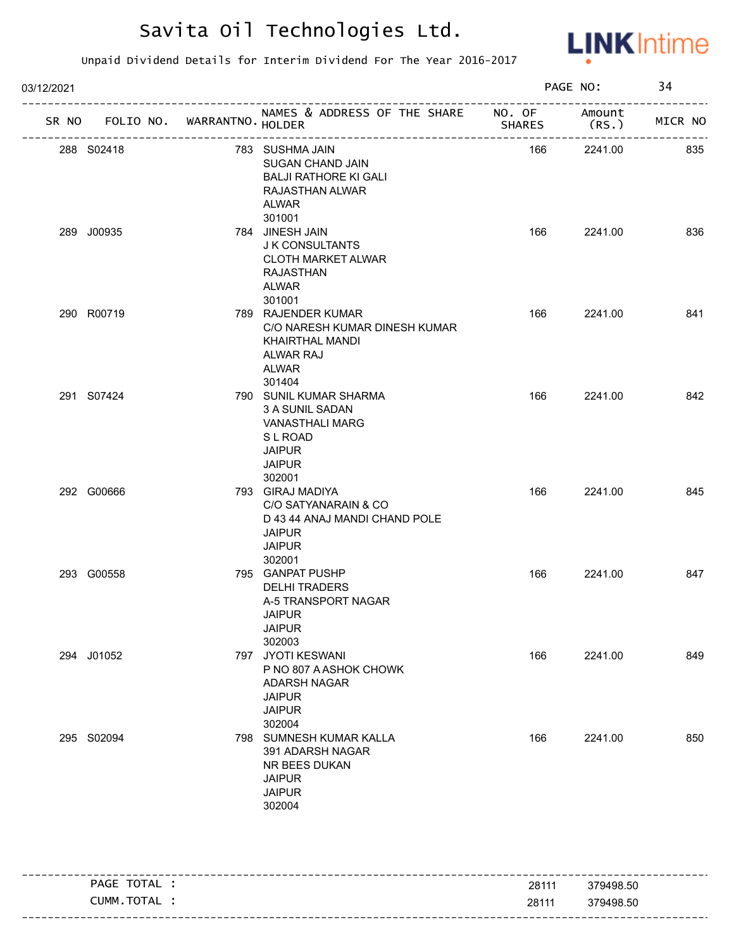

| 03/12/2021 |            |                             |                                                                                                                                  |               | PAGE NO:         | 34      |
|------------|------------|-----------------------------|----------------------------------------------------------------------------------------------------------------------------------|---------------|------------------|---------|
| SR NO      |            | FOLIO NO. WARRANTNO. HOLDER | NAMES & ADDRESS OF THE SHARE NO. OF                                                                                              | <b>SHARES</b> | Amount<br>(RS. ) | MICR NO |
|            | 288 S02418 |                             | 783 SUSHMA JAIN<br>SUGAN CHAND JAIN<br><b>BALJI RATHORE KI GALI</b><br>RAJASTHAN ALWAR<br>ALWAR<br>301001                        | 166           | 2241.00          | 835     |
|            | 289 J00935 |                             | 784 JINESH JAIN<br>J K CONSULTANTS<br><b>CLOTH MARKET ALWAR</b><br><b>RAJASTHAN</b><br>ALWAR<br>301001                           | 166           | 2241.00          | 836     |
|            | 290 R00719 |                             | 789 RAJENDER KUMAR<br>C/O NARESH KUMAR DINESH KUMAR<br>KHAIRTHAL MANDI<br>ALWAR RAJ<br>ALWAR<br>301404                           | 166           | 2241.00          | 841     |
|            | 291 S07424 |                             | 790 SUNIL KUMAR SHARMA<br>3 A SUNIL SADAN<br><b>VANASTHALI MARG</b><br><b>SLROAD</b><br><b>JAIPUR</b><br><b>JAIPUR</b><br>302001 | 166           | 2241.00          | 842     |
|            | 292 G00666 |                             | 793 GIRAJ MADIYA<br>C/O SATYANARAIN & CO<br>D 43 44 ANAJ MANDI CHAND POLE<br><b>JAIPUR</b><br><b>JAIPUR</b><br>302001            | 166           | 2241.00          | 845     |
|            | 293 G00558 |                             | 795 GANPAT PUSHP<br><b>DELHI TRADERS</b><br>A-5 TRANSPORT NAGAR<br>JAIPUR<br><b>JAIPUR</b><br>302003                             | 166           | 2241.00          | 847     |
|            | 294 J01052 |                             | 797 JYOTI KESWANI<br>P NO 807 A ASHOK CHOWK<br>ADARSH NAGAR<br><b>JAIPUR</b><br><b>JAIPUR</b><br>302004                          | 166           | 2241.00          | 849     |
|            | 295 S02094 |                             | 798 SUMNESH KUMAR KALLA<br>391 ADARSH NAGAR<br>NR BEES DUKAN<br><b>JAIPUR</b><br><b>JAIPUR</b><br>302004                         | 166           | 2241.00          | 850     |

|                      |       | ___________            |
|----------------------|-------|------------------------|
| ТОТА<br>PAGE<br>''AL | 28111 | 379498.50              |
| <b>CUMM</b><br>TOTAL | 28111 | 379498.50              |
|                      |       | ---------------------- |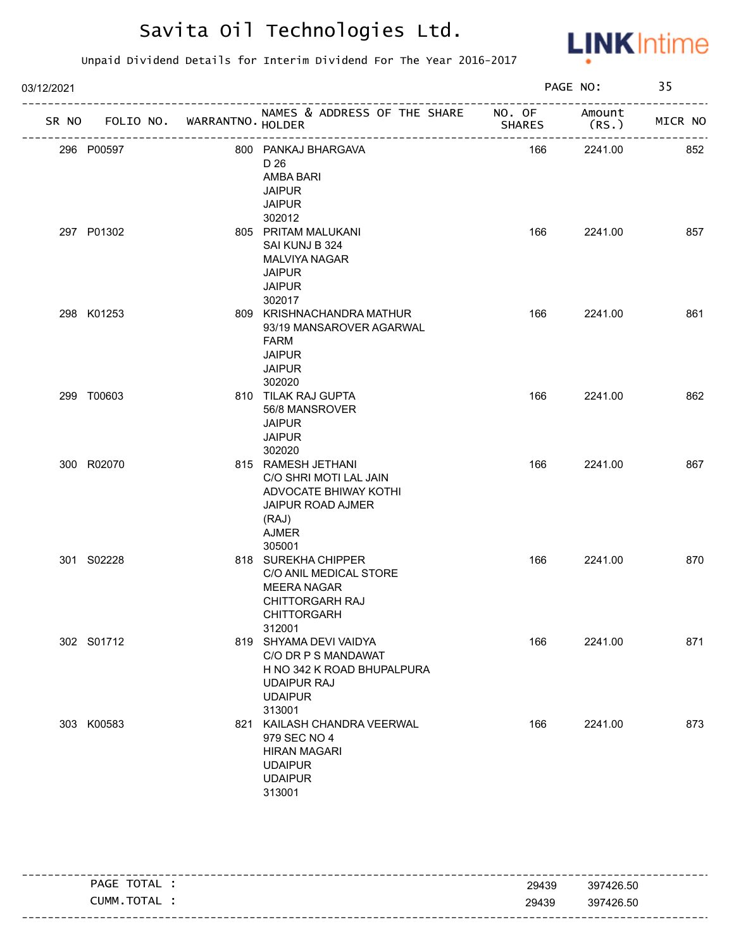

| 03/12/2021 |            |                             |                                                                                                                               | PAGE NO:      |                             | 35      |  |
|------------|------------|-----------------------------|-------------------------------------------------------------------------------------------------------------------------------|---------------|-----------------------------|---------|--|
| SR NO      |            | FOLIO NO. WARRANTNO. HOLDER | NAMES & ADDRESS OF THE SHARE NO. OF<br>------------------------------------                                                   | <b>SHARES</b> | Amount<br>(RS.)<br>-------- | MICR NO |  |
|            | 296 P00597 | ----------------            | 800 PANKAJ BHARGAVA<br>D 26<br>AMBA BARI<br><b>JAIPUR</b><br><b>JAIPUR</b><br>302012                                          | 166           | 2241.00                     | 852     |  |
|            | 297 P01302 |                             | 805 PRITAM MALUKANI<br>SAI KUNJ B 324<br><b>MALVIYA NAGAR</b><br><b>JAIPUR</b><br><b>JAIPUR</b><br>302017                     | 166           | 2241.00                     | 857     |  |
|            | 298 K01253 |                             | 809 KRISHNACHANDRA MATHUR<br>93/19 MANSAROVER AGARWAL<br>FARM<br><b>JAIPUR</b><br><b>JAIPUR</b><br>302020                     | 166           | 2241.00                     | 861     |  |
|            | 299 T00603 |                             | 810 TILAK RAJ GUPTA<br>56/8 MANSROVER<br><b>JAIPUR</b><br><b>JAIPUR</b><br>302020                                             | 166           | 2241.00                     | 862     |  |
|            | 300 R02070 |                             | 815 RAMESH JETHANI<br>C/O SHRI MOTI LAL JAIN<br>ADVOCATE BHIWAY KOTHI<br>JAIPUR ROAD AJMER<br>(RAJ)<br><b>AJMER</b><br>305001 | 166           | 2241.00                     | 867     |  |
|            | 301 S02228 |                             | 818 SUREKHA CHIPPER<br>C/O ANIL MEDICAL STORE<br><b>MEERA NAGAR</b><br><b>CHITTORGARH RAJ</b><br>CHITTORGARH<br>312001        | 166           | 2241.00                     | 870     |  |
|            | 302 S01712 |                             | 819 SHYAMA DEVI VAIDYA<br>C/O DR P S MANDAWAT<br>H NO 342 K ROAD BHUPALPURA<br><b>UDAIPUR RAJ</b><br><b>UDAIPUR</b><br>313001 | 166           | 2241.00                     | 871     |  |
|            | 303 K00583 |                             | 821 KAILASH CHANDRA VEERWAL<br>979 SEC NO 4<br><b>HIRAN MAGARI</b><br><b>UDAIPUR</b><br><b>UDAIPUR</b><br>313001              | 166           | 2241.00                     | 873     |  |

| TOTAL<br><b>PAGE</b> | 397426.50<br>29439 |  |
|----------------------|--------------------|--|
| TOTAL<br>CUMM        | 29439<br>397426.50 |  |
|                      |                    |  |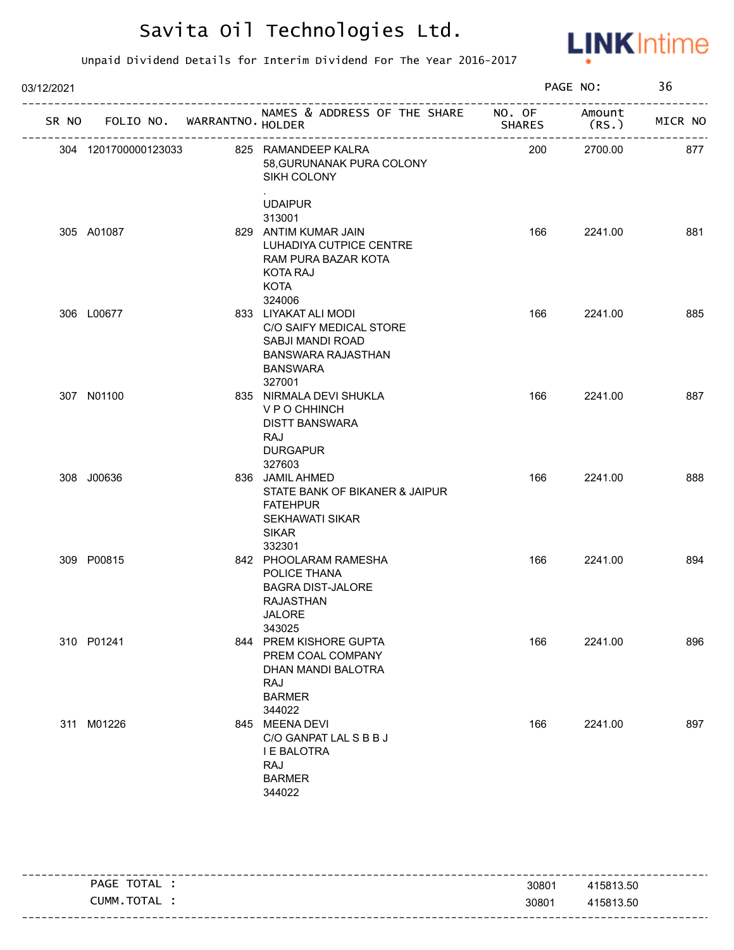

| 03/12/2021 |                                   |                                                                                                                               |               | PAGE NO:        | 36      |
|------------|-----------------------------------|-------------------------------------------------------------------------------------------------------------------------------|---------------|-----------------|---------|
|            | SR NO FOLIO NO. WARRANTNO. HOLDER | NAMES & ADDRESS OF THE SHARE NO. OF<br>____________________________                                                           | <b>SHARES</b> | Amount<br>(RS.) | MICR NO |
|            | 304 1201700000123033              | 825 RAMANDEEP KALRA<br>58, GURUNANAK PURA COLONY<br>SIKH COLONY<br><b>UDAIPUR</b>                                             | 200           | 2700.00         | 877     |
|            | 305 A01087                        | 313001<br>829 ANTIM KUMAR JAIN<br>LUHADIYA CUTPICE CENTRE<br>RAM PURA BAZAR KOTA<br><b>KOTA RAJ</b><br><b>KOTA</b><br>324006  | 166           | 2241.00         | 881     |
|            | 306 L00677                        | 833 LIYAKAT ALI MODI<br>C/O SAIFY MEDICAL STORE<br>SABJI MANDI ROAD<br><b>BANSWARA RAJASTHAN</b><br><b>BANSWARA</b><br>327001 | 166           | 2241.00         | 885     |
|            | 307 N01100                        | 835 NIRMALA DEVI SHUKLA<br>V P O CHHINCH<br><b>DISTT BANSWARA</b><br>RAJ<br><b>DURGAPUR</b><br>327603                         | 166           | 2241.00         | 887     |
|            | 308 J00636                        | 836 JAMIL AHMED<br>STATE BANK OF BIKANER & JAIPUR<br><b>FATEHPUR</b><br><b>SEKHAWATI SIKAR</b><br><b>SIKAR</b><br>332301      | 166           | 2241.00         | 888     |
|            | 309 P00815                        | 842 PHOOLARAM RAMESHA<br>POLICE THANA<br><b>BAGRA DIST-JALORE</b><br><b>RAJASTHAN</b><br>JALORE<br>343025                     | 166           | 2241.00         | 894     |
|            | 310 P01241                        | 844 PREM KISHORE GUPTA<br>PREM COAL COMPANY<br>DHAN MANDI BALOTRA<br>RAJ<br><b>BARMER</b><br>344022                           | 166           | 2241.00         | 896     |
|            | 311 M01226                        | 845 MEENA DEVI<br>C/O GANPAT LAL S B B J<br><b>I E BALOTRA</b><br><b>RAJ</b><br><b>BARMER</b><br>344022                       | 166           | 2241.00         | 897     |

|                |       | -----------------------                        |
|----------------|-------|------------------------------------------------|
| TOTAL<br>PAGE  | 30801 | 415813.50                                      |
| TOTAL<br>CUMM. | 30801 | 415813.50<br>--------------------------------- |
|                |       |                                                |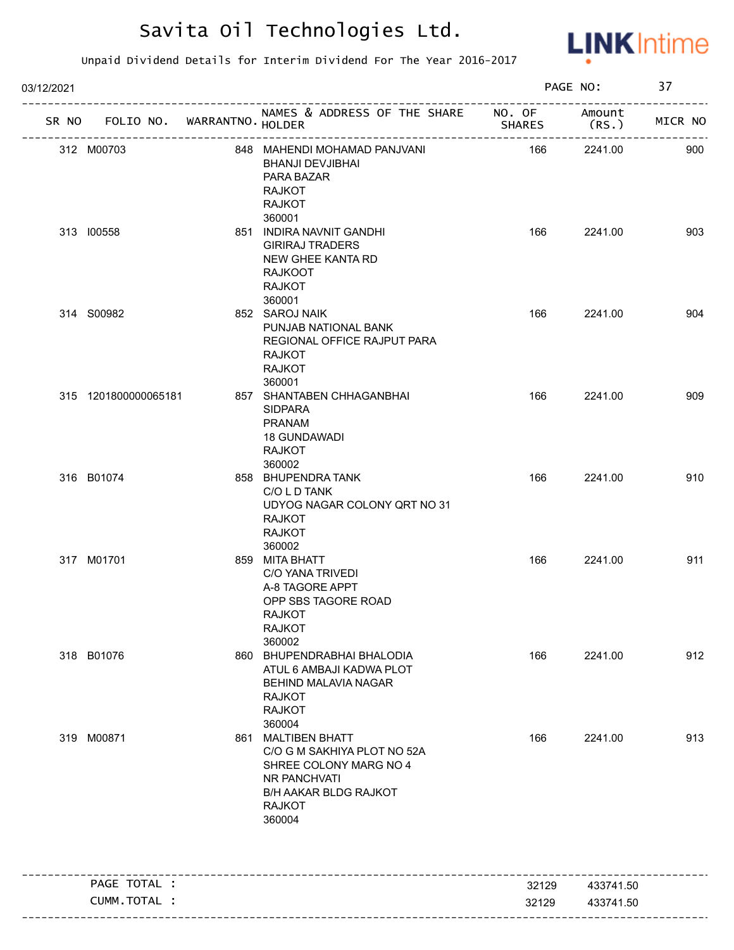

| 03/12/2021 |                             |                        |                                                                                                                                                        |        | PAGE NO:        | 37      |
|------------|-----------------------------|------------------------|--------------------------------------------------------------------------------------------------------------------------------------------------------|--------|-----------------|---------|
| SR NO      | FOLIO NO. WARRANTNO. HOLDER |                        | NAMES & ADDRESS OF THE SHARE NO. OF                                                                                                                    | SHARES | Amount<br>(RS.) | MICR NO |
|            | 312 M00703                  | ---------------------- | 848 MAHENDI MOHAMAD PANJVANI<br><b>BHANJI DEVJIBHAI</b><br>PARA BAZAR<br><b>RAJKOT</b><br><b>RAJKOT</b>                                                | 166    | 2241.00         | 900     |
|            | 313 100558                  |                        | 360001<br>851 INDIRA NAVNIT GANDHI<br><b>GIRIRAJ TRADERS</b><br>NEW GHEE KANTA RD<br><b>RAJKOOT</b><br><b>RAJKOT</b><br>360001                         | 166    | 2241.00         | 903     |
|            | 314 S00982                  |                        | 852 SAROJ NAIK<br>PUNJAB NATIONAL BANK<br>REGIONAL OFFICE RAJPUT PARA<br><b>RAJKOT</b><br><b>RAJKOT</b><br>360001                                      | 166    | 2241.00         | 904     |
|            | 315 1201800000065181        |                        | 857 SHANTABEN CHHAGANBHAI<br><b>SIDPARA</b><br><b>PRANAM</b><br><b>18 GUNDAWADI</b><br><b>RAJKOT</b><br>360002                                         | 166    | 2241.00         | 909     |
|            | 316 B01074                  |                        | 858 BHUPENDRA TANK<br>C/O L D TANK<br>UDYOG NAGAR COLONY QRT NO 31<br><b>RAJKOT</b><br><b>RAJKOT</b><br>360002                                         | 166    | 2241.00         | 910     |
|            | 317 M01701                  |                        | 859 MITA BHATT<br>C/O YANA TRIVEDI<br>A-8 TAGORE APPT<br>OPP SBS TAGORE ROAD<br>RAJKOT<br><b>RAJKOT</b><br>360002                                      | 166    | 2241.00         | 911     |
|            | 318 B01076                  |                        | 860 BHUPENDRABHAI BHALODIA<br>ATUL 6 AMBAJI KADWA PLOT<br>BEHIND MALAVIA NAGAR<br><b>RAJKOT</b><br><b>RAJKOT</b><br>360004                             | 166    | 2241.00         | 912     |
|            | 319 M00871                  |                        | 861 MALTIBEN BHATT<br>C/O G M SAKHIYA PLOT NO 52A<br>SHREE COLONY MARG NO 4<br>NR PANCHVATI<br><b>B/H AAKAR BLDG RAJKOT</b><br><b>RAJKOT</b><br>360004 | 166    | 2241.00         | 913     |
|            | PAGE TOTAL :                |                        |                                                                                                                                                        | 32129  | 433741.50       |         |
|            | CUMM.TOTAL :                |                        |                                                                                                                                                        | 32129  | 433741.50       |         |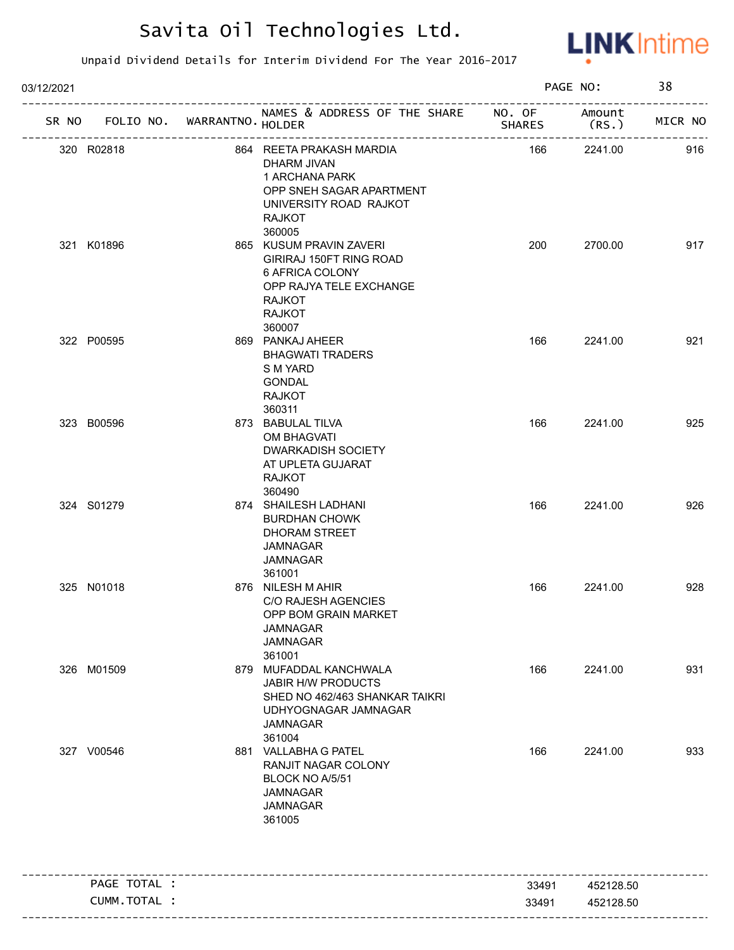

| 03/12/2021 |                                   |                                                                                                                                              |               | PAGE NO:        | 38      |
|------------|-----------------------------------|----------------------------------------------------------------------------------------------------------------------------------------------|---------------|-----------------|---------|
|            | SR NO FOLIO NO. WARRANTNO. HOLDER | NAMES & ADDRESS OF THE SHARE NO. OF                                                                                                          | <b>SHARES</b> | Amount<br>(RS.) | MICR NO |
|            | 320 R02818                        | 864 REETA PRAKASH MARDIA<br>DHARM JIVAN<br>1 ARCHANA PARK<br>OPP SNEH SAGAR APARTMENT<br>UNIVERSITY ROAD RAJKOT<br><b>RAJKOT</b><br>360005   | 166           | 2241.00         | 916     |
|            | 321 K01896                        | 865 KUSUM PRAVIN ZAVERI<br>GIRIRAJ 150FT RING ROAD<br>6 AFRICA COLONY<br>OPP RAJYA TELE EXCHANGE<br><b>RAJKOT</b><br><b>RAJKOT</b><br>360007 | 200           | 2700.00         | 917     |
|            | 322 P00595                        | 869 PANKAJ AHEER<br><b>BHAGWATI TRADERS</b><br>S M YARD<br><b>GONDAL</b><br><b>RAJKOT</b><br>360311                                          | 166           | 2241.00         | 921     |
|            | 323 B00596                        | 873 BABULAL TILVA<br>OM BHAGVATI<br>DWARKADISH SOCIETY<br>AT UPLETA GUJARAT<br><b>RAJKOT</b><br>360490                                       | 166           | 2241.00         | 925     |
|            | 324 S01279                        | 874 SHAILESH LADHANI<br><b>BURDHAN CHOWK</b><br>DHORAM STREET<br>JAMNAGAR<br><b>JAMNAGAR</b><br>361001                                       | 166           | 2241.00         | 926     |
|            | 325 N01018                        | 876 NILESH M AHIR<br><b>C/O RAJESH AGENCIES</b><br>OPP BOM GRAIN MARKET<br>JAMNAGAR<br><b>JAMNAGAR</b><br>361001                             | 166           | 2241.00         | 928     |
|            | 326 M01509                        | 879 MUFADDAL KANCHWALA<br><b>JABIR H/W PRODUCTS</b><br>SHED NO 462/463 SHANKAR TAIKRI<br>UDHYOGNAGAR JAMNAGAR<br><b>JAMNAGAR</b><br>361004   | 166           | 2241.00         | 931     |
|            | 327 V00546                        | 881 VALLABHA G PATEL<br>RANJIT NAGAR COLONY<br>BLOCK NO A/5/51<br>JAMNAGAR<br><b>JAMNAGAR</b><br>361005                                      | 166           | 2241.00         | 933     |
|            | PAGE TOTAL :                      |                                                                                                                                              | 33491         | 452128.50       |         |
|            | CUMM.TOTAL :                      |                                                                                                                                              | 33491         | 452128.50       |         |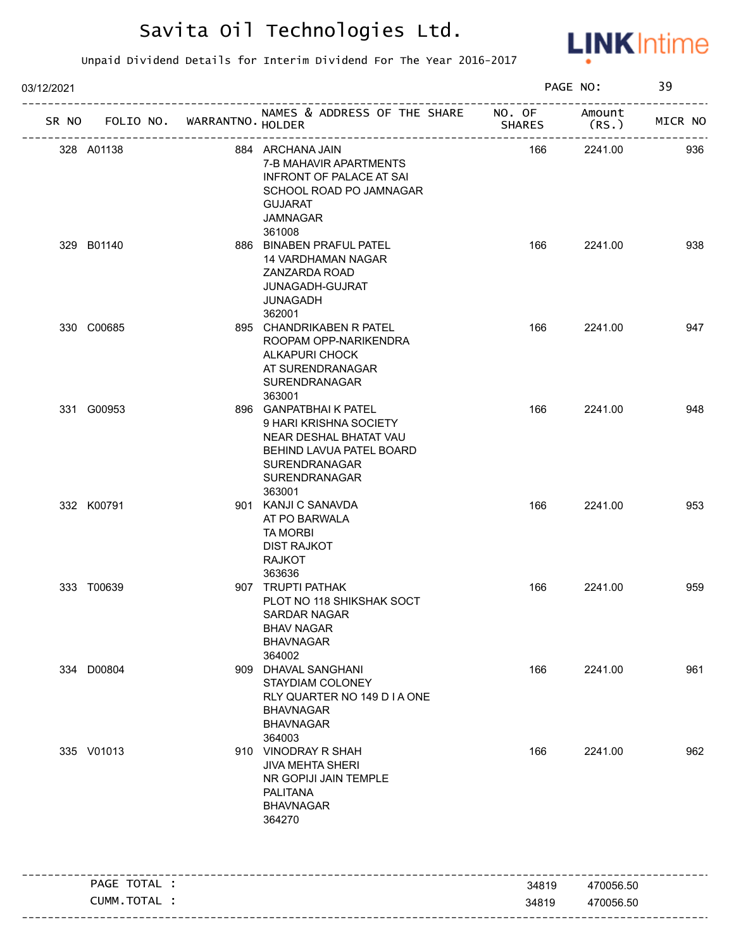

| 03/12/2021                        |                                                                                                                                                   | PAGE NO:       |                        | 39      |
|-----------------------------------|---------------------------------------------------------------------------------------------------------------------------------------------------|----------------|------------------------|---------|
| SR NO FOLIO NO. WARRANTNO. HOLDER | NAMES & ADDRESS OF THE SHARE NO. OF                                                                                                               | <b>SHARES</b>  | Amount<br>(RS. )       | MICR NO |
| 328 A01138                        | 884 ARCHANA JAIN<br>7-B MAHAVIR APARTMENTS<br><b>INFRONT OF PALACE AT SAI</b><br>SCHOOL ROAD PO JAMNAGAR<br><b>GUJARAT</b><br>JAMNAGAR<br>361008  | 166            | 2241.00                | 936     |
| 329 B01140                        | 886 BINABEN PRAFUL PATEL<br>14 VARDHAMAN NAGAR<br>ZANZARDA ROAD<br>JUNAGADH-GUJRAT<br><b>JUNAGADH</b><br>362001                                   | 166            | 2241.00                | 938     |
| 330 C00685                        | 895 CHANDRIKABEN R PATEL<br>ROOPAM OPP-NARIKENDRA<br><b>ALKAPURI CHOCK</b><br>AT SURENDRANAGAR<br>SURENDRANAGAR<br>363001                         | 166            | 2241.00                | 947     |
| 331 G00953                        | 896 GANPATBHAIK PATEL<br>9 HARI KRISHNA SOCIETY<br>NEAR DESHAL BHATAT VAU<br>BEHIND LAVUA PATEL BOARD<br>SURENDRANAGAR<br>SURENDRANAGAR<br>363001 | 166            | 2241.00                | 948     |
| 332 K00791                        | 901 KANJI C SANAVDA<br>AT PO BARWALA<br><b>TA MORBI</b><br><b>DIST RAJKOT</b><br><b>RAJKOT</b><br>363636                                          | 166            | 2241.00                | 953     |
| 333 T00639                        | 907 TRUPTI PATHAK<br>PLOT NO 118 SHIKSHAK SOCT<br>SARDAR NAGAR<br><b>BHAV NAGAR</b><br><b>BHAVNAGAR</b><br>364002                                 | 166            | 2241.00                | 959     |
| 334 D00804                        | 909 DHAVAL SANGHANI<br>STAYDIAM COLONEY<br>RLY QUARTER NO 149 D I A ONE<br><b>BHAVNAGAR</b><br><b>BHAVNAGAR</b><br>364003                         | 166            | 2241.00                | 961     |
| 335 V01013                        | 910 VINODRAY R SHAH<br><b>JIVA MEHTA SHERI</b><br>NR GOPIJI JAIN TEMPLE<br>PALITANA<br><b>BHAVNAGAR</b><br>364270                                 | 166            | 2241.00                | 962     |
|                                   |                                                                                                                                                   |                |                        |         |
| PAGE TOTAL :<br>CUMM.TOTAL :      |                                                                                                                                                   | 34819<br>34819 | 470056.50<br>470056.50 |         |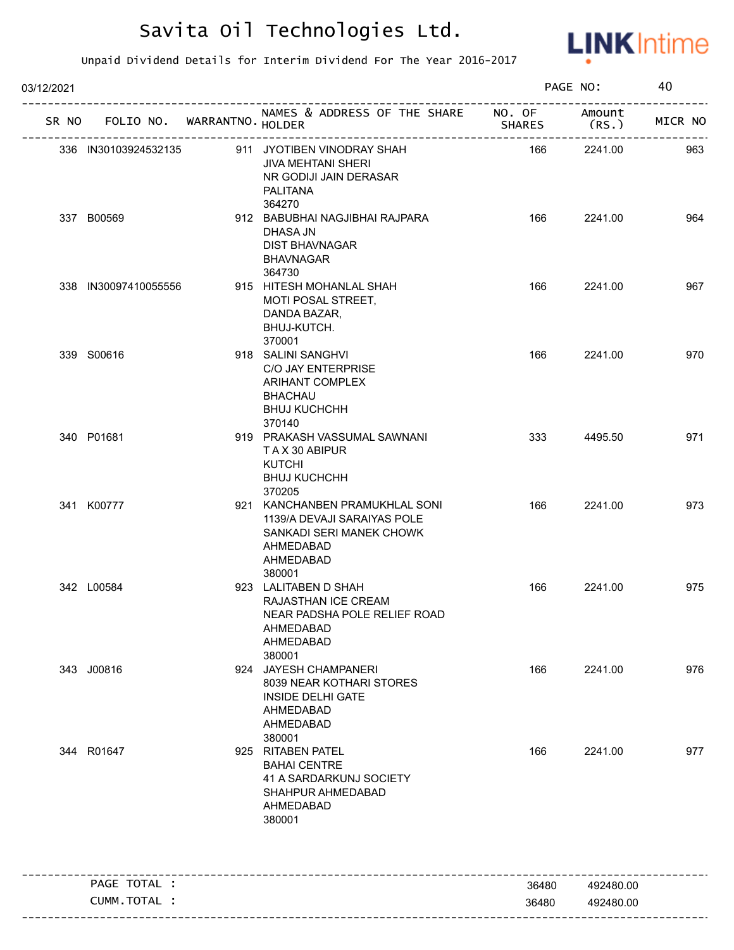

| 03/12/2021 |                                   |                                                                                                                               |               | PAGE NO:         | 40      |
|------------|-----------------------------------|-------------------------------------------------------------------------------------------------------------------------------|---------------|------------------|---------|
|            | SR NO FOLIO NO. WARRANTNO. HOLDER | NAMES & ADDRESS OF THE SHARE NO. OF                                                                                           | <b>SHARES</b> | Amount<br>(RS. ) | MICR NO |
|            | 336 IN30103924532135              | 911 JYOTIBEN VINODRAY SHAH<br><b>JIVA MEHTANI SHERI</b><br>NR GODIJI JAIN DERASAR<br>PALITANA<br>364270                       | 166           | 2241.00          | 963     |
|            | 337 B00569                        | 912 BABUBHAI NAGJIBHAI RAJPARA<br>DHASA JN<br><b>DIST BHAVNAGAR</b><br><b>BHAVNAGAR</b><br>364730                             | 166           | 2241.00          | 964     |
|            | 338 IN30097410055556              | 915 HITESH MOHANLAL SHAH<br>MOTI POSAL STREET,<br>DANDA BAZAR,<br>BHUJ-KUTCH.<br>370001                                       | 166           | 2241.00          | 967     |
|            | 339 S00616                        | 918 SALINI SANGHVI<br>C/O JAY ENTERPRISE<br><b>ARIHANT COMPLEX</b><br><b>BHACHAU</b><br><b>BHUJ KUCHCHH</b><br>370140         | 166           | 2241.00          | 970     |
|            | 340 P01681                        | 919 PRAKASH VASSUMAL SAWNANI<br>TAX 30 ABIPUR<br><b>KUTCHI</b><br><b>BHUJ KUCHCHH</b><br>370205                               | 333           | 4495.50          | 971     |
|            | 341 K00777                        | 921 KANCHANBEN PRAMUKHLAL SONI<br>1139/A DEVAJI SARAIYAS POLE<br>SANKADI SERI MANEK CHOWK<br>AHMEDABAD<br>AHMEDABAD<br>380001 | 166           | 2241.00          | 973     |
|            | 342 L00584                        | 923 LALITABEN D SHAH<br>RAJASTHAN ICE CREAM<br>NEAR PADSHA POLE RELIEF ROAD<br>AHMEDABAD<br>AHMEDABAD<br>380001               | 166           | 2241.00          | 975     |
|            | 343 J00816                        | 924 JAYESH CHAMPANERI<br>8039 NEAR KOTHARI STORES<br><b>INSIDE DELHI GATE</b><br>AHMEDABAD<br>AHMEDABAD<br>380001             | 166           | 2241.00          | 976     |
|            | 344 R01647                        | 925 RITABEN PATEL<br><b>BAHAI CENTRE</b><br>41 A SARDARKUNJ SOCIETY<br>SHAHPUR AHMEDABAD<br>AHMEDABAD<br>380001               | 166           | 2241.00          | 977     |
|            | PAGE TOTAL :                      |                                                                                                                               | 36480         | 492480.00        |         |
|            | CUMM. TOTAL :                     |                                                                                                                               | 36480         | 492480.00        |         |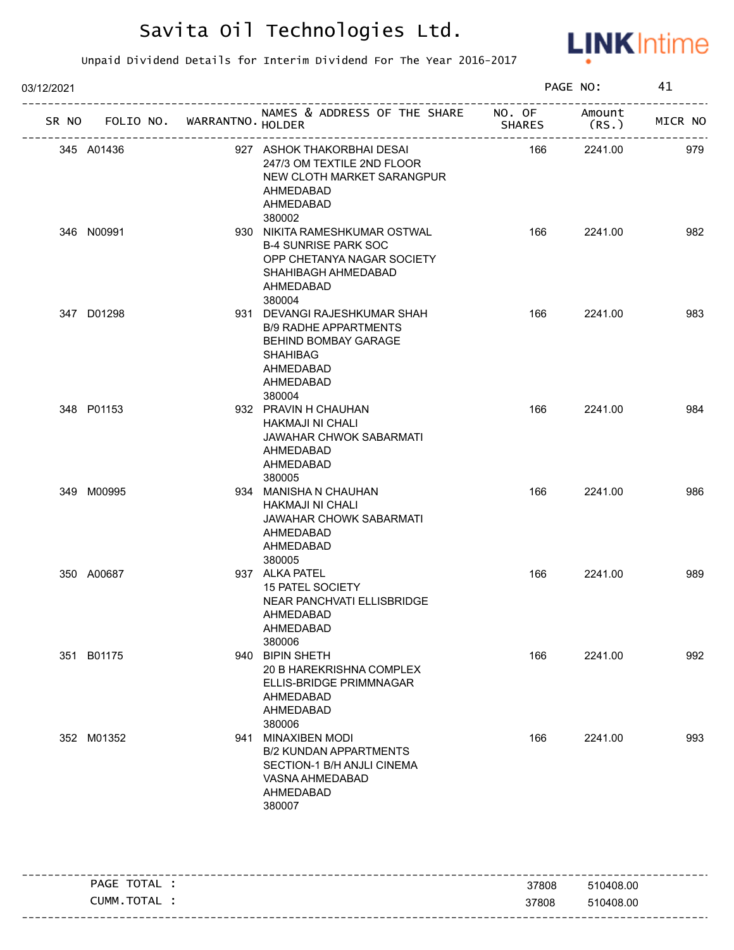

| 03/12/2021         |                   |                                                                                                                                                    | PAGE NO: |                              | 41      |
|--------------------|-------------------|----------------------------------------------------------------------------------------------------------------------------------------------------|----------|------------------------------|---------|
| FOLIO NO.<br>SR NO | WARRANTNO. HOLDER | NAMES & ADDRESS OF THE SHARE NO. OF                                                                                                                | SHARES   | Amount<br>(RS.)              | MICR NO |
| 345 A01436         | ----------------- | 927 ASHOK THAKORBHAI DESAI<br>247/3 OM TEXTILE 2ND FLOOR<br>NEW CLOTH MARKET SARANGPUR<br>AHMEDABAD<br>AHMEDABAD<br>380002                         | 166      | -----------------<br>2241.00 | 979     |
| 346 N00991         |                   | 930 NIKITA RAMESHKUMAR OSTWAL<br><b>B-4 SUNRISE PARK SOC</b><br>OPP CHETANYA NAGAR SOCIETY<br>SHAHIBAGH AHMEDABAD<br>AHMEDABAD<br>380004           | 166      | 2241.00                      | 982     |
| 347 D01298         |                   | 931 DEVANGI RAJESHKUMAR SHAH<br><b>B/9 RADHE APPARTMENTS</b><br><b>BEHIND BOMBAY GARAGE</b><br><b>SHAHIBAG</b><br>AHMEDABAD<br>AHMEDABAD<br>380004 | 166      | 2241.00                      | 983     |
| 348 P01153         |                   | 932 PRAVIN H CHAUHAN<br>HAKMAJI NI CHALI<br>JAWAHAR CHWOK SABARMATI<br>AHMEDABAD<br>AHMEDABAD<br>380005                                            | 166      | 2241.00                      | 984     |
| 349 M00995         |                   | 934 MANISHA N CHAUHAN<br><b>HAKMAJI NI CHALI</b><br>JAWAHAR CHOWK SABARMATI<br>AHMEDABAD<br>AHMEDABAD<br>380005                                    | 166      | 2241.00                      | 986     |
| 350 A00687         |                   | 937 ALKA PATEL<br><b>15 PATEL SOCIETY</b><br>NEAR PANCHVATI ELLISBRIDGE<br>AHMEDABAD<br>AHMEDABAD<br>380006                                        | 166      | 2241.00                      | 989     |
| 351 B01175         |                   | 940 BIPIN SHETH<br>20 B HAREKRISHNA COMPLEX<br>ELLIS-BRIDGE PRIMMNAGAR<br>AHMEDABAD<br>AHMEDABAD<br>380006                                         | 166      | 2241.00                      | 992     |
| 352 M01352         |                   | 941 MINAXIBEN MODI<br><b>B/2 KUNDAN APPARTMENTS</b><br>SECTION-1 B/H ANJLI CINEMA<br>VASNA AHMEDABAD<br>AHMEDABAD<br>380007                        | 166      | 2241.00                      | 993     |

|          | -~-<br><b>PAGE</b><br>'N<br>! ⌒∟ | 37808 | 408.00<br>$510-$ |
|----------|----------------------------------|-------|------------------|
| -------- | тот<br>CUMM.<br>TAL.             | 37808 | 408.00<br>.51C   |
|          |                                  |       |                  |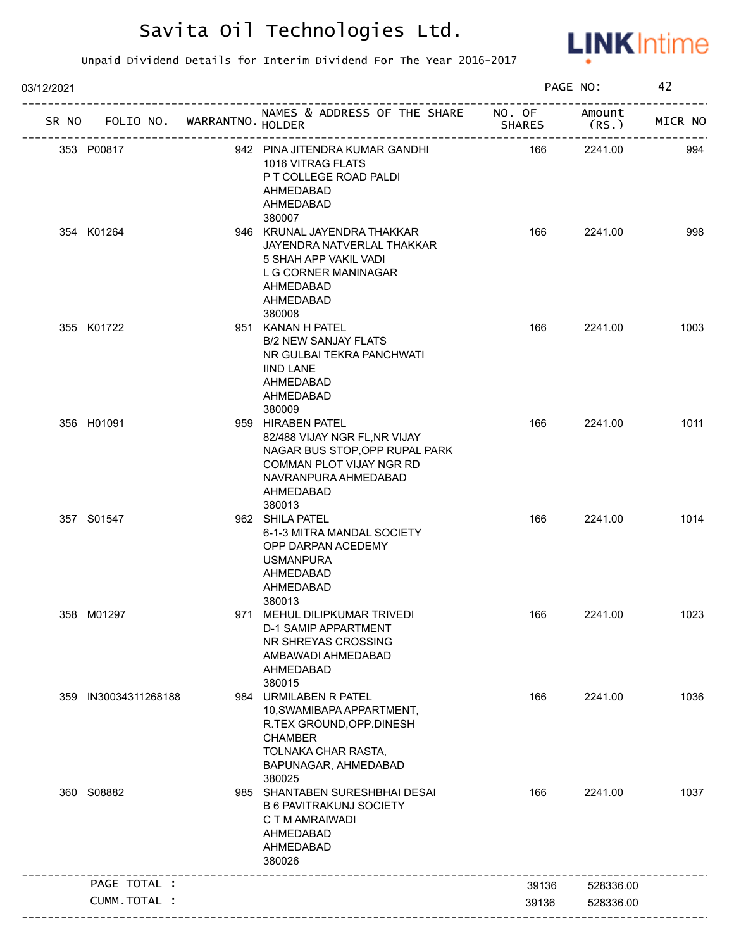

| 03/12/2021 |                            |                                                                                                                                                                 |               | PAGE NO:        | 42      |
|------------|----------------------------|-----------------------------------------------------------------------------------------------------------------------------------------------------------------|---------------|-----------------|---------|
| SR NO      | FOLIO NO. WARRANTNO HOLDER | NAMES & ADDRESS OF THE SHARE NO. OF                                                                                                                             | <b>SHARES</b> | Amount<br>(RS.) | MICR NO |
|            | 353 P00817                 | 942 PINA JITENDRA KUMAR GANDHI<br>1016 VITRAG FLATS<br>P T COLLEGE ROAD PALDI<br>AHMEDABAD<br>AHMEDABAD                                                         | 166           | 2241.00         | 994     |
|            | 354 K01264                 | 380007<br>946 KRUNAL JAYENDRA THAKKAR<br>JAYENDRA NATVERLAL THAKKAR<br>5 SHAH APP VAKIL VADI<br>L G CORNER MANINAGAR<br>AHMEDABAD<br>AHMEDABAD<br>380008        | 166           | 2241.00         | 998     |
|            | 355 K01722                 | 951 KANAN H PATEL<br><b>B/2 NEW SANJAY FLATS</b><br>NR GULBAI TEKRA PANCHWATI<br><b>IIND LANE</b><br>AHMEDABAD<br><b>AHMEDABAD</b><br>380009                    | 166           | 2241.00         | 1003    |
|            | 356 H01091                 | 959 HIRABEN PATEL<br>82/488 VIJAY NGR FL, NR VIJAY<br>NAGAR BUS STOP, OPP RUPAL PARK<br>COMMAN PLOT VIJAY NGR RD<br>NAVRANPURA AHMEDABAD<br>AHMEDABAD<br>380013 | 166           | 2241.00         | 1011    |
|            | 357 S01547                 | 962 SHILA PATEL<br>6-1-3 MITRA MANDAL SOCIETY<br>OPP DARPAN ACEDEMY<br><b>USMANPURA</b><br>AHMEDABAD<br>AHMEDABAD<br>380013                                     | 166           | 2241.00         | 1014    |
|            | 358 M01297                 | 971 MEHUL DILIPKUMAR TRIVEDI<br><b>D-1 SAMIP APPARTMENT</b><br>NR SHREYAS CROSSING<br>AMBAWADI AHMEDABAD<br>AHMEDABAD<br>380015                                 | 166           | 2241.00         | 1023    |
| 359        | IN30034311268188           | 984 URMILABEN R PATEL<br>10, SWAMIBAPA APPARTMENT,<br>R.TEX GROUND, OPP. DINESH<br><b>CHAMBER</b><br>TOLNAKA CHAR RASTA,<br>BAPUNAGAR, AHMEDABAD<br>380025      | 166           | 2241.00         | 1036    |
|            | 360 S08882                 | 985 SHANTABEN SURESHBHAI DESAI<br><b>B 6 PAVITRAKUNJ SOCIETY</b><br>C T M AMRAIWADI<br>AHMEDABAD<br>AHMEDABAD<br>380026                                         | 166           | 2241.00         | 1037    |
|            | PAGE TOTAL :               |                                                                                                                                                                 | 39136         | 528336.00       |         |
|            | CUMM.TOTAL :               |                                                                                                                                                                 |               |                 |         |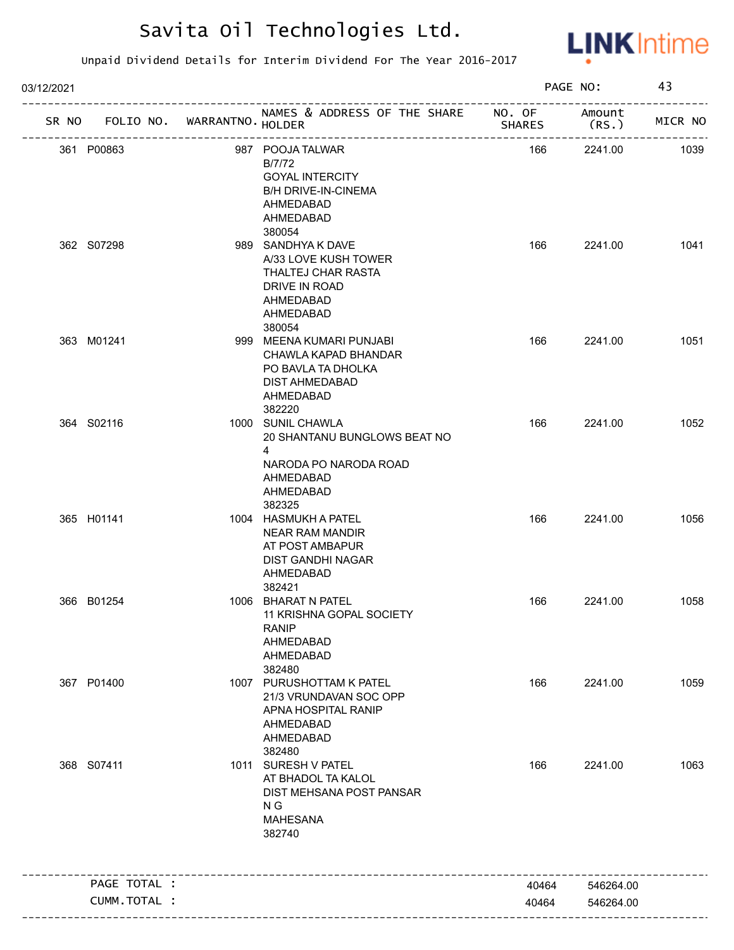

| 03/12/2021 |                             |                                                                                                                        |               | PAGE NO:       | 43      |
|------------|-----------------------------|------------------------------------------------------------------------------------------------------------------------|---------------|----------------|---------|
| SR NO      | FOLIO NO. WARRANTNO. HOLDER | NAMES & ADDRESS OF THE SHARE NO. OF                                                                                    | <b>SHARES</b> | Amount<br>(RS. | MICR NO |
| 361 P00863 |                             | 987 POOJA TALWAR<br>B/7/72<br><b>GOYAL INTERCITY</b><br><b>B/H DRIVE-IN-CINEMA</b><br>AHMEDABAD<br>AHMEDABAD<br>380054 | 166           | 2241.00        | 1039    |
| 362 S07298 |                             | 989 SANDHYA K DAVE<br>A/33 LOVE KUSH TOWER<br>THALTEJ CHAR RASTA<br>DRIVE IN ROAD<br>AHMEDABAD<br>AHMEDABAD<br>380054  | 166           | 2241.00        | 1041    |
| 363 M01241 |                             | 999 MEENA KUMARI PUNJABI<br>CHAWLA KAPAD BHANDAR<br>PO BAVLA TA DHOLKA<br>DIST AHMEDABAD<br>AHMEDABAD<br>382220        | 166           | 2241.00        | 1051    |
| 364 S02116 |                             | 1000 SUNIL CHAWLA<br>20 SHANTANU BUNGLOWS BEAT NO<br>4<br>NARODA PO NARODA ROAD<br>AHMEDABAD<br>AHMEDABAD<br>382325    | 166           | 2241.00        | 1052    |
| 365 H01141 |                             | 1004 HASMUKH A PATEL<br><b>NEAR RAM MANDIR</b><br>AT POST AMBAPUR<br><b>DIST GANDHI NAGAR</b><br>AHMEDABAD<br>382421   | 166           | 2241.00        | 1056    |
| 366 B01254 |                             | 1006 BHARAT N PATEL<br>11 KRISHNA GOPAL SOCIETY<br><b>RANIP</b><br>AHMEDABAD<br>AHMEDABAD<br>382480                    | 166           | 2241.00        | 1058    |
| 367 P01400 |                             | 1007 PURUSHOTTAM K PATEL<br>21/3 VRUNDAVAN SOC OPP<br>APNA HOSPITAL RANIP<br>AHMEDABAD<br>AHMEDABAD<br>382480          | 166           | 2241.00        | 1059    |
| 368 S07411 |                             | 1011 SURESH V PATEL<br>AT BHADOL TA KALOL<br>DIST MEHSANA POST PANSAR<br>N G<br><b>MAHESANA</b><br>382740              | 166           | 2241.00        | 1063    |
|            | PAGE TOTAL :                |                                                                                                                        | 40464         | 546264.00      |         |
|            |                             |                                                                                                                        |               |                |         |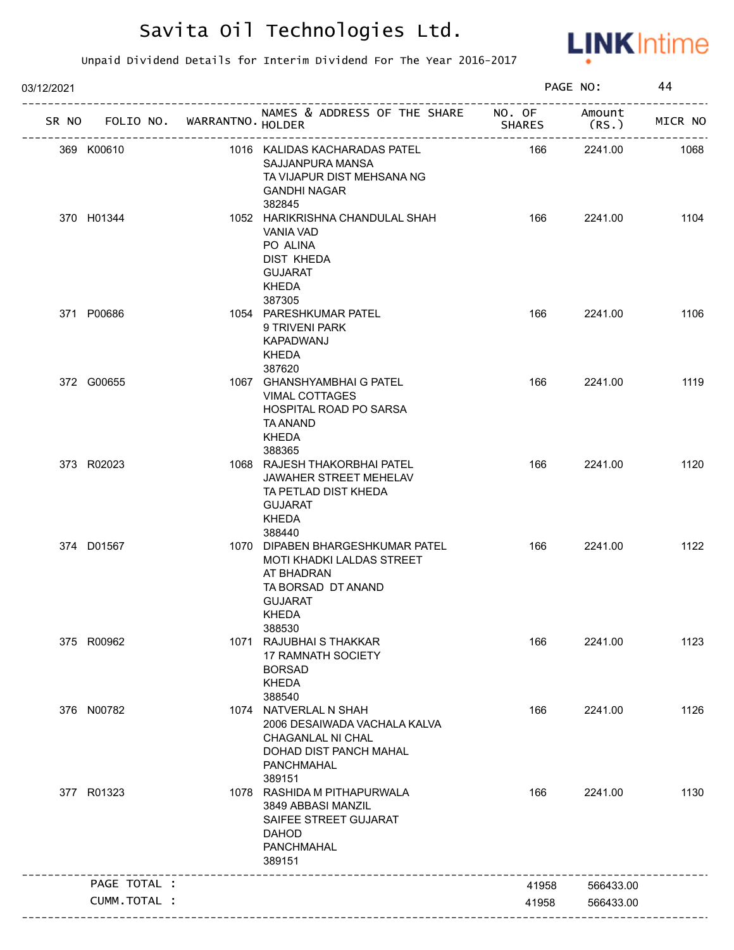

| 03/12/2021 |              |                             |                                                                                                                                        |               | PAGE NO:                        | 44      |
|------------|--------------|-----------------------------|----------------------------------------------------------------------------------------------------------------------------------------|---------------|---------------------------------|---------|
| SR NO      |              | FOLIO NO. WARRANTNO. HOLDER | NAMES & ADDRESS OF THE SHARE NO. OF                                                                                                    | <b>SHARES</b> | Amount<br>(RS.)<br>------------ | MICR NO |
|            | 369 K00610   |                             | 1016 KALIDAS KACHARADAS PATEL<br>SAJJANPURA MANSA<br>TA VIJAPUR DIST MEHSANA NG<br><b>GANDHI NAGAR</b><br>382845                       | 166           | 2241.00                         | 1068    |
|            | 370 H01344   |                             | 1052 HARIKRISHNA CHANDULAL SHAH<br>VANIA VAD<br>PO ALINA<br><b>DIST KHEDA</b><br><b>GUJARAT</b><br><b>KHEDA</b><br>387305              | 166           | 2241.00                         | 1104    |
|            | 371 P00686   |                             | 1054 PARESHKUMAR PATEL<br>9 TRIVENI PARK<br>KAPADWANJ<br><b>KHEDA</b><br>387620                                                        | 166           | 2241.00                         | 1106    |
|            | 372 G00655   |                             | 1067 GHANSHYAMBHAI G PATEL<br><b>VIMAL COTTAGES</b><br><b>HOSPITAL ROAD PO SARSA</b><br><b>TA ANAND</b><br><b>KHEDA</b><br>388365      | 166           | 2241.00                         | 1119    |
|            | 373 R02023   |                             | 1068 RAJESH THAKORBHAI PATEL<br>JAWAHER STREET MEHELAV<br>TA PETLAD DIST KHEDA<br><b>GUJARAT</b><br><b>KHEDA</b><br>388440             | 166           | 2241.00                         | 1120    |
|            | 374 D01567   |                             | 1070 DIPABEN BHARGESHKUMAR PATEL<br>MOTI KHADKI LALDAS STREET<br>AT BHADRAN<br>TA BORSAD DT ANAND<br><b>GUJARAT</b><br>KHEDA<br>388530 | 166           | 2241.00                         | 1122    |
|            | 375 R00962   |                             | 1071 RAJUBHAI S THAKKAR<br><b>17 RAMNATH SOCIETY</b><br><b>BORSAD</b><br><b>KHEDA</b><br>388540                                        | 166           | 2241.00                         | 1123    |
|            | 376 N00782   |                             | 1074 NATVERLAL N SHAH<br>2006 DESAIWADA VACHALA KALVA<br>CHAGANLAL NI CHAL<br>DOHAD DIST PANCH MAHAL<br>PANCHMAHAL<br>389151           | 166           | 2241.00                         | 1126    |
|            | 377 R01323   |                             | 1078 RASHIDA M PITHAPURWALA<br>3849 ABBASI MANZIL<br>SAIFEE STREET GUJARAT<br><b>DAHOD</b><br><b>PANCHMAHAL</b><br>389151              | 166           | 2241.00                         | 1130    |
|            | PAGE TOTAL : |                             |                                                                                                                                        | 41958         | 566433.00                       |         |
|            | CUMM.TOTAL : |                             |                                                                                                                                        | 41958         | 566433.00                       |         |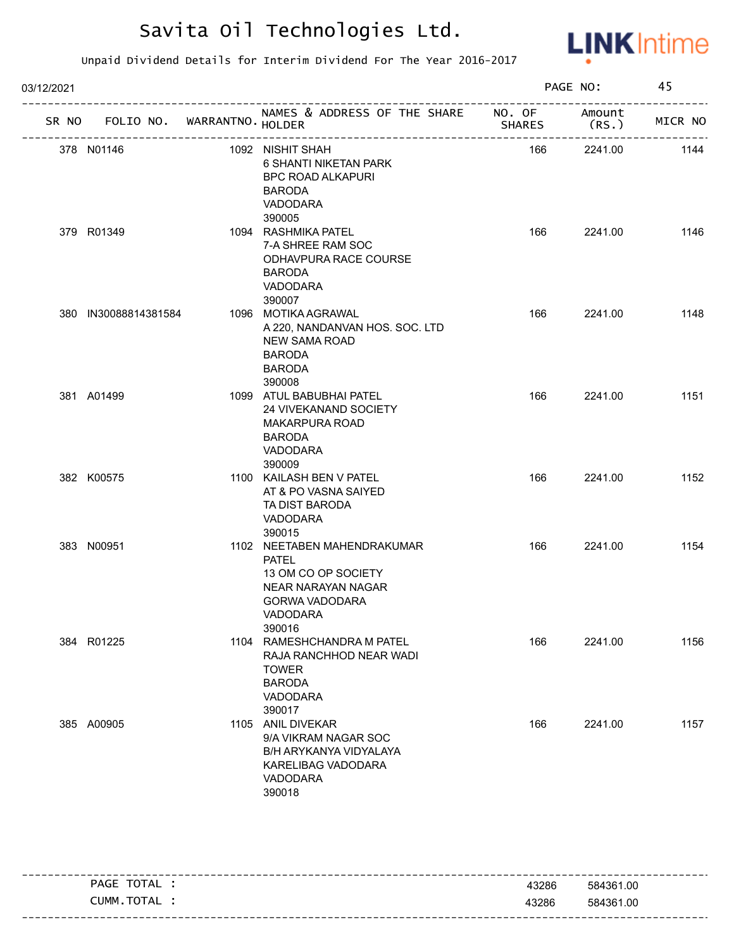

| 03/12/2021 |                                   |                                                                                                                                         |               | PAGE NO:         | 45      |
|------------|-----------------------------------|-----------------------------------------------------------------------------------------------------------------------------------------|---------------|------------------|---------|
|            | SR NO FOLIO NO. WARRANTNO. HOLDER | NAMES & ADDRESS OF THE SHARE NO. OF                                                                                                     | <b>SHARES</b> | Amount<br>(RS. ) | MICR NO |
|            | 378 N01146                        | 1092 NISHIT SHAH<br>6 SHANTI NIKETAN PARK<br><b>BPC ROAD ALKAPURI</b><br><b>BARODA</b><br>VADODARA<br>390005                            | 166           | 2241.00          | 1144    |
|            | 379 R01349                        | 1094 RASHMIKA PATEL<br>7-A SHREE RAM SOC<br>ODHAVPURA RACE COURSE<br><b>BARODA</b><br>VADODARA<br>390007                                | 166           | 2241.00          | 1146    |
|            | 380 IN30088814381584              | 1096 MOTIKA AGRAWAL<br>A 220, NANDANVAN HOS. SOC. LTD<br><b>NEW SAMA ROAD</b><br><b>BARODA</b><br><b>BARODA</b><br>390008               | 166           | 2241.00          | 1148    |
|            | 381 A01499                        | 1099 ATUL BABUBHAI PATEL<br>24 VIVEKANAND SOCIETY<br><b>MAKARPURA ROAD</b><br><b>BARODA</b><br>VADODARA<br>390009                       | 166           | 2241.00          | 1151    |
|            | 382 K00575                        | 1100 KAILASH BEN V PATEL<br>AT & PO VASNA SAIYED<br>TA DIST BARODA<br>VADODARA<br>390015                                                | 166           | 2241.00          | 1152    |
|            | 383 N00951                        | 1102 NEETABEN MAHENDRAKUMAR<br><b>PATEL</b><br>13 OM CO OP SOCIETY<br>NEAR NARAYAN NAGAR<br><b>GORWA VADODARA</b><br>VADODARA<br>390016 | 166           | 2241.00          | 1154    |
|            | 384 R01225                        | 1104 RAMESHCHANDRA M PATEL<br>RAJA RANCHHOD NEAR WADI<br><b>TOWER</b><br><b>BARODA</b><br>VADODARA<br>390017                            | 166           | 2241.00          | 1156    |
|            | 385 A00905                        | 1105 ANIL DIVEKAR<br>9/A VIKRAM NAGAR SOC<br>B/H ARYKANYA VIDYALAYA<br>KARELIBAG VADODARA<br>VADODARA<br>390018                         | 166           | 2241.00          | 1157    |

| TOTAL<br>PAGE | 43286 | 584361.00 |
|---------------|-------|-----------|
| CUMM.TOTAL    | 43286 | 584361.00 |
|               |       |           |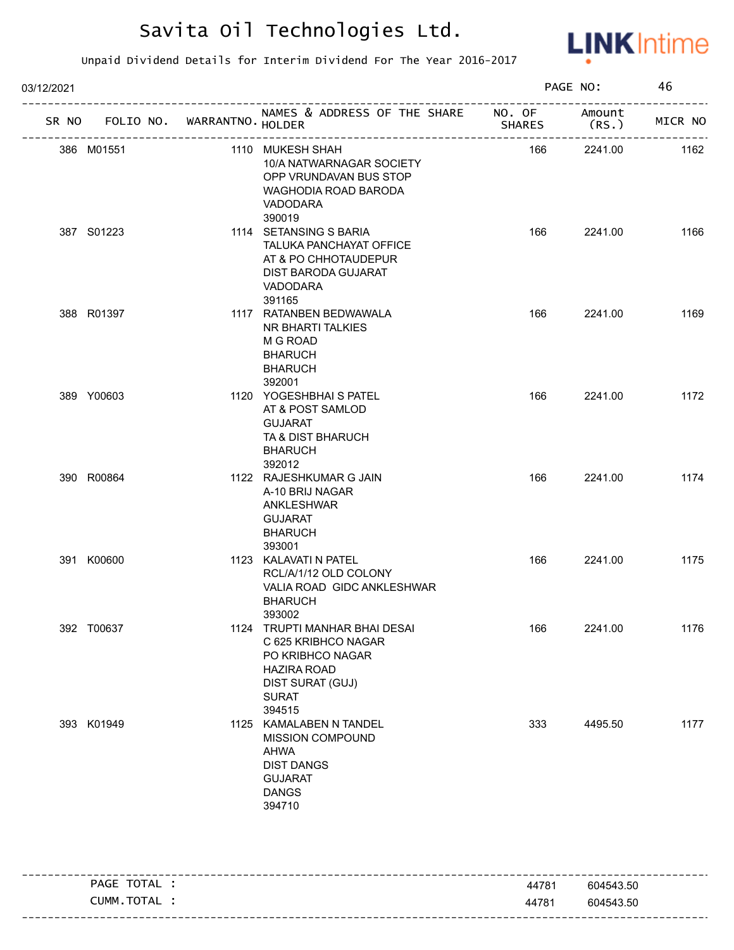

| 03/12/2021 |            |                  |                                                                                                                                              |               | PAGE NO:       |         |
|------------|------------|------------------|----------------------------------------------------------------------------------------------------------------------------------------------|---------------|----------------|---------|
| SR NO      | FOLIO NO.  | WARRANTNO HOLDER | NAMES & ADDRESS OF THE SHARE NO. OF                                                                                                          | <b>SHARES</b> | Amount<br>(RS. | MICR NO |
|            | 386 M01551 |                  | 1110 MUKESH SHAH<br>10/A NATWARNAGAR SOCIETY<br>OPP VRUNDAVAN BUS STOP<br>WAGHODIA ROAD BARODA<br><b>VADODARA</b><br>390019                  | 166           | 2241.00        | 1162    |
|            | 387 S01223 |                  | 1114 SETANSING S BARIA<br>TALUKA PANCHAYAT OFFICE<br>AT & PO CHHOTAUDEPUR<br>DIST BARODA GUJARAT<br>VADODARA<br>391165                       | 166           | 2241.00        | 1166    |
|            | 388 R01397 |                  | 1117 RATANBEN BEDWAWALA<br>NR BHARTI TALKIES<br>M G ROAD<br><b>BHARUCH</b><br><b>BHARUCH</b><br>392001                                       | 166           | 2241.00        | 1169    |
|            | 389 Y00603 |                  | 1120 YOGESHBHAI S PATEL<br>AT & POST SAMLOD<br><b>GUJARAT</b><br>TA & DIST BHARUCH<br><b>BHARUCH</b><br>392012                               | 166           | 2241.00        | 1172    |
|            | 390 R00864 |                  | 1122 RAJESHKUMAR G JAIN<br>A-10 BRIJ NAGAR<br>ANKLESHWAR<br><b>GUJARAT</b><br><b>BHARUCH</b><br>393001                                       | 166           | 2241.00        | 1174    |
|            | 391 K00600 |                  | 1123 KALAVATI N PATEL<br>RCL/A/1/12 OLD COLONY<br>VALIA ROAD GIDC ANKLESHWAR<br><b>BHARUCH</b><br>393002                                     | 166           | 2241.00        | 1175    |
|            | 392 T00637 |                  | 1124 TRUPTI MANHAR BHAI DESAI<br>C 625 KRIBHCO NAGAR<br>PO KRIBHCO NAGAR<br><b>HAZIRA ROAD</b><br>DIST SURAT (GUJ)<br><b>SURAT</b><br>394515 | 166           | 2241.00        | 1176    |
|            | 393 K01949 |                  | 1125 KAMALABEN N TANDEL<br>MISSION COMPOUND<br>AHWA<br><b>DIST DANGS</b><br><b>GUJARAT</b><br><b>DANGS</b><br>394710                         | 333           | 4495.50        | 1177    |

| PAGE TOTAL | 44781 | 604543.50 |
|------------|-------|-----------|
| CUMM.TOTAL | 44781 | 604543.50 |
|            |       |           |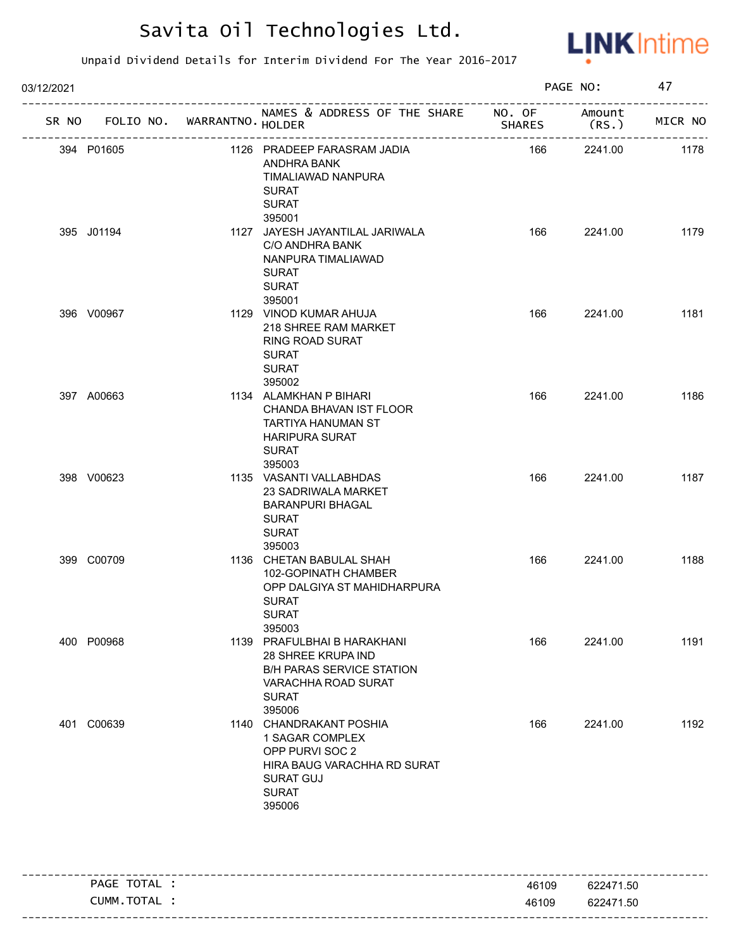

| 03/12/2021 |            |                             |                                                                                                                                            |               | PAGE NO:         |         |
|------------|------------|-----------------------------|--------------------------------------------------------------------------------------------------------------------------------------------|---------------|------------------|---------|
| SR NO      |            | FOLIO NO. WARRANTNO. HOLDER | NAMES & ADDRESS OF THE SHARE NO. OF                                                                                                        | <b>SHARES</b> | Amount<br>(RS. ) | MICR NO |
|            | 394 P01605 |                             | 1126 PRADEEP FARASRAM JADIA<br>ANDHRA BANK<br>TIMALIAWAD NANPURA<br><b>SURAT</b><br><b>SURAT</b><br>395001                                 | 166           | 2241.00          | 1178    |
|            | 395 J01194 |                             | 1127 JAYESH JAYANTILAL JARIWALA<br>C/O ANDHRA BANK<br>NANPURA TIMALIAWAD<br><b>SURAT</b><br><b>SURAT</b><br>395001                         | 166           | 2241.00          | 1179    |
|            | 396 V00967 |                             | 1129 VINOD KUMAR AHUJA<br>218 SHREE RAM MARKET<br><b>RING ROAD SURAT</b><br><b>SURAT</b><br><b>SURAT</b><br>395002                         | 166           | 2241.00          | 1181    |
|            | 397 A00663 |                             | 1134 ALAMKHAN P BIHARI<br>CHANDA BHAVAN IST FLOOR<br>TARTIYA HANUMAN ST<br><b>HARIPURA SURAT</b><br><b>SURAT</b><br>395003                 | 166           | 2241.00          | 1186    |
|            | 398 V00623 |                             | 1135 VASANTI VALLABHDAS<br><b>23 SADRIWALA MARKET</b><br><b>BARANPURI BHAGAL</b><br><b>SURAT</b><br><b>SURAT</b><br>395003                 | 166           | 2241.00          | 1187    |
|            | 399 C00709 |                             | 1136 CHETAN BABULAL SHAH<br>102-GOPINATH CHAMBER<br>OPP DALGIYA ST MAHIDHARPURA<br><b>SURAT</b><br>SURAT<br>395003                         | 166           | 2241.00          | 1188    |
|            | 400 P00968 |                             | 1139 PRAFULBHAI B HARAKHANI<br>28 SHREE KRUPA IND<br><b>B/H PARAS SERVICE STATION</b><br>VARACHHA ROAD SURAT<br><b>SURAT</b><br>395006     | 166           | 2241.00          | 1191    |
|            | 401 C00639 |                             | 1140 CHANDRAKANT POSHIA<br>1 SAGAR COMPLEX<br>OPP PURVI SOC 2<br>HIRA BAUG VARACHHA RD SURAT<br><b>SURAT GUJ</b><br><b>SURAT</b><br>395006 | 166           | 2241.00          | 1192    |

| PAGE TOTAL | 46109 | 622471.50 |
|------------|-------|-----------|
| CUMM.TOTAL | 46109 | 622471.50 |
|            |       |           |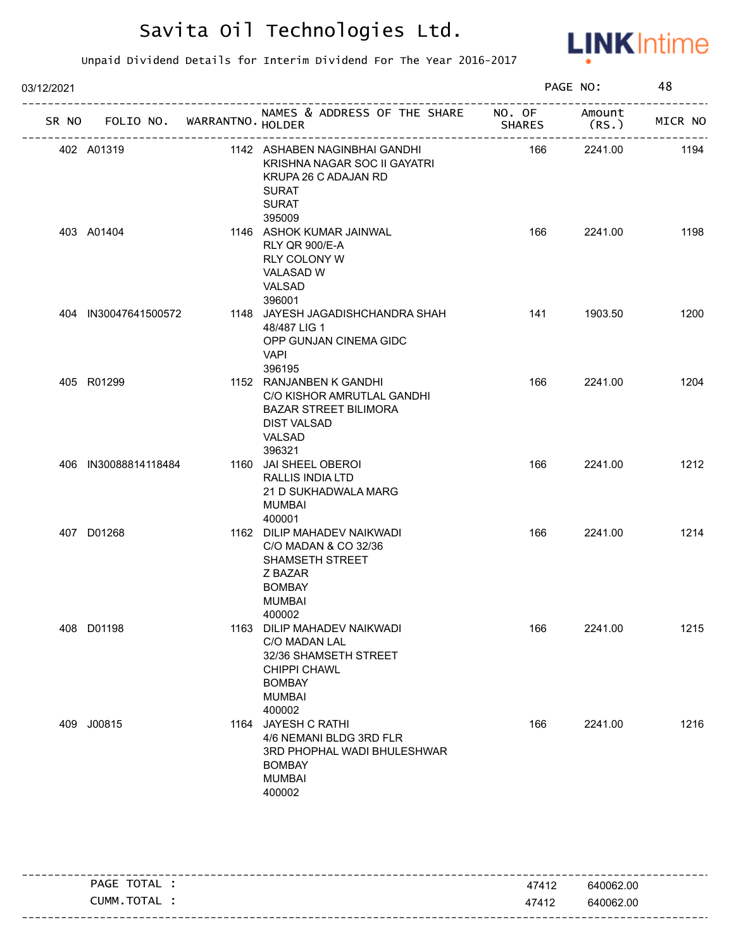

| 03/12/2021 |                                   |  |                                                                                                                                        |                                  | PAGE NO:       |         |
|------------|-----------------------------------|--|----------------------------------------------------------------------------------------------------------------------------------------|----------------------------------|----------------|---------|
|            | SR NO FOLIO NO. WARRANTNO. HOLDER |  | NAMES & ADDRESS OF THE SHARE NO. OF                                                                                                    | <b>SHARES</b><br>--------------- | Amount<br>(RS. | MICR NO |
|            | 402 A01319                        |  | 1142 ASHABEN NAGINBHAI GANDHI<br>KRISHNA NAGAR SOC II GAYATRI<br>KRUPA 26 C ADAJAN RD<br><b>SURAT</b><br><b>SURAT</b><br>395009        | 166                              | 2241.00        | 1194    |
|            | 403 A01404                        |  | 1146 ASHOK KUMAR JAINWAL<br>RLY QR 900/E-A<br>RLY COLONY W<br><b>VALASAD W</b><br>VALSAD<br>396001                                     | 166                              | 2241.00        | 1198    |
|            | 404 IN30047641500572              |  | 1148 JAYESH JAGADISHCHANDRA SHAH<br>48/487 LIG 1<br>OPP GUNJAN CINEMA GIDC<br><b>VAPI</b><br>396195                                    | 141                              | 1903.50        | 1200    |
|            | 405 R01299                        |  | 1152 RANJANBEN K GANDHI<br>C/O KISHOR AMRUTLAL GANDHI<br><b>BAZAR STREET BILIMORA</b><br><b>DIST VALSAD</b><br><b>VALSAD</b><br>396321 | 166                              | 2241.00        | 1204    |
|            | 406 IN30088814118484              |  | 1160 JAI SHEEL OBEROI<br>RALLIS INDIA LTD<br>21 D SUKHADWALA MARG<br><b>MUMBAI</b><br>400001                                           | 166                              | 2241.00        | 1212    |
|            | 407 D01268                        |  | 1162 DILIP MAHADEV NAIKWADI<br>C/O MADAN & CO 32/36<br>SHAMSETH STREET<br>Z BAZAR<br><b>BOMBAY</b><br><b>MUMBAI</b><br>400002          | 166                              | 2241.00        | 1214    |
|            | 408 D01198                        |  | 1163 DILIP MAHADEV NAIKWADI<br>C/O MADAN LAL<br>32/36 SHAMSETH STREET<br>CHIPPI CHAWL<br><b>BOMBAY</b><br><b>MUMBAI</b><br>400002      | 166                              | 2241.00        | 1215    |
|            | 409 J00815                        |  | 1164 JAYESH C RATHI<br>4/6 NEMANI BLDG 3RD FLR<br>3RD PHOPHAL WADI BHULESHWAR<br><b>BOMBAY</b><br><b>MUMBAI</b><br>400002              | 166                              | 2241.00        | 1216    |

| TOTAL<br>PAGE        | 47412 | 640062.00                                 |
|----------------------|-------|-------------------------------------------|
| TOTAL<br><b>CUMM</b> | 47412 | 640062.00                                 |
|                      |       | ------------------------------<br>- - - - |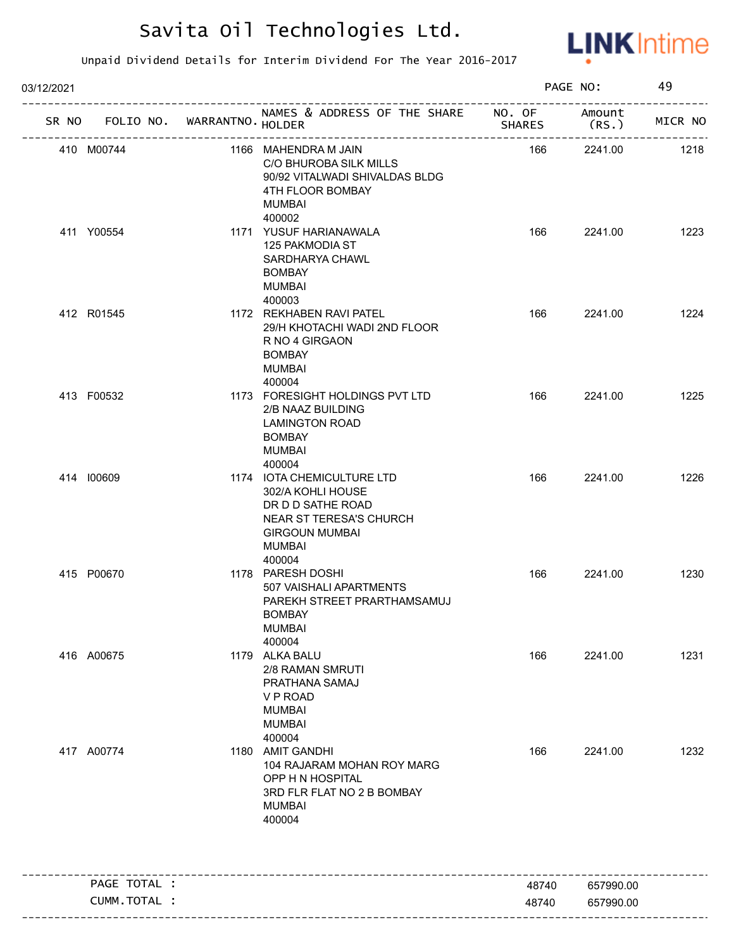

| 03/12/2021         |                            |                                                                                                                                              |               | PAGE NO:                         | 49                   |
|--------------------|----------------------------|----------------------------------------------------------------------------------------------------------------------------------------------|---------------|----------------------------------|----------------------|
| SR NO<br>FOLIO NO. | WARRANTNO HOLDER           | NAMES & ADDRESS OF THE SHARE NO. OF                                                                                                          | <b>SHARES</b> | Amount<br>(RS.                   | ---------<br>MICR NO |
| 410 M00744         | -------------------------- | 1166 MAHENDRA M JAIN<br>C/O BHUROBA SILK MILLS<br>90/92 VITALWADI SHIVALDAS BLDG<br>4TH FLOOR BOMBAY<br>MUMBAI                               | 166           | ---------------------<br>2241.00 | 1218                 |
| 411 Y00554         |                            | 400002<br>1171 YUSUF HARIANAWALA<br>125 PAKMODIA ST<br>SARDHARYA CHAWL<br><b>BOMBAY</b><br><b>MUMBAI</b><br>400003                           | 166           | 2241.00                          | 1223                 |
| 412 R01545         |                            | 1172 REKHABEN RAVI PATEL<br>29/H KHOTACHI WADI 2ND FLOOR<br>R NO 4 GIRGAON<br><b>BOMBAY</b><br><b>MUMBAI</b><br>400004                       | 166           | 2241.00                          | 1224                 |
| 413 F00532         |                            | 1173 FORESIGHT HOLDINGS PVT LTD<br>2/B NAAZ BUILDING<br><b>LAMINGTON ROAD</b><br><b>BOMBAY</b><br><b>MUMBAI</b><br>400004                    | 166           | 2241.00                          | 1225                 |
| 414 100609         |                            | 1174 IOTA CHEMICULTURE LTD<br>302/A KOHLI HOUSE<br>DR D D SATHE ROAD<br>NEAR ST TERESA'S CHURCH<br><b>GIRGOUN MUMBAI</b><br>MUMBAI<br>400004 | 166           | 2241.00                          | 1226                 |
| 415 P00670         |                            | 1178 PARESH DOSHI<br>507 VAISHALI APARTMENTS<br>PAREKH STREET PRARTHAMSAMUJ<br><b>BOMBAY</b><br><b>MUMBAI</b><br>400004                      | 166           | 2241.00                          | 1230                 |
| 416 A00675         |                            | 1179 ALKA BALU<br>2/8 RAMAN SMRUTI<br>PRATHANA SAMAJ<br>V P ROAD<br><b>MUMBAI</b><br><b>MUMBAI</b><br>400004                                 | 166           | 2241.00                          | 1231                 |
| 417 A00774         |                            | 1180 AMIT GANDHI<br>104 RAJARAM MOHAN ROY MARG<br>OPP H N HOSPITAL<br>3RD FLR FLAT NO 2 B BOMBAY<br><b>MUMBAI</b><br>400004                  | 166           | 2241.00                          | 1232                 |
| PAGE TOTAL :       |                            |                                                                                                                                              | 48740         | 657990.00                        |                      |
| CUMM.TOTAL :       |                            |                                                                                                                                              | 48740         | 657990.00                        |                      |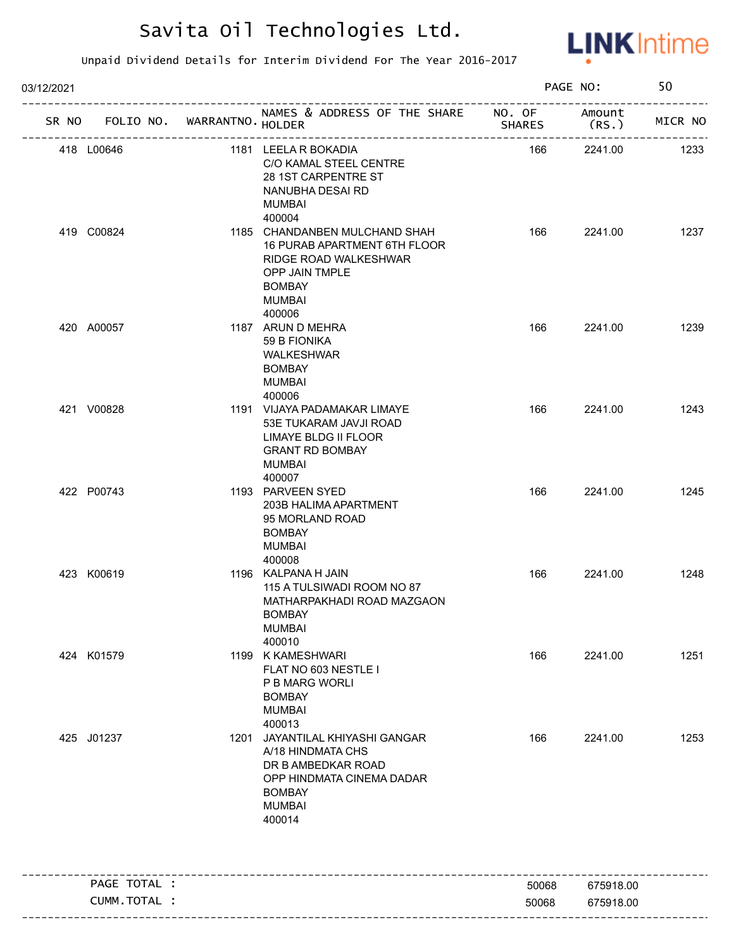

| 03/12/2021 |              |                               |                                                                                                                                                                |        | PAGE NO:                    | 50      |
|------------|--------------|-------------------------------|----------------------------------------------------------------------------------------------------------------------------------------------------------------|--------|-----------------------------|---------|
| SR NO      |              | FOLIO NO. WARRANTNO. HOLDER   | NAMES & ADDRESS OF THE SHARE NO. OF                                                                                                                            | SHARES | Amount<br>(RS.)             | MICR NO |
| 418 L00646 |              | . _ _ _ _ _ _ _ _ _ _ _ _ _ _ | 1181 LEELA R BOKADIA<br>C/O KAMAL STEEL CENTRE<br>28 1ST CARPENTRE ST<br>NANUBHA DESAI RD<br><b>MUMBAI</b>                                                     | 166    | ----------------<br>2241.00 | 1233    |
| 419 C00824 |              |                               | 400004<br>1185 CHANDANBEN MULCHAND SHAH<br>16 PURAB APARTMENT 6TH FLOOR<br>RIDGE ROAD WALKESHWAR<br>OPP JAIN TMPLE<br><b>BOMBAY</b><br><b>MUMBAI</b><br>400006 | 166    | 2241.00                     | 1237    |
| 420 A00057 |              |                               | 1187 ARUN D MEHRA<br>59 B FIONIKA<br>WALKESHWAR<br><b>BOMBAY</b><br>MUMBAI<br>400006                                                                           | 166    | 2241.00                     | 1239    |
| 421 V00828 |              |                               | 1191 VIJAYA PADAMAKAR LIMAYE<br>53E TUKARAM JAVJI ROAD<br>LIMAYE BLDG II FLOOR<br><b>GRANT RD BOMBAY</b><br>MUMBAI<br>400007                                   | 166    | 2241.00                     | 1243    |
| 422 P00743 |              |                               | 1193 PARVEEN SYED<br>203B HALIMA APARTMENT<br>95 MORLAND ROAD<br><b>BOMBAY</b><br>MUMBAI<br>400008                                                             | 166    | 2241.00                     | 1245    |
| 423 K00619 |              |                               | 1196 KALPANA H JAIN<br>115 A TULSIWADI ROOM NO 87<br>MATHARPAKHADI ROAD MAZGAON<br>BOMBAY<br><b>MUMBAI</b><br>400010                                           | 166    | 2241.00                     | 1248    |
| 424 K01579 |              |                               | 1199 K KAMESHWARI<br>FLAT NO 603 NESTLE I<br>P B MARG WORLI<br><b>BOMBAY</b><br><b>MUMBAI</b><br>400013                                                        | 166    | 2241.00                     | 1251    |
| 425 J01237 |              |                               | 1201 JAYANTILAL KHIYASHI GANGAR<br>A/18 HINDMATA CHS<br>DR B AMBEDKAR ROAD<br>OPP HINDMATA CINEMA DADAR<br><b>BOMBAY</b><br><b>MUMBAI</b><br>400014            | 166    | 2241.00                     | 1253    |
|            | PAGE TOTAL : |                               |                                                                                                                                                                | 50068  | 675918.00                   |         |
|            | CUMM.TOTAL : |                               |                                                                                                                                                                | 50068  | 675918.00                   |         |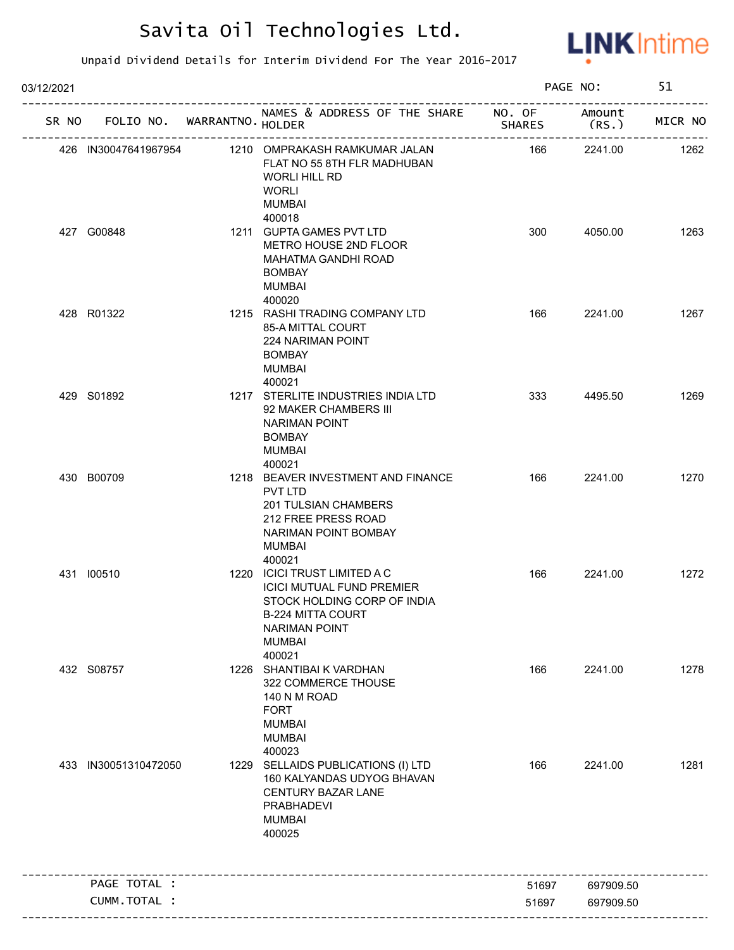

| 03/12/2021 |                                   |                                                                                                                                                                  |               | PAGE NO:         | 51      |
|------------|-----------------------------------|------------------------------------------------------------------------------------------------------------------------------------------------------------------|---------------|------------------|---------|
|            | SR NO FOLIO NO. WARRANTNO. HOLDER | NAMES & ADDRESS OF THE SHARE NO. OF                                                                                                                              | <b>SHARES</b> | Amount<br>(RS. ) | MICR NO |
|            | 426 IN30047641967954              | 1210 OMPRAKASH RAMKUMAR JALAN<br>FLAT NO 55 8TH FLR MADHUBAN<br><b>WORLI HILL RD</b><br><b>WORLI</b><br><b>MUMBAI</b>                                            | 166           | 2241.00          | 1262    |
|            | 427 G00848                        | 400018<br>1211 GUPTA GAMES PVT LTD<br>METRO HOUSE 2ND FLOOR<br>MAHATMA GANDHI ROAD<br><b>BOMBAY</b><br><b>MUMBAI</b><br>400020                                   | 300           | 4050.00          | 1263    |
|            | 428 R01322                        | 1215 RASHI TRADING COMPANY LTD<br>85-A MITTAL COURT<br><b>224 NARIMAN POINT</b><br><b>BOMBAY</b><br>MUMBAI<br>400021                                             | 166           | 2241.00          | 1267    |
|            | 429 S01892                        | 1217 STERLITE INDUSTRIES INDIA LTD<br>92 MAKER CHAMBERS III<br><b>NARIMAN POINT</b><br><b>BOMBAY</b><br><b>MUMBAI</b><br>400021                                  | 333           | 4495.50          | 1269    |
|            | 430 B00709                        | 1218 BEAVER INVESTMENT AND FINANCE<br>PVT LTD<br><b>201 TULSIAN CHAMBERS</b><br>212 FREE PRESS ROAD<br>NARIMAN POINT BOMBAY<br>MUMBAI<br>400021                  | 166           | 2241.00          | 1270    |
|            | 431 100510                        | 1220 ICICI TRUST LIMITED A C<br><b>ICICI MUTUAL FUND PREMIER</b><br>STOCK HOLDING CORP OF INDIA<br>B-224 MITTA COURT<br><b>NARIMAN POINT</b><br>MUMBAI<br>400021 | 166           | 2241.00          | 1272    |
|            | 432 S08757                        | 1226 SHANTIBAI K VARDHAN<br>322 COMMERCE THOUSE<br>140 N M ROAD<br><b>FORT</b><br><b>MUMBAI</b><br><b>MUMBAI</b><br>400023                                       | 166           | 2241.00          | 1278    |
|            | 433 IN30051310472050              | 1229 SELLAIDS PUBLICATIONS (I) LTD<br>160 KALYANDAS UDYOG BHAVAN<br><b>CENTURY BAZAR LANE</b><br>PRABHADEVI<br><b>MUMBAI</b><br>400025                           | 166           | 2241.00          | 1281    |
|            | PAGE TOTAL :                      |                                                                                                                                                                  | 51697         | 697909.50        |         |
|            | CUMM. TOTAL :                     |                                                                                                                                                                  | 51697         | 697909.50        |         |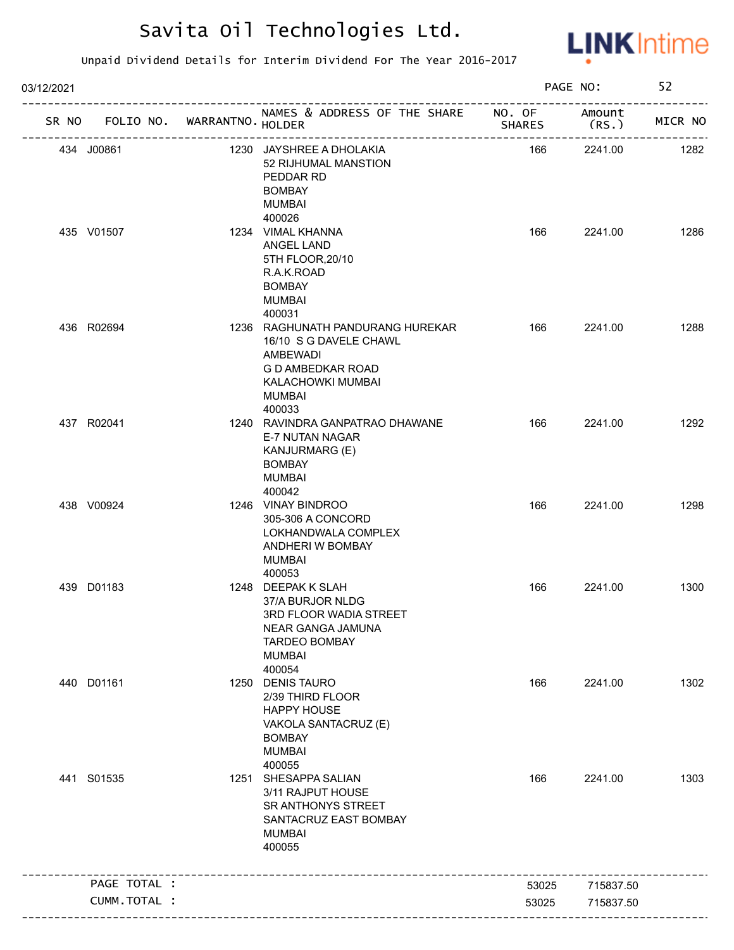

| 03/12/2021 |              |                             |                                                                                                                                             |               | PAGE NO:                  | 52      |
|------------|--------------|-----------------------------|---------------------------------------------------------------------------------------------------------------------------------------------|---------------|---------------------------|---------|
| SR NO      |              | FOLIO NO. WARRANTNO. HOLDER | NAMES & ADDRESS OF THE SHARE NO. OF<br>______________________________                                                                       | <b>SHARES</b> | Amount<br>(RS.)           | MICR NO |
|            | 434 J00861   |                             | 1230 JAYSHREE A DHOLAKIA<br>52 RIJHUMAL MANSTION<br>PEDDAR RD<br><b>BOMBAY</b><br>MUMBAI                                                    | 166           | --------------<br>2241.00 | 1282    |
|            | 435 V01507   |                             | 400026<br>1234 VIMAL KHANNA<br><b>ANGEL LAND</b><br>5TH FLOOR, 20/10<br>R.A.K.ROAD<br><b>BOMBAY</b><br><b>MUMBAI</b><br>400031              | 166           | 2241.00                   | 1286    |
|            | 436 R02694   |                             | 1236 RAGHUNATH PANDURANG HUREKAR<br>16/10 S G DAVELE CHAWL<br>AMBEWADI<br>G D AMBEDKAR ROAD<br>KALACHOWKI MUMBAI<br><b>MUMBAI</b><br>400033 | 166           | 2241.00                   | 1288    |
|            | 437 R02041   |                             | 1240 RAVINDRA GANPATRAO DHAWANE<br>E-7 NUTAN NAGAR<br>KANJURMARG (E)<br><b>BOMBAY</b><br>MUMBAI<br>400042                                   | 166           | 2241.00                   | 1292    |
|            | 438 V00924   |                             | 1246 VINAY BINDROO<br>305-306 A CONCORD<br>LOKHANDWALA COMPLEX<br>ANDHERI W BOMBAY<br><b>MUMBAI</b><br>400053                               | 166           | 2241.00                   | 1298    |
|            | 439 D01183   |                             | 1248 DEEPAK K SLAH<br>37/A BURJOR NLDG<br>3RD FLOOR WADIA STREET<br>NEAR GANGA JAMUNA<br><b>TARDEO BOMBAY</b><br><b>MUMBAI</b><br>400054    | 166           | 2241.00                   | 1300    |
|            | 440 D01161   |                             | 1250 DENIS TAURO<br>2/39 THIRD FLOOR<br><b>HAPPY HOUSE</b><br>VAKOLA SANTACRUZ (E)<br><b>BOMBAY</b><br><b>MUMBAI</b><br>400055              | 166           | 2241.00                   | 1302    |
|            | 441 S01535   |                             | 1251 SHESAPPA SALIAN<br>3/11 RAJPUT HOUSE<br>SR ANTHONYS STREET<br>SANTACRUZ EAST BOMBAY<br><b>MUMBAI</b><br>400055                         | 166           | 2241.00                   | 1303    |
|            | PAGE TOTAL : |                             |                                                                                                                                             | 53025         | 715837.50                 |         |
|            | CUMM.TOTAL : |                             |                                                                                                                                             | 53025         | 715837.50                 |         |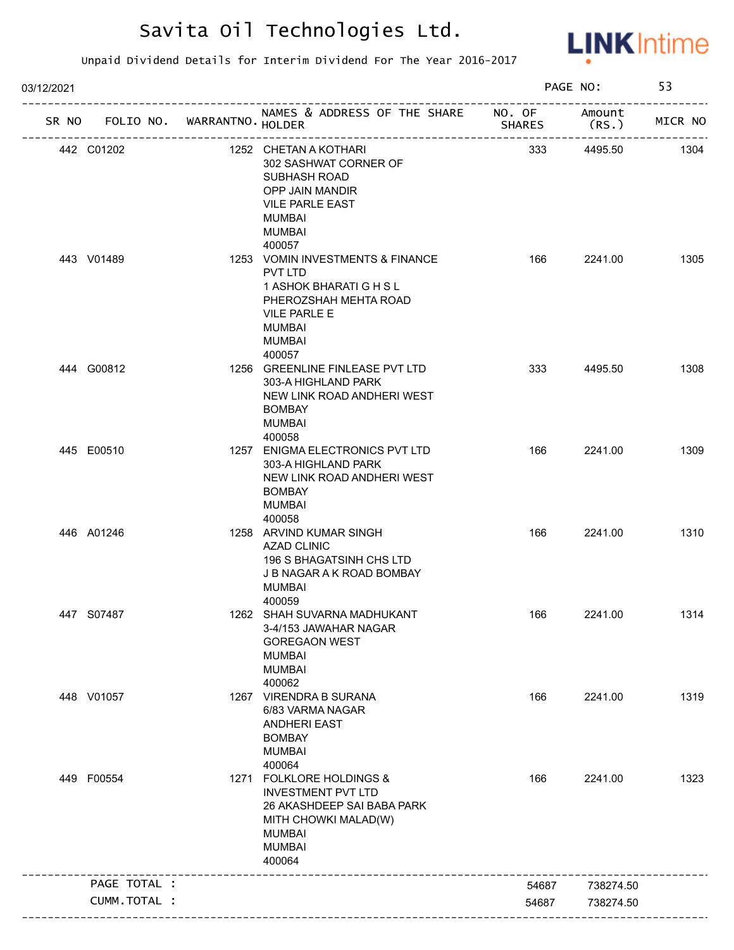

| SR NO FOLIO NO. WARRANTNO. HOLDER<br>442 C01202 | NAMES & ADDRESS OF THE SHARE NO. OF                                                                                                                     |               | Amount    |         |
|-------------------------------------------------|---------------------------------------------------------------------------------------------------------------------------------------------------------|---------------|-----------|---------|
|                                                 |                                                                                                                                                         | <b>SHARES</b> | (RS.)     | MICR NO |
|                                                 | 1252 CHETAN A KOTHARI<br>302 SASHWAT CORNER OF<br>SUBHASH ROAD<br>OPP JAIN MANDIR<br><b>VILE PARLE EAST</b><br>MUMBAI<br>MUMBAI<br>400057               | 333           | 4495.50   | 1304    |
| 443 V01489                                      | 1253 VOMIN INVESTMENTS & FINANCE<br>PVT LTD<br>1 ASHOK BHARATI G H S L<br>PHEROZSHAH MEHTA ROAD<br><b>VILE PARLE E</b><br>MUMBAI<br>MUMBAI<br>400057    | 166           | 2241.00   | 1305    |
| 444 G00812                                      | 1256 GREENLINE FINLEASE PVT LTD<br>303-A HIGHLAND PARK<br>NEW LINK ROAD ANDHERI WEST<br><b>BOMBAY</b><br><b>MUMBAI</b><br>400058                        | 333           | 4495.50   | 1308    |
| 445 E00510                                      | 1257 ENIGMA ELECTRONICS PVT LTD<br>303-A HIGHLAND PARK<br>NEW LINK ROAD ANDHERI WEST<br><b>BOMBAY</b><br>MUMBAI<br>400058                               | 166           | 2241.00   | 1309    |
| 446 A01246                                      | 1258 ARVIND KUMAR SINGH<br><b>AZAD CLINIC</b><br>196 S BHAGATSINH CHS LTD<br>J B NAGAR A K ROAD BOMBAY<br>MUMBAI<br>400059                              | 166           | 2241.00   | 1310    |
| 447 S07487                                      | 1262 SHAH SUVARNA MADHUKANT<br>3-4/153 JAWAHAR NAGAR<br><b>GOREGAON WEST</b><br><b>MUMBAI</b><br><b>MUMBAI</b><br>400062                                | 166           | 2241.00   | 1314    |
| 448 V01057                                      | 1267 VIRENDRA B SURANA<br>6/83 VARMA NAGAR<br><b>ANDHERI EAST</b><br><b>BOMBAY</b><br><b>MUMBAI</b><br>400064                                           | 166           | 2241.00   | 1319    |
| 449 F00554                                      | 1271 FOLKLORE HOLDINGS &<br><b>INVESTMENT PVT LTD</b><br>26 AKASHDEEP SAI BABA PARK<br>MITH CHOWKI MALAD(W)<br><b>MUMBAI</b><br><b>MUMBAI</b><br>400064 | 166           | 2241.00   | 1323    |
| PAGE TOTAL :                                    |                                                                                                                                                         | 54687         | 738274.50 |         |
| CUMM.TOTAL :                                    |                                                                                                                                                         | 54687         | 738274.50 |         |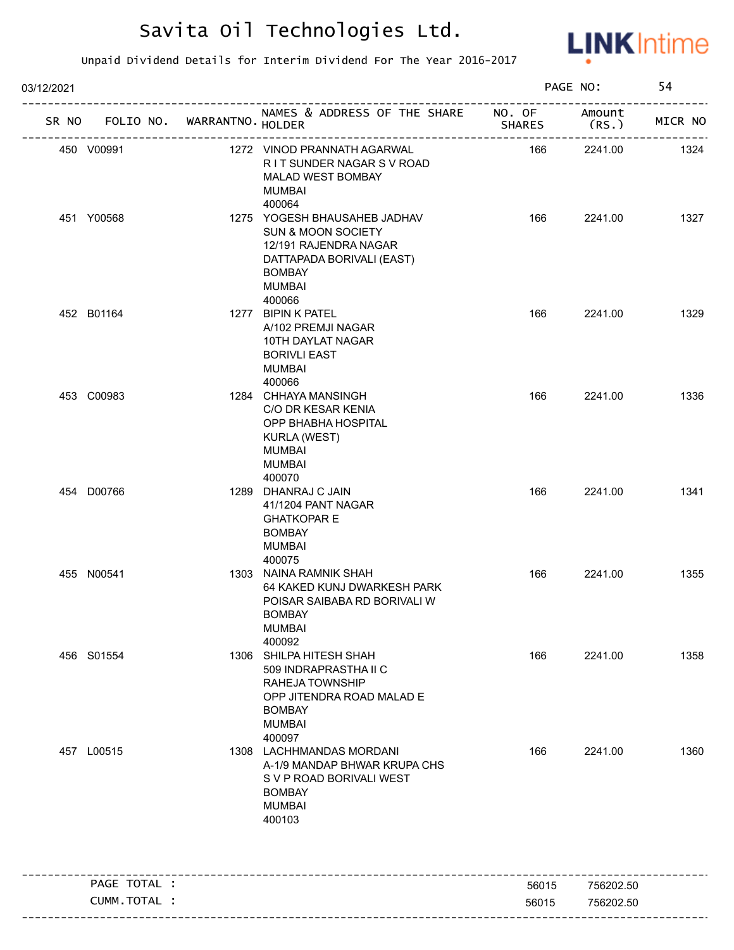

| 03/12/2021                        |              |                                                                                                                                                                 |               | PAGE NO:        | 54      |
|-----------------------------------|--------------|-----------------------------------------------------------------------------------------------------------------------------------------------------------------|---------------|-----------------|---------|
| SR NO FOLIO NO. WARRANTNO. HOLDER |              | NAMES & ADDRESS OF THE SHARE NO. OF                                                                                                                             | <b>SHARES</b> | Amount<br>(RS.) | MICR NO |
| 450 V00991                        |              | 1272 VINOD PRANNATH AGARWAL<br>RIT SUNDER NAGAR SV ROAD<br>MALAD WEST BOMBAY<br><b>MUMBAI</b><br>400064                                                         | 166           | 2241.00         | 1324    |
| 451 Y00568                        |              | 1275 YOGESH BHAUSAHEB JADHAV<br><b>SUN &amp; MOON SOCIETY</b><br>12/191 RAJENDRA NAGAR<br>DATTAPADA BORIVALI (EAST)<br><b>BOMBAY</b><br><b>MUMBAI</b><br>400066 | 166           | 2241.00         | 1327    |
| 452 B01164                        |              | 1277 BIPIN K PATEL<br>A/102 PREMJI NAGAR<br>10TH DAYLAT NAGAR<br><b>BORIVLI EAST</b><br>MUMBAI<br>400066                                                        | 166           | 2241.00         | 1329    |
| 453 C00983                        |              | 1284 CHHAYA MANSINGH<br>C/O DR KESAR KENIA<br>OPP BHABHA HOSPITAL<br><b>KURLA (WEST)</b><br><b>MUMBAI</b><br><b>MUMBAI</b><br>400070                            | 166           | 2241.00         | 1336    |
| 454 D00766                        |              | 1289 DHANRAJ C JAIN<br>41/1204 PANT NAGAR<br><b>GHATKOPAR E</b><br><b>BOMBAY</b><br><b>MUMBAI</b><br>400075                                                     | 166           | 2241.00         | 1341    |
| 455 N00541                        |              | 1303 NAINA RAMNIK SHAH<br>64 KAKED KUNJ DWARKESH PARK<br>POISAR SAIBABA RD BORIVALI W<br>BOMBAY<br><b>MUMBAI</b><br>400092                                      | 166           | 2241.00         | 1355    |
| 456 S01554                        |              | 1306 SHILPA HITESH SHAH<br>509 INDRAPRASTHA II C<br>RAHEJA TOWNSHIP<br>OPP JITENDRA ROAD MALAD E<br><b>BOMBAY</b><br><b>MUMBAI</b><br>400097                    | 166           | 2241.00         | 1358    |
| 457 L00515                        |              | 1308 LACHHMANDAS MORDANI<br>A-1/9 MANDAP BHWAR KRUPA CHS<br>S V P ROAD BORIVALI WEST<br><b>BOMBAY</b><br><b>MUMBAI</b><br>400103                                | 166           | 2241.00         | 1360    |
|                                   | PAGE TOTAL : |                                                                                                                                                                 | 56015         | 756202.50       |         |
|                                   | CUMM.TOTAL : |                                                                                                                                                                 | 56015         | 756202.50       |         |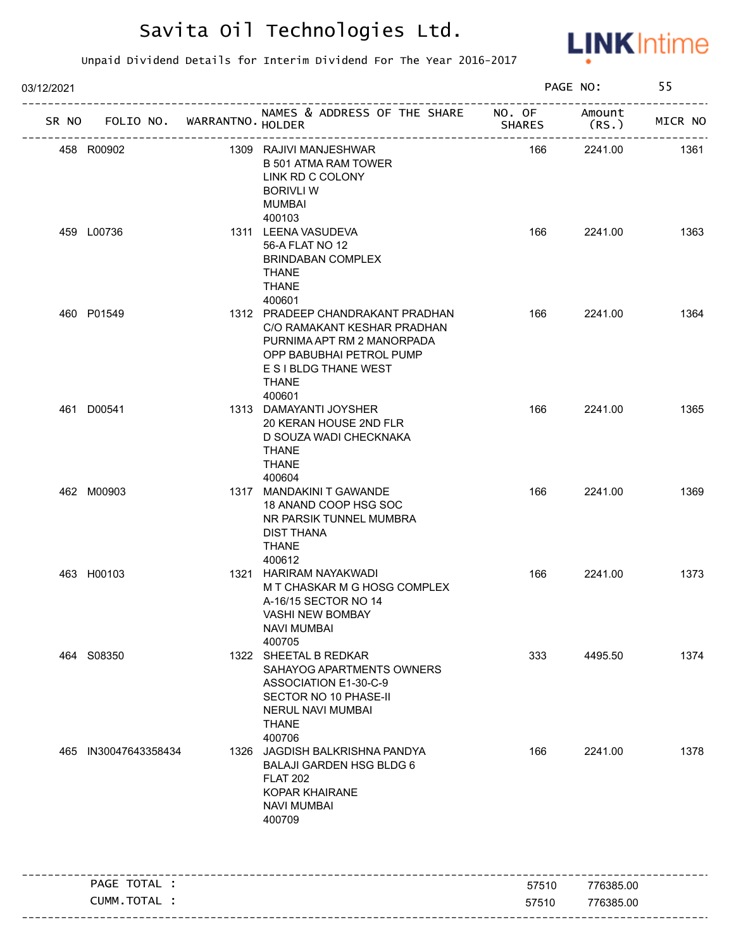

| 03/12/2021 |                                   |                                                                                                                                                                              | PAGE NO:      |                | 55      |
|------------|-----------------------------------|------------------------------------------------------------------------------------------------------------------------------------------------------------------------------|---------------|----------------|---------|
|            | SR NO FOLIO NO. WARRANTNO. HOLDER | NAMES & ADDRESS OF THE SHARE NO. OF                                                                                                                                          | <b>SHARES</b> | Amount<br>(RS. | MICR NO |
|            | 458 R00902                        | 1309 RAJIVI MANJESHWAR<br><b>B 501 ATMA RAM TOWER</b><br>LINK RD C COLONY<br><b>BORIVLI W</b><br><b>MUMBAI</b><br>400103                                                     | 166           | 2241.00        | 1361    |
|            | 459 L00736                        | 1311 LEENA VASUDEVA<br>56-A FLAT NO 12<br><b>BRINDABAN COMPLEX</b><br><b>THANE</b><br><b>THANE</b><br>400601                                                                 | 166           | 2241.00        | 1363    |
|            | 460 P01549                        | 1312 PRADEEP CHANDRAKANT PRADHAN<br>C/O RAMAKANT KESHAR PRADHAN<br>PURNIMA APT RM 2 MANORPADA<br>OPP BABUBHAI PETROL PUMP<br>E S I BLDG THANE WEST<br><b>THANE</b><br>400601 | 166           | 2241.00        | 1364    |
|            | 461 D00541                        | 1313 DAMAYANTI JOYSHER<br>20 KERAN HOUSE 2ND FLR<br>D SOUZA WADI CHECKNAKA<br><b>THANE</b><br><b>THANE</b><br>400604                                                         | 166           | 2241.00        | 1365    |
|            | 462 M00903                        | 1317 MANDAKINI T GAWANDE<br>18 ANAND COOP HSG SOC<br>NR PARSIK TUNNEL MUMBRA<br><b>DIST THANA</b><br><b>THANE</b><br>400612                                                  | 166           | 2241.00        | 1369    |
|            | 463 H00103                        | 1321 HARIRAM NAYAKWADI<br>M T CHASKAR M G HOSG COMPLEX<br>A-16/15 SECTOR NO 14<br>VASHI NEW BOMBAY<br><b>NAVI MUMBAI</b><br>400705                                           | 166           | 2241.00        | 1373    |
|            | 464 S08350                        | 1322 SHEETAL B REDKAR<br>SAHAYOG APARTMENTS OWNERS<br>ASSOCIATION E1-30-C-9<br>SECTOR NO 10 PHASE-II<br>NERUL NAVI MUMBAI<br><b>THANE</b><br>400706                          | 333           | 4495.50        | 1374    |
| 465        | IN30047643358434                  | 1326 JAGDISH BALKRISHNA PANDYA<br><b>BALAJI GARDEN HSG BLDG 6</b><br><b>FLAT 202</b><br><b>KOPAR KHAIRANE</b><br><b>NAVI MUMBAI</b><br>400709                                | 166           | 2241.00        | 1378    |
|            | PAGE TOTAL :                      |                                                                                                                                                                              | 57510         | 776385.00      |         |
|            | CUMM.TOTAL :                      |                                                                                                                                                                              | 57510         | 776385.00      |         |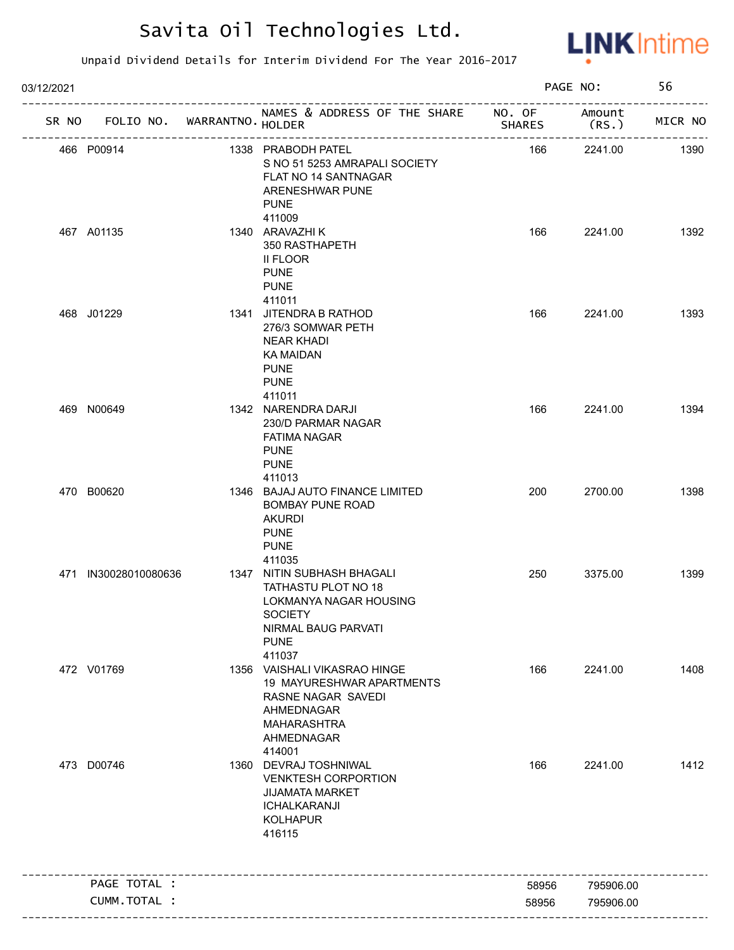

| 03/12/2021 |                                   |                                                                                                                                               |               | PAGE NO:            | 56      |
|------------|-----------------------------------|-----------------------------------------------------------------------------------------------------------------------------------------------|---------------|---------------------|---------|
|            | SR NO FOLIO NO. WARRANTNO. HOLDER | NAMES & ADDRESS OF THE SHARE NO. OF                                                                                                           | <b>SHARES</b> | Amount<br>(RS.)     | MICR NO |
|            | 466 P00914                        | 1338 PRABODH PATEL<br>S NO 51 5253 AMRAPALI SOCIETY<br>FLAT NO 14 SANTNAGAR<br>ARENESHWAR PUNE<br><b>PUNE</b>                                 | 166           | --------<br>2241.00 | 1390    |
|            | 467 A01135                        | 411009<br>1340 ARAVAZHI K<br>350 RASTHAPETH<br>II FLOOR<br><b>PUNE</b><br><b>PUNE</b>                                                         | 166           | 2241.00             | 1392    |
|            | 468 J01229                        | 411011<br>1341 JITENDRA B RATHOD<br>276/3 SOMWAR PETH<br><b>NEAR KHADI</b><br>KA MAIDAN<br><b>PUNE</b><br><b>PUNE</b><br>411011               | 166           | 2241.00             | 1393    |
|            | 469 N00649                        | 1342 NARENDRA DARJI<br>230/D PARMAR NAGAR<br><b>FATIMA NAGAR</b><br><b>PUNE</b><br><b>PUNE</b><br>411013                                      | 166           | 2241.00             | 1394    |
|            | 470 B00620                        | 1346 BAJAJ AUTO FINANCE LIMITED<br><b>BOMBAY PUNE ROAD</b><br><b>AKURDI</b><br><b>PUNE</b><br><b>PUNE</b><br>411035                           | 200           | 2700.00             | 1398    |
|            | 471 IN30028010080636              | 1347 NITIN SUBHASH BHAGALI<br>TATHASTU PLOT NO 18<br>LOKMANYA NAGAR HOUSING<br><b>SOCIETY</b><br>NIRMAL BAUG PARVATI<br><b>PUNE</b><br>411037 | 250           | 3375.00             | 1399    |
|            | 472 V01769                        | 1356 VAISHALI VIKASRAO HINGE<br>19 MAYURESHWAR APARTMENTS<br>RASNE NAGAR SAVEDI<br>AHMEDNAGAR<br><b>MAHARASHTRA</b><br>AHMEDNAGAR<br>414001   | 166           | 2241.00             | 1408    |
|            | 473 D00746                        | 1360 DEVRAJ TOSHNIWAL<br><b>VENKTESH CORPORTION</b><br><b>JIJAMATA MARKET</b><br>ICHALKARANJI<br><b>KOLHAPUR</b><br>416115                    | 166           | 2241.00             | 1412    |
|            | PAGE TOTAL :                      |                                                                                                                                               |               |                     |         |
|            |                                   |                                                                                                                                               | 58956         | 795906.00           |         |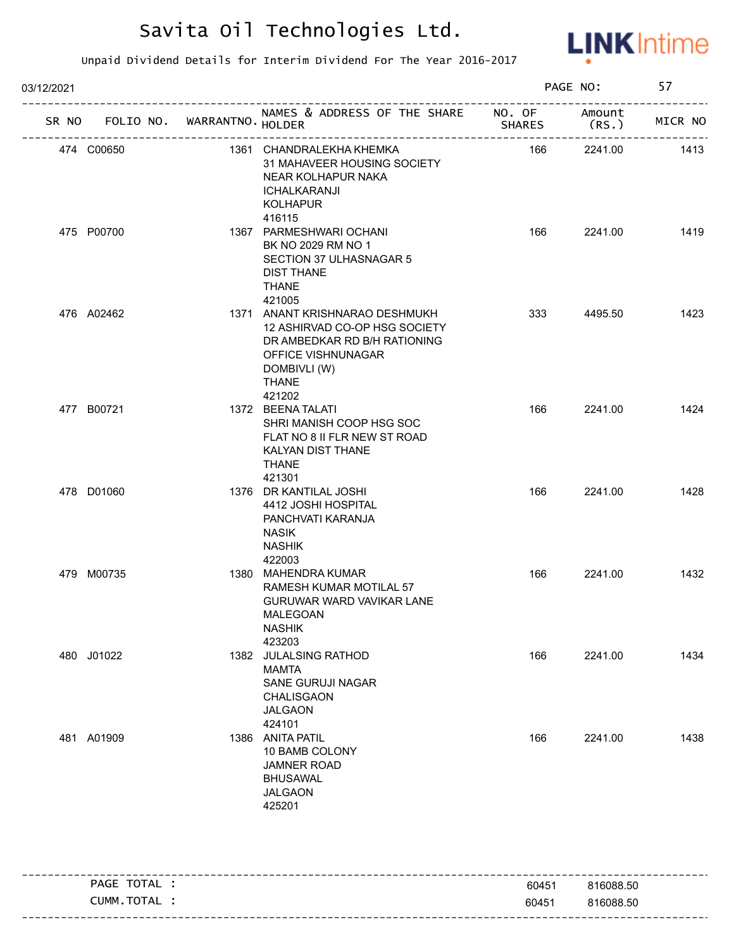

| 03/12/2021      |                   |                                                                                                                                                          | PAGE NO:                              |                 | 57      |
|-----------------|-------------------|----------------------------------------------------------------------------------------------------------------------------------------------------------|---------------------------------------|-----------------|---------|
| SR NO FOLIO NO. | WARRANTNO. HOLDER | NAMES & ADDRESS OF THE SHARE NO. OF                                                                                                                      | <b>SHARES</b>                         | Amount<br>(RS.) | MICR NO |
| 474 C00650      | ----------------- | 1361 CHANDRALEKHA KHEMKA<br>31 MAHAVEER HOUSING SOCIETY<br>NEAR KOLHAPUR NAKA<br>ICHALKARANJI<br><b>KOLHAPUR</b><br>416115                               | ------------------------------<br>166 | 2241.00         | 1413    |
| 475 P00700      |                   | 1367 PARMESHWARI OCHANI<br>BK NO 2029 RM NO 1<br>SECTION 37 ULHASNAGAR 5<br><b>DIST THANE</b><br><b>THANE</b><br>421005                                  | 166                                   | 2241.00         | 1419    |
| 476 A02462      |                   | 1371 ANANT KRISHNARAO DESHMUKH<br>12 ASHIRVAD CO-OP HSG SOCIETY<br>DR AMBEDKAR RD B/H RATIONING<br>OFFICE VISHNUNAGAR<br>DOMBIVLI (W)<br>THANE<br>421202 | 333                                   | 4495.50         | 1423    |
| 477 B00721      |                   | 1372 BEENA TALATI<br>SHRI MANISH COOP HSG SOC<br>FLAT NO 8 II FLR NEW ST ROAD<br>KALYAN DIST THANE<br><b>THANE</b><br>421301                             | 166                                   | 2241.00         | 1424    |
| 478 D01060      |                   | 1376 DR KANTILAL JOSHI<br>4412 JOSHI HOSPITAL<br>PANCHVATI KARANJA<br><b>NASIK</b><br><b>NASHIK</b><br>422003                                            | 166                                   | 2241.00         | 1428    |
| 479 M00735      |                   | 1380 MAHENDRA KUMAR<br>RAMESH KUMAR MOTILAL 57<br>GURUWAR WARD VAVIKAR LANE<br>MALEGOAN<br><b>NASHIK</b><br>423203                                       | 166                                   | 2241.00         | 1432    |
| 480 J01022      |                   | 1382 JULALSING RATHOD<br><b>MAMTA</b><br>SANE GURUJI NAGAR<br><b>CHALISGAON</b><br><b>JALGAON</b><br>424101                                              | 166                                   | 2241.00         | 1434    |
| 481 A01909      |                   | 1386 ANITA PATIL<br>10 BAMB COLONY<br><b>JAMNER ROAD</b><br><b>BHUSAWAL</b><br><b>JALGAON</b><br>425201                                                  | 166                                   | 2241.00         | 1438    |

|     | <b>PAGE</b><br>.    | 60451 | 816088.50 |
|-----|---------------------|-------|-----------|
| --- | тот<br>CUMM.<br>TAL | 60451 | 816088.50 |
|     |                     |       |           |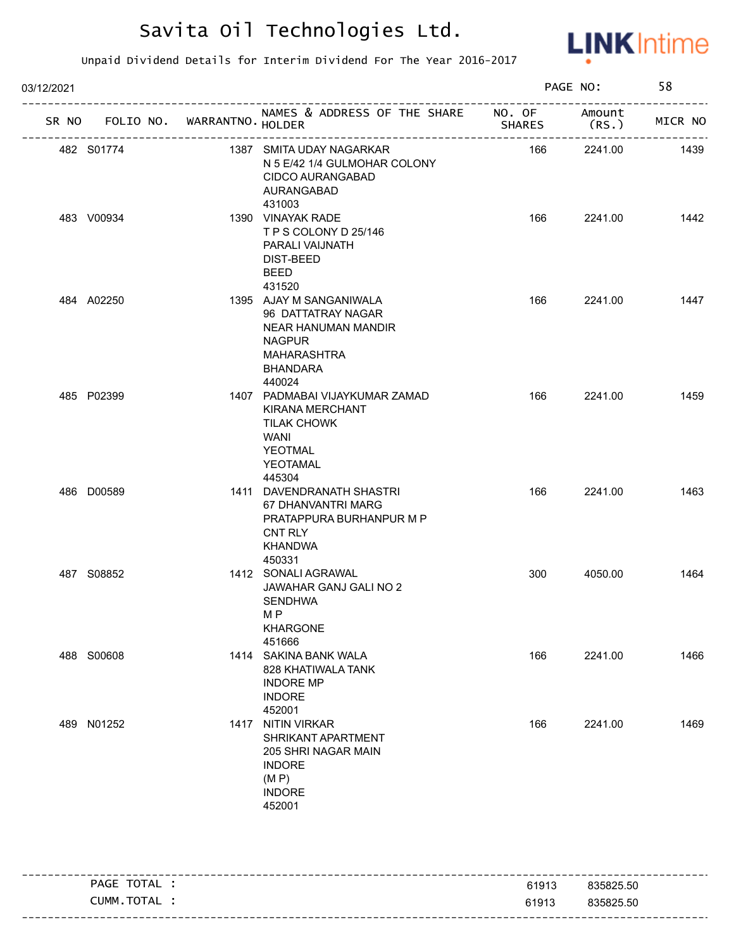

| 03/12/2021 |            |                             |                                                                                                                                 |               | PAGE NO:        |         |
|------------|------------|-----------------------------|---------------------------------------------------------------------------------------------------------------------------------|---------------|-----------------|---------|
| SR NO      |            | FOLIO NO. WARRANTNO. HOLDER | NAMES & ADDRESS OF THE SHARE NO. OF                                                                                             | <b>SHARES</b> | Amount<br>(RS.) | MICR NO |
|            | 482 S01774 |                             | ________________<br>1387 SMITA UDAY NAGARKAR<br>N 5 E/42 1/4 GULMOHAR COLONY<br><b>CIDCO AURANGABAD</b><br>AURANGABAD<br>431003 | 166           | 2241.00         | 1439    |
|            | 483 V00934 |                             | 1390 VINAYAK RADE<br>TPS COLONY D 25/146<br>PARALI VAIJNATH<br>DIST-BEED<br><b>BEED</b><br>431520                               | 166           | 2241.00         | 1442    |
|            | 484 A02250 |                             | 1395 AJAY M SANGANIWALA<br>96 DATTATRAY NAGAR<br>NEAR HANUMAN MANDIR<br><b>NAGPUR</b><br>MAHARASHTRA<br>BHANDARA<br>440024      | 166           | 2241.00         | 1447    |
|            | 485 P02399 |                             | 1407 PADMABAI VIJAYKUMAR ZAMAD<br>KIRANA MERCHANT<br>TILAK CHOWK<br>WANI<br>YEOTMAL<br>YEOTAMAL<br>445304                       | 166           | 2241.00         | 1459    |
|            | 486 D00589 |                             | 1411 DAVENDRANATH SHASTRI<br>67 DHANVANTRI MARG<br>PRATAPPURA BURHANPUR M P<br><b>CNT RLY</b><br>KHANDWA<br>450331              | 166           | 2241.00         | 1463    |
|            | 487 S08852 |                             | 1412 SONALI AGRAWAL<br>JAWAHAR GANJ GALI NO 2<br>SENDHWA<br>M P<br><b>KHARGONE</b><br>451666                                    | 300           | 4050.00         | 1464    |
|            | 488 S00608 |                             | 1414 SAKINA BANK WALA<br>828 KHATIWALA TANK<br><b>INDORE MP</b><br><b>INDORE</b><br>452001                                      | 166           | 2241.00         | 1466    |
|            | 489 N01252 |                             | 1417 NITIN VIRKAR<br>SHRIKANT APARTMENT<br>205 SHRI NAGAR MAIN<br><b>INDORE</b><br>(M P)<br><b>INDORE</b><br>452001             | 166           | 2241.00         | 1469    |

| PAGE TOTAL .  | 61913 | 835825.50 |
|---------------|-------|-----------|
| CUMM. TOTAL : | 61913 | 835825.50 |
|               |       |           |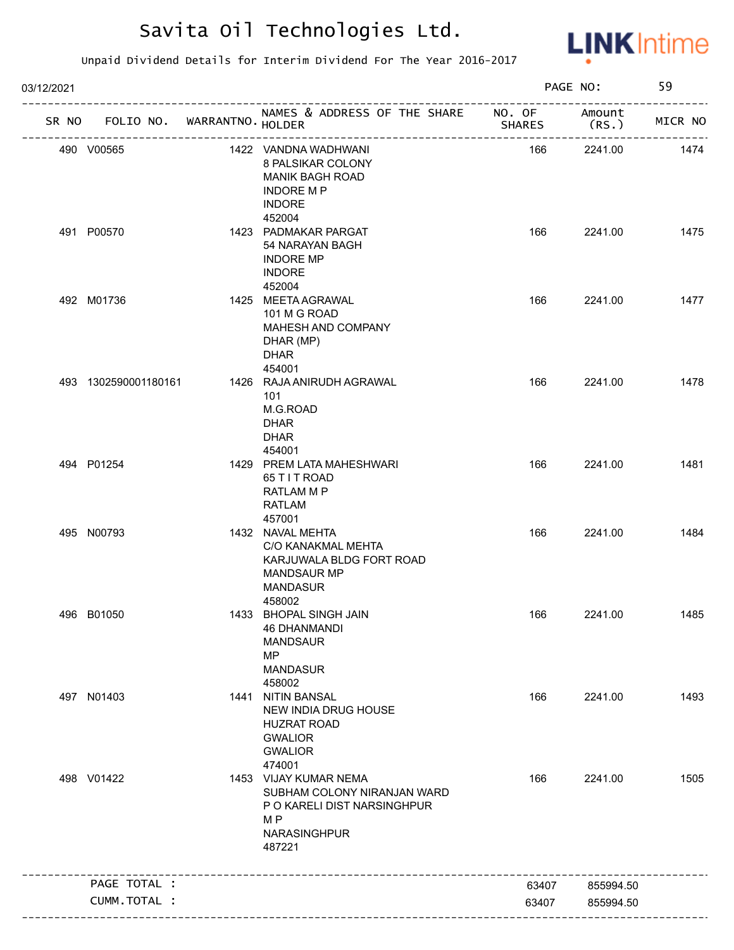

| 03/12/2021 |                                   |                            |                                                                                                                       |               | PAGE NO:                             | 59      |
|------------|-----------------------------------|----------------------------|-----------------------------------------------------------------------------------------------------------------------|---------------|--------------------------------------|---------|
|            | SR NO FOLIO NO. WARRANTNO. HOLDER |                            | NAMES & ADDRESS OF THE SHARE NO. OF                                                                                   | <b>SHARES</b> | Amount<br>(RS.)<br>----------------- | MICR NO |
|            | 490 V00565                        | -------------------------- | 1422 VANDNA WADHWANI<br>8 PALSIKAR COLONY<br>MANIK BAGH ROAD<br><b>INDORE M P</b><br><b>INDORE</b><br>452004          | 166           | 2241.00                              | 1474    |
|            | 491 P00570                        |                            | 1423 PADMAKAR PARGAT<br>54 NARAYAN BAGH<br><b>INDORE MP</b><br><b>INDORE</b><br>452004                                | 166           | 2241.00                              | 1475    |
|            | 492 M01736                        |                            | 1425 MEETA AGRAWAL<br>101 M G ROAD<br>MAHESH AND COMPANY<br>DHAR (MP)<br><b>DHAR</b><br>454001                        | 166           | 2241.00                              | 1477    |
|            | 493 1302590001180161              |                            | 1426 RAJA ANIRUDH AGRAWAL<br>101<br>M.G.ROAD<br><b>DHAR</b><br><b>DHAR</b><br>454001                                  | 166           | 2241.00                              | 1478    |
|            | 494 P01254                        |                            | 1429 PREM LATA MAHESHWARI<br>65 T I T ROAD<br>RATLAM M P<br>RATLAM<br>457001                                          | 166           | 2241.00                              | 1481    |
|            | 495 N00793                        |                            | 1432 NAVAL MEHTA<br>C/O KANAKMAL MEHTA<br>KARJUWALA BLDG FORT ROAD<br><b>MANDSAUR MP</b><br><b>MANDASUR</b><br>458002 | 166           | 2241.00                              | 1484    |
|            | 496 B01050                        |                            | 1433 BHOPAL SINGH JAIN<br>46 DHANMANDI<br><b>MANDSAUR</b><br><b>MP</b><br><b>MANDASUR</b><br>458002                   | 166           | 2241.00                              | 1485    |
|            | 497 N01403                        |                            | 1441 NITIN BANSAL<br>NEW INDIA DRUG HOUSE<br><b>HUZRAT ROAD</b><br><b>GWALIOR</b><br><b>GWALIOR</b><br>474001         | 166           | 2241.00                              | 1493    |
|            | 498 V01422                        |                            | 1453 VIJAY KUMAR NEMA<br>SUBHAM COLONY NIRANJAN WARD<br>P O KARELI DIST NARSINGHPUR<br>M P<br>NARASINGHPUR<br>487221  | 166           | 2241.00                              | 1505    |
|            | PAGE TOTAL :                      |                            |                                                                                                                       | 63407         | 855994.50                            |         |
|            | CUMM.TOTAL :                      |                            |                                                                                                                       | 63407         | 855994.50                            |         |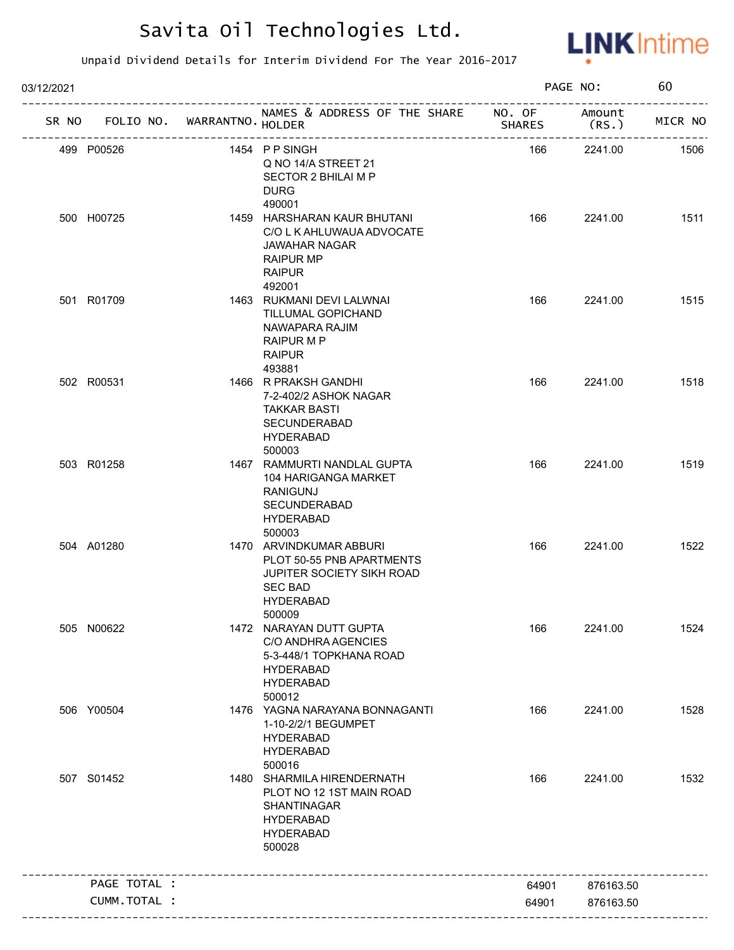

| 03/12/2021 |              |                   |                                                                                                                                   |               | PAGE NO:        | 60      |
|------------|--------------|-------------------|-----------------------------------------------------------------------------------------------------------------------------------|---------------|-----------------|---------|
| SR NO      | FOLIO NO.    | WARRANTNO. HOLDER | NAMES & ADDRESS OF THE SHARE NO. OF                                                                                               | <b>SHARES</b> | Amount<br>(RS.) | MICR NO |
|            | 499 P00526   |                   | 1454 PPSINGH<br>Q NO 14/A STREET 21<br>SECTOR 2 BHILAI M P<br><b>DURG</b><br>490001                                               | 166           | 2241.00         | 1506    |
|            | 500 H00725   |                   | 1459 HARSHARAN KAUR BHUTANI<br>C/O L K AHLUWAUA ADVOCATE<br><b>JAWAHAR NAGAR</b><br><b>RAIPUR MP</b><br><b>RAIPUR</b><br>492001   | 166           | 2241.00         | 1511    |
|            | 501 R01709   |                   | 1463 RUKMANI DEVI LALWNAI<br>TILLUMAL GOPICHAND<br>NAWAPARA RAJIM<br>RAIPUR M P<br><b>RAIPUR</b><br>493881                        | 166           | 2241.00         | 1515    |
|            | 502 R00531   |                   | 1466 R PRAKSH GANDHI<br>7-2-402/2 ASHOK NAGAR<br><b>TAKKAR BASTI</b><br>SECUNDERABAD<br><b>HYDERABAD</b><br>500003                | 166           | 2241.00         | 1518    |
|            | 503 R01258   |                   | 1467 RAMMURTI NANDLAL GUPTA<br>104 HARIGANGA MARKET<br><b>RANIGUNJ</b><br><b>SECUNDERABAD</b><br><b>HYDERABAD</b><br>500003       | 166           | 2241.00         | 1519    |
|            | 504 A01280   |                   | 1470 ARVINDKUMAR ABBURI<br>PLOT 50-55 PNB APARTMENTS<br>JUPITER SOCIETY SIKH ROAD<br><b>SEC BAD</b><br><b>HYDERABAD</b><br>500009 | 166           | 2241.00         | 1522    |
|            | 505 N00622   |                   | 1472 NARAYAN DUTT GUPTA<br>C/O ANDHRA AGENCIES<br>5-3-448/1 TOPKHANA ROAD<br><b>HYDERABAD</b><br><b>HYDERABAD</b><br>500012       | 166           | 2241.00         | 1524    |
|            | 506 Y00504   |                   | 1476 YAGNA NARAYANA BONNAGANTI<br>1-10-2/2/1 BEGUMPET<br><b>HYDERABAD</b><br><b>HYDERABAD</b><br>500016                           | 166           | 2241.00         | 1528    |
|            | 507 S01452   |                   | 1480 SHARMILA HIRENDERNATH<br>PLOT NO 12 1ST MAIN ROAD<br>SHANTINAGAR<br><b>HYDERABAD</b><br><b>HYDERABAD</b><br>500028           | 166           | 2241.00         | 1532    |
|            | PAGE TOTAL : |                   |                                                                                                                                   | 64901         | 876163.50       |         |
|            | CUMM.TOTAL : |                   |                                                                                                                                   | 64901         | 876163.50       |         |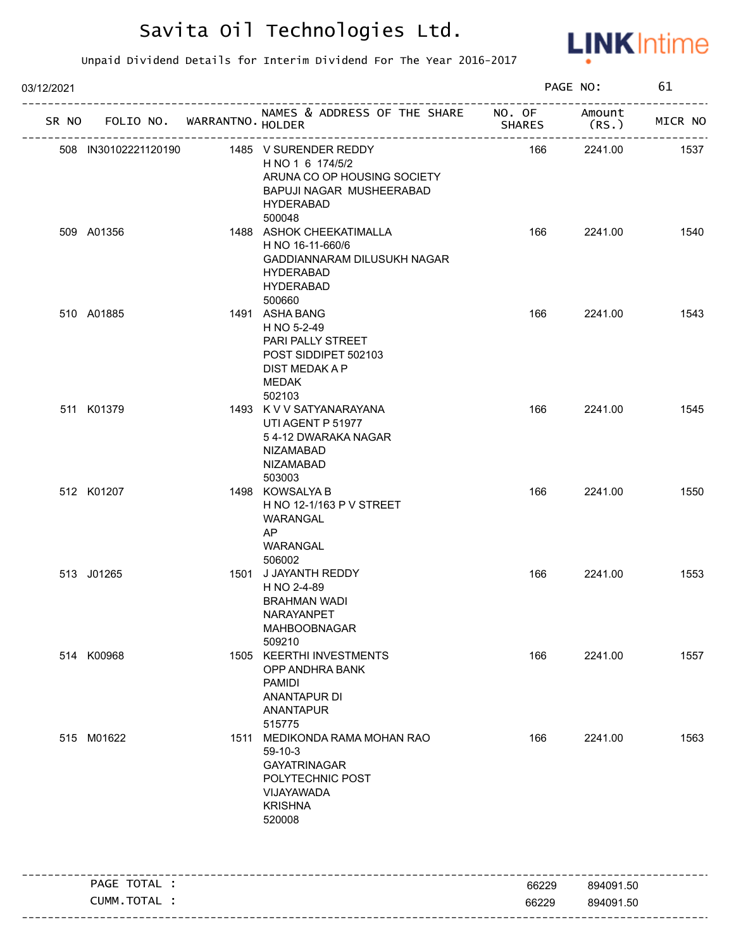

| 03/12/2021 |                              |                                   |                                                                                                                                               | PAGE NO:       |                        | 61      |
|------------|------------------------------|-----------------------------------|-----------------------------------------------------------------------------------------------------------------------------------------------|----------------|------------------------|---------|
|            |                              | SR NO FOLIO NO. WARRANTNO. HOLDER | NAMES & ADDRESS OF THE SHARE NO. OF                                                                                                           | <b>SHARES</b>  | Amount<br>(RS.)        | MICR NO |
|            |                              |                                   | 508 IN30102221120190 1485 V SURENDER REDDY<br>H NO 1 6 174/5/2<br>ARUNA CO OP HOUSING SOCIETY<br>BAPUJI NAGAR MUSHEERABAD<br><b>HYDERABAD</b> | 166            | 2241.00                | 1537    |
|            | 509 A01356                   |                                   | 500048<br>1488 ASHOK CHEEKATIMALLA<br>H NO 16-11-660/6<br>GADDIANNARAM DILUSUKH NAGAR<br><b>HYDERABAD</b><br><b>HYDERABAD</b><br>500660       | 166            | 2241.00                | 1540    |
|            | 510 A01885                   |                                   | 1491 ASHA BANG<br>H NO 5-2-49<br>PARI PALLY STREET<br>POST SIDDIPET 502103<br>DIST MEDAK A P<br>MEDAK<br>502103                               | 166            | 2241.00                | 1543    |
|            | 511 K01379                   |                                   | 1493 K V V SATYANARAYANA<br>UTI AGENT P 51977<br>54-12 DWARAKA NAGAR<br><b>NIZAMABAD</b><br><b>NIZAMABAD</b><br>503003                        | 166            | 2241.00                | 1545    |
|            | 512 K01207                   |                                   | 1498 KOWSALYA B<br>H NO 12-1/163 P V STREET<br>WARANGAL<br>AP<br>WARANGAL<br>506002                                                           | 166            | 2241.00                | 1550    |
|            | 513 J01265                   |                                   | 1501 J JAYANTH REDDY<br>H NO 2-4-89<br><b>BRAHMAN WADI</b><br>NARAYANPET<br><b>MAHBOOBNAGAR</b><br>509210                                     | 166            | 2241.00                | 1553    |
|            | 514 K00968                   |                                   | 1505 KEERTHI INVESTMENTS<br>OPP ANDHRA BANK<br><b>PAMIDI</b><br>ANANTAPUR DI<br><b>ANANTAPUR</b><br>515775                                    | 166            | 2241.00                | 1557    |
|            | 515 M01622                   |                                   | 1511 MEDIKONDA RAMA MOHAN RAO<br>$59-10-3$<br><b>GAYATRINAGAR</b><br>POLYTECHNIC POST<br>VIJAYAWADA<br><b>KRISHNA</b><br>520008               | 166            | 2241.00                | 1563    |
|            |                              |                                   |                                                                                                                                               |                |                        |         |
|            | PAGE TOTAL :<br>CUMM.TOTAL : |                                   |                                                                                                                                               | 66229<br>66229 | 894091.50<br>894091.50 |         |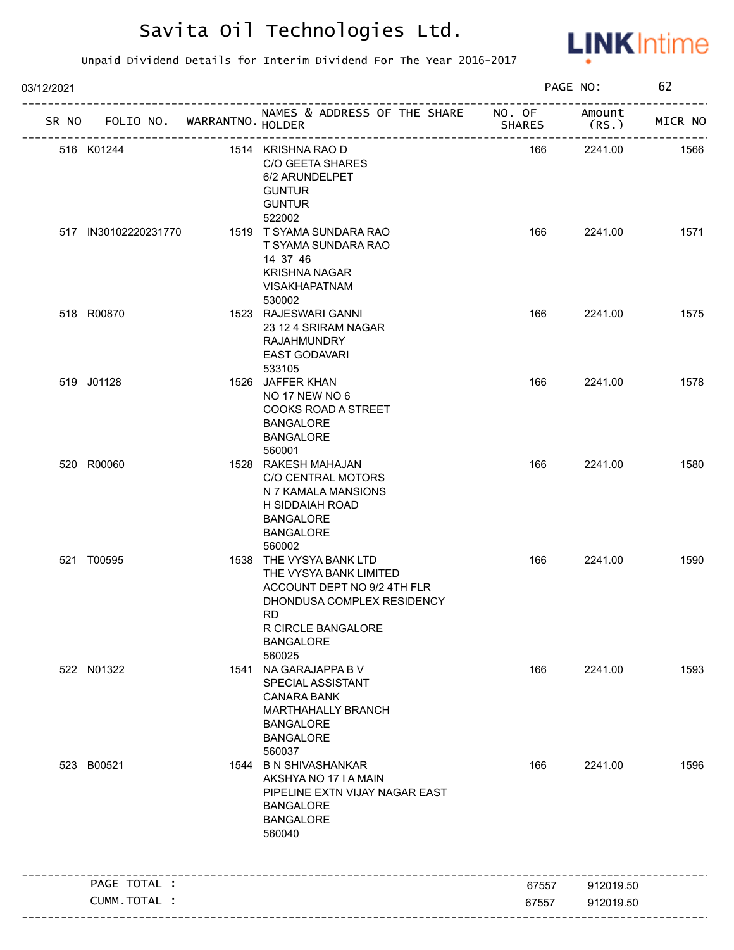

| 03/12/2021 |                      |                   |                                                                                                                                                                       |               | PAGE NO:        | 62      |
|------------|----------------------|-------------------|-----------------------------------------------------------------------------------------------------------------------------------------------------------------------|---------------|-----------------|---------|
| SR NO      | FOLIO NO.            | WARRANTNO. HOLDER | NAMES & ADDRESS OF THE SHARE NO. OF                                                                                                                                   | <b>SHARES</b> | Amount<br>(RS.) | MICR NO |
|            | 516 K01244           |                   | 1514 KRISHNA RAO D<br>C/O GEETA SHARES<br>6/2 ARUNDELPET<br><b>GUNTUR</b><br><b>GUNTUR</b>                                                                            | 166           | 2241.00         | 1566    |
|            | 517 IN30102220231770 |                   | 522002<br>1519 T SYAMA SUNDARA RAO<br>T SYAMA SUNDARA RAO<br>14 37 46<br><b>KRISHNA NAGAR</b><br><b>VISAKHAPATNAM</b><br>530002                                       | 166           | 2241.00         | 1571    |
|            | 518 R00870           |                   | 1523 RAJESWARI GANNI<br>23 12 4 SRIRAM NAGAR<br><b>RAJAHMUNDRY</b><br>EAST GODAVARI<br>533105                                                                         | 166           | 2241.00         | 1575    |
|            | 519 J01128           |                   | 1526 JAFFER KHAN<br><b>NO 17 NEW NO 6</b><br>COOKS ROAD A STREET<br><b>BANGALORE</b><br><b>BANGALORE</b><br>560001                                                    | 166           | 2241.00         | 1578    |
|            | 520 R00060           |                   | 1528 RAKESH MAHAJAN<br>C/O CENTRAL MOTORS<br>N 7 KAMALA MANSIONS<br>H SIDDAIAH ROAD<br><b>BANGALORE</b><br><b>BANGALORE</b><br>560002                                 | 166           | 2241.00         | 1580    |
|            | 521 T00595           |                   | 1538 THE VYSYA BANK LTD<br>THE VYSYA BANK LIMITED<br>ACCOUNT DEPT NO 9/2 4TH FLR<br>DHONDUSA COMPLEX RESIDENCY<br><b>RD</b><br>R CIRCLE BANGALORE<br><b>BANGALORE</b> | 166           | 2241.00         | 1590    |
|            | 522 N01322           |                   | 560025<br>1541 NA GARAJAPPA B V<br>SPECIAL ASSISTANT<br><b>CANARA BANK</b><br>MARTHAHALLY BRANCH<br><b>BANGALORE</b><br><b>BANGALORE</b><br>560037                    | 166           | 2241.00         | 1593    |
|            | 523 B00521           |                   | 1544 B N SHIVASHANKAR<br>AKSHYA NO 17 I A MAIN<br>PIPELINE EXTN VIJAY NAGAR EAST<br><b>BANGALORE</b><br><b>BANGALORE</b><br>560040                                    | 166           | 2241.00         | 1596    |
|            | PAGE TOTAL :         |                   |                                                                                                                                                                       | 67557         | 912019.50       |         |
|            | CUMM.TOTAL :         |                   |                                                                                                                                                                       | 67557         | 912019.50       |         |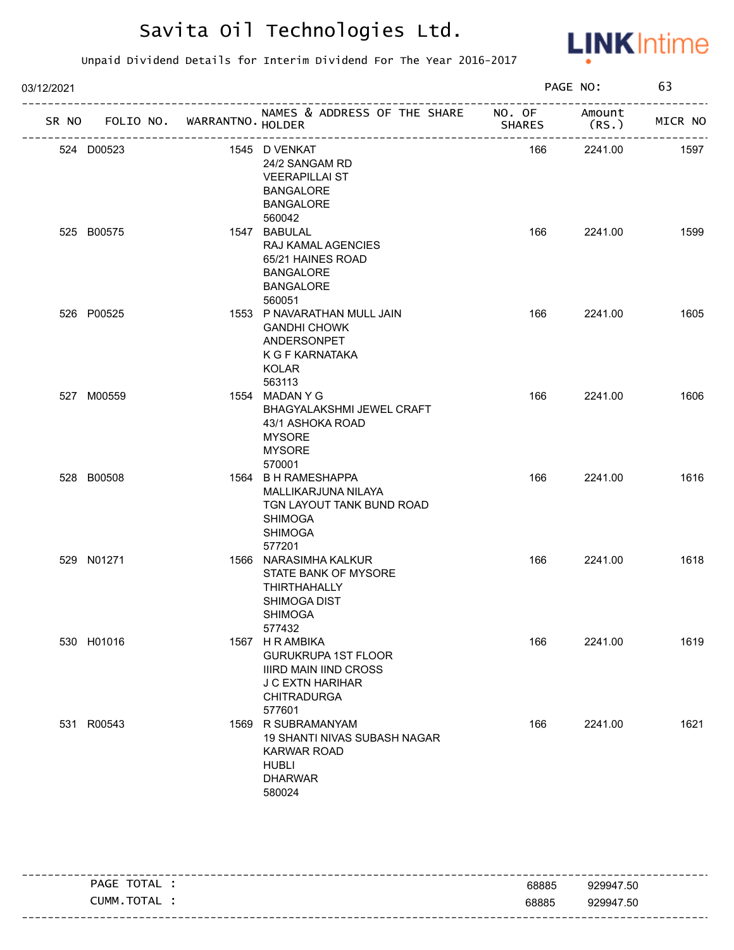

| 03/12/2021 |                                   |                                                                                                                                   |               | PAGE NO: | 63      |
|------------|-----------------------------------|-----------------------------------------------------------------------------------------------------------------------------------|---------------|----------|---------|
|            | SR NO FOLIO NO. WARRANTNO. HOLDER | NAMES & ADDRESS OF THE SHARE NO. OF Amount                                                                                        | <b>SHARES</b> | (RS.)    | MICR NO |
|            | 524 D00523                        | 1545 D VENKAT<br>24/2 SANGAM RD<br><b>VEERAPILLAI ST</b><br><b>BANGALORE</b><br><b>BANGALORE</b><br>560042                        | 166           | 2241.00  | 1597    |
|            | 525 B00575                        | 1547 BABULAL<br>RAJ KAMAL AGENCIES<br>65/21 HAINES ROAD<br><b>BANGALORE</b><br><b>BANGALORE</b><br>560051                         | 166           | 2241.00  | 1599    |
|            | 526 P00525                        | 1553 P NAVARATHAN MULL JAIN<br><b>GANDHI CHOWK</b><br>ANDERSONPET<br>K G F KARNATAKA<br><b>KOLAR</b><br>563113                    | 166           | 2241.00  | 1605    |
|            | 527 M00559                        | 1554 MADAN Y G<br>BHAGYALAKSHMI JEWEL CRAFT<br>43/1 ASHOKA ROAD<br><b>MYSORE</b><br><b>MYSORE</b><br>570001                       | 166           | 2241.00  | 1606    |
|            | 528 B00508                        | 1564 B H RAMESHAPPA<br>MALLIKARJUNA NILAYA<br>TGN LAYOUT TANK BUND ROAD<br><b>SHIMOGA</b><br><b>SHIMOGA</b><br>577201             | 166           | 2241.00  | 1616    |
|            | 529 N01271                        | 1566 NARASIMHA KALKUR<br>STATE BANK OF MYSORE<br><b>THIRTHAHALLY</b><br>SHIMOGA DIST<br><b>SHIMOGA</b><br>577432                  | 166           | 2241.00  | 1618    |
|            | 530 H01016                        | 1567 H R AMBIKA<br><b>GURUKRUPA 1ST FLOOR</b><br>IIIRD MAIN IIND CROSS<br><b>J C EXTN HARIHAR</b><br><b>CHITRADURGA</b><br>577601 | 166           | 2241.00  | 1619    |
|            | 531 R00543                        | 1569 R SUBRAMANYAM<br>19 SHANTI NIVAS SUBASH NAGAR<br><b>KARWAR ROAD</b><br><b>HUBLI</b><br><b>DHARWAR</b><br>580024              | 166           | 2241.00  | 1621    |

| TOTAL<br>PAGE  | 68885 | 929947.50                         |
|----------------|-------|-----------------------------------|
| CUMM.<br>TOTAL | 68885 | 929947.50                         |
|                |       | --------------------------------- |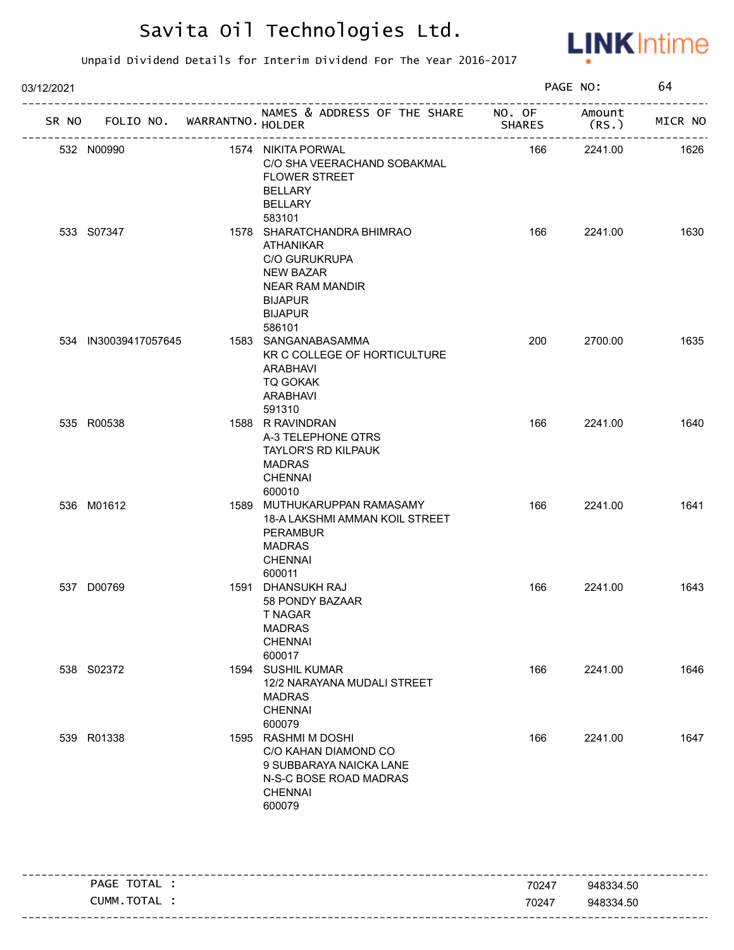

| 03/12/2021 |                             |                            |                                                                                                                                                                       |               | PAGE NO:                                | 64      |
|------------|-----------------------------|----------------------------|-----------------------------------------------------------------------------------------------------------------------------------------------------------------------|---------------|-----------------------------------------|---------|
| SR NO      | FOLIO NO. WARRANTNO. HOLDER |                            | NAMES & ADDRESS OF THE SHARE NO. OF                                                                                                                                   | <b>SHARES</b> | Amount<br>(RS.<br>--------------------- | MICR NO |
|            | 532 N00990                  | -------------------------- | 1574 NIKITA PORWAL<br>C/O SHA VEERACHAND SOBAKMAL<br><b>FLOWER STREET</b><br><b>BELLARY</b><br><b>BELLARY</b>                                                         | 166           | 2241.00                                 | 1626    |
|            | 533 S07347                  |                            | 583101<br>1578 SHARATCHANDRA BHIMRAO<br>ATHANIKAR<br><b>C/O GURUKRUPA</b><br><b>NEW BAZAR</b><br><b>NEAR RAM MANDIR</b><br><b>BIJAPUR</b><br><b>BIJAPUR</b><br>586101 | 166           | 2241.00                                 | 1630    |
|            | 534 IN30039417057645        |                            | 1583 SANGANABASAMMA<br>KR C COLLEGE OF HORTICULTURE<br>ARABHAVI<br><b>TQ GOKAK</b><br>ARABHAVI<br>591310                                                              | 200           | 2700.00                                 | 1635    |
|            | 535 R00538                  |                            | 1588 R RAVINDRAN<br>A-3 TELEPHONE QTRS<br><b>TAYLOR'S RD KILPAUK</b><br><b>MADRAS</b><br><b>CHENNAI</b><br>600010                                                     | 166           | 2241.00                                 | 1640    |
|            | 536 M01612                  |                            | 1589 MUTHUKARUPPAN RAMASAMY<br>18-A LAKSHMI AMMAN KOIL STREET<br><b>PERAMBUR</b><br><b>MADRAS</b><br><b>CHENNAI</b><br>600011                                         | 166           | 2241.00                                 | 1641    |
|            | 537 D00769                  |                            | 1591 DHANSUKH RAJ<br>58 PONDY BAZAAR<br>T NAGAR<br><b>MADRAS</b><br><b>CHENNAI</b><br>600017                                                                          | 166           | 2241.00                                 | 1643    |
|            | 538 S02372                  |                            | 1594 SUSHIL KUMAR<br>12/2 NARAYANA MUDALI STREET<br><b>MADRAS</b><br><b>CHENNAI</b><br>600079                                                                         | 166           | 2241.00                                 | 1646    |
|            | 539 R01338                  |                            | 1595 RASHMI M DOSHI<br>C/O KAHAN DIAMOND CO<br>9 SUBBARAYA NAICKA LANE<br>N-S-C BOSE ROAD MADRAS<br><b>CHENNAI</b><br>600079                                          | 166           | 2241.00                                 | 1647    |
|            | PAGE TOTAL :                |                            |                                                                                                                                                                       | 70247         | 948334.50                               |         |
|            | CUMM.TOTAL :                |                            |                                                                                                                                                                       | 70247         | 948334.50                               |         |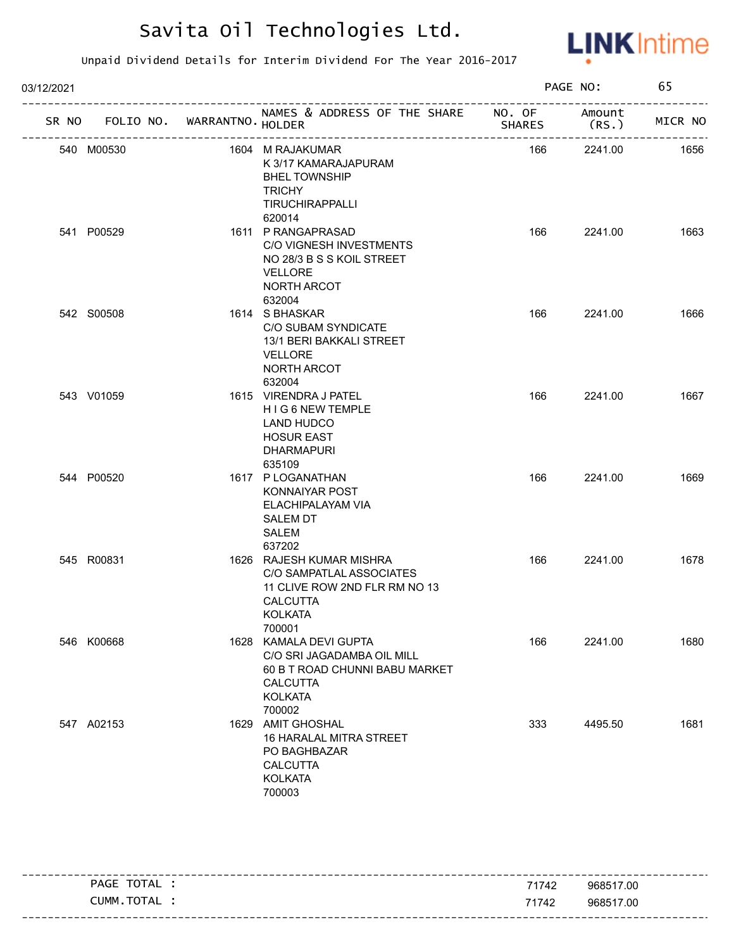

| 03/12/2021 |            |                             |                                                                                                                                       | PAGE NO:      |                | 65      |
|------------|------------|-----------------------------|---------------------------------------------------------------------------------------------------------------------------------------|---------------|----------------|---------|
| SR NO      |            | FOLIO NO. WARRANTNO. HOLDER | NAMES & ADDRESS OF THE SHARE NO. OF                                                                                                   | <b>SHARES</b> | Amount<br>(RS. | MICR NO |
|            | 540 M00530 |                             | 1604 M RAJAKUMAR<br>K 3/17 KAMARAJAPURAM<br><b>BHEL TOWNSHIP</b><br><b>TRICHY</b><br>TIRUCHIRAPPALLI<br>620014                        | 166           | 2241.00        | 1656    |
|            | 541 P00529 |                             | 1611 P RANGAPRASAD<br>C/O VIGNESH INVESTMENTS<br>NO 28/3 B S S KOIL STREET<br><b>VELLORE</b><br>NORTH ARCOT<br>632004                 | 166           | 2241.00        | 1663    |
|            | 542 S00508 |                             | 1614 S BHASKAR<br>C/O SUBAM SYNDICATE<br>13/1 BERI BAKKALI STREET<br><b>VELLORE</b><br>NORTH ARCOT<br>632004                          | 166           | 2241.00        | 1666    |
|            | 543 V01059 |                             | 1615 VIRENDRA J PATEL<br>HIG 6 NEW TEMPLE<br>LAND HUDCO<br><b>HOSUR EAST</b><br><b>DHARMAPURI</b><br>635109                           | 166           | 2241.00        | 1667    |
|            | 544 P00520 |                             | 1617 PLOGANATHAN<br>KONNAIYAR POST<br>ELACHIPALAYAM VIA<br><b>SALEM DT</b><br>SALEM<br>637202                                         | 166           | 2241.00        | 1669    |
|            | 545 R00831 |                             | 1626 RAJESH KUMAR MISHRA<br>C/O SAMPATLAL ASSOCIATES<br>11 CLIVE ROW 2ND FLR RM NO 13<br><b>CALCUTTA</b><br>KOLKATA<br>700001         | 166           | 2241.00        | 1678    |
|            | 546 K00668 |                             | 1628 KAMALA DEVI GUPTA<br>C/O SRI JAGADAMBA OIL MILL<br>60 B T ROAD CHUNNI BABU MARKET<br><b>CALCUTTA</b><br><b>KOLKATA</b><br>700002 | 166           | 2241.00        | 1680    |
|            | 547 A02153 |                             | 1629 AMIT GHOSHAL<br>16 HARALAL MITRA STREET<br>PO BAGHBAZAR<br><b>CALCUTTA</b><br><b>KOLKATA</b><br>700003                           | 333           | 4495.50        | 1681    |

| TOTAL<br>PAGE | 71742 | 968517.00 |
|---------------|-------|-----------|
| CUMM.TOTAL :  | 71742 | 968517.00 |
|               |       |           |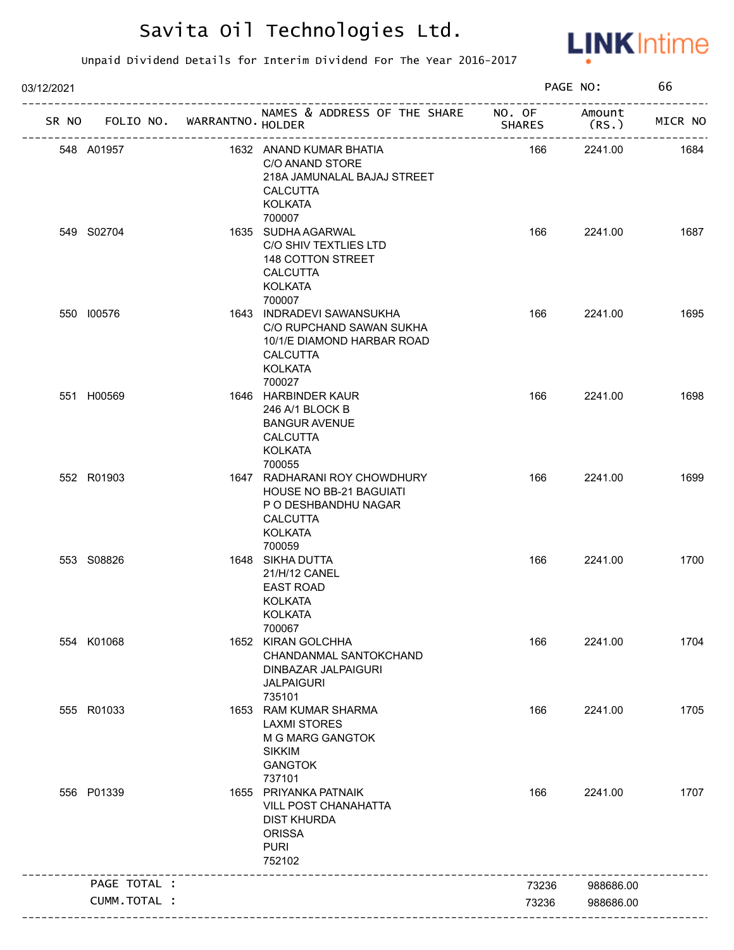

| 03/12/2021 |                                   |                                                                                                                                |        | PAGE NO:        | 66      |
|------------|-----------------------------------|--------------------------------------------------------------------------------------------------------------------------------|--------|-----------------|---------|
|            | SR NO FOLIO NO. WARRANTNO. HOLDER | NAMES & ADDRESS OF THE SHARE NO. OF                                                                                            | SHARES | Amount<br>(RS.) | MICR NO |
|            | 548 A01957                        | 1632 ANAND KUMAR BHATIA<br>C/O ANAND STORE<br>218A JAMUNALAL BAJAJ STREET<br><b>CALCUTTA</b><br><b>KOLKATA</b>                 | 166    | 2241.00         | 1684    |
|            | 549 S02704                        | 700007<br>1635 SUDHA AGARWAL<br>C/O SHIV TEXTLIES LTD<br>148 COTTON STREET<br><b>CALCUTTA</b><br><b>KOLKATA</b><br>700007      | 166    | 2241.00         | 1687    |
|            | 550 100576                        | 1643 INDRADEVI SAWANSUKHA<br>C/O RUPCHAND SAWAN SUKHA<br>10/1/E DIAMOND HARBAR ROAD<br><b>CALCUTTA</b><br>KOLKATA<br>700027    | 166    | 2241.00         | 1695    |
|            | 551 H00569                        | 1646 HARBINDER KAUR<br>246 A/1 BLOCK B<br><b>BANGUR AVENUE</b><br><b>CALCUTTA</b><br><b>KOLKATA</b><br>700055                  | 166    | 2241.00         | 1698    |
|            | 552 R01903                        | 1647 RADHARANI ROY CHOWDHURY<br>HOUSE NO BB-21 BAGUIATI<br>P O DESHBANDHU NAGAR<br><b>CALCUTTA</b><br><b>KOLKATA</b><br>700059 | 166    | 2241.00         | 1699    |
|            | 553 S08826                        | 1648 SIKHA DUTTA<br>21/H/12 CANEL<br><b>EAST ROAD</b><br><b>KOLKATA</b><br>KOLKATA<br>700067                                   | 166    | 2241.00         | 1700    |
|            | 554 K01068                        | 1652 KIRAN GOLCHHA<br>CHANDANMAL SANTOKCHAND<br>DINBAZAR JALPAIGURI<br><b>JALPAIGURI</b><br>735101                             | 166    | 2241.00         | 1704    |
|            | 555 R01033                        | 1653 RAM KUMAR SHARMA<br><b>LAXMI STORES</b><br>M G MARG GANGTOK<br><b>SIKKIM</b><br><b>GANGTOK</b><br>737101                  | 166    | 2241.00         | 1705    |
|            | 556 P01339                        | 1655 PRIYANKA PATNAIK<br>VILL POST CHANAHATTA<br><b>DIST KHURDA</b><br><b>ORISSA</b><br><b>PURI</b><br>752102                  | 166    | 2241.00         | 1707    |
|            | PAGE TOTAL :                      | ----------------------                                                                                                         | 73236  | 988686.00       |         |
|            | CUMM.TOTAL :                      |                                                                                                                                | 73236  | 988686.00       |         |
|            |                                   |                                                                                                                                |        |                 |         |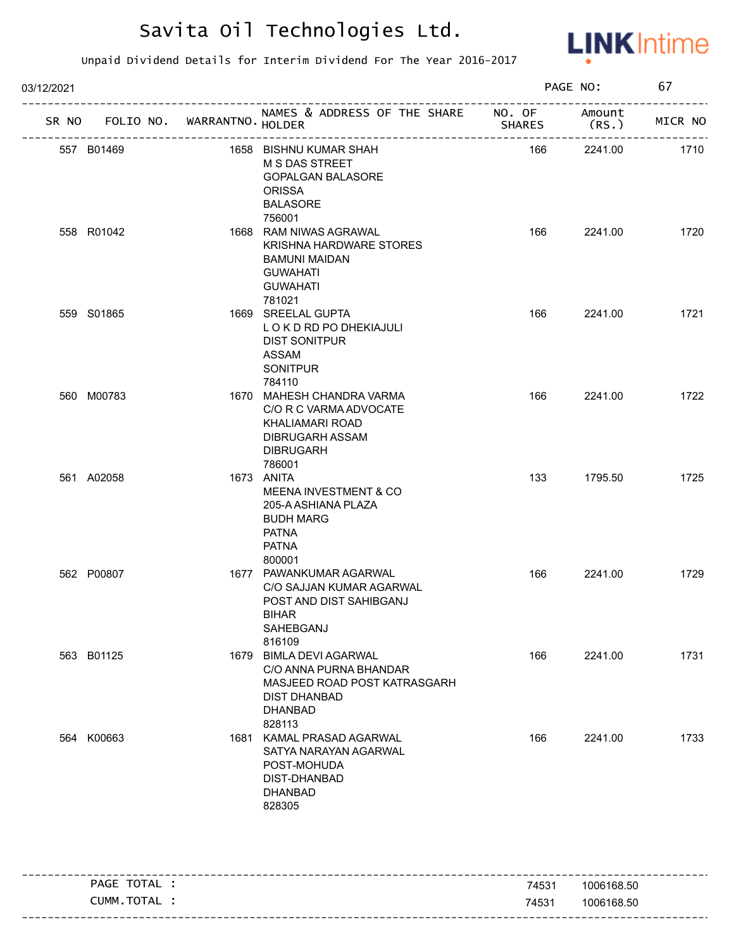

| 03/12/2021 |            |                             |                                                                                                                                     |               | PAGE NO:       | 67      |
|------------|------------|-----------------------------|-------------------------------------------------------------------------------------------------------------------------------------|---------------|----------------|---------|
| SR NO      |            | FOLIO NO. WARRANTNO. HOLDER | NAMES & ADDRESS OF THE SHARE NO. OF                                                                                                 | <b>SHARES</b> | Amount<br>(RS. | MICR NO |
|            | 557 B01469 |                             | 1658 BISHNU KUMAR SHAH<br><b>M S DAS STREET</b><br><b>GOPALGAN BALASORE</b><br><b>ORISSA</b><br><b>BALASORE</b><br>756001           | 166           | 2241.00        | 1710    |
|            | 558 R01042 |                             | 1668 RAM NIWAS AGRAWAL<br>KRISHNA HARDWARE STORES<br><b>BAMUNI MAIDAN</b><br><b>GUWAHATI</b><br><b>GUWAHATI</b><br>781021           | 166           | 2241.00        | 1720    |
|            | 559 S01865 |                             | 1669 SREELAL GUPTA<br>LOKDRD PO DHEKIAJULI<br><b>DIST SONITPUR</b><br><b>ASSAM</b><br><b>SONITPUR</b><br>784110                     | 166           | 2241.00        | 1721    |
|            | 560 M00783 |                             | 1670 MAHESH CHANDRA VARMA<br>C/O R C VARMA ADVOCATE<br>KHALIAMARI ROAD<br>DIBRUGARH ASSAM<br><b>DIBRUGARH</b><br>786001             | 166           | 2241.00        | 1722    |
|            | 561 A02058 |                             | 1673 ANITA<br><b>MEENA INVESTMENT &amp; CO</b><br>205-A ASHIANA PLAZA<br><b>BUDH MARG</b><br><b>PATNA</b><br><b>PATNA</b><br>800001 | 133           | 1795.50        | 1725    |
|            | 562 P00807 |                             | 1677 PAWANKUMAR AGARWAL<br>C/O SAJJAN KUMAR AGARWAL<br>POST AND DIST SAHIBGANJ<br>BIHAR<br>SAHEBGANJ<br>816109                      | 166           | 2241.00        | 1729    |
|            | 563 B01125 |                             | 1679 BIMLA DEVI AGARWAL<br>C/O ANNA PURNA BHANDAR<br>MASJEED ROAD POST KATRASGARH<br><b>DIST DHANBAD</b><br>DHANBAD<br>828113       | 166           | 2241.00        | 1731    |
|            | 564 K00663 |                             | 1681 KAMAL PRASAD AGARWAL<br>SATYA NARAYAN AGARWAL<br>POST-MOHUDA<br>DIST-DHANBAD<br>DHANBAD<br>828305                              | 166           | 2241.00        | 1733    |

| PAGE TOTAL | 74531 | 1006168.50 |
|------------|-------|------------|
| CUMM.TOTAL | 74531 | 1006168.50 |
|            |       |            |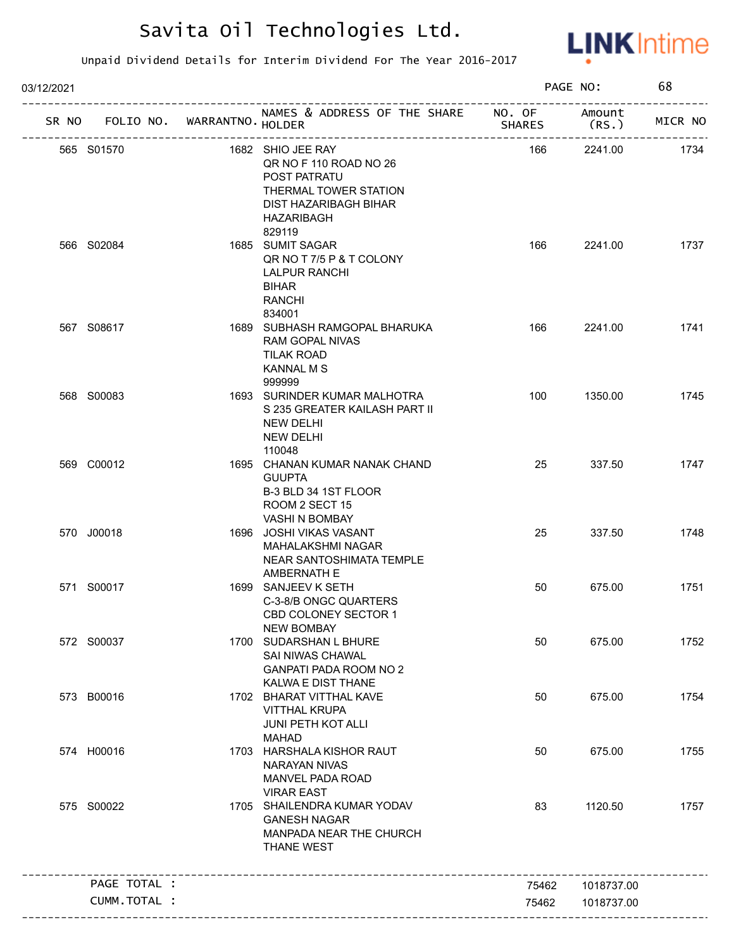

| 03/12/2021 |                                   |                                                                                                                                       |               | PAGE NO:   | 68      |
|------------|-----------------------------------|---------------------------------------------------------------------------------------------------------------------------------------|---------------|------------|---------|
|            | SR NO FOLIO NO. WARRANTNO. HOLDER | NAMES & ADDRESS OF THE SHARE NO. OF Amount                                                                                            | <b>SHARES</b> | (RS.)      | MICR NO |
|            | 565 S01570                        | 1682 SHIO JEE RAY<br>QR NO F 110 ROAD NO 26<br>POST PATRATU<br>THERMAL TOWER STATION<br>DIST HAZARIBAGH BIHAR<br>HAZARIBAGH<br>829119 | 166           | 2241.00    | 1734    |
|            | 566 S02084                        | 1685 SUMIT SAGAR<br>QR NO T 7/5 P & T COLONY<br>LALPUR RANCHI<br><b>BIHAR</b><br><b>RANCHI</b><br>834001                              | 166           | 2241.00    | 1737    |
|            | 567 S08617                        | 1689 SUBHASH RAMGOPAL BHARUKA<br><b>RAM GOPAL NIVAS</b><br>TILAK ROAD<br><b>KANNAL M S</b><br>999999                                  | 166           | 2241.00    | 1741    |
|            | 568 S00083                        | 1693 SURINDER KUMAR MALHOTRA<br>S 235 GREATER KAILASH PART II<br><b>NEW DELHI</b><br><b>NEW DELHI</b><br>110048                       | 100           | 1350.00    | 1745    |
|            | 569 C00012                        | 1695 CHANAN KUMAR NANAK CHAND<br><b>GUUPTA</b><br>B-3 BLD 34 1ST FLOOR<br>ROOM 2 SECT 15<br>VASHI N BOMBAY                            | 25            | 337.50     | 1747    |
|            | 570 J00018                        | 1696 JOSHI VIKAS VASANT<br>MAHALAKSHMI NAGAR<br>NEAR SANTOSHIMATA TEMPLE<br>AMBERNATH E                                               | 25            | 337.50     | 1748    |
|            | 571 S00017                        | 1699 SANJEEV K SETH<br>C-3-8/B ONGC QUARTERS<br>CBD COLONEY SECTOR 1<br><b>NEW BOMBAY</b>                                             | 50            | 675.00     | 1751    |
|            | 572 S00037                        | 1700 SUDARSHAN L BHURE<br>SAI NIWAS CHAWAL<br>GANPATI PADA ROOM NO 2<br>KALWA E DIST THANE                                            | 50            | 675.00     | 1752    |
|            | 573 B00016                        | 1702 BHARAT VITTHAL KAVE<br><b>VITTHAL KRUPA</b><br><b>JUNI PETH KOT ALLI</b><br><b>MAHAD</b>                                         | 50            | 675.00     | 1754    |
|            | 574 H00016                        | 1703 HARSHALA KISHOR RAUT<br><b>NARAYAN NIVAS</b><br><b>MANVEL PADA ROAD</b><br><b>VIRAR EAST</b>                                     | 50            | 675.00     | 1755    |
|            | 575 S00022                        | 1705 SHAILENDRA KUMAR YODAV<br><b>GANESH NAGAR</b><br>MANPADA NEAR THE CHURCH<br><b>THANE WEST</b>                                    | 83            | 1120.50    | 1757    |
|            | PAGE TOTAL :                      |                                                                                                                                       | 75462         | 1018737.00 |         |
|            | CUMM.TOTAL :                      |                                                                                                                                       | 75462         | 1018737.00 |         |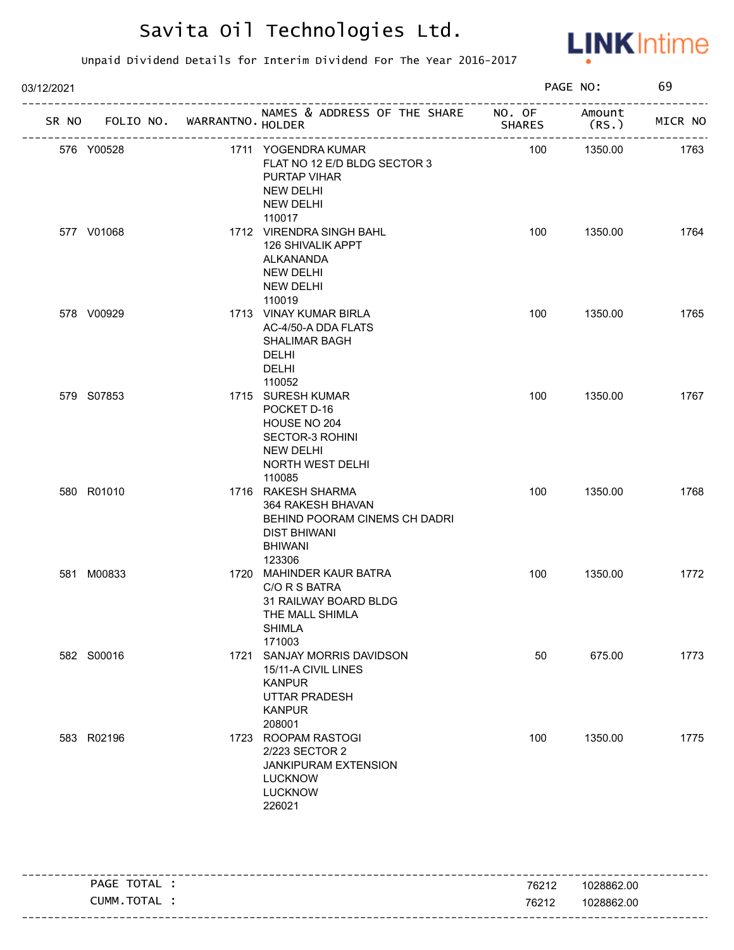

| 03/12/2021                        | PAGE NO:                                                                                                                    |               | 69              |         |
|-----------------------------------|-----------------------------------------------------------------------------------------------------------------------------|---------------|-----------------|---------|
| SR NO FOLIO NO. WARRANTNO. HOLDER | NAMES & ADDRESS OF THE SHARE NO. OF<br>______________________                                                               | <b>SHARES</b> | Amount<br>(RS.) | MICR NO |
| 576 Y00528                        | 1711 YOGENDRA KUMAR<br>FLAT NO 12 E/D BLDG SECTOR 3<br>PURTAP VIHAR<br><b>NEW DELHI</b><br><b>NEW DELHI</b><br>110017       | 100           | 1350.00         | 1763    |
| 577 V01068                        | 1712 VIRENDRA SINGH BAHL<br><b>126 SHIVALIK APPT</b><br>ALKANANDA<br><b>NEW DELHI</b><br><b>NEW DELHI</b><br>110019         | 100           | 1350.00         | 1764    |
| 578 V00929                        | 1713 VINAY KUMAR BIRLA<br>AC-4/50-A DDA FLATS<br><b>SHALIMAR BAGH</b><br><b>DELHI</b><br><b>DELHI</b><br>110052             | 100           | 1350.00         | 1765    |
| 579 S07853                        | 1715 SURESH KUMAR<br>POCKET D-16<br>HOUSE NO 204<br>SECTOR-3 ROHINI<br><b>NEW DELHI</b><br>NORTH WEST DELHI<br>110085       | 100           | 1350.00         | 1767    |
| 580 R01010                        | 1716 RAKESH SHARMA<br>364 RAKESH BHAVAN<br>BEHIND POORAM CINEMS CH DADRI<br><b>DIST BHIWANI</b><br><b>BHIWANI</b><br>123306 | 100           | 1350.00         | 1768    |
| 581 M00833                        | 1720 MAHINDER KAUR BATRA<br>C/O R S BATRA<br>31 RAILWAY BOARD BLDG<br>THE MALL SHIMLA<br><b>SHIMLA</b><br>171003            | 100           | 1350.00         | 1772    |
| 582 S00016                        | 1721 SANJAY MORRIS DAVIDSON<br>15/11-A CIVIL LINES<br><b>KANPUR</b><br>UTTAR PRADESH<br><b>KANPUR</b><br>208001             | 50            | 675.00          | 1773    |
| 583 R02196                        | 1723 ROOPAM RASTOGI<br>2/223 SECTOR 2<br><b>JANKIPURAM EXTENSION</b><br><b>LUCKNOW</b><br><b>LUCKNOW</b><br>226021          | 100           | 1350.00         | 1775    |

|                |       | -----------------            |
|----------------|-------|------------------------------|
| TOTAL<br>PAGE  | 76212 | 1028862.00                   |
| CUMM.<br>TOTAL | 76212 | 1028862.00                   |
|                |       | ---------------------------- |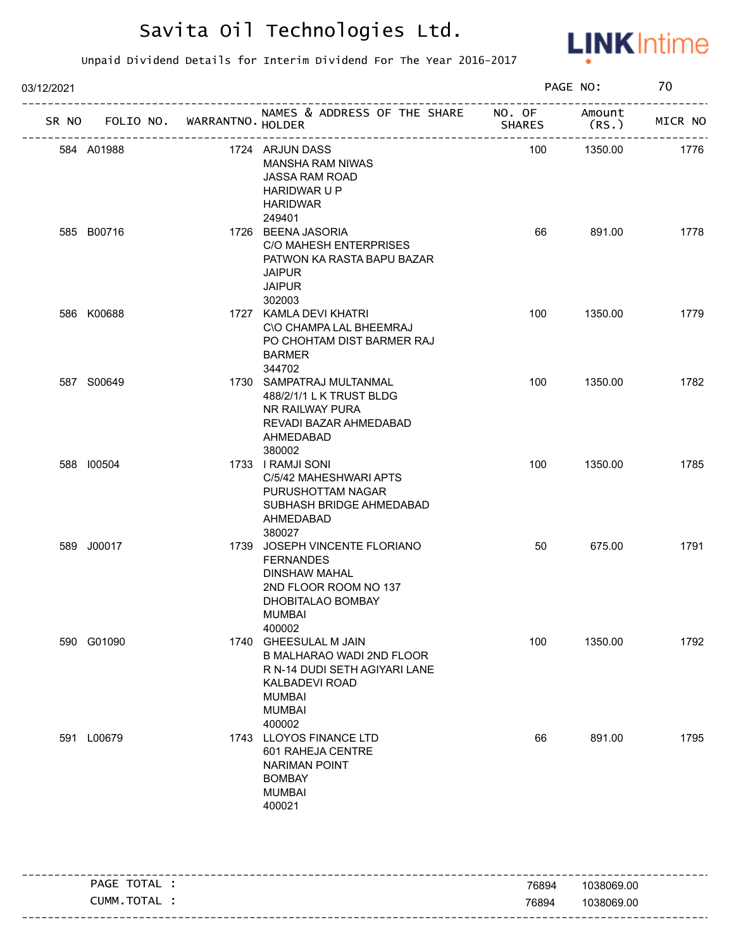

| 03/12/2021 |                             |                                                                                                                                                   |               | PAGE NO:       | 70      |
|------------|-----------------------------|---------------------------------------------------------------------------------------------------------------------------------------------------|---------------|----------------|---------|
| SR NO      | FOLIO NO. WARRANTNO. HOLDER | NAMES & ADDRESS OF THE SHARE NO. OF                                                                                                               | <b>SHARES</b> | Amount<br>(RS. | MICR NO |
| 584 A01988 |                             | 1724 ARJUN DASS<br><b>MANSHA RAM NIWAS</b><br><b>JASSA RAM ROAD</b><br><b>HARIDWAR U P</b><br><b>HARIDWAR</b><br>249401                           | 100           | 1350.00        | 1776    |
| 585 B00716 |                             | 1726 BEENA JASORIA<br>C/O MAHESH ENTERPRISES<br>PATWON KA RASTA BAPU BAZAR<br><b>JAIPUR</b><br><b>JAIPUR</b><br>302003                            | 66            | 891.00         | 1778    |
| 586 K00688 |                             | 1727 KAMLA DEVI KHATRI<br>C\O CHAMPA LAL BHEEMRAJ<br>PO CHOHTAM DIST BARMER RAJ<br><b>BARMER</b><br>344702                                        | 100           | 1350.00        | 1779    |
| 587 S00649 |                             | 1730 SAMPATRAJ MULTANMAL<br>488/2/1/1 L K TRUST BLDG<br>NR RAILWAY PURA<br>REVADI BAZAR AHMEDABAD<br>AHMEDABAD<br>380002                          | 100           | 1350.00        | 1782    |
| 588 100504 |                             | 1733 I RAMJI SONI<br>C/5/42 MAHESHWARI APTS<br>PURUSHOTTAM NAGAR<br>SUBHASH BRIDGE AHMEDABAD<br>AHMEDABAD<br>380027                               | 100           | 1350.00        | 1785    |
| 589 J00017 |                             | 1739 JOSEPH VINCENTE FLORIANO<br><b>FERNANDES</b><br>DINSHAW MAHAL<br>2ND FLOOR ROOM NO 137<br>DHOBITALAO BOMBAY<br>MUMBAI<br>400002              | 50            | 675.00         | 1791    |
| 590 G01090 |                             | 1740 GHEESULAL M JAIN<br>B MALHARAO WADI 2ND FLOOR<br>R N-14 DUDI SETH AGIYARI LANE<br>KALBADEVI ROAD<br><b>MUMBAI</b><br><b>MUMBAI</b><br>400002 | 100           | 1350.00        | 1792    |
| 591 L00679 |                             | 1743 LLOYOS FINANCE LTD<br>601 RAHEJA CENTRE<br><b>NARIMAN POINT</b><br><b>BOMBAY</b><br><b>MUMBAI</b><br>400021                                  | 66            | 891.00         | 1795    |

| TOTA.<br><b>PAGE</b><br>ᇊᆫ          | 76894 | 1038069.00 |
|-------------------------------------|-------|------------|
| <b>TOTA</b><br>_UMM<br>$\mathbf{A}$ | 76894 | 1038069.00 |
|                                     |       |            |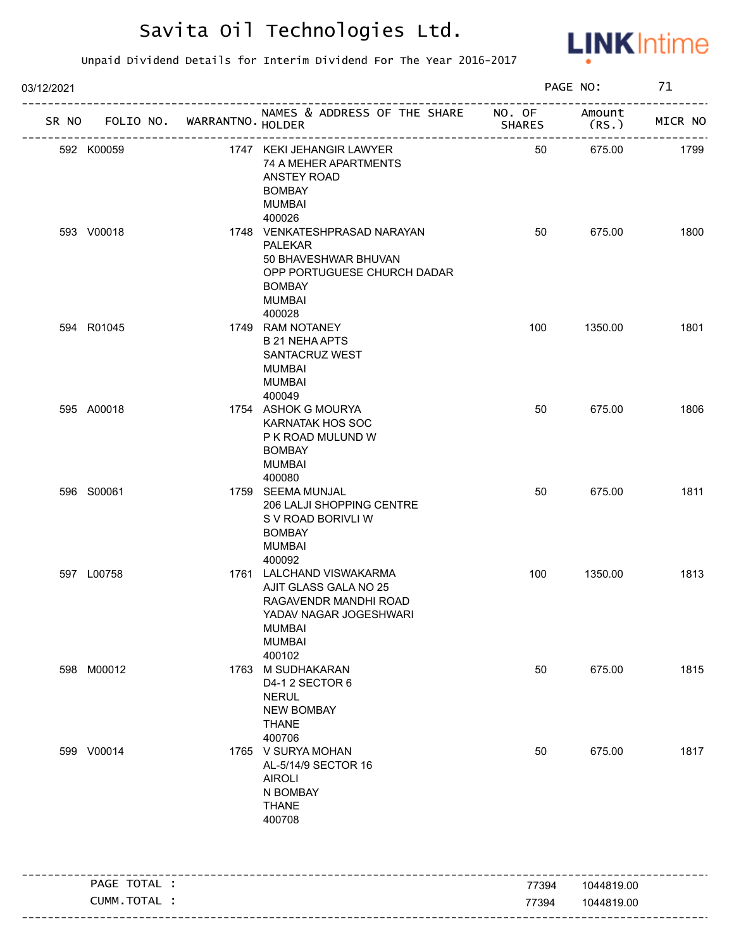

| 03/12/2021 |                                   |                                                                                                                                                             |               | PAGE NO:        | 71      |
|------------|-----------------------------------|-------------------------------------------------------------------------------------------------------------------------------------------------------------|---------------|-----------------|---------|
|            | SR NO FOLIO NO. WARRANTNO. HOLDER | NAMES & ADDRESS OF THE SHARE NO. OF                                                                                                                         | <b>SHARES</b> | Amount<br>(RS.) | MICR NO |
|            | 592 K00059                        | 1747 KEKI JEHANGIR LAWYER<br>74 A MEHER APARTMENTS<br>ANSTEY ROAD<br><b>BOMBAY</b><br><b>MUMBAI</b>                                                         | 50            | 675.00          | 1799    |
|            | 593 V00018                        | 400026<br>1748 VENKATESHPRASAD NARAYAN<br><b>PALEKAR</b><br>50 BHAVESHWAR BHUVAN<br>OPP PORTUGUESE CHURCH DADAR<br><b>BOMBAY</b><br><b>MUMBAI</b><br>400028 | 50            | 675.00          | 1800    |
|            | 594 R01045                        | 1749 RAM NOTANEY<br><b>B 21 NEHA APTS</b><br>SANTACRUZ WEST<br><b>MUMBAI</b><br>MUMBAI<br>400049                                                            | 100           | 1350.00         | 1801    |
|            | 595 A00018                        | 1754 ASHOK G MOURYA<br><b>KARNATAK HOS SOC</b><br>P K ROAD MULUND W<br><b>BOMBAY</b><br><b>MUMBAI</b><br>400080                                             | 50            | 675.00          | 1806    |
|            | 596 S00061                        | 1759 SEEMA MUNJAL<br>206 LALJI SHOPPING CENTRE<br>S V ROAD BORIVLI W<br><b>BOMBAY</b><br><b>MUMBAI</b><br>400092                                            | 50            | 675.00          | 1811    |
|            | 597 L00758                        | 1761 LALCHAND VISWAKARMA<br>AJIT GLASS GALA NO 25<br>RAGAVENDR MANDHI ROAD<br>YADAV NAGAR JOGESHWARI<br><b>MUMBAI</b><br><b>MUMBAI</b><br>400102            | 100           | 1350.00         | 1813    |
|            | 598 M00012                        | 1763 M SUDHAKARAN<br>D4-1 2 SECTOR 6<br><b>NERUL</b><br><b>NEW BOMBAY</b><br><b>THANE</b><br>400706                                                         | 50            | 675.00          | 1815    |
|            | 599 V00014                        | 1765 V SURYA MOHAN<br>AL-5/14/9 SECTOR 16<br><b>AIROLI</b><br>N BOMBAY<br><b>THANE</b><br>400708                                                            | 50            | 675.00          | 1817    |
|            | PAGE TOTAL :                      |                                                                                                                                                             | 77394         | 1044819.00      |         |
|            | CUMM.TOTAL :                      |                                                                                                                                                             | 77394         | 1044819.00      |         |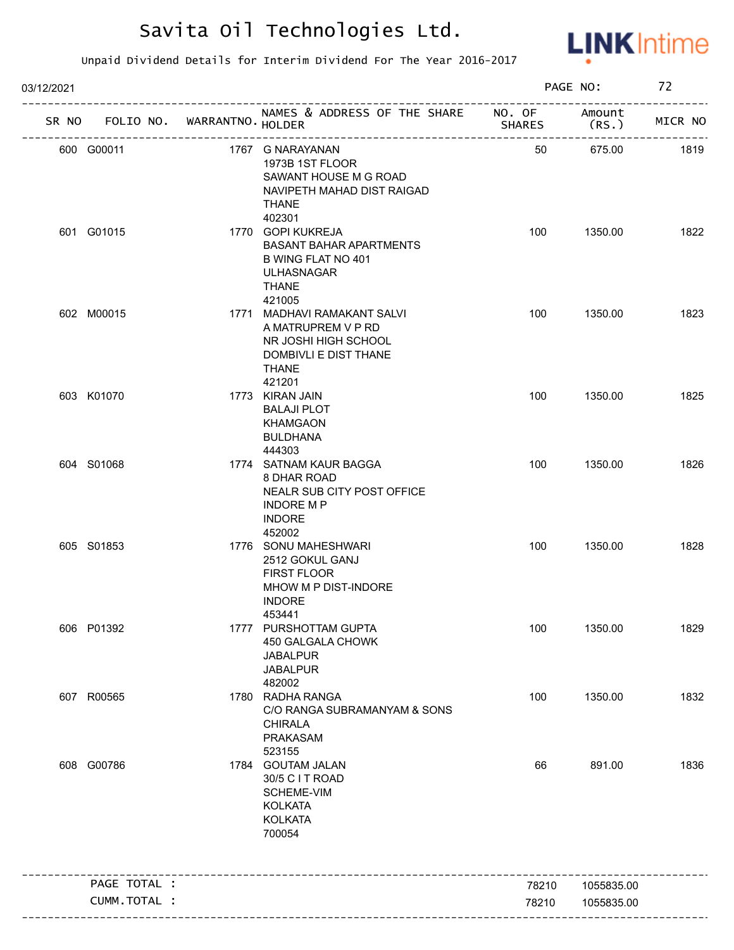

| 03/12/2021 |              |                             |                                                                                                                                    |               | PAGE NO:        | 72      |
|------------|--------------|-----------------------------|------------------------------------------------------------------------------------------------------------------------------------|---------------|-----------------|---------|
| SR NO      |              | FOLIO NO. WARRANTNO. HOLDER | NAMES & ADDRESS OF THE SHARE NO. OF                                                                                                | <b>SHARES</b> | Amount<br>(RS.) | MICR NO |
|            | 600 G00011   |                             | 1767 G NARAYANAN<br>1973B 1ST FLOOR<br>SAWANT HOUSE M G ROAD<br>NAVIPETH MAHAD DIST RAIGAD<br><b>THANE</b>                         | 50            | 675.00          | 1819    |
|            | 601 G01015   |                             | 402301<br>1770 GOPI KUKREJA<br><b>BASANT BAHAR APARTMENTS</b><br>B WING FLAT NO 401<br><b>ULHASNAGAR</b><br><b>THANE</b><br>421005 | 100           | 1350.00         | 1822    |
|            | 602 M00015   |                             | 1771 MADHAVI RAMAKANT SALVI<br>A MATRUPREM V P RD<br>NR JOSHI HIGH SCHOOL<br>DOMBIVLI E DIST THANE<br><b>THANE</b><br>421201       | 100           | 1350.00         | 1823    |
|            | 603 K01070   |                             | 1773 KIRAN JAIN<br><b>BALAJI PLOT</b><br><b>KHAMGAON</b><br><b>BULDHANA</b><br>444303                                              | 100           | 1350.00         | 1825    |
|            | 604 S01068   |                             | 1774 SATNAM KAUR BAGGA<br>8 DHAR ROAD<br>NEALR SUB CITY POST OFFICE<br><b>INDORE MP</b><br><b>INDORE</b><br>452002                 | 100           | 1350.00         | 1826    |
|            | 605 S01853   |                             | 1776 SONU MAHESHWARI<br>2512 GOKUL GANJ<br><b>FIRST FLOOR</b><br>MHOW M P DIST-INDORE<br><b>INDORE</b><br>453441                   | 100           | 1350.00         | 1828    |
|            | 606 P01392   |                             | 1777 PURSHOTTAM GUPTA<br>450 GALGALA CHOWK<br><b>JABALPUR</b><br><b>JABALPUR</b><br>482002                                         | 100           | 1350.00         | 1829    |
|            | 607 R00565   |                             | 1780 RADHA RANGA<br>C/O RANGA SUBRAMANYAM & SONS<br><b>CHIRALA</b><br>PRAKASAM<br>523155                                           | 100           | 1350.00         | 1832    |
|            | 608 G00786   |                             | 1784 GOUTAM JALAN<br>30/5 C I T ROAD<br>SCHEME-VIM<br><b>KOLKATA</b><br><b>KOLKATA</b><br>700054                                   | 66            | 891.00          | 1836    |
|            | PAGE TOTAL : |                             |                                                                                                                                    | 78210         | 1055835.00      |         |
|            | CUMM.TOTAL : |                             |                                                                                                                                    | 78210         | 1055835.00      |         |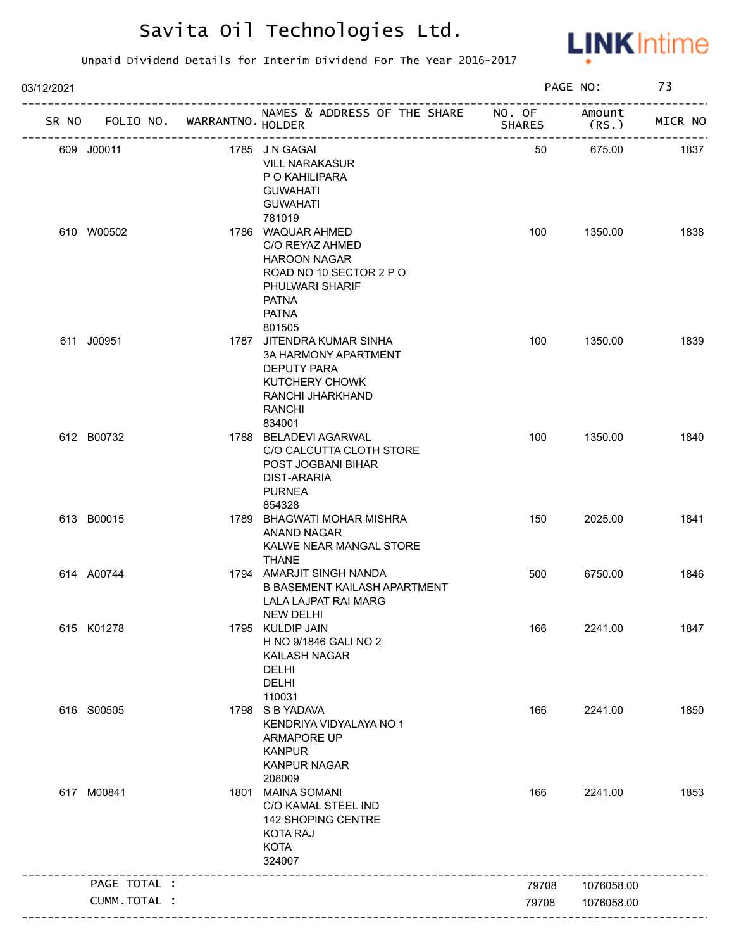

| 03/12/2021 |              |                             |                                                                                                                                                     |               | PAGE NO:                      | 73      |
|------------|--------------|-----------------------------|-----------------------------------------------------------------------------------------------------------------------------------------------------|---------------|-------------------------------|---------|
| SR NO      |              | FOLIO NO. WARRANTNO. HOLDER | NAMES & ADDRESS OF THE SHARE NO. OF<br>--------------------------------------                                                                       | <b>SHARES</b> | Amount<br>(RS. )<br>--------- | MICR NO |
|            | 609 J00011   |                             | 1785 JN GAGAI<br><b>VILL NARAKASUR</b><br>P O KAHILIPARA<br><b>GUWAHATI</b><br><b>GUWAHATI</b>                                                      | 50            | 675.00                        | 1837    |
|            | 610 W00502   |                             | 781019<br>1786 WAQUAR AHMED<br>C/O REYAZ AHMED<br><b>HAROON NAGAR</b><br>ROAD NO 10 SECTOR 2 P O<br>PHULWARI SHARIF<br><b>PATNA</b><br><b>PATNA</b> | 100           | 1350.00                       | 1838    |
|            | 611 J00951   |                             | 801505<br>1787 JITENDRA KUMAR SINHA<br><b>3A HARMONY APARTMENT</b><br><b>DEPUTY PARA</b><br>KUTCHERY CHOWK<br>RANCHI JHARKHAND<br>RANCHI<br>834001  | 100           | 1350.00                       | 1839    |
|            | 612 B00732   |                             | 1788 BELADEVI AGARWAL<br>C/O CALCUTTA CLOTH STORE<br>POST JOGBANI BIHAR<br>DIST-ARARIA<br><b>PURNEA</b><br>854328                                   | 100           | 1350.00                       | 1840    |
|            | 613 B00015   |                             | 1789 BHAGWATI MOHAR MISHRA<br><b>ANAND NAGAR</b><br>KALWE NEAR MANGAL STORE<br><b>THANE</b>                                                         | 150           | 2025.00                       | 1841    |
|            | 614 A00744   |                             | 1794 AMARJIT SINGH NANDA<br><b>B BASEMENT KAILASH APARTMENT</b><br>LALA LAJPAT RAI MARG<br>NEW DELHI                                                | 500           | 6750.00                       | 1846    |
|            | 615 K01278   |                             | 1795 KULDIP JAIN<br>H NO 9/1846 GALI NO 2<br>KAILASH NAGAR<br><b>DELHI</b><br><b>DELHI</b><br>110031                                                | 166           | 2241.00                       | 1847    |
|            | 616 S00505   |                             | 1798 S B YADAVA<br>KENDRIYA VIDYALAYA NO 1<br>ARMAPORE UP<br><b>KANPUR</b><br><b>KANPUR NAGAR</b><br>208009                                         | 166           | 2241.00                       | 1850    |
|            | 617 M00841   |                             | 1801 MAINA SOMANI<br>C/O KAMAL STEEL IND<br>142 SHOPING CENTRE<br><b>KOTA RAJ</b><br><b>KOTA</b><br>324007                                          | 166           | 2241.00                       | 1853    |
|            | PAGE TOTAL : |                             |                                                                                                                                                     | 79708         | 1076058.00                    |         |
|            | CUMM.TOTAL : |                             |                                                                                                                                                     | 79708         | 1076058.00                    |         |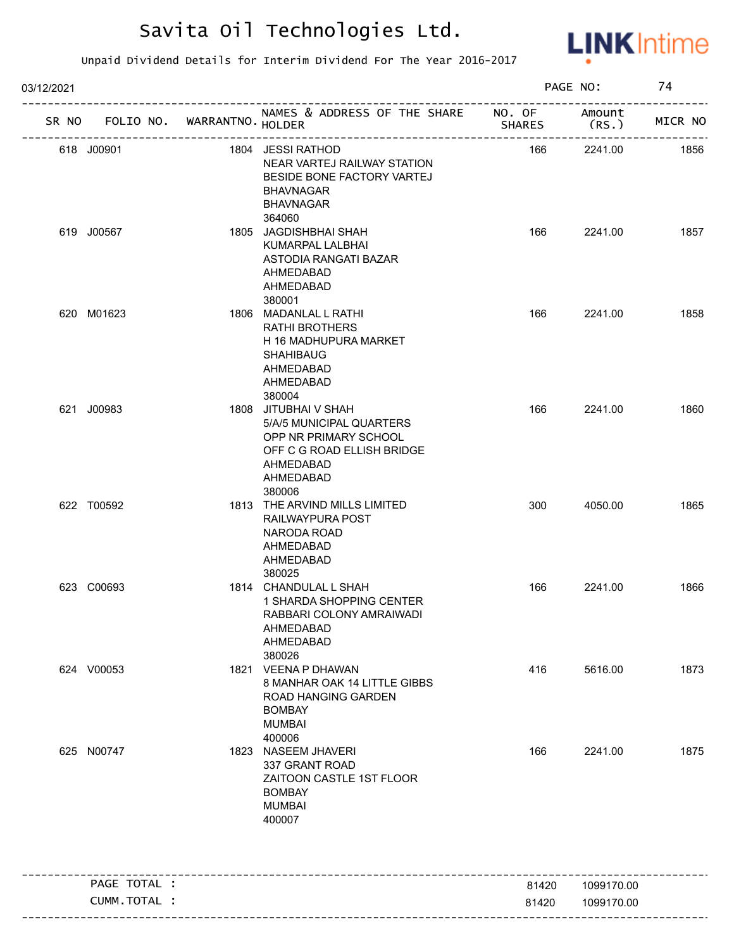

| 03/12/2021 |              |                             |                                                                                                                                             |               | PAGE NO:        | 74      |
|------------|--------------|-----------------------------|---------------------------------------------------------------------------------------------------------------------------------------------|---------------|-----------------|---------|
| SR NO      |              | FOLIO NO. WARRANTNO. HOLDER | NAMES & ADDRESS OF THE SHARE NO. OF                                                                                                         | <b>SHARES</b> | Amount<br>(RS.) | MICR NO |
| 618 J00901 |              |                             | 1804 JESSI RATHOD<br>NEAR VARTEJ RAILWAY STATION<br>BESIDE BONE FACTORY VARTEJ<br><b>BHAVNAGAR</b><br><b>BHAVNAGAR</b>                      | 166           | 2241.00         | 1856    |
| 619 J00567 |              |                             | 364060<br>1805 JAGDISHBHAI SHAH<br>KUMARPAL LALBHAI<br>ASTODIA RANGATI BAZAR<br>AHMEDABAD<br>AHMEDABAD<br>380001                            | 166           | 2241.00         | 1857    |
| 620 M01623 |              |                             | 1806 MADANLAL L RATHI<br><b>RATHI BROTHERS</b><br>H 16 MADHUPURA MARKET<br><b>SHAHIBAUG</b><br>AHMEDABAD<br>AHMEDABAD<br>380004             | 166           | 2241.00         | 1858    |
| 621 J00983 |              |                             | 1808 JITUBHAI V SHAH<br>5/A/5 MUNICIPAL QUARTERS<br>OPP NR PRIMARY SCHOOL<br>OFF C G ROAD ELLISH BRIDGE<br>AHMEDABAD<br>AHMEDABAD<br>380006 | 166           | 2241.00         | 1860    |
| 622 T00592 |              |                             | 1813 THE ARVIND MILLS LIMITED<br>RAILWAYPURA POST<br>NARODA ROAD<br>AHMEDABAD<br>AHMEDABAD<br>380025                                        | 300           | 4050.00         | 1865    |
| 623 C00693 |              |                             | 1814 CHANDULAL L SHAH<br>1 SHARDA SHOPPING CENTER<br>RABBARI COLONY AMRAIWADI<br>AHMEDABAD<br>AHMEDABAD<br>380026                           | 166           | 2241.00         | 1866    |
| 624 V00053 |              |                             | 1821 VEENA P DHAWAN<br>8 MANHAR OAK 14 LITTLE GIBBS<br>ROAD HANGING GARDEN<br><b>BOMBAY</b><br><b>MUMBAI</b><br>400006                      | 416           | 5616.00         | 1873    |
| 625 N00747 |              |                             | 1823 NASEEM JHAVERI<br>337 GRANT ROAD<br>ZAITOON CASTLE 1ST FLOOR<br><b>BOMBAY</b><br><b>MUMBAI</b><br>400007                               | 166           | 2241.00         | 1875    |
|            | PAGE TOTAL : |                             |                                                                                                                                             | 81420         | 1099170.00      |         |
|            | CUMM.TOTAL : |                             |                                                                                                                                             | 81420         | 1099170.00      |         |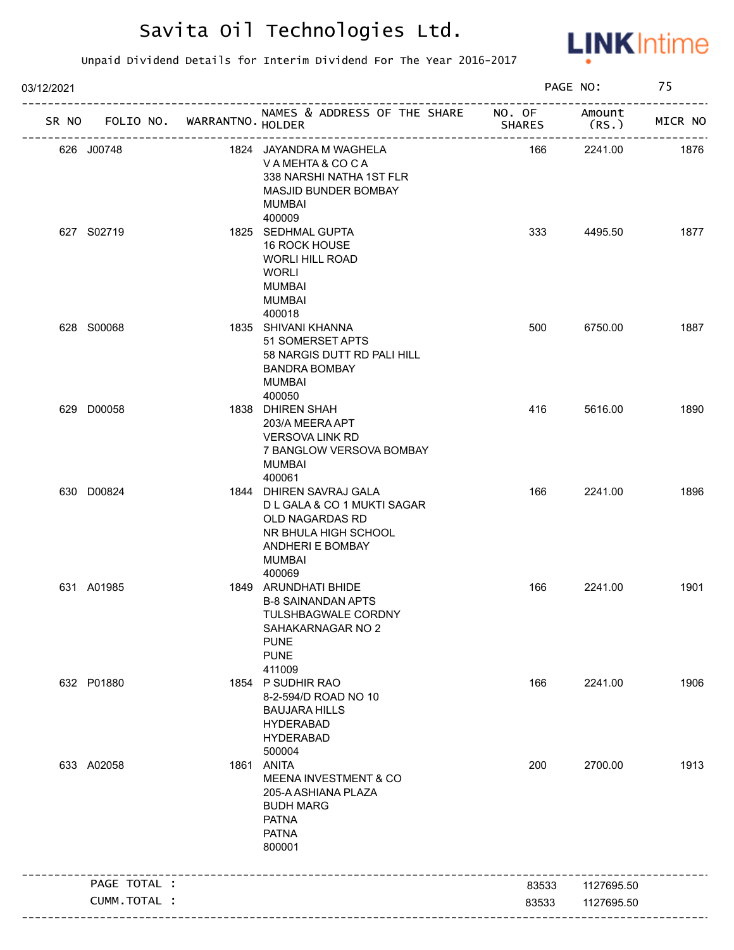

| 03/12/2021 |              |                             |                                                                                                                                                  |               | PAGE NO:        | 75      |
|------------|--------------|-----------------------------|--------------------------------------------------------------------------------------------------------------------------------------------------|---------------|-----------------|---------|
| SR NO      |              | FOLIO NO. WARRANTNO. HOLDER | NAMES & ADDRESS OF THE SHARE NO. OF<br>---------------------                                                                                     | <b>SHARES</b> | Amount<br>(RS.) | MICR NO |
|            | 626 J00748   |                             | 1824 JAYANDRA M WAGHELA<br>VAMEHTA & COCA<br>338 NARSHI NATHA 1ST FLR<br>MASJID BUNDER BOMBAY<br>MUMBAI                                          | 166           | 2241.00         | 1876    |
|            | 627 S02719   |                             | 400009<br>1825 SEDHMAL GUPTA<br>16 ROCK HOUSE<br><b>WORLI HILL ROAD</b><br>WORLI<br><b>MUMBAI</b><br><b>MUMBAI</b><br>400018                     | 333           | 4495.50         | 1877    |
|            | 628 S00068   |                             | 1835 SHIVANI KHANNA<br>51 SOMERSET APTS<br>58 NARGIS DUTT RD PALI HILL<br><b>BANDRA BOMBAY</b><br>MUMBAI<br>400050                               | 500           | 6750.00         | 1887    |
|            | 629 D00058   |                             | 1838 DHIREN SHAH<br>203/A MEERA APT<br><b>VERSOVA LINK RD</b><br>7 BANGLOW VERSOVA BOMBAY<br>MUMBAI<br>400061                                    | 416           | 5616.00         | 1890    |
|            | 630 D00824   |                             | 1844 DHIREN SAVRAJ GALA<br>D L GALA & CO 1 MUKTI SAGAR<br>OLD NAGARDAS RD<br>NR BHULA HIGH SCHOOL<br>ANDHERI E BOMBAY<br><b>MUMBAI</b><br>400069 | 166           | 2241.00         | 1896    |
|            | 631 A01985   |                             | 1849 ARUNDHATI BHIDE<br><b>B-8 SAINANDAN APTS</b><br><b>TULSHBAGWALE CORDNY</b><br>SAHAKARNAGAR NO 2<br><b>PUNE</b><br><b>PUNE</b><br>411009     | 166           | 2241.00         | 1901    |
|            | 632 P01880   |                             | 1854 P SUDHIR RAO<br>8-2-594/D ROAD NO 10<br><b>BAUJARA HILLS</b><br><b>HYDERABAD</b><br><b>HYDERABAD</b><br>500004                              | 166           | 2241.00         | 1906    |
|            | 633 A02058   |                             | 1861 ANITA<br><b>MEENA INVESTMENT &amp; CO</b><br>205-A ASHIANA PLAZA<br><b>BUDH MARG</b><br><b>PATNA</b><br><b>PATNA</b><br>800001              | 200           | 2700.00         | 1913    |
|            | PAGE TOTAL : |                             |                                                                                                                                                  | 83533         | 1127695.50      |         |
|            | CUMM.TOTAL : |                             |                                                                                                                                                  | 83533         | 1127695.50      |         |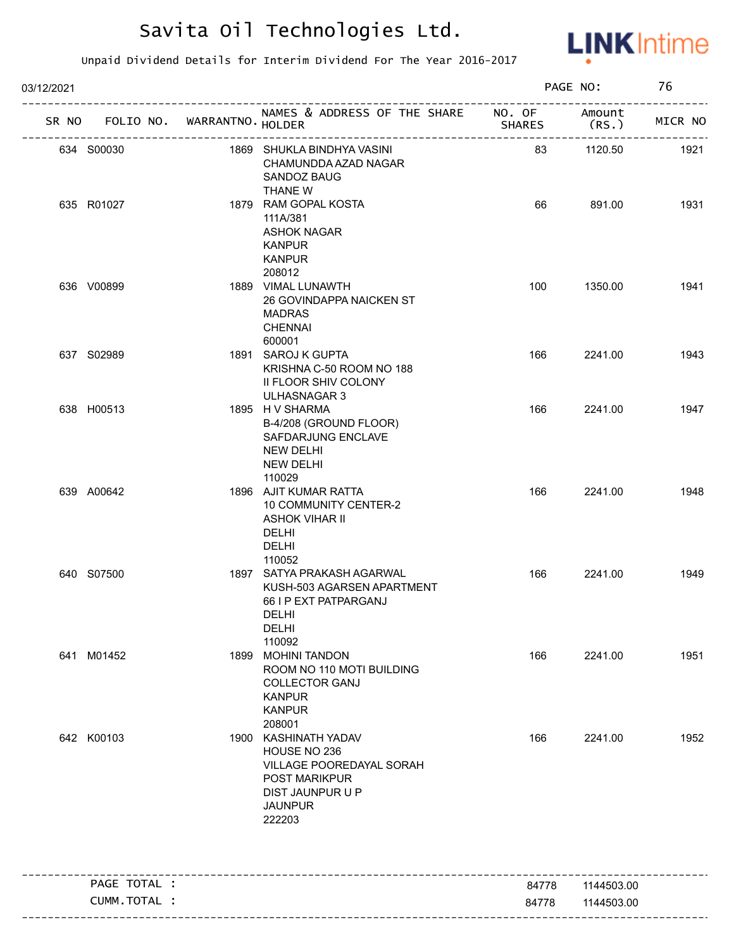

| 03/12/2021 |              |                                   |                                                                                                                                   |               | PAGE NO:        | 76      |
|------------|--------------|-----------------------------------|-----------------------------------------------------------------------------------------------------------------------------------|---------------|-----------------|---------|
|            |              | SR NO FOLIO NO. WARRANTNO. HOLDER | NAMES & ADDRESS OF THE SHARE NO. OF<br>______________________                                                                     | <b>SHARES</b> | Amount<br>(RS.) | MICR NO |
|            | 634 S00030   |                                   | 1869 SHUKLA BINDHYA VASINI<br>CHAMUNDDA AZAD NAGAR<br>SANDOZ BAUG<br>THANE W                                                      | 83            | 1120.50         | 1921    |
|            | 635 R01027   |                                   | 1879 RAM GOPAL KOSTA<br>111A/381<br><b>ASHOK NAGAR</b><br><b>KANPUR</b><br><b>KANPUR</b><br>208012                                | 66            | 891.00          | 1931    |
|            | 636 V00899   |                                   | 1889 VIMAL LUNAWTH<br>26 GOVINDAPPA NAICKEN ST<br><b>MADRAS</b><br><b>CHENNAI</b><br>600001                                       | 100           | 1350.00         | 1941    |
|            | 637 S02989   |                                   | 1891 SAROJ K GUPTA<br>KRISHNA C-50 ROOM NO 188<br>II FLOOR SHIV COLONY<br><b>ULHASNAGAR 3</b>                                     | 166           | 2241.00         | 1943    |
|            | 638 H00513   |                                   | 1895 H V SHARMA<br>B-4/208 (GROUND FLOOR)<br>SAFDARJUNG ENCLAVE<br><b>NEW DELHI</b><br><b>NEW DELHI</b><br>110029                 | 166           | 2241.00         | 1947    |
|            | 639 A00642   |                                   | 1896 AJIT KUMAR RATTA<br><b>10 COMMUNITY CENTER-2</b><br><b>ASHOK VIHAR II</b><br><b>DELHI</b><br><b>DELHI</b><br>110052          | 166           | 2241.00         | 1948    |
|            | 640 S07500   |                                   | 1897 SATYA PRAKASH AGARWAL<br>KUSH-503 AGARSEN APARTMENT<br>66 I P EXT PATPARGANJ<br>DELHI<br><b>DELHI</b><br>110092              | 166           | 2241.00         | 1949    |
|            | 641 M01452   |                                   | 1899 MOHINI TANDON<br>ROOM NO 110 MOTI BUILDING<br><b>COLLECTOR GANJ</b><br><b>KANPUR</b><br><b>KANPUR</b><br>208001              | 166           | 2241.00         | 1951    |
|            | 642 K00103   |                                   | 1900 KASHINATH YADAV<br>HOUSE NO 236<br>VILLAGE POOREDAYAL SORAH<br>POST MARIKPUR<br>DIST JAUNPUR U P<br><b>JAUNPUR</b><br>222203 | 166           | 2241.00         | 1952    |
|            | PAGE TOTAL : |                                   |                                                                                                                                   | 84778         | 1144503.00      |         |
|            | CUMM.TOTAL : |                                   |                                                                                                                                   | 84778         | 1144503.00      |         |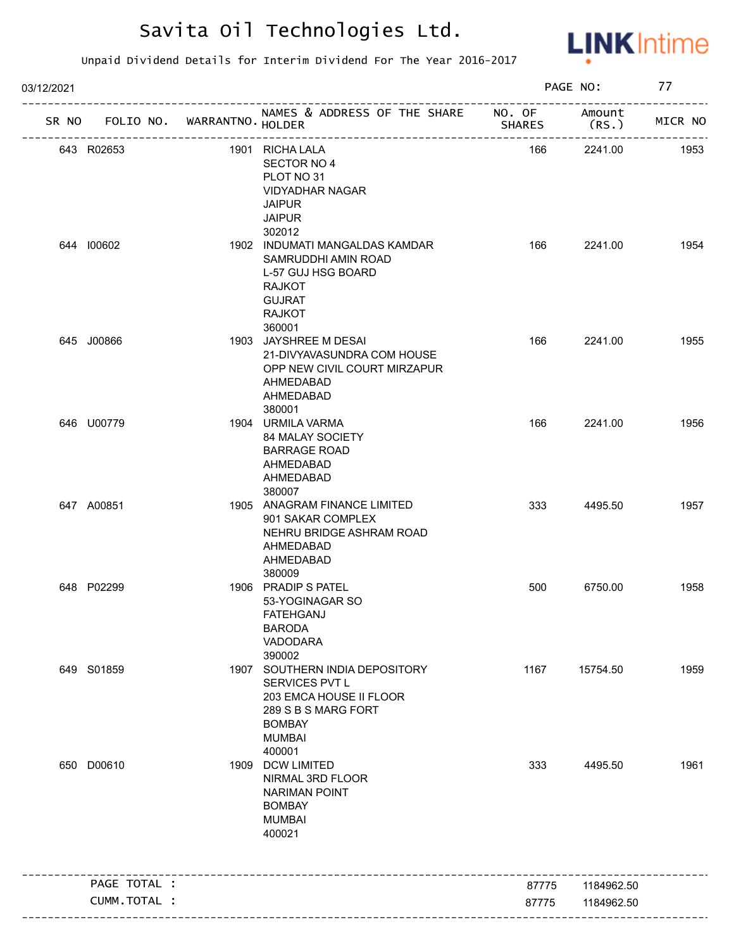

| 03/12/2021 |              |                             |                                                                                                                                                | PAGE NO:      |                | 77      |
|------------|--------------|-----------------------------|------------------------------------------------------------------------------------------------------------------------------------------------|---------------|----------------|---------|
| SR NO      |              | FOLIO NO. WARRANTNO. HOLDER | NAMES & ADDRESS OF THE SHARE NO. OF                                                                                                            | <b>SHARES</b> | Amount<br>(RS. | MICR NO |
|            | 643 R02653   |                             | 1901 RICHA LALA<br>SECTOR NO 4<br>PLOT NO 31<br><b>VIDYADHAR NAGAR</b><br><b>JAIPUR</b><br><b>JAIPUR</b><br>302012                             | 166           | 2241.00        | 1953    |
|            | 644 100602   |                             | 1902 INDUMATI MANGALDAS KAMDAR<br>SAMRUDDHI AMIN ROAD<br>L-57 GUJ HSG BOARD<br><b>RAJKOT</b><br><b>GUJRAT</b><br><b>RAJKOT</b><br>360001       | 166           | 2241.00        | 1954    |
|            | 645 J00866   |                             | 1903 JAYSHREE M DESAI<br>21-DIVYAVASUNDRA COM HOUSE<br>OPP NEW CIVIL COURT MIRZAPUR<br>AHMEDABAD<br>AHMEDABAD<br>380001                        | 166           | 2241.00        | 1955    |
|            | 646 U00779   |                             | 1904 URMILA VARMA<br>84 MALAY SOCIETY<br><b>BARRAGE ROAD</b><br>AHMEDABAD<br>AHMEDABAD<br>380007                                               | 166           | 2241.00        | 1956    |
|            | 647 A00851   |                             | 1905 ANAGRAM FINANCE LIMITED<br>901 SAKAR COMPLEX<br>NEHRU BRIDGE ASHRAM ROAD<br>AHMEDABAD<br>AHMEDABAD<br>380009                              | 333           | 4495.50        | 1957    |
|            | 648 P02299   |                             | 1906 PRADIP S PATEL<br>53-YOGINAGAR SO<br>FATEHGANJ<br><b>BARODA</b><br>VADODARA<br>390002                                                     | 500           | 6750.00        | 1958    |
|            | 649 S01859   |                             | 1907 SOUTHERN INDIA DEPOSITORY<br>SERVICES PVT L<br>203 EMCA HOUSE II FLOOR<br>289 S B S MARG FORT<br><b>BOMBAY</b><br><b>MUMBAI</b><br>400001 | 1167          | 15754.50       | 1959    |
|            | 650 D00610   |                             | 1909 DCW LIMITED<br>NIRMAL 3RD FLOOR<br><b>NARIMAN POINT</b><br><b>BOMBAY</b><br><b>MUMBAI</b><br>400021                                       | 333           | 4495.50        | 1961    |
|            | PAGE TOTAL : |                             |                                                                                                                                                | 87775         | 1184962.50     |         |
|            | CUMM.TOTAL : |                             |                                                                                                                                                | 87775         |                |         |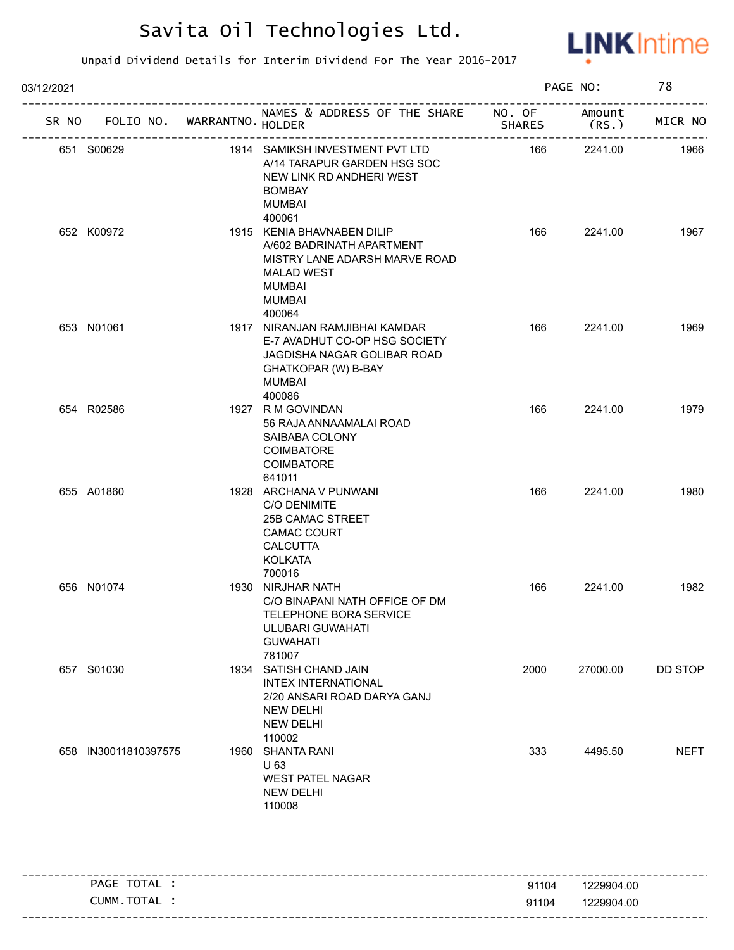

| 03/12/2021 |                                   |                                                                                                                                                           |               | PAGE NO:       | 78          |
|------------|-----------------------------------|-----------------------------------------------------------------------------------------------------------------------------------------------------------|---------------|----------------|-------------|
|            | SR NO FOLIO NO. WARRANTNO. HOLDER | NAMES & ADDRESS OF THE SHARE NO. OF<br>------------                                                                                                       | <b>SHARES</b> | Amount<br>(RS. | MICR NO     |
|            | 651 S00629                        | 1914 SAMIKSH INVESTMENT PVT LTD<br>A/14 TARAPUR GARDEN HSG SOC<br>NEW LINK RD ANDHERI WEST<br><b>BOMBAY</b><br><b>MUMBAI</b><br>400061                    | 166           | 2241.00        | 1966        |
|            | 652 K00972                        | 1915 KENIA BHAVNABEN DILIP<br>A/602 BADRINATH APARTMENT<br>MISTRY LANE ADARSH MARVE ROAD<br><b>MALAD WEST</b><br><b>MUMBAI</b><br><b>MUMBAI</b><br>400064 | 166           | 2241.00        | 1967        |
|            | 653 N01061                        | 1917 NIRANJAN RAMJIBHAI KAMDAR<br>E-7 AVADHUT CO-OP HSG SOCIETY<br>JAGDISHA NAGAR GOLIBAR ROAD<br>GHATKOPAR (W) B-BAY<br>MUMBAI<br>400086                 | 166           | 2241.00        | 1969        |
|            | 654 R02586                        | 1927 R M GOVINDAN<br>56 RAJA ANNAAMALAI ROAD<br>SAIBABA COLONY<br>COIMBATORE<br>COIMBATORE<br>641011                                                      | 166           | 2241.00        | 1979        |
|            | 655 A01860                        | 1928 ARCHANA V PUNWANI<br>C/O DENIMITE<br>25B CAMAC STREET<br><b>CAMAC COURT</b><br><b>CALCUTTA</b><br><b>KOLKATA</b><br>700016                           | 166           | 2241.00        | 1980        |
|            | 656 N01074                        | 1930 NIRJHAR NATH<br>C/O BINAPANI NATH OFFICE OF DM<br>TELEPHONE BORA SERVICE<br>ULUBARI GUWAHATI<br><b>GUWAHATI</b><br>781007                            | 166           | 2241.00        | 1982        |
|            | 657 S01030                        | 1934 SATISH CHAND JAIN<br><b>INTEX INTERNATIONAL</b><br>2/20 ANSARI ROAD DARYA GANJ<br><b>NEW DELHI</b><br><b>NEW DELHI</b><br>110002                     | 2000          | 27000.00       | DD STOP     |
|            | 658 IN30011810397575              | 1960 SHANTA RANI<br>U 63<br><b>WEST PATEL NAGAR</b><br><b>NEW DELHI</b><br>110008                                                                         | 333           | 4495.50        | <b>NEFT</b> |

|                |       | ----------------------- |
|----------------|-------|-------------------------|
| TOTAL<br>PAGE  | 91104 | 1229904.00              |
| TOTAL<br>CUMM. | 91104 | 1229904.00              |
|                |       |                         |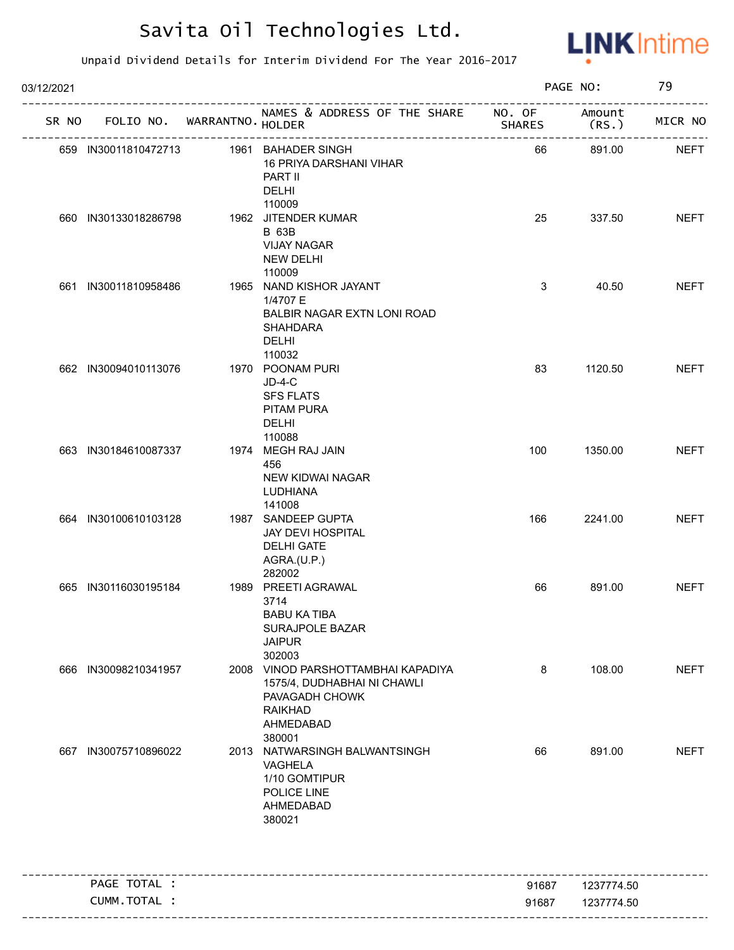

| 03/12/2021 |                      |                             |                                                                                                                              |               | PAGE NO:                                  | 79          |
|------------|----------------------|-----------------------------|------------------------------------------------------------------------------------------------------------------------------|---------------|-------------------------------------------|-------------|
| SR NO      |                      | FOLIO NO. WARRANTNO. HOLDER | NAMES & ADDRESS OF THE SHARE NO. OF                                                                                          | <b>SHARES</b> | Amount<br>(RS.)                           | MICR NO     |
|            |                      | --------------------        | 659 IN30011810472713 1961 BAHADER SINGH<br><b>16 PRIYA DARSHANI VIHAR</b><br>PART II<br><b>DELHI</b>                         | 66            | . _ _ _ _ _ _ _ _ _ _ _ _ _ _ _<br>891.00 | <b>NEFT</b> |
|            | 660 IN30133018286798 |                             | 110009<br>1962 JITENDER KUMAR<br><b>B</b> 63B<br><b>VIJAY NAGAR</b><br>NEW DELHI<br>110009                                   | 25            | 337.50                                    | <b>NEFT</b> |
|            | 661 IN30011810958486 |                             | 1965 NAND KISHOR JAYANT<br>1/4707 E<br>BALBIR NAGAR EXTN LONI ROAD<br><b>SHAHDARA</b><br><b>DELHI</b><br>110032              | 3             | 40.50                                     | <b>NEFT</b> |
|            | 662 IN30094010113076 |                             | 1970 POONAM PURI<br>$JD-4-C$<br><b>SFS FLATS</b><br>PITAM PURA<br>DELHI<br>110088                                            | 83            | 1120.50                                   | <b>NEFT</b> |
|            | 663 IN30184610087337 |                             | 1974 MEGH RAJ JAIN<br>456<br><b>NEW KIDWAI NAGAR</b><br>LUDHIANA<br>141008                                                   | 100           | 1350.00                                   | <b>NEFT</b> |
|            | 664 IN30100610103128 |                             | 1987 SANDEEP GUPTA<br>JAY DEVI HOSPITAL<br><b>DELHI GATE</b><br>AGRA.(U.P.)<br>282002                                        | 166           | 2241.00                                   | <b>NEFT</b> |
|            | 665 IN30116030195184 |                             | 1989 PREETI AGRAWAL<br>3714<br><b>BABU KA TIBA</b><br>SURAJPOLE BAZAR<br><b>JAIPUR</b><br>302003                             | 66            | 891.00                                    | <b>NEFT</b> |
|            | 666 IN30098210341957 |                             | 2008 VINOD PARSHOTTAMBHAI KAPADIYA<br>1575/4, DUDHABHAI NI CHAWLI<br>PAVAGADH CHOWK<br><b>RAIKHAD</b><br>AHMEDABAD<br>380001 | 8             | 108.00                                    | <b>NEFT</b> |
|            | 667 IN30075710896022 |                             | 2013 NATWARSINGH BALWANTSINGH<br>VAGHELA<br>1/10 GOMTIPUR<br>POLICE LINE<br>AHMEDABAD<br>380021                              | 66            | 891.00                                    | <b>NEFT</b> |
|            | PAGE TOTAL :         |                             |                                                                                                                              | 91687         | 1237774.50                                |             |
|            | CUMM.TOTAL :         |                             |                                                                                                                              | 91687         | 1237774.50                                |             |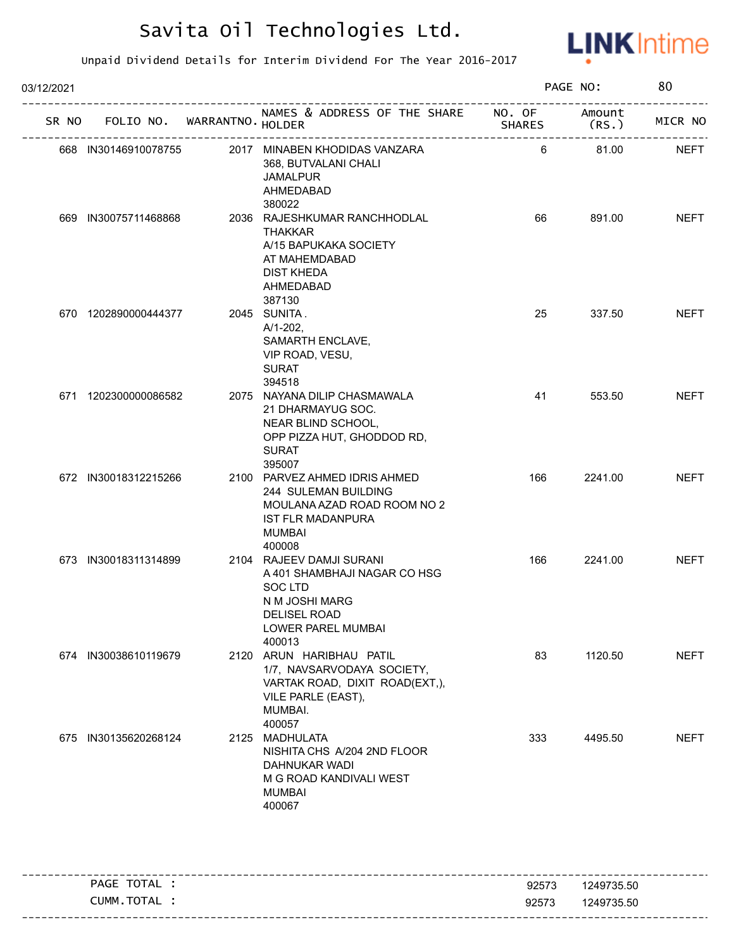

| 03/12/2021 |                                   |                                                                                                                                             |               | PAGE NO:        | 80          |
|------------|-----------------------------------|---------------------------------------------------------------------------------------------------------------------------------------------|---------------|-----------------|-------------|
|            | SR NO FOLIO NO. WARRANTNO. HOLDER | NAMES & ADDRESS OF THE SHARE NO. OF                                                                                                         | <b>SHARES</b> | Amount<br>(RS.) | MICR NO     |
|            | 668 IN30146910078755              | 2017 MINABEN KHODIDAS VANZARA<br>368, BUTVALANI CHALI<br><b>JAMALPUR</b><br>AHMEDABAD<br>380022                                             | 6             | 81.00           | <b>NEFT</b> |
|            | 669 IN30075711468868              | 2036 RAJESHKUMAR RANCHHODLAL<br><b>THAKKAR</b><br>A/15 BAPUKAKA SOCIETY<br>AT MAHEMDABAD<br><b>DIST KHEDA</b><br>AHMEDABAD<br>387130        | 66            | 891.00          | <b>NEFT</b> |
|            | 670 1202890000444377              | 2045 SUNITA.<br>$A/1-202$ ,<br>SAMARTH ENCLAVE,<br>VIP ROAD, VESU,<br><b>SURAT</b><br>394518                                                | 25            | 337.50          | <b>NEFT</b> |
|            | 671 1202300000086582              | 2075 NAYANA DILIP CHASMAWALA<br>21 DHARMAYUG SOC.<br>NEAR BLIND SCHOOL,<br>OPP PIZZA HUT, GHODDOD RD,<br><b>SURAT</b><br>395007             | 41            | 553.50          | <b>NEFT</b> |
|            | 672 IN30018312215266              | 2100 PARVEZ AHMED IDRIS AHMED<br>244 SULEMAN BUILDING<br>MOULANA AZAD ROAD ROOM NO 2<br><b>IST FLR MADANPURA</b><br><b>MUMBAI</b><br>400008 | 166           | 2241.00         | <b>NEFT</b> |
|            | 673 IN30018311314899              | 2104 RAJEEV DAMJI SURANI<br>A 401 SHAMBHAJI NAGAR CO HSG<br>SOC LTD<br>N M JOSHI MARG<br>DELISEL ROAD<br>LOWER PAREL MUMBAI<br>400013       | 166           | 2241.00         | <b>NEFT</b> |
|            | 674 IN30038610119679              | 2120 ARUN HARIBHAU PATIL<br>1/7, NAVSARVODAYA SOCIETY,<br>VARTAK ROAD, DIXIT ROAD(EXT,),<br>VILE PARLE (EAST),<br>MUMBAI.<br>400057         | 83            | 1120.50         | <b>NEFT</b> |
|            | 675 IN30135620268124              | 2125 MADHULATA<br>NISHITA CHS A/204 2ND FLOOR<br>DAHNUKAR WADI<br>M G ROAD KANDIVALI WEST<br>MUMBAI<br>400067                               | 333           | 4495.50         | <b>NEFT</b> |

| TOTAL<br>PAGE    | 92573 | 1249735.50 |
|------------------|-------|------------|
| CUMM.<br>' TOTAL | 92573 | 1249735.50 |
|                  |       |            |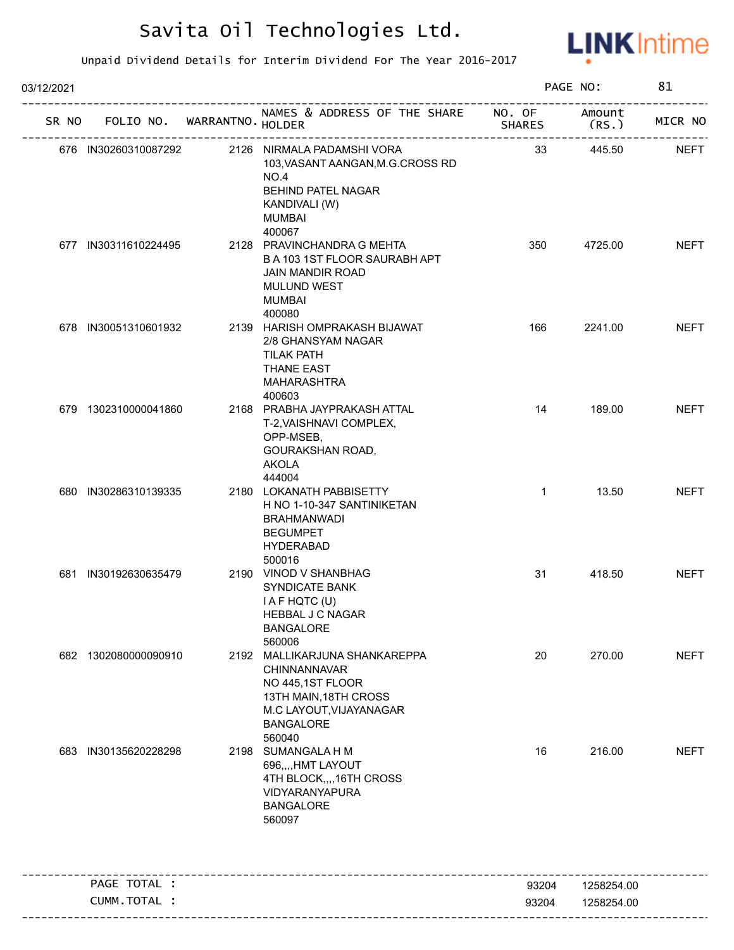

| 03/12/2021 |                                   |                                                                                                                                                     |               | PAGE NO:        | 81          |
|------------|-----------------------------------|-----------------------------------------------------------------------------------------------------------------------------------------------------|---------------|-----------------|-------------|
|            | SR NO FOLIO NO. WARRANTNO. HOLDER | NAMES & ADDRESS OF THE SHARE NO. OF                                                                                                                 | <b>SHARES</b> | Amount<br>(RS.) | MICR NO     |
|            | 676 IN30260310087292              | 2126 NIRMALA PADAMSHI VORA<br>103, VASANT AANGAN, M.G.CROSS RD<br>NO.4<br><b>BEHIND PATEL NAGAR</b><br>KANDIVALI (W)<br><b>MUMBAI</b><br>400067     | 33            | 445.50          | <b>NEFT</b> |
|            | 677 IN30311610224495              | 2128 PRAVINCHANDRA G MEHTA<br>B A 103 1ST FLOOR SAURABH APT<br><b>JAIN MANDIR ROAD</b><br><b>MULUND WEST</b><br><b>MUMBAI</b><br>400080             | 350           | 4725.00         | <b>NEFT</b> |
|            | 678 IN30051310601932              | 2139 HARISH OMPRAKASH BIJAWAT<br>2/8 GHANSYAM NAGAR<br><b>TILAK PATH</b><br><b>THANE EAST</b><br>MAHARASHTRA<br>400603                              | 166           | 2241.00         | <b>NEFT</b> |
|            | 679 1302310000041860              | 2168 PRABHA JAYPRAKASH ATTAL<br>T-2, VAISHNAVI COMPLEX,<br>OPP-MSEB,<br>GOURAKSHAN ROAD,<br><b>AKOLA</b><br>444004                                  | 14            | 189.00          | <b>NEFT</b> |
|            | 680 IN30286310139335              | 2180 LOKANATH PABBISETTY<br>H NO 1-10-347 SANTINIKETAN<br><b>BRAHMANWADI</b><br><b>BEGUMPET</b><br><b>HYDERABAD</b><br>500016                       | $\mathbf{1}$  | 13.50           | <b>NEFT</b> |
|            | 681 IN30192630635479              | 2190 VINOD V SHANBHAG<br>SYNDICATE BANK<br>I A F HQTC (U)<br><b>HEBBAL J C NAGAR</b><br><b>BANGALORE</b><br>560006                                  | 31            | 418.50          | <b>NEFT</b> |
|            | 682 1302080000090910              | 2192 MALLIKARJUNA SHANKAREPPA<br>CHINNANNAVAR<br>NO 445,1ST FLOOR<br>13TH MAIN, 18TH CROSS<br>M.C LAYOUT, VIJAYANAGAR<br><b>BANGALORE</b><br>560040 | 20            | 270.00          | <b>NEFT</b> |
|            | 683 IN30135620228298              | 2198 SUMANGALA H M<br>696,,,,HMT LAYOUT<br>4TH BLOCK,,,,16TH CROSS<br>VIDYARANYAPURA<br><b>BANGALORE</b><br>560097                                  | 16            | 216.00          | <b>NEFT</b> |
|            | PAGE TOTAL :                      | _____________________________________                                                                                                               | 93204         | 1258254.00      |             |
|            | CUMM.TOTAL :                      |                                                                                                                                                     | 93204         | 1258254.00      |             |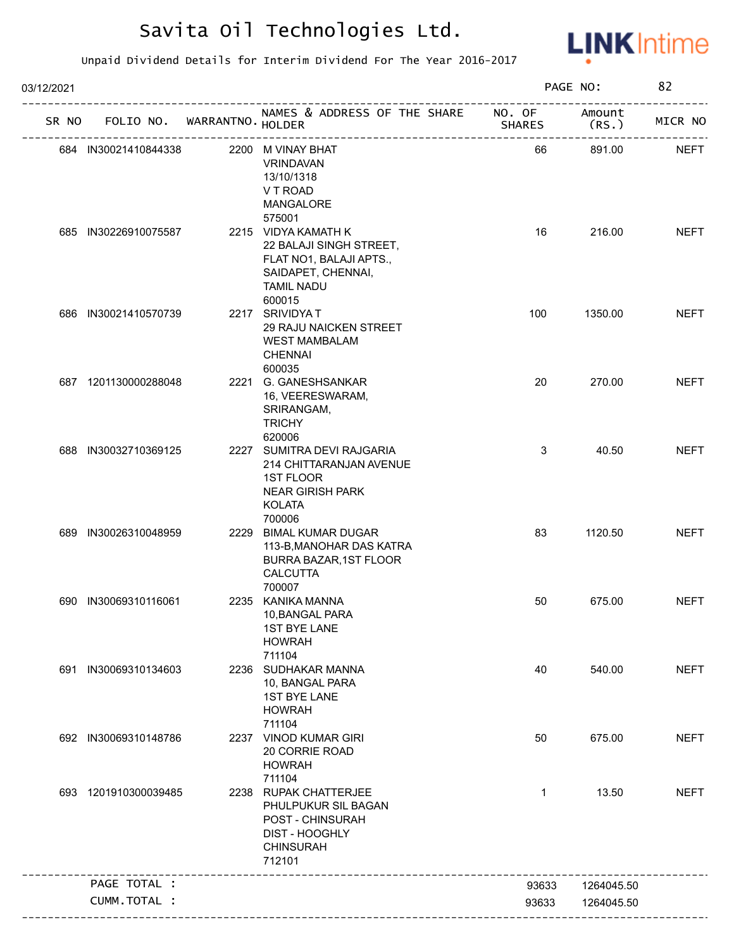

| 03/12/2021 |                      |                                   |                                                                                                                                          |               | PAGE NO:        | 82          |
|------------|----------------------|-----------------------------------|------------------------------------------------------------------------------------------------------------------------------------------|---------------|-----------------|-------------|
|            |                      | SR NO FOLIO NO. WARRANTNO. HOLDER | NAMES & ADDRESS OF THE SHARE NO. OF<br>אווט<br>-------------------------------                                                           | <b>SHARES</b> | Amount<br>(RS.) | MICR NO     |
|            | 684 IN30021410844338 |                                   | 2200 M VINAY BHAT<br><b>VRINDAVAN</b><br>13/10/1318<br>V T ROAD<br><b>MANGALORE</b>                                                      | 66            | 891.00          | <b>NEFT</b> |
|            | 685 IN30226910075587 |                                   | 575001<br>2215 VIDYA KAMATH K<br>22 BALAJI SINGH STREET,<br>FLAT NO1, BALAJI APTS.,<br>SAIDAPET, CHENNAI,<br><b>TAMIL NADU</b><br>600015 | 16            | 216.00          | <b>NEFT</b> |
|            | 686 IN30021410570739 |                                   | 2217 SRIVIDYAT<br>29 RAJU NAICKEN STREET<br><b>WEST MAMBALAM</b><br><b>CHENNAI</b>                                                       | 100           | 1350.00         | <b>NEFT</b> |
|            | 687 1201130000288048 |                                   | 600035<br>2221 G. GANESHSANKAR<br>16, VEERESWARAM,<br>SRIRANGAM,<br><b>TRICHY</b><br>620006                                              | 20            | 270.00          | <b>NEFT</b> |
|            | 688 IN30032710369125 |                                   | 2227 SUMITRA DEVI RAJGARIA<br>214 CHITTARANJAN AVENUE<br>1ST FLOOR<br><b>NEAR GIRISH PARK</b><br><b>KOLATA</b><br>700006                 | 3             | 40.50           | <b>NEFT</b> |
|            | 689 IN30026310048959 |                                   | 2229 BIMAL KUMAR DUGAR<br>113-B, MANOHAR DAS KATRA<br>BURRA BAZAR, 1ST FLOOR<br><b>CALCUTTA</b><br>700007                                | 83            | 1120.50         | <b>NEFT</b> |
|            | 690 IN30069310116061 |                                   | 2235 KANIKA MANNA<br>10, BANGAL PARA<br><b>1ST BYE LANE</b><br><b>HOWRAH</b><br>711104                                                   | 50            | 675.00          | <b>NEFT</b> |
|            | 691 IN30069310134603 |                                   | 2236 SUDHAKAR MANNA<br>10, BANGAL PARA<br><b>1ST BYE LANE</b><br><b>HOWRAH</b><br>711104                                                 | 40            | 540.00          | <b>NEFT</b> |
|            | 692 IN30069310148786 |                                   | 2237 VINOD KUMAR GIRI<br>20 CORRIE ROAD<br><b>HOWRAH</b><br>711104                                                                       | 50            | 675.00          | <b>NEFT</b> |
|            | 693 1201910300039485 |                                   | 2238 RUPAK CHATTERJEE<br>PHULPUKUR SIL BAGAN<br>POST - CHINSURAH<br>DIST - HOOGHLY<br><b>CHINSURAH</b><br>712101                         | 1             | 13.50           | <b>NEFT</b> |
|            | PAGE TOTAL :         |                                   |                                                                                                                                          | 93633         | 1264045.50      |             |
|            | CUMM.TOTAL :         |                                   |                                                                                                                                          | 93633         | 1264045.50      |             |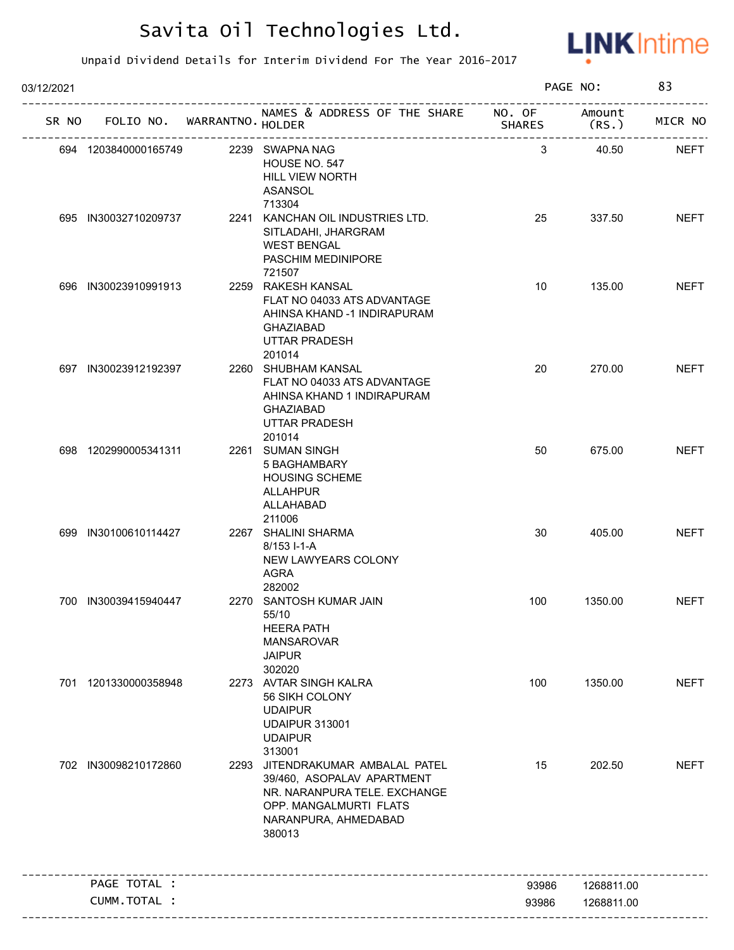

| 03/12/2021 |                             |                                                                                                                                                            |                         | PAGE NO:        | 83          |
|------------|-----------------------------|------------------------------------------------------------------------------------------------------------------------------------------------------------|-------------------------|-----------------|-------------|
| SR NO      | FOLIO NO. WARRANTNO. HOLDER | NAMES & ADDRESS OF THE SHARE                                                                                                                               | NO. OF<br><b>SHARES</b> | Amount<br>(RS.) | MICR NO     |
|            | 694 1203840000165749        | 2239 SWAPNA NAG<br>HOUSE NO. 547<br><b>HILL VIEW NORTH</b><br>ASANSOL<br>713304                                                                            | 3                       | 40.50           | <b>NEFT</b> |
|            | 695 IN30032710209737        | 2241 KANCHAN OIL INDUSTRIES LTD.<br>SITLADAHI, JHARGRAM<br><b>WEST BENGAL</b><br>PASCHIM MEDINIPORE<br>721507                                              | 25                      | 337.50          | <b>NEFT</b> |
|            | 696 IN30023910991913        | 2259 RAKESH KANSAL<br>FLAT NO 04033 ATS ADVANTAGE<br>AHINSA KHAND -1 INDIRAPURAM<br><b>GHAZIABAD</b><br><b>UTTAR PRADESH</b><br>201014                     | 10                      | 135.00          | <b>NEFT</b> |
|            | 697 IN30023912192397        | 2260 SHUBHAM KANSAL<br>FLAT NO 04033 ATS ADVANTAGE<br>AHINSA KHAND 1 INDIRAPURAM<br><b>GHAZIABAD</b><br>UTTAR PRADESH<br>201014                            | 20                      | 270.00          | <b>NEFT</b> |
|            | 698 1202990005341311        | 2261 SUMAN SINGH<br>5 BAGHAMBARY<br><b>HOUSING SCHEME</b><br><b>ALLAHPUR</b><br>ALLAHABAD<br>211006                                                        | 50                      | 675.00          | <b>NEFT</b> |
|            | 699 IN30100610114427        | 2267 SHALINI SHARMA<br>8/153 I-1-A<br>NEW LAWYEARS COLONY<br><b>AGRA</b><br>282002                                                                         | 30                      | 405.00          | <b>NEFT</b> |
|            | 700 IN30039415940447        | 2270 SANTOSH KUMAR JAIN<br>55/10<br><b>HEERA PATH</b><br><b>MANSAROVAR</b><br><b>JAIPUR</b><br>302020                                                      | 100                     | 1350.00         | <b>NEFT</b> |
|            | 701 1201330000358948        | 2273 AVTAR SINGH KALRA<br>56 SIKH COLONY<br><b>UDAIPUR</b><br><b>UDAIPUR 313001</b><br><b>UDAIPUR</b><br>313001                                            | 100                     | 1350.00         | <b>NEFT</b> |
|            | 702 IN30098210172860        | 2293 JITENDRAKUMAR AMBALAL PATEL<br>39/460, ASOPALAV APARTMENT<br>NR. NARANPURA TELE. EXCHANGE<br>OPP. MANGALMURTI FLATS<br>NARANPURA, AHMEDABAD<br>380013 | 15                      | 202.50          | <b>NEFT</b> |
|            | PAGE TOTAL :                |                                                                                                                                                            | 93986                   | 1268811.00      |             |
|            | <b>CUMM. TOTAL :</b>        |                                                                                                                                                            | 93986                   | 1268811.00      |             |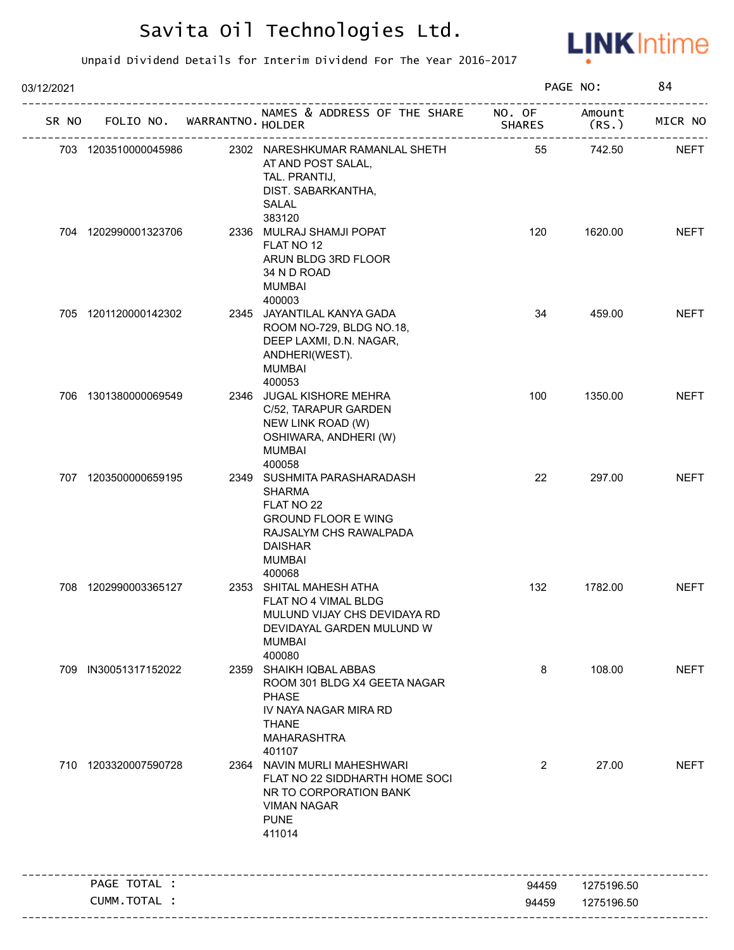

| 03/12/2021 |                      |                             |                                                                                                                                                                 |               | PAGE NO:        | 84          |
|------------|----------------------|-----------------------------|-----------------------------------------------------------------------------------------------------------------------------------------------------------------|---------------|-----------------|-------------|
| SR NO      |                      | FOLIO NO. WARRANTNO. HOLDER | NAMES & ADDRESS OF THE SHARE NO. OF                                                                                                                             | <b>SHARES</b> | Amount<br>(RS.) | MICR NO     |
|            | 703 1203510000045986 |                             | 2302 NARESHKUMAR RAMANLAL SHETH<br>AT AND POST SALAL,<br>TAL. PRANTIJ,<br>DIST. SABARKANTHA,<br>SALAL                                                           | 55            | 742.50          | <b>NEFT</b> |
|            | 704 1202990001323706 |                             | 383120<br>2336 MULRAJ SHAMJI POPAT<br>FLAT NO 12<br>ARUN BLDG 3RD FLOOR<br>34 N D ROAD<br><b>MUMBAI</b><br>400003                                               | 120           | 1620.00         | <b>NEFT</b> |
|            | 705 1201120000142302 |                             | 2345 JAYANTILAL KANYA GADA<br>ROOM NO-729, BLDG NO.18,<br>DEEP LAXMI, D.N. NAGAR,<br>ANDHERI(WEST).<br><b>MUMBAI</b><br>400053                                  | 34            | 459.00          | <b>NEFT</b> |
|            | 706 1301380000069549 |                             | 2346 JUGAL KISHORE MEHRA<br>C/52, TARAPUR GARDEN<br>NEW LINK ROAD (W)<br>OSHIWARA, ANDHERI (W)<br><b>MUMBAI</b><br>400058                                       | 100           | 1350.00         | <b>NEFT</b> |
|            | 707 1203500000659195 |                             | 2349 SUSHMITA PARASHARADASH<br><b>SHARMA</b><br>FLAT NO 22<br><b>GROUND FLOOR E WING</b><br>RAJSALYM CHS RAWALPADA<br><b>DAISHAR</b><br><b>MUMBAI</b><br>400068 | 22            | 297.00          | <b>NEFT</b> |
|            | 708 1202990003365127 |                             | 2353 SHITAL MAHESH ATHA<br>FLAT NO 4 VIMAL BLDG<br>MULUND VIJAY CHS DEVIDAYA RD<br>DEVIDAYAL GARDEN MULUND W<br><b>MUMBAI</b><br>400080                         | 132           | 1782.00         | <b>NEFT</b> |
|            | 709 IN30051317152022 |                             | 2359 SHAIKH IQBAL ABBAS<br>ROOM 301 BLDG X4 GEETA NAGAR<br>PHASE<br>IV NAYA NAGAR MIRA RD<br><b>THANE</b><br><b>MAHARASHTRA</b><br>401107                       | 8             | 108.00          | <b>NEFT</b> |
|            | 710 1203320007590728 |                             | 2364 NAVIN MURLI MAHESHWARI<br>FLAT NO 22 SIDDHARTH HOME SOCI<br>NR TO CORPORATION BANK<br><b>VIMAN NAGAR</b><br><b>PUNE</b><br>411014                          | 2             | 27.00           | <b>NEFT</b> |
|            | PAGE TOTAL :         |                             |                                                                                                                                                                 | 94459         | 1275196.50      |             |
|            | CUMM.TOTAL :         |                             |                                                                                                                                                                 |               |                 |             |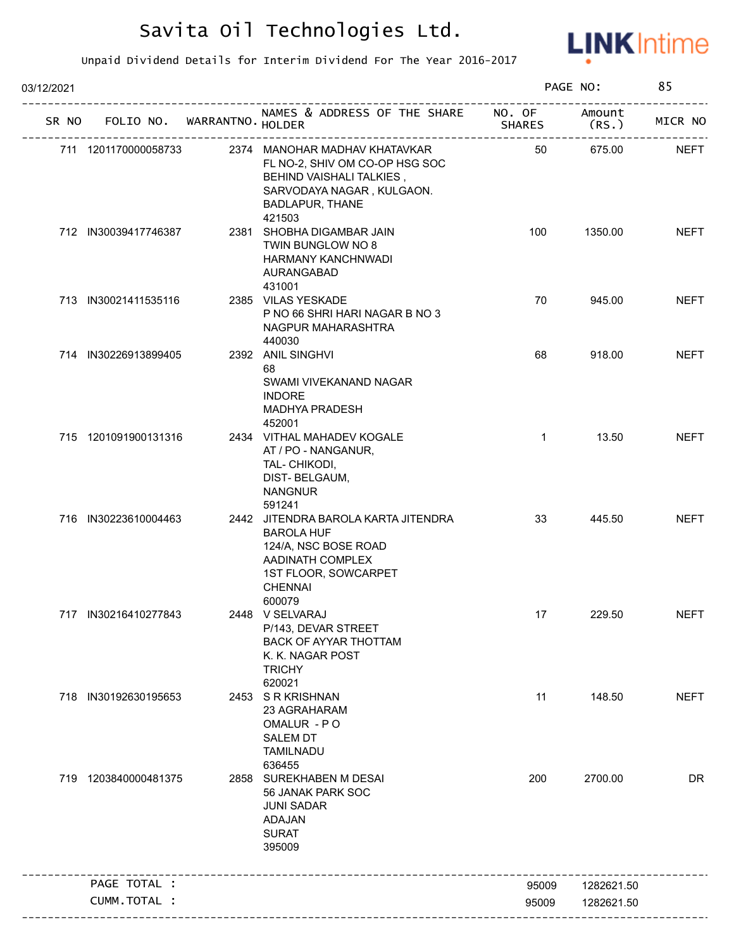

| 03/12/2021 |                      |                             |                                                                                                                                                              | PAGE NO:                |                | 85          |
|------------|----------------------|-----------------------------|--------------------------------------------------------------------------------------------------------------------------------------------------------------|-------------------------|----------------|-------------|
| SR NO      |                      | FOLIO NO. WARRANTNO. HOLDER | NAMES & ADDRESS OF THE SHARE                                                                                                                                 | NO. OF<br><b>SHARES</b> | Amount<br>(RS. | MICR NO     |
|            | 711 1201170000058733 |                             | 2374 MANOHAR MADHAV KHATAVKAR<br>FL NO-2, SHIV OM CO-OP HSG SOC<br>BEHIND VAISHALI TALKIES,<br>SARVODAYA NAGAR, KULGAON.<br><b>BADLAPUR, THANE</b><br>421503 | 50                      | 675.00         | <b>NEFT</b> |
|            | 712 IN30039417746387 |                             | 2381 SHOBHA DIGAMBAR JAIN<br>TWIN BUNGLOW NO 8<br>HARMANY KANCHNWADI<br>AURANGABAD<br>431001                                                                 | 100                     | 1350.00        | <b>NEFT</b> |
|            | 713 IN30021411535116 |                             | 2385 VILAS YESKADE<br>P NO 66 SHRI HARI NAGAR B NO 3<br>NAGPUR MAHARASHTRA<br>440030                                                                         | 70                      | 945.00         | <b>NEFT</b> |
|            | 714 IN30226913899405 |                             | 2392 ANIL SINGHVI<br>68<br>SWAMI VIVEKANAND NAGAR<br><b>INDORE</b><br>MADHYA PRADESH<br>452001                                                               | 68                      | 918.00         | <b>NEFT</b> |
|            | 715 1201091900131316 |                             | 2434 VITHAL MAHADEV KOGALE<br>AT / PO - NANGANUR,<br>TAL- CHIKODI,<br>DIST-BELGAUM,<br><b>NANGNUR</b><br>591241                                              | $\mathbf{1}$            | 13.50          | <b>NEFT</b> |
|            | 716 IN30223610004463 |                             | 2442 JITENDRA BAROLA KARTA JITENDRA<br><b>BAROLA HUF</b><br>124/A, NSC BOSE ROAD<br>AADINATH COMPLEX<br>1ST FLOOR, SOWCARPET<br><b>CHENNAI</b><br>600079     | 33                      | 445.50         | <b>NEFT</b> |
|            | 717 IN30216410277843 |                             | 2448 V SELVARAJ<br>P/143, DEVAR STREET<br><b>BACK OF AYYAR THOTTAM</b><br>K. K. NAGAR POST<br><b>TRICHY</b><br>620021                                        | 17                      | 229.50         | <b>NEFT</b> |
|            | 718 IN30192630195653 |                             | 2453 SRKRISHNAN<br>23 AGRAHARAM<br>OMALUR - PO<br><b>SALEM DT</b><br><b>TAMILNADU</b><br>636455                                                              | 11                      | 148.50         | <b>NEFT</b> |
|            | 719 1203840000481375 |                             | 2858 SUREKHABEN M DESAI<br>56 JANAK PARK SOC<br><b>JUNI SADAR</b><br>ADAJAN<br><b>SURAT</b><br>395009                                                        | 200                     | 2700.00        | <b>DR</b>   |
|            | PAGE TOTAL :         |                             |                                                                                                                                                              | 95009                   | 1282621.50     |             |
|            | CUMM.TOTAL :         |                             |                                                                                                                                                              | 95009                   | 1282621.50     |             |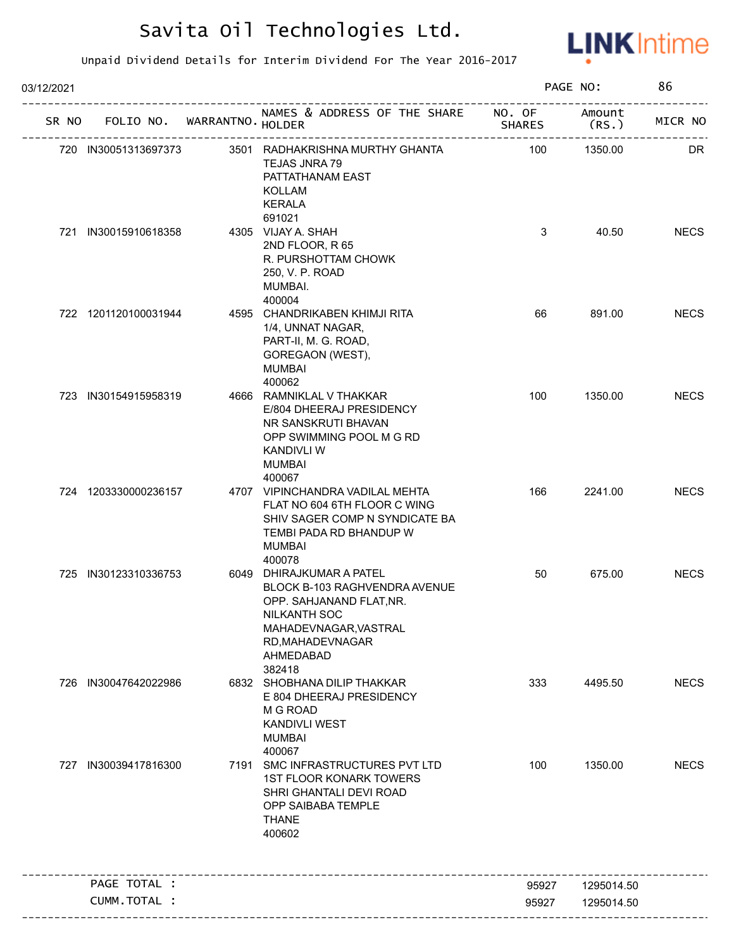

| 03/12/2021 |     |                                   |      |                                                                                                                                                                           |               | PAGE NO:        |             |
|------------|-----|-----------------------------------|------|---------------------------------------------------------------------------------------------------------------------------------------------------------------------------|---------------|-----------------|-------------|
|            |     | SR NO FOLIO NO. WARRANTNO. HOLDER |      | NAMES & ADDRESS OF THE SHARE NO. OF                                                                                                                                       | <b>SHARES</b> | Amount<br>(RS.) | MICR NO     |
|            |     | 720 IN30051313697373              |      | 3501 RADHAKRISHNA MURTHY GHANTA<br>TEJAS JNRA 79<br>PATTATHANAM EAST<br>KOLLAM<br><b>KERALA</b>                                                                           | 100           | 1350.00         | DR          |
|            |     | 721 IN30015910618358              |      | 691021<br>4305 VIJAY A. SHAH<br>2ND FLOOR, R 65<br>R. PURSHOTTAM CHOWK<br>250, V. P. ROAD<br>MUMBAI.<br>400004                                                            | 3             | 40.50           | <b>NECS</b> |
|            |     | 722 1201120100031944              |      | 4595 CHANDRIKABEN KHIMJI RITA<br>1/4, UNNAT NAGAR,<br>PART-II, M. G. ROAD,<br>GOREGAON (WEST),<br><b>MUMBAI</b><br>400062                                                 | 66            | 891.00          | <b>NECS</b> |
|            |     | 723 IN30154915958319              |      | 4666 RAMNIKLAL V THAKKAR<br>E/804 DHEERAJ PRESIDENCY<br>NR SANSKRUTI BHAVAN<br>OPP SWIMMING POOL M G RD<br><b>KANDIVLI W</b><br><b>MUMBAI</b><br>400067                   | 100           | 1350.00         | <b>NECS</b> |
|            |     | 724 1203330000236157              |      | 4707 VIPINCHANDRA VADILAL MEHTA<br>FLAT NO 604 6TH FLOOR C WING<br>SHIV SAGER COMP N SYNDICATE BA<br>TEMBI PADA RD BHANDUP W<br><b>MUMBAI</b><br>400078                   | 166           | 2241.00         | <b>NECS</b> |
|            |     | 725 IN30123310336753              |      | 6049 DHIRAJKUMAR A PATEL<br>BLOCK B-103 RAGHVENDRA AVENUE<br>OPP. SAHJANAND FLAT, NR.<br>NILKANTH SOC<br>MAHADEVNAGAR, VASTRAL<br>RD, MAHADEVNAGAR<br>AHMEDABAD<br>382418 | 50            | 675.00          | <b>NECS</b> |
|            | 726 | IN30047642022986                  |      | 6832 SHOBHANA DILIP THAKKAR<br>E 804 DHEERAJ PRESIDENCY<br>M G ROAD<br><b>KANDIVLI WEST</b><br><b>MUMBAI</b><br>400067                                                    | 333           | 4495.50         | <b>NECS</b> |
|            | 727 | IN30039417816300                  | 7191 | SMC INFRASTRUCTURES PVT LTD<br><b>1ST FLOOR KONARK TOWERS</b><br>SHRI GHANTALI DEVI ROAD<br>OPP SAIBABA TEMPLE<br><b>THANE</b><br>400602                                  | 100           | 1350.00         | <b>NECS</b> |
|            |     | PAGE TOTAL :                      |      |                                                                                                                                                                           | 95927         | 1295014.50      |             |
|            |     | CUMM.TOTAL :                      |      |                                                                                                                                                                           | 95927         | 1295014.50      |             |